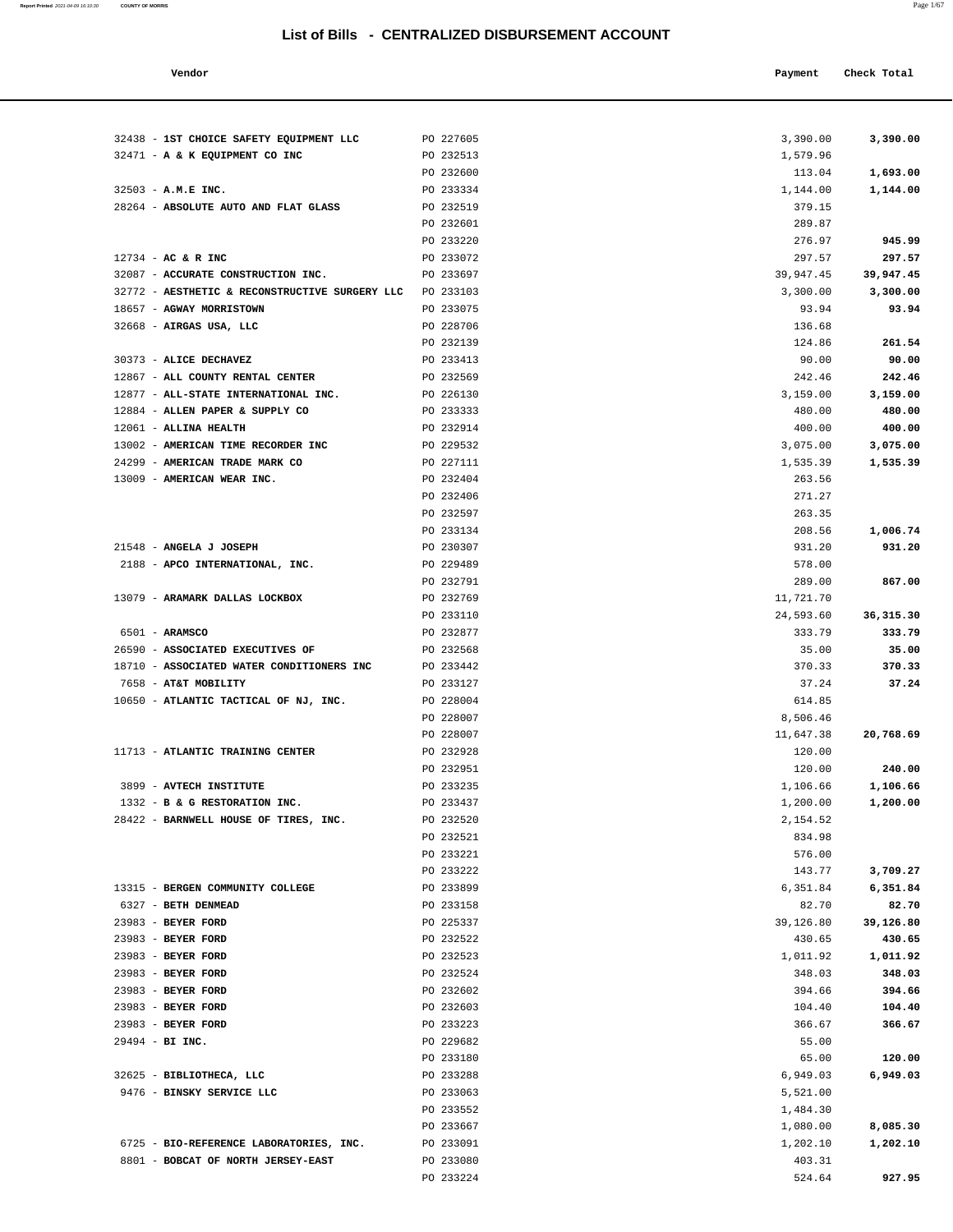| Vendor | Payment Check Total |
|--------|---------------------|
|        |                     |

| 32438 - 1ST CHOICE SAFETY EQUIPMENT LLC        | PO 227605              | 3,390.00         | 3,390.00         |
|------------------------------------------------|------------------------|------------------|------------------|
| 32471 - A & K EQUIPMENT CO INC                 | PO 232513              | 1,579.96         |                  |
|                                                | PO 232600              | 113.04           | 1,693.00         |
| 32503 - A.M.E INC.                             | PO 233334              | 1,144.00         | 1,144.00         |
| 28264 - ABSOLUTE AUTO AND FLAT GLASS           | PO 232519              | 379.15           |                  |
|                                                | PO 232601              | 289.87           |                  |
|                                                | PO 233220              | 276.97           | 945.99           |
| 12734 - AC & R INC                             | PO 233072              | 297.57           | 297.57           |
| 32087 - ACCURATE CONSTRUCTION INC.             | PO 233697              | 39,947.45        | 39,947.45        |
| 32772 - AESTHETIC & RECONSTRUCTIVE SURGERY LLC | PO 233103              | 3,300.00         | 3,300.00         |
| 18657 - AGWAY MORRISTOWN                       | PO 233075              | 93.94            | 93.94            |
| 32668 - AIRGAS USA, LLC                        | PO 228706              | 136.68           |                  |
|                                                | PO 232139              | 124.86           | 261.54           |
| 30373 - ALICE DECHAVEZ                         | PO 233413              | 90.00            | 90.00            |
| 12867 - ALL COUNTY RENTAL CENTER               | PO 232569              | 242.46           | 242.46           |
| 12877 - ALL-STATE INTERNATIONAL INC.           | PO 226130              | 3,159.00         | 3,159.00         |
| 12884 - ALLEN PAPER & SUPPLY CO                | PO 233333              | 480.00           | 480.00           |
| 12061 - ALLINA HEALTH                          | PO 232914              | 400.00           | 400.00           |
| 13002 - AMERICAN TIME RECORDER INC             | PO 229532              | 3,075.00         | 3,075.00         |
| 24299 - AMERICAN TRADE MARK CO                 | PO 227111              | 1,535.39         | 1,535.39         |
| 13009 - AMERICAN WEAR INC.                     | PO 232404              | 263.56           |                  |
|                                                | PO 232406              | 271.27           |                  |
|                                                | PO 232597<br>PO 233134 | 263.35<br>208.56 | 1,006.74         |
| 21548 - ANGELA J JOSEPH                        | PO 230307              | 931.20           | 931.20           |
| 2188 - APCO INTERNATIONAL, INC.                | PO 229489              | 578.00           |                  |
|                                                | PO 232791              | 289.00           | 867.00           |
| 13079 - ARAMARK DALLAS LOCKBOX                 | PO 232769              | 11,721.70        |                  |
|                                                | PO 233110              | 24,593.60        | 36, 315.30       |
| 6501 - ARAMSCO                                 | PO 232877              | 333.79           | 333.79           |
| 26590 - ASSOCIATED EXECUTIVES OF               | PO 232568              | 35.00            | 35.00            |
| 18710 - ASSOCIATED WATER CONDITIONERS INC      | PO 233442              | 370.33           | 370.33           |
| 7658 - AT&T MOBILITY                           | PO 233127              | 37.24            | 37.24            |
| 10650 - ATLANTIC TACTICAL OF NJ, INC.          | PO 228004              | 614.85           |                  |
|                                                | PO 228007              | 8,506.46         |                  |
|                                                | PO 228007              | 11,647.38        | 20,768.69        |
| 11713 - ATLANTIC TRAINING CENTER               | PO 232928              | 120.00           |                  |
|                                                | PO 232951              | 120.00           | 240.00           |
| 3899 - AVTECH INSTITUTE                        | PO 233235              | 1,106.66         | 1,106.66         |
| 1332 - B & G RESTORATION INC.                  | PO 233437              | 1,200.00         | 1,200.00         |
| 28422 - BARNWELL HOUSE OF TIRES, INC.          | PO 232520              | 2,154.52         |                  |
|                                                | PO 232521              | 834.98           |                  |
|                                                | PO 233221              | 576.00           |                  |
|                                                | PO 233222              | 143.77           | 3,709.27         |
| 13315 - BERGEN COMMUNITY COLLEGE               | PO 233899              | 6,351.84         | 6,351.84         |
| 6327 - BETH DENMEAD                            | PO 233158              | 82.70            | 82.70            |
| 23983 - BEYER FORD                             | PO 225337              | 39,126.80        | 39,126.80        |
| 23983 - BEYER FORD                             | PO 232522              | 430.65           | 430.65           |
| 23983 - BEYER FORD<br>23983 - BEYER FORD       | PO 232523              | 1,011.92         | 1,011.92         |
|                                                | PO 232524              | 348.03           | 348.03           |
| 23983 - BEYER FORD<br>23983 - BEYER FORD       | PO 232602<br>PO 232603 | 394.66<br>104.40 | 394.66<br>104.40 |
| 23983 - BEYER FORD                             | PO 233223              | 366.67           | 366.67           |
| 29494 - BI INC.                                | PO 229682              | 55.00            |                  |
|                                                | PO 233180              | 65.00            | 120.00           |
| 32625 - BIBLIOTHECA, LLC                       | PO 233288              | 6,949.03         | 6,949.03         |
| 9476 - BINSKY SERVICE LLC                      | PO 233063              | 5,521.00         |                  |
|                                                | PO 233552              | 1,484.30         |                  |
|                                                | PO 233667              | 1,080.00         | 8,085.30         |
| 6725 - BIO-REFERENCE LABORATORIES, INC.        | PO 233091              | 1,202.10         | 1,202.10         |
| 8801 - BOBCAT OF NORTH JERSEY-EAST             | PO 233080              | 403.31           |                  |
|                                                | PO 233224              | 524.64           | 927.95           |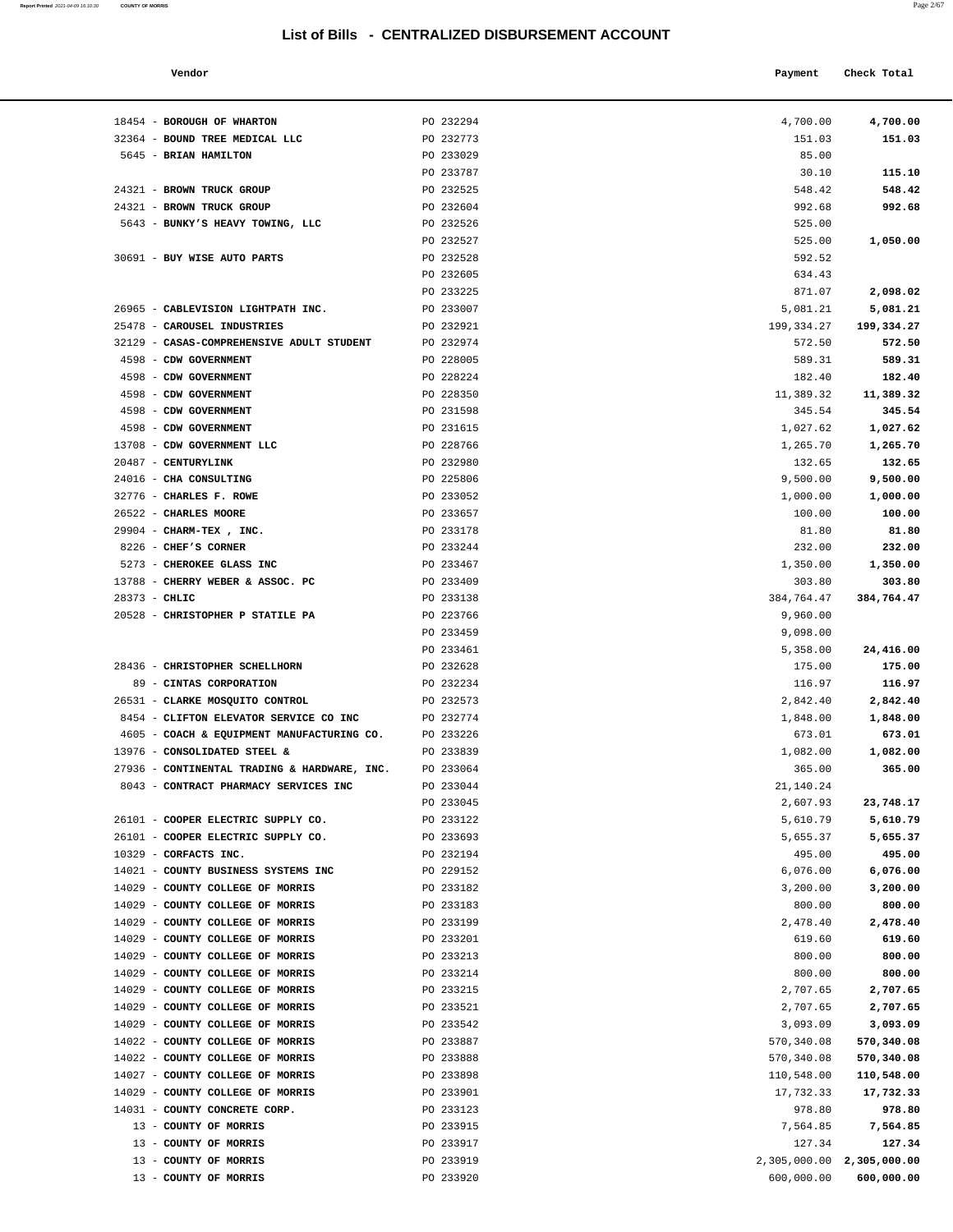| Report Printed 2021-04-09 16:10:30 | <b>COUNTY OF MORRIS</b> |  |  | Page 2/67 |
|------------------------------------|-------------------------|--|--|-----------|
|                                    |                         |  |  |           |

| Vendor | Payment Check Total |  |
|--------|---------------------|--|
|        |                     |  |

| 18454 - BOROUGH OF WHARTON                                  | PO 232294              | 4,700.00            | 4,700.00           |
|-------------------------------------------------------------|------------------------|---------------------|--------------------|
| 32364 - BOUND TREE MEDICAL LLC                              | PO 232773              | 151.03              | 151.03             |
| 5645 - BRIAN HAMILTON                                       | PO 233029              | 85.00               |                    |
|                                                             | PO 233787              | 30.10               | 115.10             |
| 24321 - BROWN TRUCK GROUP                                   | PO 232525              | 548.42              | 548.42             |
| 24321 - BROWN TRUCK GROUP                                   | PO 232604              | 992.68              | 992.68             |
| 5643 - BUNKY'S HEAVY TOWING, LLC                            | PO 232526              | 525.00              |                    |
|                                                             | PO 232527              | 525.00              | 1,050.00           |
| 30691 - BUY WISE AUTO PARTS                                 | PO 232528              | 592.52              |                    |
|                                                             | PO 232605              | 634.43              |                    |
|                                                             | PO 233225              | 871.07              | 2,098.02           |
| 26965 - CABLEVISION LIGHTPATH INC.                          | PO 233007              | 5,081.21            | 5,081.21           |
| 25478 - CAROUSEL INDUSTRIES                                 | PO 232921              | 199,334.27          | 199,334.27         |
| 32129 - CASAS-COMPREHENSIVE ADULT STUDENT                   | PO 232974              | 572.50              | 572.50             |
| 4598 - CDW GOVERNMENT<br>4598 - CDW GOVERNMENT              | PO 228005<br>PO 228224 | 589.31              | 589.31<br>182.40   |
| 4598 - CDW GOVERNMENT                                       | PO 228350              | 182.40<br>11,389.32 | 11,389.32          |
| 4598 - CDW GOVERNMENT                                       | PO 231598              | 345.54              | 345.54             |
| 4598 - CDW GOVERNMENT                                       | PO 231615              | 1,027.62            | 1,027.62           |
| 13708 - CDW GOVERNMENT LLC                                  | PO 228766              | 1,265.70            | 1,265.70           |
| 20487 - CENTURYLINK                                         | PO 232980              | 132.65              | 132.65             |
| 24016 - CHA CONSULTING                                      | PO 225806              | 9,500.00            | 9,500.00           |
| 32776 - CHARLES F. ROWE                                     | PO 233052              | 1,000.00            | 1,000.00           |
| 26522 - CHARLES MOORE                                       | PO 233657              | 100.00              | 100.00             |
| 29904 - CHARM-TEX, INC.                                     | PO 233178              | 81.80               | 81.80              |
| 8226 - CHEF'S CORNER                                        | PO 233244              | 232.00              | 232.00             |
| 5273 - CHEROKEE GLASS INC                                   | PO 233467              | 1,350.00            | 1,350.00           |
| 13788 - CHERRY WEBER & ASSOC. PC                            | PO 233409              | 303.80              | 303.80             |
| $28373 - CHLIC$                                             | PO 233138              | 384,764.47          | 384,764.47         |
| 20528 - CHRISTOPHER P STATILE PA                            | PO 223766              | 9,960.00            |                    |
|                                                             | PO 233459              | 9,098.00            |                    |
|                                                             | PO 233461              | 5,358.00            | 24,416.00          |
| 28436 - CHRISTOPHER SCHELLHORN                              | PO 232628              | 175.00              | 175.00             |
| 89 - CINTAS CORPORATION                                     | PO 232234              | 116.97              | 116.97             |
| 26531 - CLARKE MOSQUITO CONTROL                             | PO 232573              | 2,842.40            | 2,842.40           |
| 8454 - CLIFTON ELEVATOR SERVICE CO INC                      | PO 232774              | 1,848.00            | 1,848.00           |
| 4605 - COACH & EQUIPMENT MANUFACTURING CO.                  | PO 233226              | 673.01              | 673.01             |
| 13976 - CONSOLIDATED STEEL &                                | PO 233839              | 1,082.00            | 1,082.00           |
| 27936 - CONTINENTAL TRADING & HARDWARE, INC.                | PO 233064              | 365.00              | 365.00             |
| 8043 - CONTRACT PHARMACY SERVICES INC                       | PO 233044              | 21,140.24           |                    |
|                                                             | PO 233045              | 2,607.93            | 23,748.17          |
| 26101 - COOPER ELECTRIC SUPPLY CO.                          | PO 233122              | 5,610.79            | 5,610.79           |
| 26101 - COOPER ELECTRIC SUPPLY CO.<br>10329 - CORFACTS INC. | PO 233693<br>PO 232194 | 5,655.37<br>495.00  | 5,655.37<br>495.00 |
| 14021 - COUNTY BUSINESS SYSTEMS INC                         | PO 229152              | 6,076.00            | 6,076.00           |
| 14029 - COUNTY COLLEGE OF MORRIS                            | PO 233182              | 3,200.00            | 3,200.00           |
| 14029 - COUNTY COLLEGE OF MORRIS                            | PO 233183              | 800.00              | 800.00             |
| 14029 - COUNTY COLLEGE OF MORRIS                            | PO 233199              | 2,478.40            | 2,478.40           |
| 14029 - COUNTY COLLEGE OF MORRIS                            | PO 233201              | 619.60              | 619.60             |
| 14029 - COUNTY COLLEGE OF MORRIS                            | PO 233213              | 800.00              | 800.00             |
| 14029 - COUNTY COLLEGE OF MORRIS                            | PO 233214              | 800.00              | 800.00             |
| 14029 - COUNTY COLLEGE OF MORRIS                            | PO 233215              | 2,707.65            | 2,707.65           |
| 14029 - COUNTY COLLEGE OF MORRIS                            | PO 233521              | 2,707.65            | 2,707.65           |
| 14029 - COUNTY COLLEGE OF MORRIS                            | PO 233542              | 3,093.09            | 3,093.09           |
| 14022 - COUNTY COLLEGE OF MORRIS                            | PO 233887              | 570,340.08          | 570,340.08         |
| 14022 - COUNTY COLLEGE OF MORRIS                            | PO 233888              | 570,340.08          | 570,340.08         |
| 14027 - COUNTY COLLEGE OF MORRIS                            | PO 233898              | 110,548.00          | 110,548.00         |
| 14029 - COUNTY COLLEGE OF MORRIS                            | PO 233901              | 17,732.33           | 17,732.33          |
| 14031 - COUNTY CONCRETE CORP.                               | PO 233123              | 978.80              | 978.80             |
| 13 - COUNTY OF MORRIS                                       | PO 233915              | 7,564.85            | 7,564.85           |
| 13 - COUNTY OF MORRIS                                       | PO 233917              | 127.34              | 127.34             |
| 13 - COUNTY OF MORRIS                                       | PO 233919              | 2,305,000.00        | 2,305,000.00       |
| 13 - COUNTY OF MORRIS                                       | PO 233920              | 600,000.00          | 600,000.00         |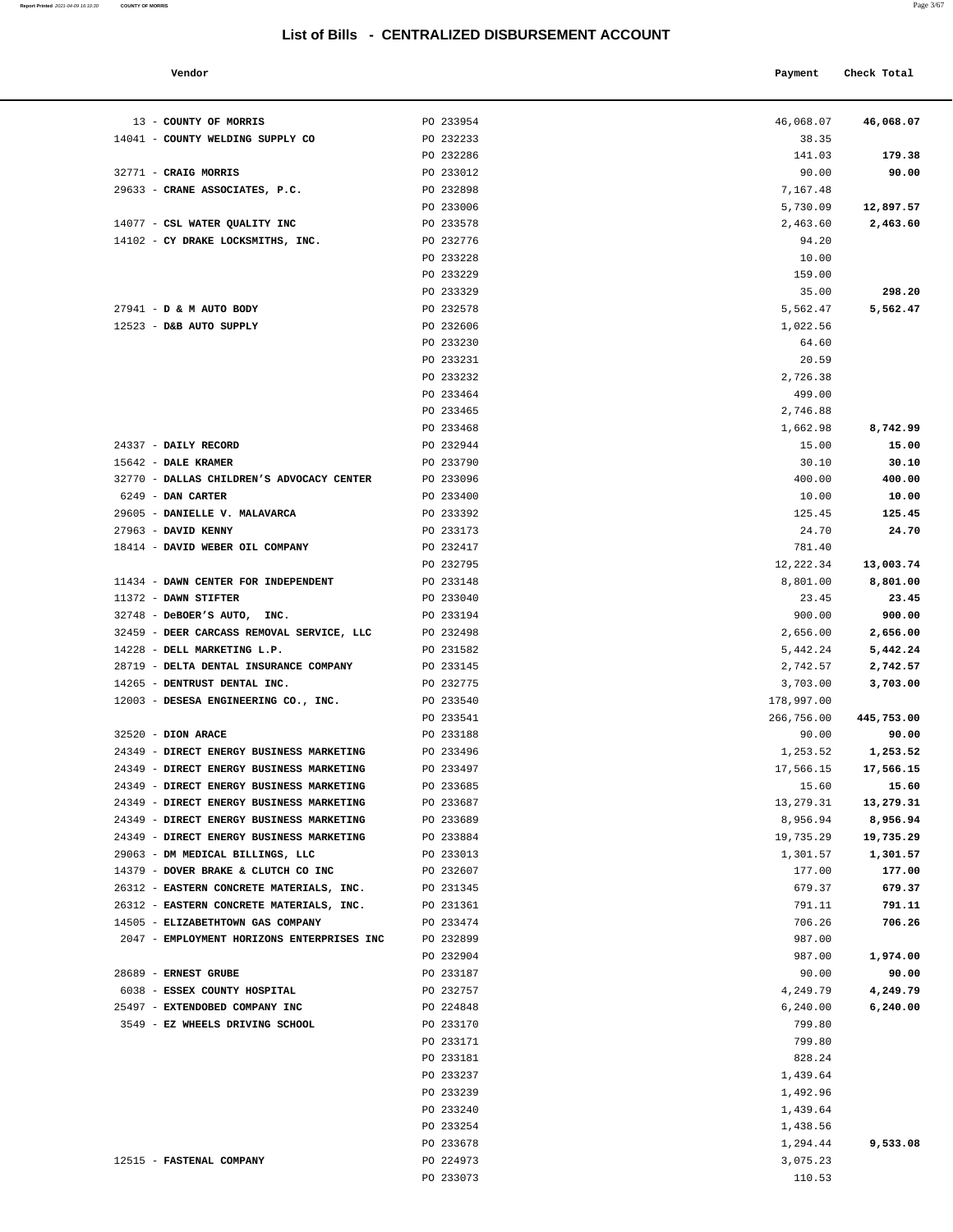**Report Printed** 2021-04-09 16:10:30 **COUNTY OF MORRIS** 

| ×<br>۹ | ۰<br>I |
|--------|--------|
|--------|--------|

| Vendor                                  |           | Payment    | Check Total |  |
|-----------------------------------------|-----------|------------|-------------|--|
| <b>COUNTY OF MORRIS</b>                 | PO 233954 | 46,068.07  | 46,068.07   |  |
| COUNTY WELDING SUPPLY CO                | PO 232233 | 38.35      |             |  |
|                                         | PO 232286 | 141.03     | 179.38      |  |
| <b>CRAIG MORRIS</b>                     | PO 233012 | 90.00      | 90.00       |  |
| CRANE ASSOCIATES, P.C.                  | PO 232898 | 7,167.48   |             |  |
|                                         | PO 233006 | 5,730.09   | 12,897.57   |  |
| CSL WATER QUALITY INC                   | PO 233578 | 2,463.60   | 2,463.60    |  |
| CY DRAKE LOCKSMITHS, INC.               | PO 232776 | 94.20      |             |  |
|                                         | PO 233228 | 10.00      |             |  |
|                                         | PO 233229 | 159.00     |             |  |
|                                         | PO 233329 | 35.00      | 298.20      |  |
| <b>D &amp; M AUTO BODY</b>              | PO 232578 | 5,562.47   | 5,562.47    |  |
| D&B AUTO SUPPLY                         | PO 232606 | 1,022.56   |             |  |
|                                         | PO 233230 | 64.60      |             |  |
|                                         | PO 233231 | 20.59      |             |  |
|                                         | PO 233232 | 2,726.38   |             |  |
|                                         | PO 233464 | 499.00     |             |  |
|                                         | PO 233465 | 2,746.88   |             |  |
|                                         | PO 233468 | 1,662.98   | 8,742.99    |  |
| <b>DAILY RECORD</b>                     | PO 232944 | 15.00      | 15.00       |  |
| <b>DALE KRAMER</b>                      | PO 233790 | 30.10      | 30.10       |  |
| DALLAS CHILDREN'S ADVOCACY CENTER       | PO 233096 | 400.00     | 400.00      |  |
| <b>DAN CARTER</b>                       | PO 233400 | 10.00      | 10.00       |  |
| <b>DANIELLE V. MALAVARCA</b>            | PO 233392 | 125.45     | 125.45      |  |
| <b>DAVID KENNY</b>                      | PO 233173 | 24.70      | 24.70       |  |
| DAVID WEBER OIL COMPANY                 | PO 232417 | 781.40     |             |  |
|                                         | PO 232795 | 12,222.34  | 13,003.74   |  |
| DAWN CENTER FOR INDEPENDENT             | PO 233148 | 8,801.00   | 8,801.00    |  |
| <b>DAWN STIFTER</b>                     | PO 233040 | 23.45      | 23.45       |  |
| DeBOER'S AUTO, INC.                     | PO 233194 | 900.00     | 900.00      |  |
| DEER CARCASS REMOVAL SERVICE, LLC       | PO 232498 | 2,656.00   | 2,656.00    |  |
| DELL MARKETING L.P.                     | PO 231582 | 5,442.24   | 5,442.24    |  |
| DELTA DENTAL INSURANCE COMPANY          | PO 233145 | 2,742.57   | 2,742.57    |  |
| DENTRUST DENTAL INC.                    | PO 232775 | 3,703.00   | 3,703.00    |  |
| DESESA ENGINEERING CO., INC.            | PO 233540 | 178,997.00 |             |  |
|                                         | PO 233541 | 266,756.00 | 445,753.00  |  |
| <b>DION ARACE</b>                       | PO 233188 | 90.00      | 90.00       |  |
| <b>DIRECT ENERGY BUSINESS MARKETING</b> | PO 233496 | 1,253.52   | 1,253.52    |  |
| DIRECT ENERGY BUSINESS MARKETING        | PO 233497 | 17,566.15  | 17,566.15   |  |
| DIRECT ENERGY BUSINESS MARKETING        | PO 233685 | 15.60      | 15.60       |  |
| DIRECT ENERGY BUSINESS MARKETING        | PO 233687 | 13,279.31  | 13,279.31   |  |
| DIRECT ENERGY BUSINESS MARKETING        | PO 233689 | 8,956.94   | 8,956.94    |  |
| DIRECT ENERGY BUSINESS MARKETING        | PO 233884 | 19,735.29  | 19,735.29   |  |
| DM MEDICAL BILLINGS, LLC                | PO 233013 | 1,301.57   | 1,301.57    |  |
| DOVER BRAKE & CLUTCH CO INC             | PO 232607 | 177.00     | 177.00      |  |
| EASTERN CONCRETE MATERIALS, INC.        | PO 231345 | 679.37     | 679.37      |  |
| EASTERN CONCRETE MATERIALS, INC.        | PO 231361 | 791.11     | 791.11      |  |
| ELIZABETHTOWN GAS COMPANY               | PO 233474 | 706.26     | 706.26      |  |
|                                         |           |            |             |  |

| 13 - COUNTY OF MORRIS                              | PO 233954              | 46,068.07         | 46,068.07  |
|----------------------------------------------------|------------------------|-------------------|------------|
| 14041 - COUNTY WELDING SUPPLY CO                   | PO 232233              | 38.35             |            |
|                                                    | PO 232286              | 141.03            | 179.38     |
| 32771 - CRAIG MORRIS                               | PO 233012              | 90.00             | 90.00      |
| 29633 - CRANE ASSOCIATES, P.C.                     | PO 232898              | 7,167.48          |            |
|                                                    | PO 233006              | 5,730.09          | 12,897.57  |
| 14077 - CSL WATER QUALITY INC                      | PO 233578              | 2,463.60          | 2,463.60   |
| 14102 - CY DRAKE LOCKSMITHS, INC.                  | PO 232776              | 94.20             |            |
|                                                    | PO 233228              | 10.00             |            |
|                                                    | PO 233229              | 159.00            |            |
|                                                    | PO 233329              | 35.00             | 298.20     |
| 27941 - D & M AUTO BODY                            | PO 232578              | 5,562.47          | 5,562.47   |
| 12523 - D&B AUTO SUPPLY                            | PO 232606              | 1,022.56          |            |
|                                                    | PO 233230              | 64.60             |            |
|                                                    | PO 233231<br>PO 233232 | 20.59<br>2,726.38 |            |
|                                                    | PO 233464              | 499.00            |            |
|                                                    | PO 233465              | 2,746.88          |            |
|                                                    | PO 233468              | 1,662.98          | 8,742.99   |
| 24337 - DAILY RECORD                               | PO 232944              | 15.00             | 15.00      |
| 15642 - DALE KRAMER                                | PO 233790              | 30.10             | 30.10      |
| 32770 - DALLAS CHILDREN'S ADVOCACY CENTER          | PO 233096              | 400.00            | 400.00     |
| 6249 - DAN CARTER                                  | PO 233400              | 10.00             | 10.00      |
| 29605 - DANIELLE V. MALAVARCA                      | PO 233392              | 125.45            | 125.45     |
| 27963 - DAVID KENNY                                | PO 233173              | 24.70             | 24.70      |
| 18414 - DAVID WEBER OIL COMPANY                    | PO 232417              | 781.40            |            |
|                                                    | PO 232795              | 12,222.34         | 13,003.74  |
| 11434 - DAWN CENTER FOR INDEPENDENT                | PO 233148              | 8,801.00          | 8,801.00   |
| 11372 - DAWN STIFTER                               | PO 233040              | 23.45             | 23.45      |
| 32748 - DeBOER'S AUTO, INC.                        | PO 233194              | 900.00            | 900.00     |
| 32459 - DEER CARCASS REMOVAL SERVICE, LLC          | PO 232498              | 2,656.00          | 2,656.00   |
| 14228 - DELL MARKETING L.P.                        | PO 231582              | 5,442.24          | 5,442.24   |
| 28719 - DELTA DENTAL INSURANCE COMPANY             | PO 233145              | 2,742.57          | 2,742.57   |
| 14265 - DENTRUST DENTAL INC.                       | PO 232775              | 3,703.00          | 3,703.00   |
| 12003 - DESESA ENGINEERING CO., INC.               | PO 233540              | 178,997.00        |            |
|                                                    | PO 233541              | 266,756.00        | 445,753.00 |
| 32520 - DION ARACE                                 | PO 233188              | 90.00             | 90.00      |
| 24349 - DIRECT ENERGY BUSINESS MARKETING           | PO 233496              | 1,253.52          | 1,253.52   |
| 24349 - DIRECT ENERGY BUSINESS MARKETING           | PO 233497              | 17,566.15         | 17,566.15  |
| 24349 - DIRECT ENERGY BUSINESS MARKETING           | PO 233685              | 15.60             | 15.60      |
| 24349 - DIRECT ENERGY BUSINESS MARKETING           | PO 233687              | 13,279.31         | 13,279.31  |
| 24349 - DIRECT ENERGY BUSINESS MARKETING           | PO 233689              | 8,956.94          | 8,956.94   |
| 24349 - DIRECT ENERGY BUSINESS MARKETING           | PO 233884              | 19,735.29         | 19,735.29  |
| 29063 - DM MEDICAL BILLINGS, LLC                   | PO 233013              | 1,301.57          | 1,301.57   |
| 14379 - DOVER BRAKE & CLUTCH CO INC                | PO 232607              | 177.00            | 177.00     |
| 26312 - EASTERN CONCRETE MATERIALS, INC. PO 231345 |                        | 679.37            | 679.37     |
| 26312 - EASTERN CONCRETE MATERIALS, INC.           | PO 231361              | 791.11            | 791.11     |
| 14505 - ELIZABETHTOWN GAS COMPANY                  | PO 233474              | 706.26            | 706.26     |
| 2047 - EMPLOYMENT HORIZONS ENTERPRISES INC         | PO 232899              | 987.00            |            |
|                                                    | PO 232904              | 987.00            | 1,974.00   |
| 28689 - ERNEST GRUBE                               | PO 233187              | 90.00             | 90.00      |
| 6038 - ESSEX COUNTY HOSPITAL                       | PO 232757              | 4,249.79          | 4,249.79   |
| 25497 - EXTENDOBED COMPANY INC                     | PO 224848              | 6, 240.00         | 6,240.00   |
| 3549 - EZ WHEELS DRIVING SCHOOL                    | PO 233170              | 799.80            |            |
|                                                    | PO 233171              | 799.80            |            |
|                                                    | PO 233181              | 828.24            |            |
|                                                    | PO 233237              | 1,439.64          |            |
|                                                    | PO 233239              | 1,492.96          |            |
|                                                    | PO 233240              | 1,439.64          |            |
|                                                    | PO 233254              | 1,438.56          |            |
|                                                    | PO 233678              | 1,294.44          | 9,533.08   |
| 12515 - FASTENAL COMPANY                           | PO 224973              | 3,075.23          |            |

PO 233073 110.53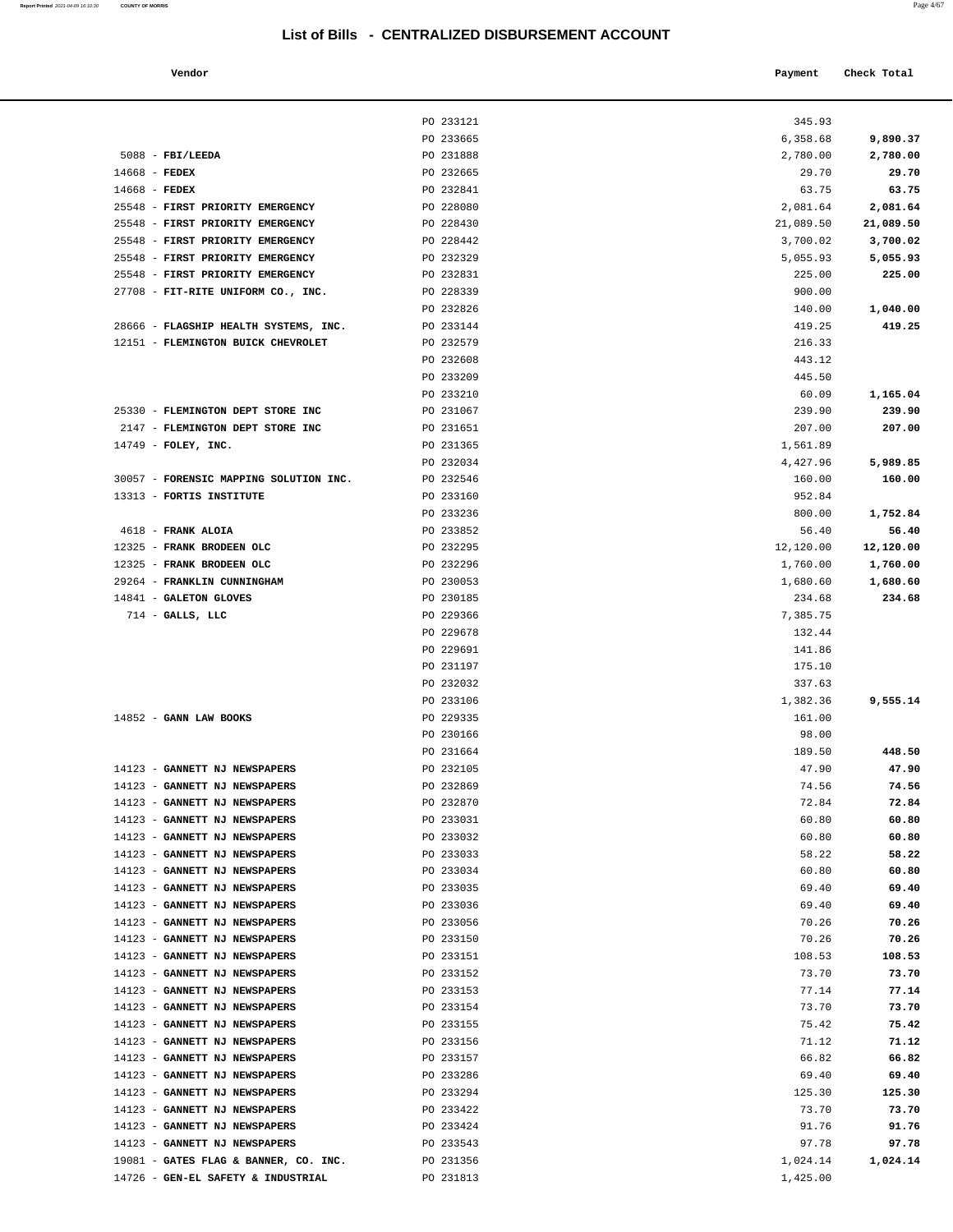**Report Printed** 2021-04-09 16:10:30 **COUNTY OF MORRIS** 

|                                | List of Bills - CENTRALIZED DISBURSEMENT ACCOUNT |           |             |
|--------------------------------|--------------------------------------------------|-----------|-------------|
| Vendor                         |                                                  | Payment   | Check Total |
|                                | PO 233121                                        | 345.93    |             |
|                                | PO 233665                                        | 6,358.68  | 9,890.37    |
| <b>FBI/LEEDA</b>               | PO 231888                                        | 2,780.00  | 2,780.00    |
| <b>FEDEX</b>                   | PO 232665                                        | 29.70     | 29.70       |
| <b>FEDEX</b>                   | PO 232841                                        | 63.75     | 63.75       |
| FIRST PRIORITY EMERGENCY       | PO 228080                                        | 2,081.64  | 2,081.64    |
| FIRST PRIORITY EMERGENCY       | PO 228430                                        | 21,089.50 | 21,089.50   |
| FIRST PRIORITY EMERGENCY       | PO 228442                                        | 3,700.02  | 3,700.02    |
| FIRST PRIORITY EMERGENCY       | PO 232329                                        | 5,055.93  | 5,055.93    |
| FIRST PRIORITY EMERGENCY       | PO 232831                                        | 225.00    | 225.00      |
| FIT-RITE UNIFORM CO., INC.     | PO 228339                                        | 900.00    |             |
|                                | PO 232826                                        | 140.00    | 1,040.00    |
| FLAGSHIP HEALTH SYSTEMS, INC.  | PO 233144                                        | 419.25    | 419.25      |
| FLEMINGTON BUICK CHEVROLET     | PO 232579                                        | 216.33    |             |
|                                | PO 232608                                        | 443.12    |             |
|                                | PO 233209                                        | 445.50    |             |
|                                | PO 233210                                        | 60.09     | 1,165.04    |
| FLEMINGTON DEPT STORE INC      | PO 231067                                        | 239.90    | 239.90      |
| FLEMINGTON DEPT STORE INC      | PO 231651                                        | 207.00    | 207.00      |
| FOLEY, INC.                    | PO 231365                                        | 1,561.89  |             |
|                                | PO 232034                                        | 4,427.96  | 5,989.85    |
| FORENSIC MAPPING SOLUTION INC. | PO 232546                                        |           |             |
|                                | PO 233160                                        | 160.00    | 160.00      |
| FORTIS INSTITUTE               | PO 233236                                        | 952.84    |             |
|                                |                                                  | 800.00    | 1,752.84    |
| <b>FRANK ALOIA</b>             | PO 233852                                        | 56.40     | 56.40       |
| FRANK BRODEEN OLC              | PO 232295                                        | 12,120.00 | 12,120.00   |
| FRANK BRODEEN OLC              | PO 232296                                        | 1,760.00  | 1,760.00    |
| FRANKLIN CUNNINGHAM            | PO 230053                                        | 1,680.60  | 1,680.60    |
| <b>GALETON GLOVES</b>          | PO 230185                                        | 234.68    | 234.68      |
| GALLS, LLC                     | PO 229366                                        | 7,385.75  |             |
|                                | PO 229678                                        | 132.44    |             |
|                                | PO 229691                                        | 141.86    |             |
|                                | PO 231197                                        | 175.10    |             |
|                                | PO 232032                                        | 337.63    |             |
|                                | PO 233106                                        | 1,382.36  | 9,555.14    |
| GANN LAW BOOKS                 | PO 229335                                        | 161.00    |             |
|                                | PO 230166                                        | 98.00     |             |
|                                | PO 231664                                        | 189.50    | 448.50      |
| <b>GANNETT NJ NEWSPAPERS</b>   | PO 232105                                        | 47.90     | 47.90       |
| <b>GANNETT NJ NEWSPAPERS</b>   | PO 232869                                        | 74.56     | 74.56       |
| <b>GANNETT NJ NEWSPAPERS</b>   | PO 232870                                        | 72.84     | 72.84       |
| <b>GANNETT NJ NEWSPAPERS</b>   | PO 233031                                        | 60.80     | 60.80       |
| <b>GANNETT NJ NEWSPAPERS</b>   | PO 233032                                        | 60.80     | 60.80       |
| <b>GANNETT NJ NEWSPAPERS</b>   | PO 233033                                        | 58.22     | 58.22       |
| <b>GANNETT NJ NEWSPAPERS</b>   | PO 233034                                        | 60.80     | 60.80       |
| <b>GANNETT NJ NEWSPAPERS</b>   | PO 233035                                        | 69.40     | 69.40       |
| <b>GANNETT NJ NEWSPAPERS</b>   | PO 233036                                        | 69.40     | 69.40       |
| <b>GANNETT NJ NEWSPAPERS</b>   | PO 233056                                        | 70.26     | 70.26       |
| <b>GANNETT NJ NEWSPAPERS</b>   | PO 233150                                        | 70.26     | 70.26       |
| <b>GANNETT NJ NEWSPAPERS</b>   | PO 233151                                        | 108.53    | 108.53      |
| <b>GANNETT NJ NEWSPAPERS</b>   | PO 233152                                        | 73.70     | 73.70       |
| <b>GANNETT NJ NEWSPAPERS</b>   | PO 233153                                        | 77.14     | 77.14       |
| <b>GANNETT NJ NEWSPAPERS</b>   | PO 233154                                        | 73.70     | 73.70       |
| <b>GANNETT NJ NEWSPAPERS</b>   | PO 233155                                        | 75.42     | 75.42       |
| <b>GANNETT NJ NEWSPAPERS</b>   | PO 233156                                        | 71.12     | 71.12       |
| <b>GANNETT NJ NEWSPAPERS</b>   | PO 233157                                        | 66.82     | 66.82       |
| <b>GANNETT NJ NEWSPAPERS</b>   | PO 233286                                        | 69.40     | 69.40       |
| GANNETT NJ NEWSPAPERS          | PO 233294                                        | 125.30    | 125.30      |
|                                |                                                  |           |             |

|                                        | PO 233121              | 345.93    |                  |
|----------------------------------------|------------------------|-----------|------------------|
|                                        | PO 233665              | 6,358.68  | 9,890.37         |
| $5088$ - FBI/LEEDA                     | PO 231888              | 2,780.00  | 2,780.00         |
| $14668$ - FEDEX                        | PO 232665              | 29.70     | 29.70            |
| $14668$ - FEDEX                        | PO 232841              | 63.75     | 63.75            |
| 25548 - FIRST PRIORITY EMERGENCY       | PO 228080              | 2,081.64  | 2,081.64         |
| 25548 - FIRST PRIORITY EMERGENCY       | PO 228430              | 21,089.50 | 21,089.50        |
| 25548 - FIRST PRIORITY EMERGENCY       | PO 228442              | 3,700.02  | 3,700.02         |
| 25548 - FIRST PRIORITY EMERGENCY       | PO 232329              | 5,055.93  | 5,055.93         |
| 25548 - FIRST PRIORITY EMERGENCY       | PO 232831              | 225.00    | 225.00           |
| 27708 - FIT-RITE UNIFORM CO., INC.     | PO 228339              | 900.00    |                  |
|                                        | PO 232826              | 140.00    | 1,040.00         |
| 28666 - FLAGSHIP HEALTH SYSTEMS, INC.  | PO 233144              | 419.25    | 419.25           |
| 12151 - FLEMINGTON BUICK CHEVROLET     | PO 232579              | 216.33    |                  |
|                                        | PO 232608              | 443.12    |                  |
|                                        | PO 233209              | 445.50    |                  |
|                                        |                        | 60.09     |                  |
| 25330 - FLEMINGTON DEPT STORE INC      | PO 233210<br>PO 231067 | 239.90    | 1,165.04         |
|                                        | PO 231651              |           | 239.90<br>207.00 |
| 2147 - FLEMINGTON DEPT STORE INC       |                        | 207.00    |                  |
| 14749 - FOLEY, INC.                    | PO 231365              | 1,561.89  |                  |
|                                        | PO 232034              | 4,427.96  | 5,989.85         |
| 30057 - FORENSIC MAPPING SOLUTION INC. | PO 232546              | 160.00    | 160.00           |
| 13313 - FORTIS INSTITUTE               | PO 233160              | 952.84    |                  |
|                                        | PO 233236              | 800.00    | 1,752.84         |
| 4618 - FRANK ALOIA                     | PO 233852              | 56.40     | 56.40            |
| 12325 - FRANK BRODEEN OLC              | PO 232295              | 12,120.00 | 12,120.00        |
| 12325 - FRANK BRODEEN OLC              | PO 232296              | 1,760.00  | 1,760.00         |
| 29264 - FRANKLIN CUNNINGHAM            | PO 230053              | 1,680.60  | 1,680.60         |
| 14841 - GALETON GLOVES                 | PO 230185              | 234.68    | 234.68           |
| $714$ - GALLS, LLC                     | PO 229366              | 7,385.75  |                  |
|                                        | PO 229678              | 132.44    |                  |
|                                        | PO 229691              | 141.86    |                  |
|                                        | PO 231197              | 175.10    |                  |
|                                        | PO 232032              | 337.63    |                  |
|                                        | PO 233106              | 1,382.36  | 9,555.14         |
| 14852 - GANN LAW BOOKS                 | PO 229335              | 161.00    |                  |
|                                        | PO 230166              | 98.00     |                  |
|                                        | PO 231664              | 189.50    | 448.50           |
| 14123 - GANNETT NJ NEWSPAPERS          | PO 232105              | 47.90     | 47.90            |
| 14123 - GANNETT NJ NEWSPAPERS          | PO 232869              | 74.56     | 74.56            |
| 14123 - GANNETT NJ NEWSPAPERS          | PO 232870              | 72.84     | 72.84            |
| 14123 - GANNETT NJ NEWSPAPERS          | PO 233031              | 60.80     | 60.80            |
| 14123 - GANNETT NJ NEWSPAPERS          | PO 233032              | 60.80     | 60.80            |
| 14123 - GANNETT NJ NEWSPAPERS          | PO 233033              | 58.22     | 58.22            |
| 14123 - GANNETT NJ NEWSPAPERS          | PO 233034              | 60.80     | 60.80            |
| 14123 - GANNETT NJ NEWSPAPERS          | PO 233035              | 69.40     | 69.40            |
| 14123 - GANNETT NJ NEWSPAPERS          | PO 233036              | 69.40     | 69.40            |
| 14123 - GANNETT NJ NEWSPAPERS          | PO 233056              | 70.26     | 70.26            |
| 14123 - GANNETT NJ NEWSPAPERS          | PO 233150              | 70.26     | 70.26            |
| 14123 - GANNETT NJ NEWSPAPERS          | PO 233151              | 108.53    | 108.53           |
| 14123 - GANNETT NJ NEWSPAPERS          | PO 233152              | 73.70     | 73.70            |
| 14123 - GANNETT NJ NEWSPAPERS          | PO 233153              | 77.14     | 77.14            |
| 14123 - GANNETT NJ NEWSPAPERS          | PO 233154              | 73.70     | 73.70            |
| 14123 - GANNETT NJ NEWSPAPERS          | PO 233155              | 75.42     | 75.42            |
| 14123 - GANNETT NJ NEWSPAPERS          | PO 233156              | 71.12     | 71.12            |
| 14123 - GANNETT NJ NEWSPAPERS          | PO 233157              | 66.82     | 66.82            |
| 14123 - GANNETT NJ NEWSPAPERS          | PO 233286              | 69.40     | 69.40            |
| 14123 - GANNETT NJ NEWSPAPERS          | PO 233294              | 125.30    | 125.30           |
| 14123 - GANNETT NJ NEWSPAPERS          | PO 233422              | 73.70     | 73.70            |
| 14123 - GANNETT NJ NEWSPAPERS          | PO 233424              | 91.76     | 91.76            |
| 14123 - GANNETT NJ NEWSPAPERS          | PO 233543              | 97.78     | 97.78            |

19081 **- GATES FLAG & BANNER, CO. INC.** <br>19081 **- PO 231356** 1,024.14 1,024.14 1,024.14<br>1,425.00 1,425.00

14726 - **GEN-EL SAFETY & INDUSTRIAL PO 231813 1,425.00**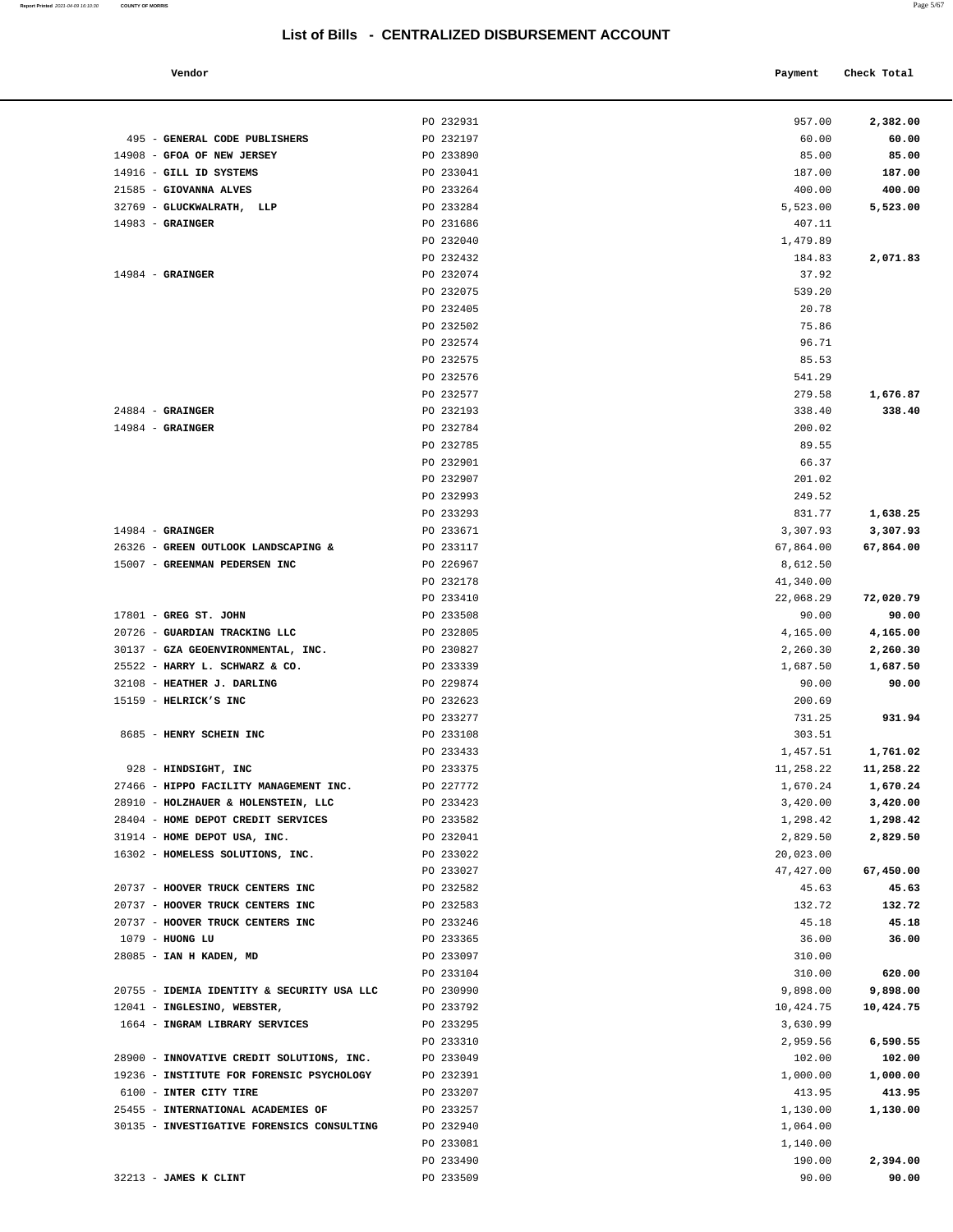|                                                                                        | PO 232931              | 957.00             | 2,382.00           |
|----------------------------------------------------------------------------------------|------------------------|--------------------|--------------------|
| 495 - GENERAL CODE PUBLISHERS                                                          | PO 232197              | 60.00              | 60.00              |
| 14908 - GFOA OF NEW JERSEY                                                             | PO 233890              | 85.00              | 85.00              |
| 14916 - GILL ID SYSTEMS<br>21585 - GIOVANNA ALVES                                      | PO 233041<br>PO 233264 | 187.00             | 187.00<br>400.00   |
| 32769 - GLUCKWALRATH, LLP                                                              | PO 233284              | 400.00<br>5,523.00 | 5,523.00           |
| $14983$ - GRAINGER                                                                     | PO 231686              | 407.11             |                    |
|                                                                                        | PO 232040              | 1,479.89           |                    |
|                                                                                        | PO 232432              | 184.83             | 2,071.83           |
| $14984$ - GRAINGER                                                                     | PO 232074              | 37.92              |                    |
|                                                                                        | PO 232075              | 539.20             |                    |
|                                                                                        | PO 232405              | 20.78              |                    |
|                                                                                        | PO 232502              | 75.86              |                    |
|                                                                                        | PO 232574              | 96.71              |                    |
|                                                                                        | PO 232575              | 85.53              |                    |
|                                                                                        | PO 232576              | 541.29             |                    |
|                                                                                        | PO 232577              | 279.58             | 1,676.87           |
| $24884 -$ GRAINGER                                                                     | PO 232193              | 338.40             | 338.40             |
| $14984$ - GRAINGER                                                                     | PO 232784              | 200.02             |                    |
|                                                                                        | PO 232785              | 89.55              |                    |
|                                                                                        | PO 232901              | 66.37              |                    |
|                                                                                        | PO 232907              | 201.02             |                    |
|                                                                                        | PO 232993              | 249.52             |                    |
|                                                                                        | PO 233293              | 831.77             | 1,638.25           |
| $14984$ - GRAINGER                                                                     | PO 233671              | 3,307.93           | 3,307.93           |
| 26326 - GREEN OUTLOOK LANDSCAPING &                                                    | PO 233117              | 67,864.00          | 67,864.00          |
| 15007 - GREENMAN PEDERSEN INC                                                          | PO 226967              | 8,612.50           |                    |
|                                                                                        | PO 232178              | 41,340.00          |                    |
|                                                                                        | PO 233410              | 22,068.29          | 72,020.79          |
| $17801$ - GREG ST. JOHN                                                                | PO 233508              | 90.00              | 90.00              |
| 20726 - GUARDIAN TRACKING LLC                                                          | PO 232805              | 4,165.00           | 4,165.00           |
| 30137 - GZA GEOENVIRONMENTAL, INC.                                                     | PO 230827              | 2,260.30           | 2,260.30           |
| 25522 - HARRY L. SCHWARZ & CO.<br>32108 - HEATHER J. DARLING                           | PO 233339<br>PO 229874 | 1,687.50<br>90.00  | 1,687.50<br>90.00  |
| 15159 - HELRICK'S INC                                                                  | PO 232623              | 200.69             |                    |
|                                                                                        | PO 233277              | 731.25             | 931.94             |
| 8685 - HENRY SCHEIN INC                                                                | PO 233108              | 303.51             |                    |
|                                                                                        | PO 233433              | 1,457.51           | 1,761.02           |
| 928 - HINDSIGHT, INC                                                                   | PO 233375              | 11,258.22          | 11,258.22          |
| 27466 - HIPPO FACILITY MANAGEMENT INC.                                                 | PO 227772              | 1,670.24           | 1,670.24           |
| 28910 - HOLZHAUER & HOLENSTEIN, LLC                                                    | PO 233423              | 3,420.00           | 3,420.00           |
| 28404 - HOME DEPOT CREDIT SERVICES                                                     | PO 233582              | 1,298.42           | 1,298.42           |
| 31914 - HOME DEPOT USA, INC.                                                           | PO 232041              | 2,829.50           | 2,829.50           |
| 16302 - HOMELESS SOLUTIONS, INC.                                                       | PO 233022              | 20,023.00          |                    |
|                                                                                        | PO 233027              | 47,427.00          | 67,450.00          |
| 20737 - HOOVER TRUCK CENTERS INC                                                       | PO 232582              | 45.63              | 45.63              |
| 20737 - HOOVER TRUCK CENTERS INC                                                       | PO 232583              | 132.72             | 132.72             |
| 20737 - HOOVER TRUCK CENTERS INC                                                       | PO 233246              | 45.18              | 45.18              |
| 1079 - HUONG LU                                                                        | PO 233365              | 36.00              | 36.00              |
| 28085 - IAN H KADEN, MD                                                                | PO 233097              | 310.00             |                    |
|                                                                                        | PO 233104              | 310.00             | 620.00             |
| 20755 - IDEMIA IDENTITY & SECURITY USA LLC                                             | PO 230990              | 9,898.00           | 9,898.00           |
| 12041 - INGLESINO, WEBSTER,                                                            | PO 233792              | 10,424.75          | 10,424.75          |
| 1664 - INGRAM LIBRARY SERVICES                                                         | PO 233295              | 3,630.99           |                    |
|                                                                                        | PO 233310              | 2,959.56           | 6,590.55           |
| 28900 - INNOVATIVE CREDIT SOLUTIONS, INC.<br>19236 - INSTITUTE FOR FORENSIC PSYCHOLOGY | PO 233049<br>PO 232391 | 102.00<br>1,000.00 | 102.00             |
| 6100 - INTER CITY TIRE                                                                 | PO 233207              | 413.95             | 1,000.00<br>413.95 |
| 25455 - INTERNATIONAL ACADEMIES OF                                                     | PO 233257              | 1,130.00           | 1,130.00           |
| 30135 - INVESTIGATIVE FORENSICS CONSULTING                                             | PO 232940              | 1,064.00           |                    |
|                                                                                        | PO 233081              | 1,140.00           |                    |
|                                                                                        | PO 233490              | 190.00             | 2,394.00           |
| 32213 - JAMES K CLINT                                                                  | PO 233509              | 90.00              | 90.00              |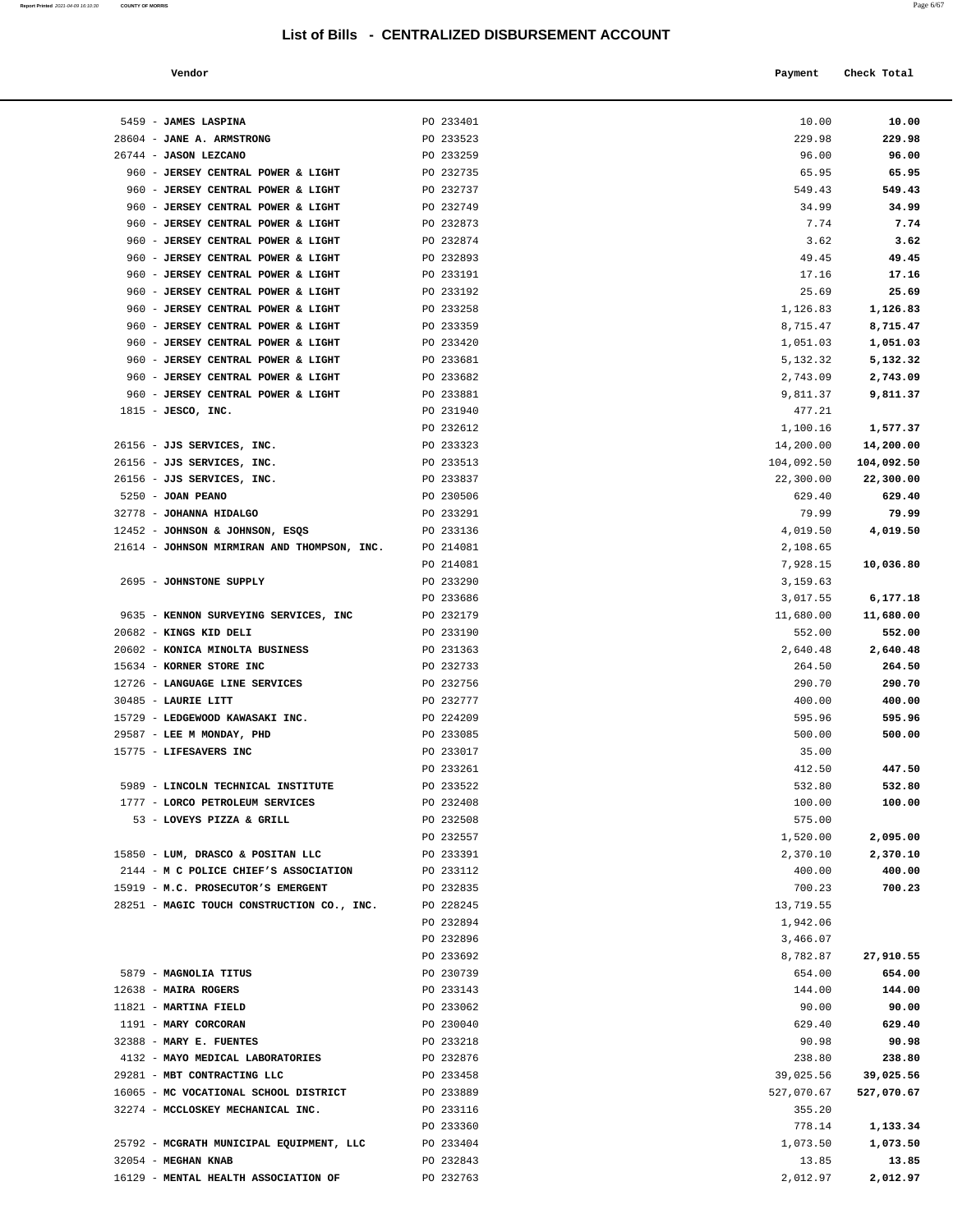### **Vendor Payment Check Total**   $\blacksquare$  Payment Check Total **Payment** Check Total **Payment**

| 5459 - JAMES LASPINA                                                     | PO 233401              | 10.00                | 10.00                |
|--------------------------------------------------------------------------|------------------------|----------------------|----------------------|
| 28604 - JANE A. ARMSTRONG                                                | PO 233523              | 229.98               | 229.98               |
| 26744 - JASON LEZCANO                                                    | PO 233259              | 96.00                | 96.00                |
| 960 - JERSEY CENTRAL POWER & LIGHT                                       | PO 232735              | 65.95                | 65.95                |
| 960 - JERSEY CENTRAL POWER & LIGHT                                       | PO 232737              | 549.43               | 549.43               |
| 960 - JERSEY CENTRAL POWER & LIGHT                                       | PO 232749              | 34.99                | 34.99                |
| 960 - JERSEY CENTRAL POWER & LIGHT                                       | PO 232873              | 7.74                 | 7.74                 |
| 960 - JERSEY CENTRAL POWER & LIGHT                                       | PO 232874              | 3.62                 | 3.62                 |
| 960 - JERSEY CENTRAL POWER & LIGHT                                       | PO 232893              | 49.45                | 49.45                |
| 960 - JERSEY CENTRAL POWER & LIGHT                                       | PO 233191              | 17.16                | 17.16                |
| 960 - JERSEY CENTRAL POWER & LIGHT                                       | PO 233192              | 25.69                | 25.69                |
| 960 - JERSEY CENTRAL POWER & LIGHT                                       | PO 233258              | 1,126.83             | 1,126.83             |
| 960 - JERSEY CENTRAL POWER & LIGHT                                       | PO 233359              | 8,715.47             | 8,715.47             |
| 960 - JERSEY CENTRAL POWER & LIGHT<br>960 - JERSEY CENTRAL POWER & LIGHT | PO 233420<br>PO 233681 | 1,051.03<br>5,132.32 | 1,051.03<br>5,132.32 |
| 960 - JERSEY CENTRAL POWER & LIGHT                                       | PO 233682              | 2,743.09             | 2,743.09             |
| 960 - JERSEY CENTRAL POWER & LIGHT                                       | PO 233881              | 9,811.37             | 9,811.37             |
| $1815$ - JESCO, INC.                                                     | PO 231940              | 477.21               |                      |
|                                                                          | PO 232612              | 1,100.16             | 1,577.37             |
| 26156 - JJS SERVICES, INC.                                               | PO 233323              | 14,200.00            | 14,200.00            |
| 26156 - JJS SERVICES, INC.                                               | PO 233513              | 104,092.50           | 104,092.50           |
| 26156 - JJS SERVICES, INC.                                               | PO 233837              | 22,300.00            | 22,300.00            |
| 5250 - JOAN PEANO                                                        | PO 230506              | 629.40               | 629.40               |
| 32778 - JOHANNA HIDALGO                                                  | PO 233291              | 79.99                | 79.99                |
| 12452 - JOHNSON & JOHNSON, ESQS                                          | PO 233136              | 4,019.50             | 4,019.50             |
| 21614 - JOHNSON MIRMIRAN AND THOMPSON, INC.                              | PO 214081              | 2,108.65             |                      |
|                                                                          | PO 214081              | 7,928.15             | 10,036.80            |
| 2695 - JOHNSTONE SUPPLY                                                  | PO 233290              | 3,159.63             |                      |
|                                                                          | PO 233686              | 3,017.55             | 6,177.18             |
| 9635 - KENNON SURVEYING SERVICES, INC                                    | PO 232179              | 11,680.00            | 11,680.00            |
| 20682 - KINGS KID DELI                                                   | PO 233190              | 552.00               | 552.00               |
| 20602 - KONICA MINOLTA BUSINESS                                          | PO 231363              | 2,640.48             | 2,640.48             |
| 15634 - KORNER STORE INC<br>12726 - LANGUAGE LINE SERVICES               | PO 232733<br>PO 232756 | 264.50<br>290.70     | 264.50<br>290.70     |
| 30485 - LAURIE LITT                                                      | PO 232777              | 400.00               | 400.00               |
| 15729 - LEDGEWOOD KAWASAKI INC.                                          | PO 224209              | 595.96               | 595.96               |
| 29587 - LEE M MONDAY, PHD                                                | PO 233085              | 500.00               | 500.00               |
| 15775 - LIFESAVERS INC                                                   | PO 233017              | 35.00                |                      |
|                                                                          | PO 233261              | 412.50               | 447.50               |
| 5989 - LINCOLN TECHNICAL INSTITUTE                                       | PO 233522              | 532.80               | 532.80               |
| 1777 - LORCO PETROLEUM SERVICES                                          | PO 232408              | 100.00               | 100.00               |
| 53 - LOVEYS PIZZA & GRILL                                                | PO 232508              | 575.00               |                      |
|                                                                          | PO 232557              | 1,520.00             | 2,095.00             |
| 15850 - LUM, DRASCO & POSITAN LLC                                        | PO 233391              | 2,370.10             | 2,370.10             |
| 2144 - M C POLICE CHIEF'S ASSOCIATION                                    | PO 233112              | 400.00               | 400.00               |
| 15919 - M.C. PROSECUTOR'S EMERGENT                                       | PO 232835              | 700.23               | 700.23               |
| 28251 - MAGIC TOUCH CONSTRUCTION CO., INC.                               | PO 228245              | 13,719.55            |                      |
|                                                                          | PO 232894              | 1,942.06             |                      |
|                                                                          | PO 232896<br>PO 233692 | 3,466.07<br>8,782.87 | 27,910.55            |
| 5879 - MAGNOLIA TITUS                                                    | PO 230739              | 654.00               | 654.00               |
| 12638 - MAIRA ROGERS                                                     | PO 233143              | 144.00               | 144.00               |
| 11821 - MARTINA FIELD                                                    | PO 233062              | 90.00                | 90.00                |
| 1191 - MARY CORCORAN                                                     | PO 230040              | 629.40               | 629.40               |
| 32388 - MARY E. FUENTES                                                  | PO 233218              | 90.98                | 90.98                |
| 4132 - MAYO MEDICAL LABORATORIES                                         | PO 232876              | 238.80               | 238.80               |
| 29281 - MBT CONTRACTING LLC                                              | PO 233458              | 39,025.56            | 39,025.56            |
| 16065 - MC VOCATIONAL SCHOOL DISTRICT                                    | PO 233889              | 527,070.67           | 527,070.67           |
| 32274 - MCCLOSKEY MECHANICAL INC.                                        | PO 233116              | 355.20               |                      |
|                                                                          | PO 233360              | 778.14               | 1,133.34             |
| 25792 - MCGRATH MUNICIPAL EQUIPMENT, LLC                                 | PO 233404              | 1,073.50             | 1,073.50             |
| 32054 - MEGHAN KNAB                                                      | PO 232843              | 13.85                | 13.85                |
| 16129 - MENTAL HEALTH ASSOCIATION OF                                     | PO 232763              | 2,012.97             | 2,012.97             |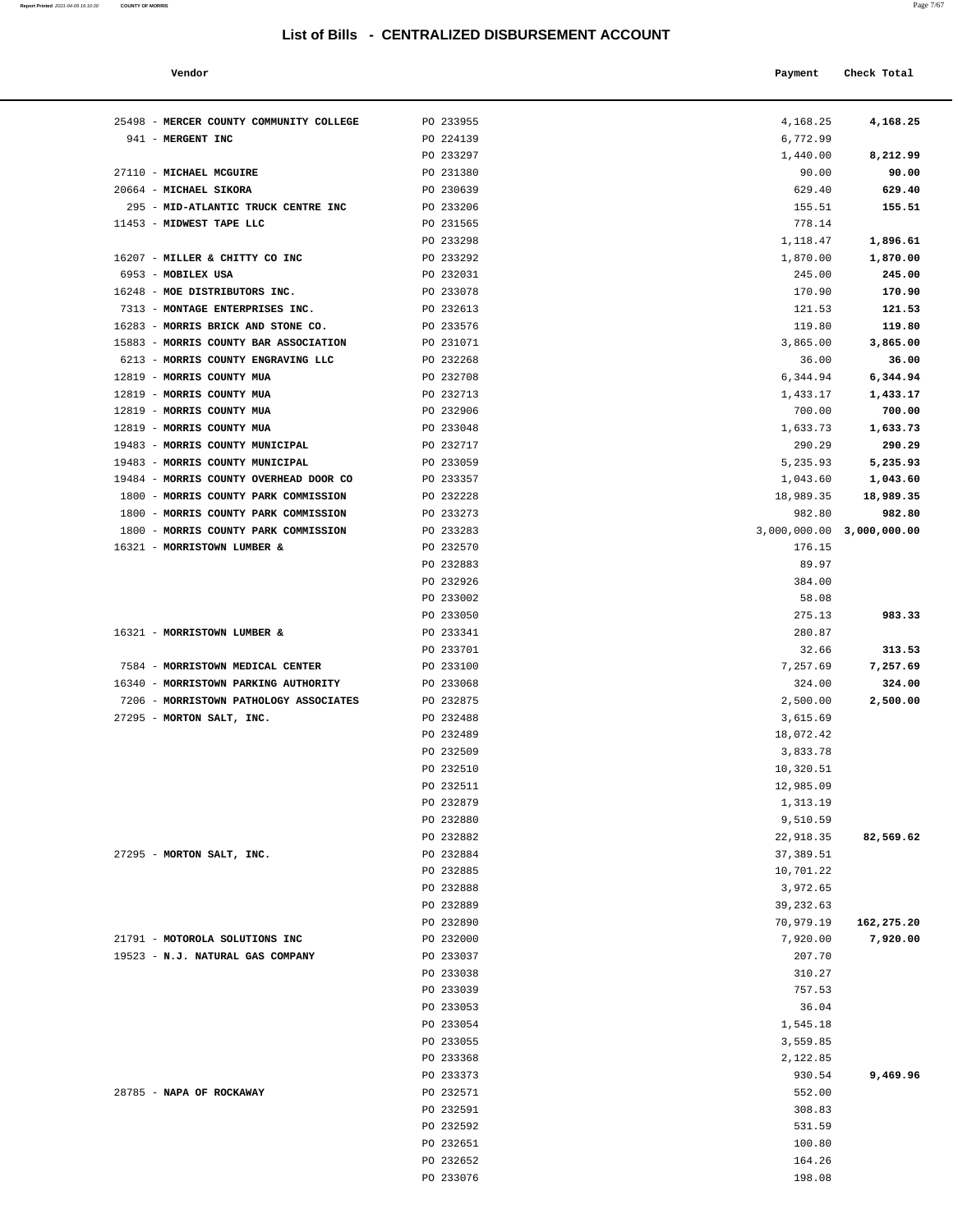| Report Printed 2021-04-09 16:10:30 | <b>COUNTY OF MORRIS</b> |  |  | Page 7/67 |
|------------------------------------|-------------------------|--|--|-----------|
|                                    |                         |  |  |           |

| Vendor                                       |                        | Payment                   | Check Total        |
|----------------------------------------------|------------------------|---------------------------|--------------------|
| MERCER COUNTY COMMUNITY COLLEGE              | PO 233955              | 4,168.25                  | 4,168.25           |
| <b>MERGENT INC</b>                           | PO 224139              | 6,772.99                  |                    |
|                                              | PO 233297              | 1,440.00                  | 8,212.99           |
| <b>MICHAEL MCGUIRE</b>                       | PO 231380              | 90.00                     | 90.00              |
| <b>MICHAEL SIKORA</b>                        | PO 230639              | 629.40                    | 629.40             |
| MID-ATLANTIC TRUCK CENTRE INC                | PO 233206              | 155.51                    | 155.51             |
| MIDWEST TAPE LLC                             | PO 231565              | 778.14                    |                    |
|                                              | PO 233298              | 1,118.47                  | 1,896.61           |
| MILLER & CHITTY CO INC<br><b>MOBILEX USA</b> | PO 233292<br>PO 232031 | 1,870.00<br>245.00        | 1,870.00<br>245.00 |
| MOE DISTRIBUTORS INC.                        | PO 233078              | 170.90                    | 170.90             |
| MONTAGE ENTERPRISES INC.                     | PO 232613              | 121.53                    | 121.53             |
| MORRIS BRICK AND STONE CO.                   | PO 233576              | 119.80                    | 119.80             |
| MORRIS COUNTY BAR ASSOCIATION                | PO 231071              | 3,865.00                  | 3,865.00           |
| MORRIS COUNTY ENGRAVING LLC                  | PO 232268              | 36.00                     | 36.00              |
| MORRIS COUNTY MUA                            | PO 232708              | 6,344.94                  | 6,344.94           |
| MORRIS COUNTY MUA                            | PO 232713              | 1,433.17                  | 1,433.17           |
| MORRIS COUNTY MUA                            | PO 232906              | 700.00                    | 700.00             |
| MORRIS COUNTY MUA                            | PO 233048              | 1,633.73                  | 1,633.73           |
| MORRIS COUNTY MUNICIPAL                      | PO 232717              | 290.29                    | 290.29             |
| MORRIS COUNTY MUNICIPAL                      | PO 233059              | 5,235.93                  | 5,235.93           |
| MORRIS COUNTY OVERHEAD DOOR CO               | PO 233357              | 1,043.60                  | 1,043.60           |
| MORRIS COUNTY PARK COMMISSION                | PO 232228              | 18,989.35                 | 18,989.35          |
| MORRIS COUNTY PARK COMMISSION                | PO 233273              | 982.80                    | 982.80             |
| MORRIS COUNTY PARK COMMISSION                | PO 233283              | 3,000,000.00 3,000,000.00 |                    |
| MORRISTOWN LUMBER &                          | PO 232570              | 176.15                    |                    |
|                                              | PO 232883              | 89.97                     |                    |
|                                              | PO 232926              | 384.00                    |                    |
|                                              | PO 233002              | 58.08                     |                    |
|                                              | PO 233050              | 275.13                    | 983.33             |
| <b>MORRISTOWN LUMBER &amp;</b>               | PO 233341              | 280.87                    |                    |
|                                              | PO 233701              | 32.66                     | 313.53             |
| MORRISTOWN MEDICAL CENTER                    | PO 233100              | 7,257.69                  | 7,257.69           |
| MORRISTOWN PARKING AUTHORITY                 | PO 233068              | 324.00                    | 324.00             |
| MORRISTOWN PATHOLOGY ASSOCIATES              | PO 232875              | 2,500.00                  | 2,500.00           |
| MORTON SALT, INC.                            | PO 232488              | 3,615.69                  |                    |
|                                              | PO 232489              | 18,072.42                 |                    |
|                                              | PO 232509              | 3,833.78                  |                    |
|                                              | PO 232510              | 10,320.51                 |                    |
|                                              | PO 232511              | 12,985.09                 |                    |
|                                              | PO 232879              | 1,313.19                  |                    |
|                                              | PO 232880              | 9,510.59                  |                    |
|                                              | PO 232882              | 22,918.35                 | 82,569.62          |
| MORTON SALT, INC.                            | PO 232884              | 37,389.51                 |                    |
|                                              | PO 232885              | 10,701.22                 |                    |
|                                              | PO 232888              | 3,972.65                  |                    |
|                                              | PO 232889              | 39, 232.63                |                    |
|                                              | PO 232890              | 70,979.19                 | 162,275.20         |
| MOTOROLA SOLUTIONS INC                       | PO 232000              | 7,920.00                  | 7,920.00           |
| <b>W.J. NATURAL GAS COMPANY</b>              | PO 233037              | 207.70                    |                    |
|                                              | PO 233038              | 310.27                    |                    |
|                                              | PO 233039              | 757.53                    |                    |
|                                              | PO 233053              | 36.04                     |                    |
|                                              | PO 233054              | 1,545.18                  |                    |
|                                              | PO 233055              | 3,559.85                  |                    |
|                                              | PO 233368              | 2,122.85                  |                    |
|                                              | PO 233373              | 930.54                    | 9,469.96           |
| <b>NAPA OF ROCKAWAY</b>                      | PO 232571              | 552.00                    |                    |
|                                              | PO 232591              | 308.83                    |                    |
|                                              | PO 232592              | 531.59                    |                    |
|                                              | PO 232651              | 100.80                    |                    |
|                                              |                        |                           |                    |
|                                              | PO 232652              | 164.26                    |                    |

| 25498 - MERCER COUNTY COMMUNITY COLLEGE | PO 233955 | 4,168.25                  | 4,168.25   |
|-----------------------------------------|-----------|---------------------------|------------|
| 941 - MERGENT INC                       | PO 224139 | 6,772.99                  |            |
|                                         | PO 233297 | 1,440.00                  | 8,212.99   |
| 27110 - MICHAEL MCGUIRE                 | PO 231380 | 90.00                     | 90.00      |
| 20664 - MICHAEL SIKORA                  | PO 230639 | 629.40                    | 629.40     |
| 295 - MID-ATLANTIC TRUCK CENTRE INC     | PO 233206 | 155.51                    | 155.51     |
| 11453 - MIDWEST TAPE LLC                | PO 231565 | 778.14                    |            |
|                                         | PO 233298 | 1,118.47                  | 1,896.61   |
| 16207 - MILLER & CHITTY CO INC          | PO 233292 | 1,870.00                  | 1,870.00   |
| 6953 - MOBILEX USA                      | PO 232031 | 245.00                    | 245.00     |
| 16248 - MOE DISTRIBUTORS INC.           | PO 233078 | 170.90                    | 170.90     |
| 7313 - MONTAGE ENTERPRISES INC.         |           |                           |            |
|                                         | PO 232613 | 121.53                    | 121.53     |
| 16283 - MORRIS BRICK AND STONE CO.      | PO 233576 | 119.80                    | 119.80     |
| 15883 - MORRIS COUNTY BAR ASSOCIATION   | PO 231071 | 3,865.00                  | 3,865.00   |
| 6213 - MORRIS COUNTY ENGRAVING LLC      | PO 232268 | 36.00                     | 36.00      |
| 12819 - MORRIS COUNTY MUA               | PO 232708 | 6,344.94                  | 6,344.94   |
| 12819 - MORRIS COUNTY MUA               | PO 232713 | 1,433.17                  | 1,433.17   |
| 12819 - MORRIS COUNTY MUA               | PO 232906 | 700.00                    | 700.00     |
| 12819 - MORRIS COUNTY MUA               | PO 233048 | 1,633.73                  | 1,633.73   |
| 19483 - MORRIS COUNTY MUNICIPAL         | PO 232717 | 290.29                    | 290.29     |
| 19483 - MORRIS COUNTY MUNICIPAL         | PO 233059 | 5,235.93                  | 5,235.93   |
| 19484 - MORRIS COUNTY OVERHEAD DOOR CO  | PO 233357 | 1,043.60                  | 1,043.60   |
| 1800 - MORRIS COUNTY PARK COMMISSION    | PO 232228 | 18,989.35                 | 18,989.35  |
| 1800 - MORRIS COUNTY PARK COMMISSION    | PO 233273 | 982.80                    | 982.80     |
| 1800 - MORRIS COUNTY PARK COMMISSION    | PO 233283 | 3,000,000.00 3,000,000.00 |            |
| 16321 - MORRISTOWN LUMBER &             | PO 232570 | 176.15                    |            |
|                                         | PO 232883 | 89.97                     |            |
|                                         | PO 232926 |                           |            |
|                                         |           | 384.00                    |            |
|                                         | PO 233002 | 58.08                     |            |
|                                         | PO 233050 | 275.13                    | 983.33     |
| 16321 - MORRISTOWN LUMBER &             | PO 233341 | 280.87                    |            |
|                                         | PO 233701 | 32.66                     | 313.53     |
| 7584 - MORRISTOWN MEDICAL CENTER        | PO 233100 | 7,257.69                  | 7,257.69   |
| 16340 - MORRISTOWN PARKING AUTHORITY    | PO 233068 | 324.00                    | 324.00     |
| 7206 - MORRISTOWN PATHOLOGY ASSOCIATES  | PO 232875 | 2,500.00                  | 2,500.00   |
| 27295 - MORTON SALT, INC.               | PO 232488 | 3,615.69                  |            |
|                                         | PO 232489 | 18,072.42                 |            |
|                                         | PO 232509 | 3,833.78                  |            |
|                                         | PO 232510 | 10,320.51                 |            |
|                                         | PO 232511 | 12,985.09                 |            |
|                                         | PO 232879 | 1,313.19                  |            |
|                                         | PO 232880 | 9,510.59                  |            |
|                                         | PO 232882 | 22,918.35                 | 82,569.62  |
| 27295 - MORTON SALT, INC.               | PO 232884 | 37,389.51                 |            |
|                                         | PO 232885 | 10,701.22                 |            |
|                                         |           | 3,972.65                  |            |
|                                         | PO 232888 |                           |            |
|                                         | PO 232889 | 39,232.63                 |            |
|                                         | PO 232890 | 70,979.19                 | 162,275.20 |
| 21791 - MOTOROLA SOLUTIONS INC          | PO 232000 | 7,920.00                  | 7,920.00   |
| 19523 - N.J. NATURAL GAS COMPANY        | PO 233037 | 207.70                    |            |
|                                         | PO 233038 | 310.27                    |            |
|                                         | PO 233039 | 757.53                    |            |
|                                         | PO 233053 | 36.04                     |            |
|                                         | PO 233054 | 1,545.18                  |            |
|                                         | PO 233055 | 3,559.85                  |            |
|                                         | PO 233368 | 2,122.85                  |            |
|                                         | PO 233373 | 930.54                    | 9,469.96   |
| 28785 - NAPA OF ROCKAWAY                | PO 232571 | 552.00                    |            |
|                                         | PO 232591 | 308.83                    |            |
|                                         | PO 232592 | 531.59                    |            |
|                                         | PO 232651 | 100.80                    |            |
|                                         |           |                           |            |
|                                         | PO 232652 | 164.26                    |            |
|                                         | PO 233076 | 198.08                    |            |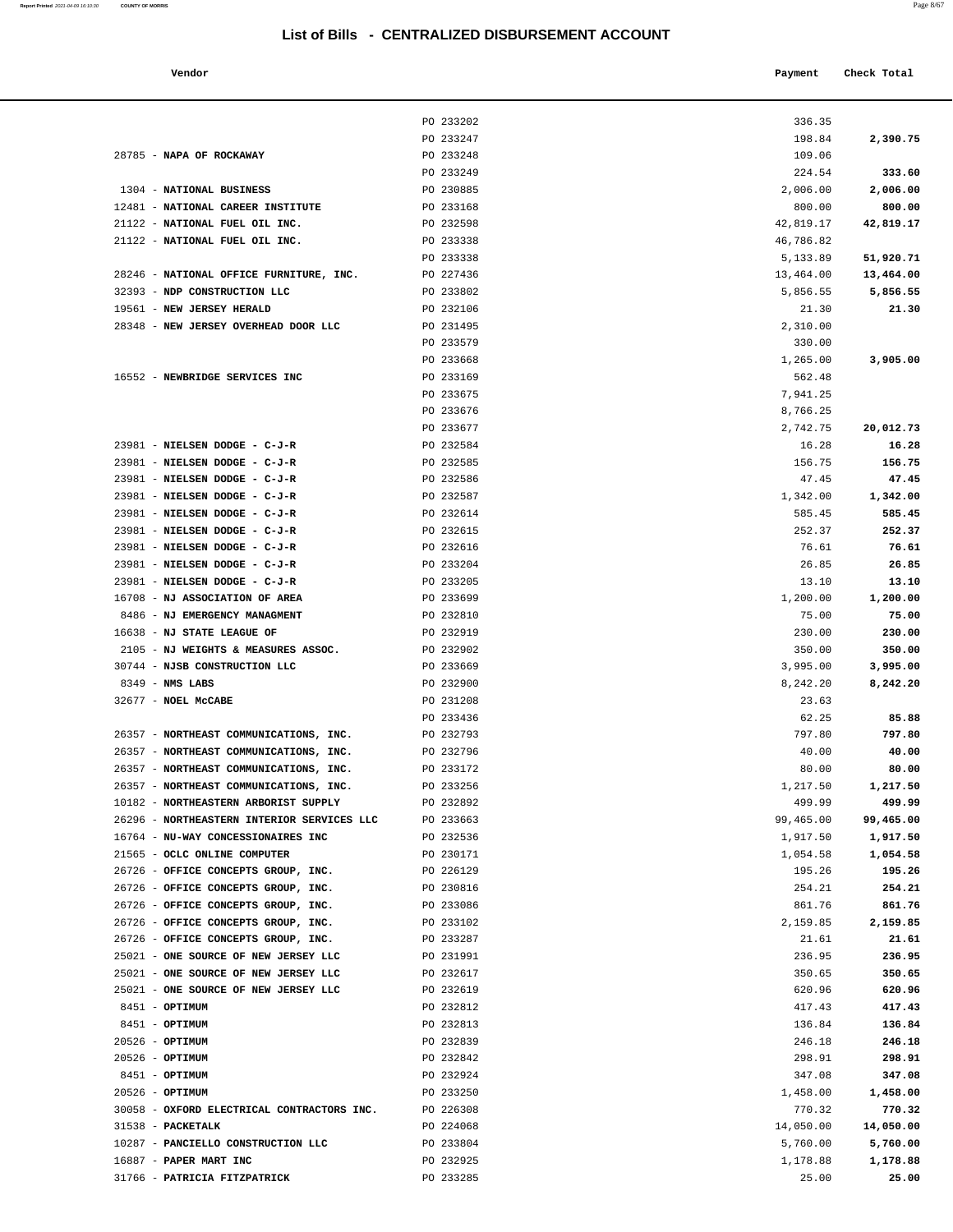**Report Printed** 2021-04-09 16:10:30 **COUNTY OF MORRIS** 

| Vendor | Payment Check Total |
|--------|---------------------|
|        |                     |

|                                                                            | PO 233202              | 336.35           |                  |
|----------------------------------------------------------------------------|------------------------|------------------|------------------|
|                                                                            | PO 233247              | 198.84           | 2,390.75         |
| 28785 - NAPA OF ROCKAWAY                                                   | PO 233248              | 109.06           |                  |
|                                                                            | PO 233249              | 224.54           | 333.60           |
| 1304 - NATIONAL BUSINESS                                                   | PO 230885              | 2,006.00         | 2,006.00         |
| 12481 - NATIONAL CAREER INSTITUTE                                          | PO 233168              | 800.00           | 800.00           |
| 21122 - NATIONAL FUEL OIL INC.                                             | PO 232598              | 42,819.17        | 42,819.17        |
| 21122 - NATIONAL FUEL OIL INC.                                             | PO 233338              | 46,786.82        |                  |
|                                                                            | PO 233338              | 5,133.89         | 51,920.71        |
| 28246 - NATIONAL OFFICE FURNITURE, INC.                                    | PO 227436              | 13,464.00        | 13,464.00        |
| 32393 - NDP CONSTRUCTION LLC                                               | PO 233802              | 5,856.55         | 5,856.55         |
| 19561 - NEW JERSEY HERALD                                                  | PO 232106              | 21.30            | 21.30            |
| 28348 - NEW JERSEY OVERHEAD DOOR LLC                                       | PO 231495              | 2,310.00         |                  |
|                                                                            | PO 233579              | 330.00           |                  |
|                                                                            | PO 233668              | 1,265.00         | 3,905.00         |
| 16552 - NEWBRIDGE SERVICES INC                                             | PO 233169              | 562.48           |                  |
|                                                                            | PO 233675              | 7,941.25         |                  |
|                                                                            | PO 233676              | 8,766.25         |                  |
|                                                                            | PO 233677              | 2,742.75         | 20,012.73        |
| 23981 - NIELSEN DODGE - C-J-R                                              | PO 232584              | 16.28            | 16.28            |
| 23981 - NIELSEN DODGE - C-J-R                                              | PO 232585              | 156.75           | 156.75           |
| 23981 - NIELSEN DODGE - C-J-R                                              | PO 232586              | 47.45            | 47.45            |
| 23981 - NIELSEN DODGE - C-J-R                                              | PO 232587              | 1,342.00         | 1,342.00         |
| 23981 - NIELSEN DODGE - C-J-R                                              | PO 232614              | 585.45           | 585.45           |
| 23981 - NIELSEN DODGE - C-J-R                                              | PO 232615              | 252.37           | 252.37<br>76.61  |
| 23981 - NIELSEN DODGE - C-J-R<br>23981 - NIELSEN DODGE - C-J-R             | PO 232616<br>PO 233204 | 76.61<br>26.85   | 26.85            |
| 23981 - NIELSEN DODGE - C-J-R                                              | PO 233205              | 13.10            | 13.10            |
| 16708 - NJ ASSOCIATION OF AREA                                             | PO 233699              | 1,200.00         | 1,200.00         |
| 8486 - NJ EMERGENCY MANAGMENT                                              | PO 232810              | 75.00            | 75.00            |
| 16638 - NJ STATE LEAGUE OF                                                 | PO 232919              | 230.00           | 230.00           |
| 2105 - NJ WEIGHTS & MEASURES ASSOC.                                        | PO 232902              | 350.00           | 350.00           |
| 30744 - NJSB CONSTRUCTION LLC                                              | PO 233669              | 3,995.00         | 3,995.00         |
| $8349$ - NMS LABS                                                          | PO 232900              | 8,242.20         | 8,242.20         |
| 32677 - NOEL MCCABE                                                        | PO 231208              | 23.63            |                  |
|                                                                            | PO 233436              | 62.25            | 85.88            |
| 26357 - NORTHEAST COMMUNICATIONS, INC.                                     | PO 232793              | 797.80           | 797.80           |
| 26357 - NORTHEAST COMMUNICATIONS, INC.                                     | PO 232796              | 40.00            | 40.00            |
| 26357 - NORTHEAST COMMUNICATIONS, INC.                                     | PO 233172              | 80.00            | 80.00            |
| 26357 - NORTHEAST COMMUNICATIONS, INC.                                     | PO 233256              | 1,217.50         | 1,217.50         |
| 10182 - NORTHEASTERN ARBORIST SUPPLY                                       | PO 232892              | 499.99           | 499.99           |
| 26296 - NORTHEASTERN INTERIOR SERVICES LLC                                 | PO 233663              | 99,465.00        | 99,465.00        |
| 16764 - NU-WAY CONCESSIONAIRES INC                                         | PO 232536              | 1,917.50         | 1,917.50         |
| 21565 - OCLC ONLINE COMPUTER                                               | PO 230171              | 1,054.58         | 1,054.58         |
| 26726 - OFFICE CONCEPTS GROUP, INC.<br>26726 - OFFICE CONCEPTS GROUP, INC. | PO 226129<br>PO 230816 | 195.26<br>254.21 | 195.26<br>254.21 |
| 26726 - OFFICE CONCEPTS GROUP, INC.                                        | PO 233086              | 861.76           | 861.76           |
| 26726 - OFFICE CONCEPTS GROUP, INC.                                        | PO 233102              | 2,159.85         | 2,159.85         |
| 26726 - OFFICE CONCEPTS GROUP, INC.                                        | PO 233287              | 21.61            | 21.61            |
| 25021 - ONE SOURCE OF NEW JERSEY LLC                                       | PO 231991              | 236.95           | 236.95           |
| 25021 - ONE SOURCE OF NEW JERSEY LLC                                       | PO 232617              | 350.65           | 350.65           |
| 25021 - ONE SOURCE OF NEW JERSEY LLC                                       | PO 232619              | 620.96           | 620.96           |
| 8451 - OPTIMUM                                                             | PO 232812              | 417.43           | 417.43           |
| 8451 - OPTIMUM                                                             | PO 232813              | 136.84           | 136.84           |
| 20526 - OPTIMUM                                                            | PO 232839              | 246.18           | 246.18           |
| 20526 - OPTIMUM                                                            | PO 232842              | 298.91           | 298.91           |
| 8451 - OPTIMUM                                                             | PO 232924              | 347.08           | 347.08           |
| 20526 - OPTIMUM                                                            | PO 233250              | 1,458.00         | 1,458.00         |
| 30058 - OXFORD ELECTRICAL CONTRACTORS INC.                                 | PO 226308              | 770.32           | 770.32           |
| 31538 - PACKETALK                                                          | PO 224068              | 14,050.00        | 14,050.00        |
| 10287 - PANCIELLO CONSTRUCTION LLC                                         | PO 233804              | 5,760.00         | 5,760.00         |
| 16887 - PAPER MART INC                                                     | PO 232925              | 1,178.88         | 1,178.88         |
| 31766 - PATRICIA FITZPATRICK                                               | PO 233285              | 25.00            | 25.00            |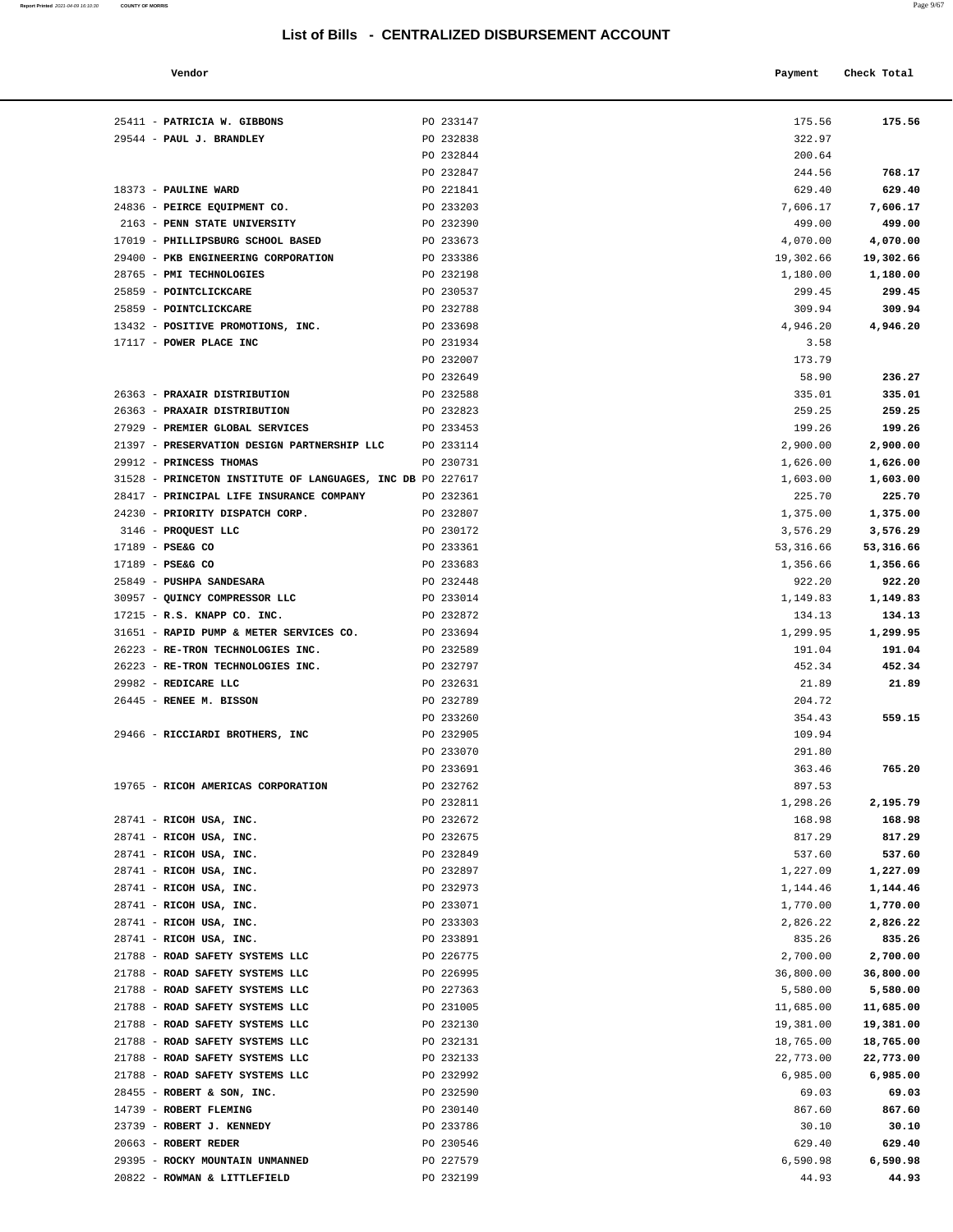| Report Printed 2021-04-09 16:10:30 COUNTY OF MORRIS | Page 9/67 |
|-----------------------------------------------------|-----------|
|                                                     |           |

| Vendor                                             |           | Payment   | Check Total |
|----------------------------------------------------|-----------|-----------|-------------|
| <b>PATRICIA W. GIBBONS</b>                         | PO 233147 | 175.56    | 175.56      |
| <b>PAUL J. BRANDLEY</b>                            | PO 232838 | 322.97    |             |
|                                                    | PO 232844 | 200.64    |             |
|                                                    | PO 232847 | 244.56    | 768.17      |
| <b>PAULINE WARD</b>                                | PO 221841 | 629.40    | 629.40      |
| PEIRCE EQUIPMENT CO.                               | PO 233203 | 7,606.17  | 7,606.17    |
| PENN STATE UNIVERSITY                              | PO 232390 | 499.00    | 499.00      |
| <b>PHILLIPSBURG SCHOOL BASED</b>                   | PO 233673 | 4,070.00  | 4,070.00    |
| PKB ENGINEERING CORPORATION                        | PO 233386 | 19,302.66 | 19,302.66   |
| PMI TECHNOLOGIES                                   | PO 232198 | 1,180.00  | 1,180.00    |
| <b>POINTCLICKCARE</b>                              | PO 230537 | 299.45    | 299.45      |
| POINTCLICKCARE                                     | PO 232788 | 309.94    | 309.94      |
| POSITIVE PROMOTIONS, INC.                          | PO 233698 | 4,946.20  | 4,946.20    |
| POWER PLACE INC                                    | PO 231934 | 3.58      |             |
|                                                    | PO 232007 | 173.79    |             |
|                                                    | PO 232649 | 58.90     | 236.27      |
| <b>PRAXAIR DISTRIBUTION</b>                        | PO 232588 | 335.01    | 335.01      |
| <b>PRAXAIR DISTRIBUTION</b>                        | PO 232823 | 259.25    | 259.25      |
| PREMIER GLOBAL SERVICES                            | PO 233453 | 199.26    | 199.26      |
| PRESERVATION DESIGN PARTNERSHIP LLC                | PO 233114 | 2,900.00  | 2,900.00    |
| PRINCESS THOMAS                                    | PO 230731 | 1,626.00  | 1,626.00    |
| PRINCETON INSTITUTE OF LANGUAGES, INC DB PO 227617 |           | 1,603.00  | 1,603.00    |
| PRINCIPAL LIFE INSURANCE COMPANY                   | PO 232361 | 225.70    | 225.70      |
| PRIORITY DISPATCH CORP.                            | PO 232807 | 1,375.00  | 1,375.00    |
| PROQUEST LLC                                       | PO 230172 | 3,576.29  | 3,576.29    |
| PSE&G CO                                           | PO 233361 | 53,316.66 | 53,316.66   |
| PSE&G CO                                           | PO 233683 | 1,356.66  | 1,356.66    |
| <b>PUSHPA SANDESARA</b>                            | PO 232448 | 922.20    | 922.20      |
| QUINCY COMPRESSOR LLC                              | PO 233014 | 1,149.83  | 1,149.83    |
| R.S. KNAPP CO. INC.                                | PO 232872 | 134.13    | 134.13      |
| RAPID PUMP & METER SERVICES CO.                    | PO 233694 | 1,299.95  | 1,299.95    |
| RE-TRON TECHNOLOGIES INC.                          | PO 232589 | 191.04    | 191.04      |
| RE-TRON TECHNOLOGIES INC.                          | PO 232797 | 452.34    | 452.34      |
| REDICARE LLC                                       | PO 232631 | 21.89     | 21.89       |
| RENEE M. BISSON                                    | PO 232789 | 204.72    |             |
|                                                    | PO 233260 | 354.43    | 559.15      |
| RICCIARDI BROTHERS, INC                            | PO 232905 | 109.94    |             |
|                                                    |           |           |             |
|                                                    | PO 233070 | 291.80    |             |
|                                                    | PO 233691 | 363.46    | 765.20      |
| RICOH AMERICAS CORPORATION                         | PO 232762 | 897.53    |             |
|                                                    | PO 232811 | 1,298.26  | 2,195.79    |
| RICOH USA, INC.                                    | PO 232672 | 168.98    | 168.98      |
| RICOH USA, INC.                                    | PO 232675 | 817.29    | 817.29      |
| RICOH USA, INC.                                    | PO 232849 | 537.60    | 537.60      |
| RICOH USA, INC.                                    | PO 232897 | 1,227.09  | 1,227.09    |
| RICOH USA, INC.                                    | PO 232973 | 1,144.46  | 1,144.46    |
| RICOH USA, INC.                                    | PO 233071 | 1,770.00  | 1,770.00    |
| RICOH USA, INC.                                    | PO 233303 | 2,826.22  | 2,826.22    |
| RICOH USA, INC.                                    | PO 233891 | 835.26    | 835.26      |
| ROAD SAFETY SYSTEMS LLC                            | PO 226775 | 2,700.00  | 2,700.00    |
| ROAD SAFETY SYSTEMS LLC                            | PO 226995 | 36,800.00 | 36,800.00   |
| ROAD SAFETY SYSTEMS LLC                            | PO 227363 | 5,580.00  | 5,580.00    |
| ROAD SAFETY SYSTEMS LLC                            | PO 231005 | 11,685.00 | 11,685.00   |
| ROAD SAFETY SYSTEMS LLC                            | PO 232130 | 19,381.00 | 19,381.00   |
| ROAD SAFETY SYSTEMS LLC                            | PO 232131 | 18,765.00 | 18,765.00   |
| ROAD SAFETY SYSTEMS LLC                            | PO 232133 | 22,773.00 | 22,773.00   |
| ROAD SAFETY SYSTEMS LLC                            | PO 232992 | 6,985.00  | 6,985.00    |
| ROBERT & SON, INC.                                 | PO 232590 | 69.03     | 69.03       |
| ROBERT FLEMING                                     | PO 230140 | 867.60    | 867.60      |
| <b>ROBERT J. KENNEDY</b>                           | PO 233786 | 30.10     | 30.10       |
| <b>ROBERT REDER</b>                                | PO 230546 | 629.40    | 629.40      |
|                                                    |           |           |             |

| 25411 - PATRICIA W. GIBBONS                                | PO 233147 | 175.56    | 175.56    |
|------------------------------------------------------------|-----------|-----------|-----------|
| 29544 - PAUL J. BRANDLEY                                   | PO 232838 | 322.97    |           |
|                                                            | PO 232844 | 200.64    |           |
|                                                            | PO 232847 | 244.56    | 768.17    |
| 18373 - PAULINE WARD                                       | PO 221841 | 629.40    | 629.40    |
| 24836 - PEIRCE EQUIPMENT CO.                               | PO 233203 | 7,606.17  | 7,606.17  |
| 2163 - PENN STATE UNIVERSITY                               | PO 232390 | 499.00    | 499.00    |
| 17019 - PHILLIPSBURG SCHOOL BASED                          | PO 233673 | 4,070.00  | 4,070.00  |
| 29400 - PKB ENGINEERING CORPORATION                        | PO 233386 | 19,302.66 | 19,302.66 |
| 28765 - PMI TECHNOLOGIES                                   | PO 232198 | 1,180.00  | 1,180.00  |
| 25859 - POINTCLICKCARE                                     | PO 230537 | 299.45    | 299.45    |
| 25859 - POINTCLICKCARE                                     | PO 232788 | 309.94    | 309.94    |
| 13432 - POSITIVE PROMOTIONS, INC.                          | PO 233698 | 4,946.20  | 4,946.20  |
| 17117 - POWER PLACE INC                                    | PO 231934 | 3.58      |           |
|                                                            | PO 232007 | 173.79    |           |
|                                                            | PO 232649 | 58.90     | 236.27    |
| 26363 - PRAXAIR DISTRIBUTION                               | PO 232588 | 335.01    | 335.01    |
| 26363 - PRAXAIR DISTRIBUTION                               | PO 232823 | 259.25    | 259.25    |
| 27929 - PREMIER GLOBAL SERVICES                            | PO 233453 | 199.26    | 199.26    |
| 21397 - PRESERVATION DESIGN PARTNERSHIP LLC                | PO 233114 | 2,900.00  | 2,900.00  |
| 29912 - PRINCESS THOMAS                                    | PO 230731 | 1,626.00  | 1,626.00  |
| 31528 - PRINCETON INSTITUTE OF LANGUAGES, INC DB PO 227617 |           | 1,603.00  | 1,603.00  |
| 28417 - PRINCIPAL LIFE INSURANCE COMPANY                   | PO 232361 | 225.70    | 225.70    |
| 24230 - PRIORITY DISPATCH CORP.                            | PO 232807 | 1,375.00  | 1,375.00  |
| 3146 - PROQUEST LLC                                        | PO 230172 | 3,576.29  | 3,576.29  |
| 17189 - PSE&G CO                                           | PO 233361 | 53,316.66 | 53,316.66 |
| 17189 - PSE&G CO                                           | PO 233683 | 1,356.66  | 1,356.66  |
| 25849 - PUSHPA SANDESARA                                   | PO 232448 | 922.20    | 922.20    |
| 30957 - QUINCY COMPRESSOR LLC                              | PO 233014 | 1,149.83  | 1,149.83  |
| 17215 - R.S. KNAPP CO. INC.                                | PO 232872 | 134.13    | 134.13    |
| 31651 - RAPID PUMP & METER SERVICES CO.                    | PO 233694 | 1,299.95  | 1,299.95  |
| 26223 - RE-TRON TECHNOLOGIES INC.                          | PO 232589 | 191.04    | 191.04    |
| 26223 - RE-TRON TECHNOLOGIES INC.                          | PO 232797 | 452.34    | 452.34    |
| 29982 - REDICARE LLC                                       | PO 232631 | 21.89     | 21.89     |
| 26445 - RENEE M. BISSON                                    | PO 232789 | 204.72    |           |
|                                                            | PO 233260 | 354.43    | 559.15    |
| 29466 - RICCIARDI BROTHERS, INC                            | PO 232905 | 109.94    |           |
|                                                            | PO 233070 | 291.80    |           |
|                                                            | PO 233691 | 363.46    | 765.20    |
| 19765 - RICOH AMERICAS CORPORATION                         | PO 232762 | 897.53    |           |
|                                                            | PO 232811 | 1,298.26  | 2,195.79  |
| 28741 - RICOH USA, INC.                                    | PO 232672 | 168.98    | 168.98    |
| 28741 - RICOH USA, INC.                                    | PO 232675 | 817.29    | 817.29    |
| 28741 - RICOH USA, INC.                                    | PO 232849 | 537.60    | 537.60    |
| 28741 - RICOH USA, INC.                                    | PO 232897 | 1,227.09  | 1,227.09  |
| 28741 - RICOH USA, INC.                                    | PO 232973 | 1,144.46  | 1,144.46  |
| 28741 - RICOH USA, INC.                                    | PO 233071 | 1,770.00  | 1,770.00  |
| 28741 - RICOH USA, INC.                                    | PO 233303 | 2,826.22  | 2,826.22  |
| 28741 - RICOH USA, INC.                                    | PO 233891 | 835.26    | 835.26    |
| 21788 - ROAD SAFETY SYSTEMS LLC                            | PO 226775 | 2,700.00  | 2,700.00  |
| 21788 - ROAD SAFETY SYSTEMS LLC                            | PO 226995 | 36,800.00 | 36,800.00 |
| 21788 - ROAD SAFETY SYSTEMS LLC                            | PO 227363 | 5,580.00  | 5,580.00  |
| 21788 - ROAD SAFETY SYSTEMS LLC                            | PO 231005 | 11,685.00 | 11,685.00 |
| 21788 - ROAD SAFETY SYSTEMS LLC                            | PO 232130 | 19,381.00 | 19,381.00 |
| 21788 - ROAD SAFETY SYSTEMS LLC                            | PO 232131 | 18,765.00 | 18,765.00 |
| 21788 - ROAD SAFETY SYSTEMS LLC                            | PO 232133 | 22,773.00 | 22,773.00 |
| 21788 - ROAD SAFETY SYSTEMS LLC                            | PO 232992 | 6,985.00  | 6,985.00  |
| 28455 - ROBERT & SON, INC.                                 | PO 232590 | 69.03     | 69.03     |
| 14739 - ROBERT FLEMING                                     | PO 230140 | 867.60    | 867.60    |
| 23739 - ROBERT J. KENNEDY                                  | PO 233786 | 30.10     | 30.10     |
| 20663 - ROBERT REDER                                       | PO 230546 | 629.40    | 629.40    |
| 29395 - ROCKY MOUNTAIN UNMANNED                            | PO 227579 | 6,590.98  | 6,590.98  |

20822 - **ROWMAN & LITTLEFIELD** PO 232199 44.93 **44.93**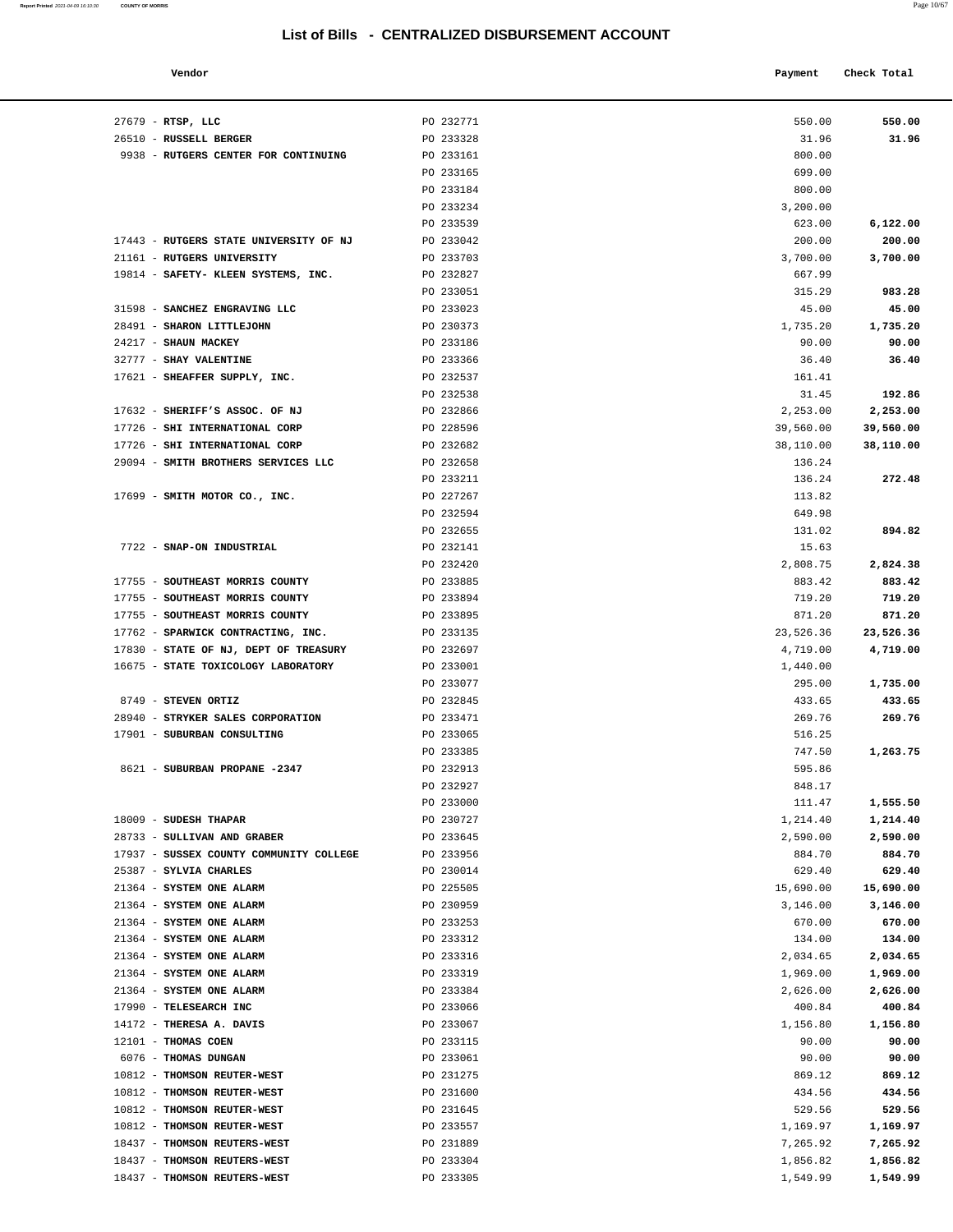**Report Printed 2021-04-09 16:10:30 COUNTY OF MORRIS** 

|                                       | List of Bills - CENTRALIZED DISBURSEMENT ACCOUNT |           |             |
|---------------------------------------|--------------------------------------------------|-----------|-------------|
| Vendor                                |                                                  | Payment   | Check Total |
| RTSP, LLC                             | PO 232771                                        | 550.00    | 550.00      |
| RUSSELL BERGER                        | PO 233328                                        | 31.96     | 31.96       |
| RUTGERS CENTER FOR CONTINUING         | PO 233161                                        | 800.00    |             |
|                                       | PO 233165                                        | 699.00    |             |
|                                       | PO 233184                                        | 800.00    |             |
|                                       | PO 233234                                        | 3,200.00  |             |
|                                       | PO 233539                                        | 623.00    | 6,122.00    |
| <b>RUTGERS STATE UNIVERSITY OF NJ</b> | PO 233042                                        | 200.00    | 200.00      |
| RUTGERS UNIVERSITY                    | PO 233703                                        | 3,700.00  | 3,700.00    |
| SAFETY- KLEEN SYSTEMS, INC.           | PO 232827                                        | 667.99    |             |
|                                       | PO 233051                                        | 315.29    | 983.28      |
| SANCHEZ ENGRAVING LLC                 | PO 233023                                        | 45.00     | 45.00       |
| SHARON LITTLEJOHN                     | PO 230373                                        | 1,735.20  | 1,735.20    |
| SHAUN MACKEY                          | PO 233186                                        | 90.00     | 90.00       |
| <b>SHAY VALENTINE</b>                 | PO 233366                                        | 36.40     | 36.40       |
| SHEAFFER SUPPLY, INC.                 | PO 232537                                        | 161.41    |             |
|                                       | PO 232538                                        | 31.45     | 192.86      |
| SHERIFF'S ASSOC. OF NJ                | PO 232866                                        | 2,253.00  | 2,253.00    |
| SHI INTERNATIONAL CORP                | PO 228596                                        | 39,560.00 | 39,560.00   |
| SHI INTERNATIONAL CORP                | PO 232682                                        | 38,110.00 | 38,110.00   |
| SMITH BROTHERS SERVICES LLC           | PO 232658                                        | 136.24    |             |
|                                       | PO 233211                                        | 136.24    | 272.48      |
| SMITH MOTOR CO., INC.                 | PO 227267                                        | 113.82    |             |
|                                       | PO 232594                                        | 649.98    |             |
|                                       | PO 232655                                        | 131.02    | 894.82      |
| SNAP-ON INDUSTRIAL                    | PO 232141                                        | 15.63     |             |
|                                       | PO 232420                                        | 2,808.75  | 2,824.38    |
| SOUTHEAST MORRIS COUNTY               | PO 233885                                        | 883.42    | 883.42      |
| SOUTHEAST MORRIS COUNTY               | PO 233894                                        | 719.20    | 719.20      |
| SOUTHEAST MORRIS COUNTY               | PO 233895                                        | 871.20    | 871.20      |
|                                       |                                                  |           |             |

| $27679$ - RTSP, LLC                                              | PO 232771              | 550.00               | 550.00                 |
|------------------------------------------------------------------|------------------------|----------------------|------------------------|
| 26510 - RUSSELL BERGER                                           | PO 233328              | 31.96                | 31.96                  |
| 9938 - RUTGERS CENTER FOR CONTINUING                             | PO 233161              | 800.00               |                        |
|                                                                  | PO 233165              | 699.00               |                        |
|                                                                  | PO 233184              | 800.00               |                        |
|                                                                  | PO 233234              | 3,200.00             |                        |
|                                                                  | PO 233539              | 623.00               | 6,122.00               |
| 17443 - RUTGERS STATE UNIVERSITY OF NJ                           | PO 233042              | 200.00               | 200.00                 |
| 21161 - RUTGERS UNIVERSITY                                       | PO 233703              | 3,700.00             | 3,700.00               |
| 19814 - SAFETY- KLEEN SYSTEMS, INC.                              | PO 232827              | 667.99               |                        |
|                                                                  | PO 233051              | 315.29               | 983.28                 |
| 31598 - SANCHEZ ENGRAVING LLC                                    | PO 233023              | 45.00                | 45.00                  |
| 28491 - SHARON LITTLEJOHN                                        | PO 230373              | 1,735.20             | 1,735.20               |
| 24217 - SHAUN MACKEY                                             | PO 233186              | 90.00                | 90.00                  |
| 32777 - SHAY VALENTINE                                           | PO 233366              | 36.40                | 36.40                  |
| 17621 - SHEAFFER SUPPLY, INC.                                    | PO 232537              | 161.41               |                        |
|                                                                  | PO 232538              | 31.45                | 192.86                 |
| 17632 - SHERIFF'S ASSOC. OF NJ                                   | PO 232866              | 2,253.00             | 2,253.00               |
| 17726 - SHI INTERNATIONAL CORP<br>17726 - SHI INTERNATIONAL CORP | PO 228596<br>PO 232682 | 39,560.00            | 39,560.00<br>38,110.00 |
| 29094 - SMITH BROTHERS SERVICES LLC                              | PO 232658              | 38,110.00<br>136.24  |                        |
|                                                                  | PO 233211              | 136.24               | 272.48                 |
| 17699 - SMITH MOTOR CO., INC.                                    | PO 227267              | 113.82               |                        |
|                                                                  | PO 232594              | 649.98               |                        |
|                                                                  | PO 232655              | 131.02               | 894.82                 |
| 7722 - SNAP-ON INDUSTRIAL                                        | PO 232141              | 15.63                |                        |
|                                                                  | PO 232420              | 2,808.75             | 2,824.38               |
| 17755 - SOUTHEAST MORRIS COUNTY                                  | PO 233885              | 883.42               | 883.42                 |
| 17755 - SOUTHEAST MORRIS COUNTY                                  | PO 233894              | 719.20               | 719.20                 |
| 17755 - SOUTHEAST MORRIS COUNTY                                  | PO 233895              | 871.20               | 871.20                 |
| 17762 - SPARWICK CONTRACTING, INC.                               | PO 233135              | 23,526.36            | 23,526.36              |
| 17830 - STATE OF NJ, DEPT OF TREASURY                            | PO 232697              | 4,719.00             | 4,719.00               |
| 16675 - STATE TOXICOLOGY LABORATORY                              | PO 233001              | 1,440.00             |                        |
|                                                                  | PO 233077              | 295.00               | 1,735.00               |
| 8749 - STEVEN ORTIZ                                              | PO 232845              | 433.65               | 433.65                 |
| 28940 - STRYKER SALES CORPORATION                                | PO 233471              | 269.76               | 269.76                 |
| 17901 - SUBURBAN CONSULTING                                      | PO 233065              | 516.25               |                        |
|                                                                  | PO 233385              | 747.50               | 1,263.75               |
| 8621 - SUBURBAN PROPANE -2347                                    | PO 232913              | 595.86               |                        |
|                                                                  | PO 232927              | 848.17               |                        |
|                                                                  | PO 233000              | 111.47               | 1,555.50               |
| 18009 - SUDESH THAPAR                                            | PO 230727              | 1,214.40             | 1,214.40               |
| 28733 - SULLIVAN AND GRABER                                      | PO 233645              | 2,590.00             | 2,590.00               |
| 17937 - SUSSEX COUNTY COMMUNITY COLLEGE                          | PO 233956              | 884.70               | 884.70                 |
| 25387 - SYLVIA CHARLES                                           | PO 230014              | 629.40               | 629.40                 |
| 21364 - SYSTEM ONE ALARM                                         | PO 225505              | 15,690.00            | 15,690.00              |
| 21364 - SYSTEM ONE ALARM                                         | PO 230959              | 3,146.00             | 3,146.00               |
| 21364 - SYSTEM ONE ALARM                                         | PO 233253              | 670.00               | 670.00                 |
| 21364 - SYSTEM ONE ALARM                                         | PO 233312              | 134.00               | 134.00                 |
| 21364 - SYSTEM ONE ALARM                                         | PO 233316              | 2,034.65             | 2,034.65               |
| 21364 - SYSTEM ONE ALARM                                         | PO 233319              | 1,969.00             | 1,969.00               |
| 21364 - SYSTEM ONE ALARM                                         | PO 233384              | 2,626.00             | 2,626.00               |
| 17990 - TELESEARCH INC                                           | PO 233066              | 400.84               | 400.84                 |
| 14172 - THERESA A. DAVIS                                         | PO 233067              | 1,156.80             | 1,156.80               |
| 12101 - THOMAS COEN                                              | PO 233115              | 90.00                | 90.00                  |
| 6076 - THOMAS DUNGAN                                             | PO 233061              | 90.00                | 90.00                  |
| 10812 - THOMSON REUTER-WEST                                      | PO 231275              | 869.12               | 869.12                 |
| 10812 - THOMSON REUTER-WEST                                      | PO 231600              | 434.56               | 434.56                 |
| 10812 - THOMSON REUTER-WEST                                      | PO 231645              | 529.56               | 529.56                 |
| 10812 - THOMSON REUTER-WEST<br>18437 - THOMSON REUTERS-WEST      | PO 233557<br>PO 231889 | 1,169.97             | 1,169.97               |
| 18437 - THOMSON REUTERS-WEST                                     |                        | 7,265.92             | 7,265.92               |
| 18437 - THOMSON REUTERS-WEST                                     | PO 233304<br>PO 233305 | 1,856.82<br>1,549.99 | 1,856.82<br>1,549.99   |
|                                                                  |                        |                      |                        |
|                                                                  |                        |                      |                        |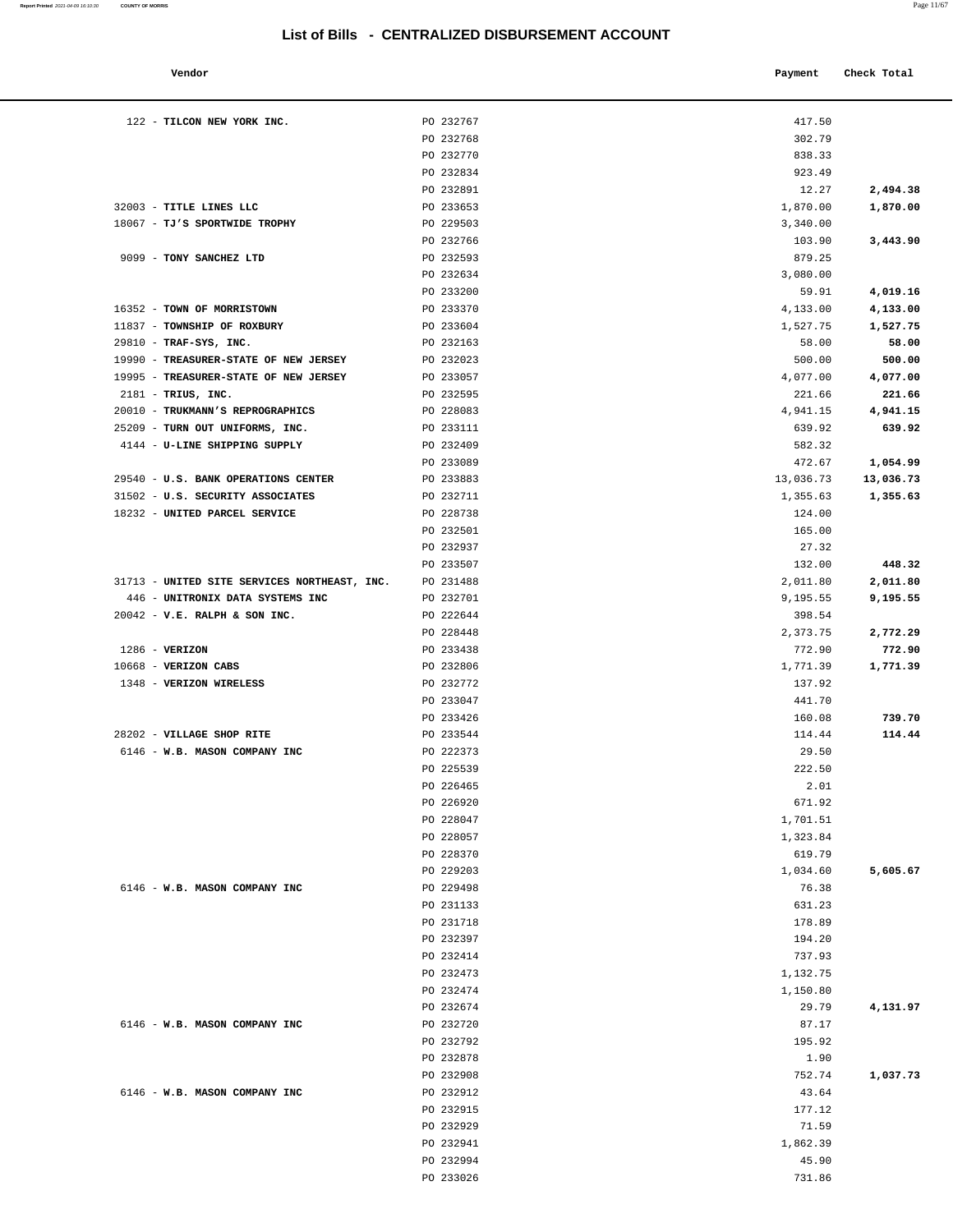| enac |  |
|------|--|

| Vendor | Payment Check Total |
|--------|---------------------|

|                             | 122 - TILCON NEW YORK INC.                                       | PO 232767              | 417.50           |           |
|-----------------------------|------------------------------------------------------------------|------------------------|------------------|-----------|
|                             |                                                                  | PO 232768              | 302.79           |           |
|                             |                                                                  | PO 232770              | 838.33           |           |
|                             |                                                                  | PO 232834              | 923.49           |           |
|                             |                                                                  | PO 232891              | 12.27            | 2,494.38  |
| 32003 - TITLE LINES LLC     |                                                                  | PO 233653              | 1,870.00         | 1,870.00  |
|                             | 18067 - TJ'S SPORTWIDE TROPHY                                    | PO 229503              | 3,340.00         |           |
|                             |                                                                  | PO 232766              | 103.90           | 3,443.90  |
| 9099 - TONY SANCHEZ LTD     |                                                                  | PO 232593              | 879.25           |           |
|                             |                                                                  | PO 232634              | 3,080.00         |           |
|                             |                                                                  | PO 233200              | 59.91            | 4,019.16  |
| 16352 - TOWN OF MORRISTOWN  |                                                                  | PO 233370              | 4,133.00         | 4,133.00  |
| 11837 - TOWNSHIP OF ROXBURY |                                                                  | PO 233604              | 1,527.75         | 1,527.75  |
| 29810 - TRAF-SYS, INC.      |                                                                  | PO 232163              | 58.00            | 58.00     |
|                             | 19990 - TREASURER-STATE OF NEW JERSEY                            | PO 232023              | 500.00           | 500.00    |
|                             | 19995 - TREASURER-STATE OF NEW JERSEY                            | PO 233057              | 4,077.00         | 4,077.00  |
| $2181$ - TRIUS, INC.        |                                                                  | PO 232595              | 221.66           | 221.66    |
|                             | 20010 - TRUKMANN'S REPROGRAPHICS                                 | PO 228083              | 4,941.15         | 4,941.15  |
|                             | 25209 - TURN OUT UNIFORMS, INC.<br>4144 - U-LINE SHIPPING SUPPLY | PO 233111<br>PO 232409 | 639.92<br>582.32 | 639.92    |
|                             |                                                                  | PO 233089              | 472.67           | 1,054.99  |
|                             | 29540 - U.S. BANK OPERATIONS CENTER                              | PO 233883              | 13,036.73        | 13,036.73 |
|                             | 31502 - U.S. SECURITY ASSOCIATES                                 | PO 232711              | 1,355.63         | 1,355.63  |
|                             | 18232 - UNITED PARCEL SERVICE                                    | PO 228738              | 124.00           |           |
|                             |                                                                  | PO 232501              | 165.00           |           |
|                             |                                                                  | PO 232937              | 27.32            |           |
|                             |                                                                  | PO 233507              | 132.00           | 448.32    |
|                             | 31713 - UNITED SITE SERVICES NORTHEAST, INC.                     | PO 231488              | 2,011.80         | 2,011.80  |
|                             | 446 - UNITRONIX DATA SYSTEMS INC                                 | PO 232701              | 9,195.55         | 9,195.55  |
|                             | 20042 - V.E. RALPH & SON INC.                                    | PO 222644              | 398.54           |           |
|                             |                                                                  | PO 228448              | 2,373.75         | 2,772.29  |
| $1286$ - VERIZON            |                                                                  | PO 233438              | 772.90           | 772.90    |
| 10668 - VERIZON CABS        |                                                                  | PO 232806              | 1,771.39         | 1,771.39  |
| 1348 - VERIZON WIRELESS     |                                                                  | PO 232772              | 137.92           |           |
|                             |                                                                  | PO 233047              | 441.70           |           |
|                             |                                                                  | PO 233426              | 160.08           | 739.70    |
| 28202 - VILLAGE SHOP RITE   |                                                                  | PO 233544              | 114.44           | 114.44    |
|                             | 6146 - W.B. MASON COMPANY INC                                    | PO 222373              | 29.50            |           |
|                             |                                                                  | PO 225539<br>PO 226465 | 222.50<br>2.01   |           |
|                             |                                                                  | PO 226920              | 671.92           |           |
|                             |                                                                  | PO 228047              | 1,701.51         |           |
|                             |                                                                  | PO 228057              | 1,323.84         |           |
|                             |                                                                  | PO 228370              | 619.79           |           |
|                             |                                                                  | PO 229203              | 1,034.60         | 5,605.67  |
|                             | 6146 - W.B. MASON COMPANY INC                                    | PO 229498              | 76.38            |           |
|                             |                                                                  | PO 231133              | 631.23           |           |
|                             |                                                                  | PO 231718              | 178.89           |           |
|                             |                                                                  | PO 232397              | 194.20           |           |
|                             |                                                                  | PO 232414              | 737.93           |           |
|                             |                                                                  | PO 232473              | 1,132.75         |           |
|                             |                                                                  | PO 232474              | 1,150.80         |           |
|                             |                                                                  | PO 232674              | 29.79            | 4,131.97  |
|                             | 6146 - W.B. MASON COMPANY INC                                    | PO 232720              | 87.17            |           |
|                             |                                                                  | PO 232792              | 195.92           |           |
|                             |                                                                  | PO 232878              | 1.90             |           |
|                             |                                                                  | PO 232908              | 752.74           | 1,037.73  |
|                             | 6146 - W.B. MASON COMPANY INC                                    | PO 232912<br>PO 232915 | 43.64<br>177.12  |           |
|                             |                                                                  | PO 232929              | 71.59            |           |
|                             |                                                                  | PO 232941              | 1,862.39         |           |
|                             |                                                                  | PO 232994              | 45.90            |           |
|                             |                                                                  | PO 233026              | 731.86           |           |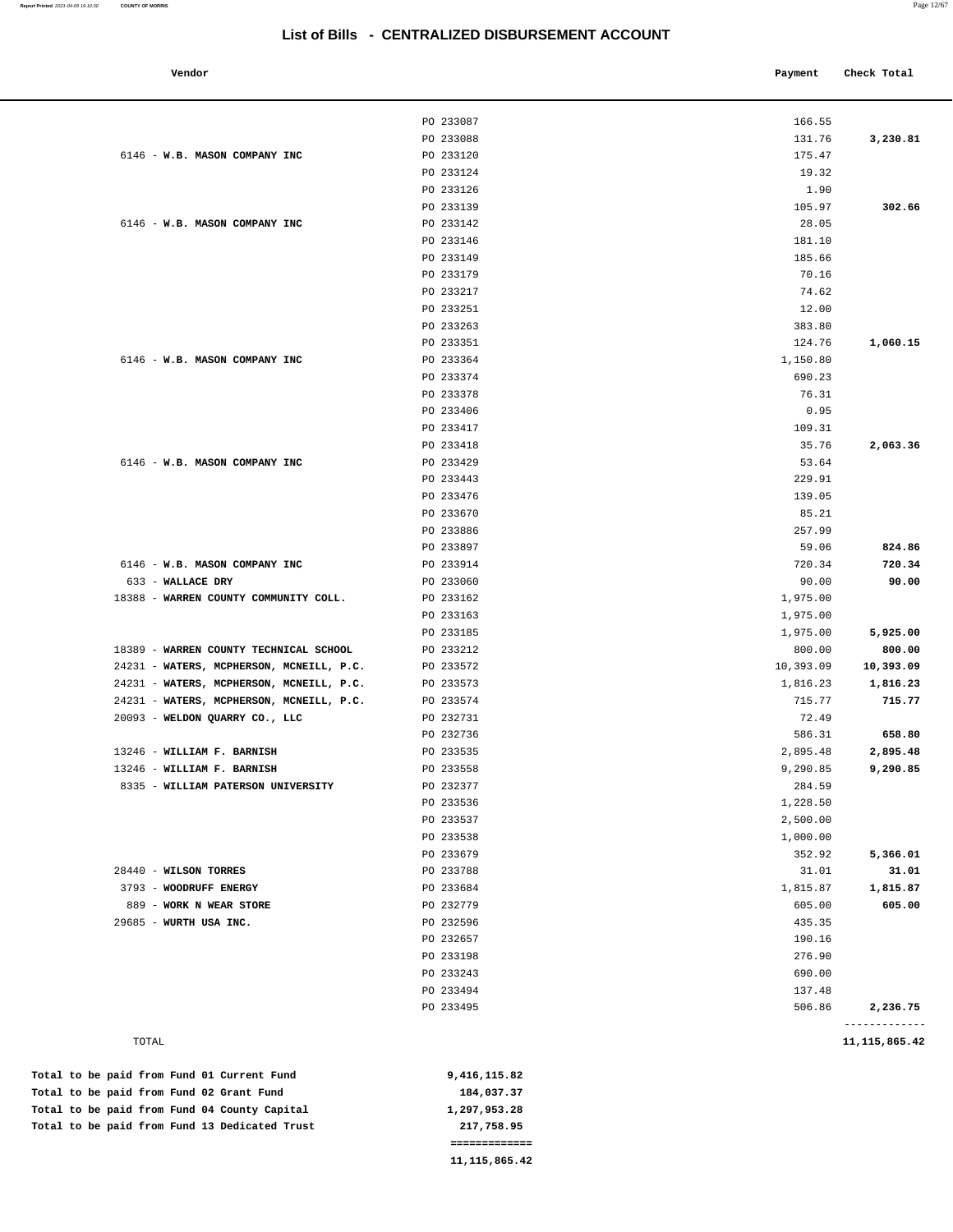| 6146 - W.B. MASON COMPANY INC            | PO 233087<br>PO 233088 | 166.55    |           |
|------------------------------------------|------------------------|-----------|-----------|
|                                          |                        |           |           |
|                                          |                        | 131.76    | 3,230.81  |
|                                          | PO 233120              | 175.47    |           |
|                                          | PO 233124              | 19.32     |           |
|                                          | PO 233126              | 1.90      |           |
|                                          | PO 233139              | 105.97    | 302.66    |
| 6146 - W.B. MASON COMPANY INC            | PO 233142              | 28.05     |           |
|                                          | PO 233146              | 181.10    |           |
|                                          | PO 233149              | 185.66    |           |
|                                          | PO 233179              | 70.16     |           |
|                                          | PO 233217              | 74.62     |           |
|                                          | PO 233251              | 12.00     |           |
|                                          | PO 233263              | 383.80    |           |
|                                          | PO 233351              | 124.76    | 1,060.15  |
| 6146 - W.B. MASON COMPANY INC            | PO 233364              | 1,150.80  |           |
|                                          | PO 233374              | 690.23    |           |
|                                          | PO 233378              | 76.31     |           |
|                                          | PO 233406              | 0.95      |           |
|                                          | PO 233417              | 109.31    |           |
|                                          | PO 233418              | 35.76     | 2,063.36  |
| 6146 - W.B. MASON COMPANY INC            | PO 233429              | 53.64     |           |
|                                          | PO 233443              | 229.91    |           |
|                                          | PO 233476              | 139.05    |           |
|                                          | PO 233670              | 85.21     |           |
|                                          | PO 233886              | 257.99    |           |
|                                          | PO 233897              | 59.06     | 824.86    |
| 6146 - W.B. MASON COMPANY INC            | PO 233914              | 720.34    | 720.34    |
| 633 - WALLACE DRY                        | PO 233060              | 90.00     | 90.00     |
| 18388 - WARREN COUNTY COMMUNITY COLL.    | PO 233162              | 1,975.00  |           |
|                                          | PO 233163              | 1,975.00  |           |
|                                          | PO 233185              | 1,975.00  | 5,925.00  |
| 18389 - WARREN COUNTY TECHNICAL SCHOOL   | PO 233212              | 800.00    | 800.00    |
| 24231 - WATERS, MCPHERSON, MCNEILL, P.C. | PO 233572              | 10,393.09 | 10,393.09 |
| 24231 - WATERS, MCPHERSON, MCNEILL, P.C. | PO 233573              | 1,816.23  | 1,816.23  |
| 24231 - WATERS, MCPHERSON, MCNEILL, P.C. | PO 233574              | 715.77    | 715.77    |
| 20093 - WELDON QUARRY CO., LLC           | PO 232731              | 72.49     |           |
|                                          | PO 232736              | 586.31    | 658.80    |
| 13246 - WILLIAM F. BARNISH               | PO 233535              | 2,895.48  | 2,895.48  |
| 13246 - WILLIAM F. BARNISH               | PO 233558              | 9,290.85  | 9,290.85  |
| 8335 - WILLIAM PATERSON UNIVERSITY       | PO 232377              | 284.59    |           |
|                                          | PO 233536              | 1,228.50  |           |
|                                          | PO 233537              | 2,500.00  |           |
|                                          | PO 233538              | 1,000.00  |           |
|                                          | PO 233679              | 352.92    | 5,366.01  |
| 28440 - WILSON TORRES                    | PO 233788              | 31.01     | 31.01     |
| 3793 - WOODRUFF ENERGY                   | PO 233684              | 1,815.87  | 1,815.87  |
| 889 - WORK N WEAR STORE                  | PO 232779              | 605.00    | 605.00    |
| 29685 - WURTH USA INC.                   | PO 232596              | 435.35    |           |
|                                          | PO 232657              | 190.16    |           |
|                                          | PO 233198              | 276.90    |           |
|                                          | PO 233243              | 690.00    |           |
|                                          | PO 233494              | 137.48    |           |
|                                          | PO 233495              | 506.86    | 2,236.75  |

 **11,115,865.42** 

|  |  |  | Total to be paid from Fund 13 Dedicated Trust | 217,758.95   |
|--|--|--|-----------------------------------------------|--------------|
|  |  |  | Total to be paid from Fund 04 County Capital  | 1,297,953.28 |
|  |  |  | Total to be paid from Fund 02 Grant Fund      | 184,037.37   |
|  |  |  | Total to be paid from Fund 01 Current Fund    | 9,416,115.82 |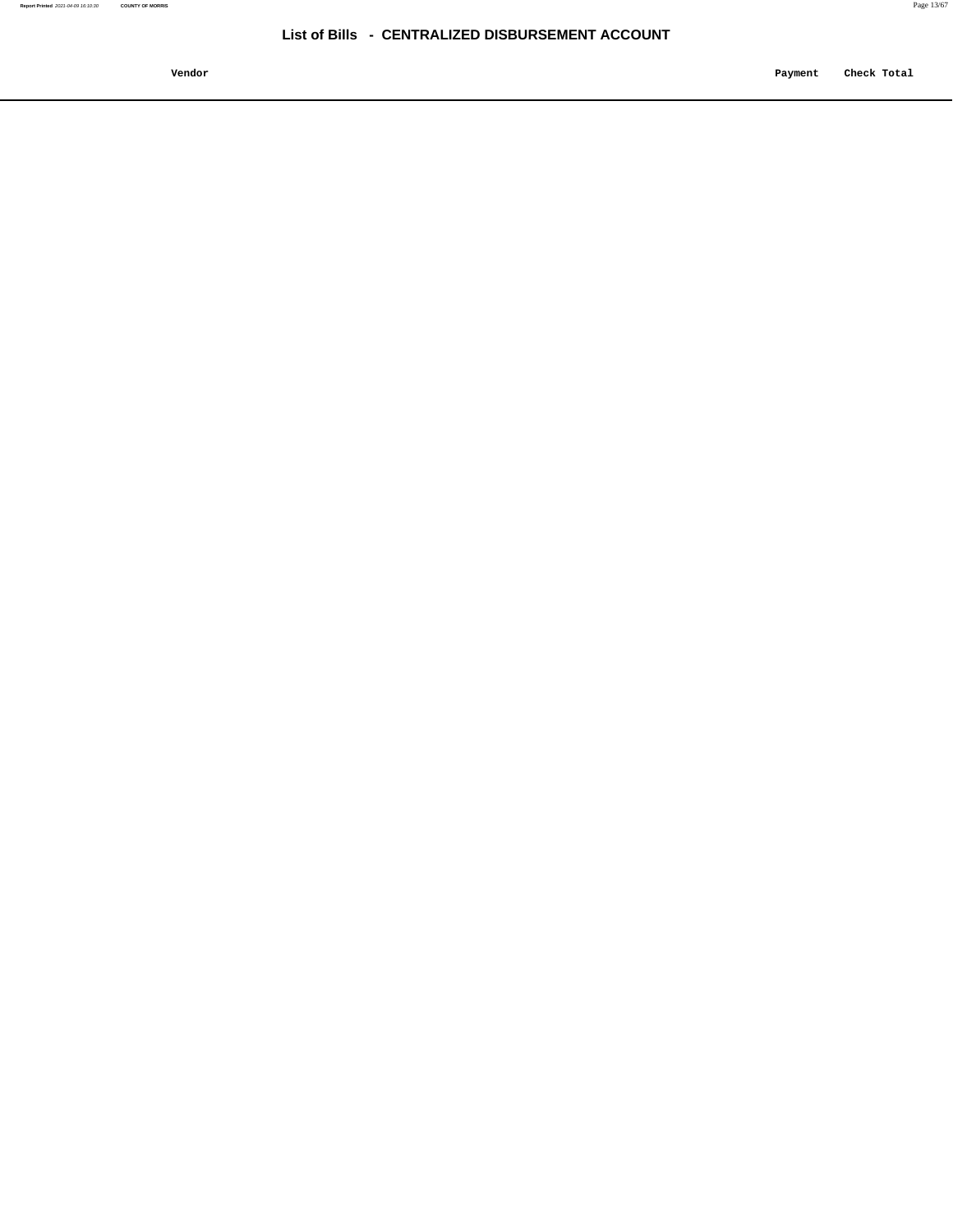**Vendor Payment Check Total**   $\blacksquare$  Payment Check Total **Payment** Check Total **Payment**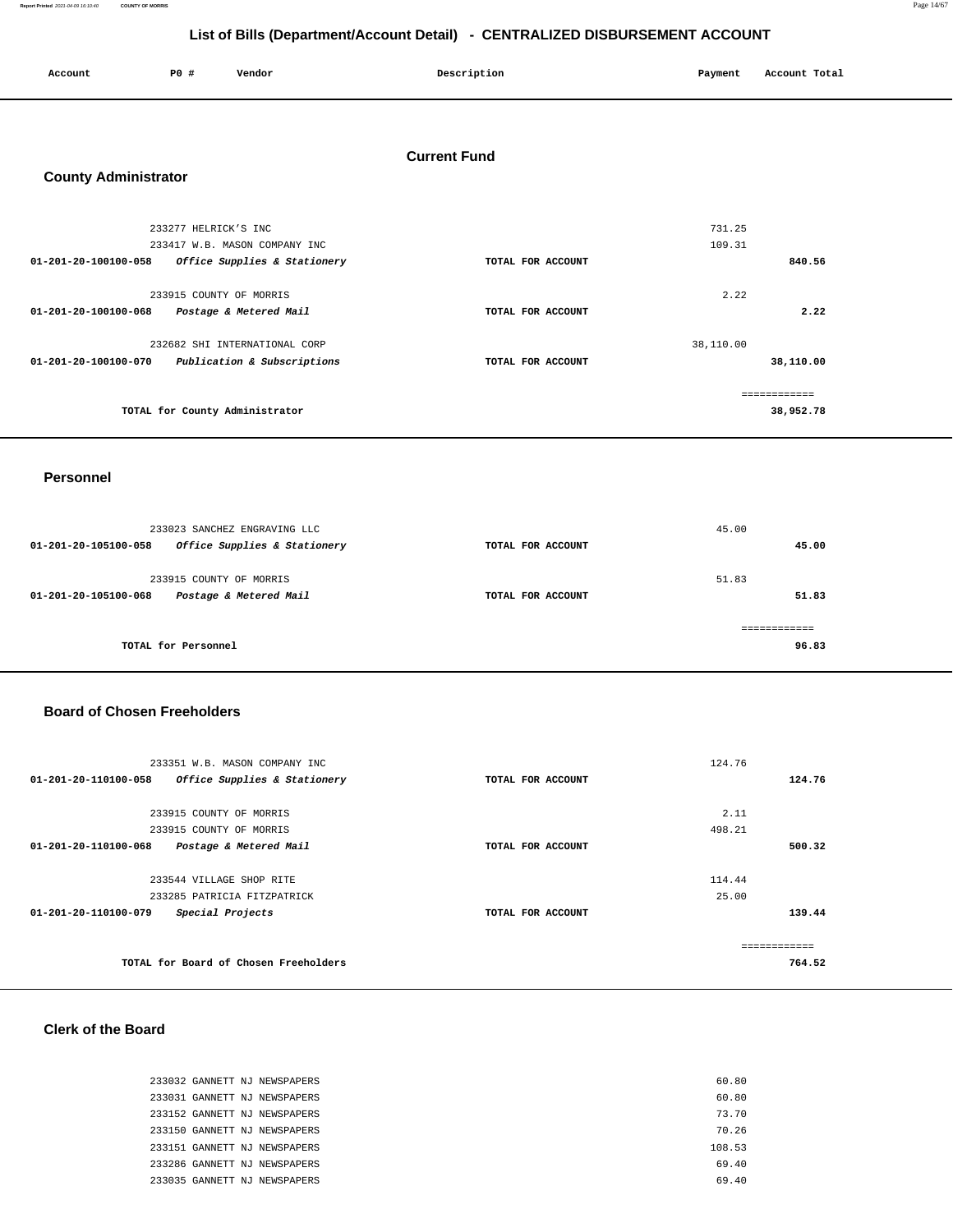**Report Printed** 2021-04-09 16:10:40 **COUNTY OF MORRIS** Page 14/67

### **List of Bills (Department/Account Detail) - CENTRALIZED DISBURSEMENT ACCOUNT**

| Account | <b>PO #</b> | Vendor | Description | Payment | Account Total |
|---------|-------------|--------|-------------|---------|---------------|
|         |             |        |             |         |               |

### **Current Fund**

### **County Administrator**

|                                | 233277 HELRICK'S INC.          |                   | 731.25    |              |
|--------------------------------|--------------------------------|-------------------|-----------|--------------|
|                                | 233417 W.B. MASON COMPANY INC  |                   | 109.31    |              |
| $01 - 201 - 20 - 100100 - 058$ | Office Supplies & Stationery   | TOTAL FOR ACCOUNT |           | 840.56       |
|                                |                                |                   |           |              |
|                                | 233915 COUNTY OF MORRIS        |                   | 2.22      |              |
| 01-201-20-100100-068           | Postage & Metered Mail         | TOTAL FOR ACCOUNT |           | 2.22         |
|                                |                                |                   |           |              |
|                                | 232682 SHI INTERNATIONAL CORP  |                   | 38,110.00 |              |
| $01 - 201 - 20 - 100100 - 070$ | Publication & Subscriptions    | TOTAL FOR ACCOUNT |           | 38,110.00    |
|                                |                                |                   |           |              |
|                                |                                |                   |           | ============ |
|                                | TOTAL for County Administrator |                   |           | 38,952.78    |
|                                |                                |                   |           |              |

### **Personnel**

| 233023 SANCHEZ ENGRAVING LLC<br>Office Supplies & Stationery<br>01-201-20-105100-058 | TOTAL FOR ACCOUNT | 45.00<br>45.00        |
|--------------------------------------------------------------------------------------|-------------------|-----------------------|
| 233915 COUNTY OF MORRIS<br>Postage & Metered Mail<br>01-201-20-105100-068            | TOTAL FOR ACCOUNT | 51.83<br>51.83        |
| TOTAL for Personnel                                                                  |                   | ------------<br>96.83 |

### **Board of Chosen Freeholders**

| 233351 W.B. MASON COMPANY INC                            |                   | 124.76 |
|----------------------------------------------------------|-------------------|--------|
| 01-201-20-110100-058<br>Office Supplies & Stationery     | TOTAL FOR ACCOUNT | 124.76 |
|                                                          |                   |        |
| 233915 COUNTY OF MORRIS                                  |                   | 2.11   |
| 233915 COUNTY OF MORRIS                                  |                   | 498.21 |
| $01 - 201 - 20 - 110100 - 068$<br>Postage & Metered Mail | TOTAL FOR ACCOUNT | 500.32 |
|                                                          |                   |        |
| 233544 VILLAGE SHOP RITE                                 |                   | 114.44 |
| 233285 PATRICIA FITZPATRICK                              |                   | 25.00  |
| 01-201-20-110100-079<br>Special Projects                 | TOTAL FOR ACCOUNT | 139.44 |
|                                                          |                   |        |
|                                                          |                   |        |
| TOTAL for Board of Chosen Freeholders                    |                   | 764.52 |
|                                                          |                   |        |

### **Clerk of the Board**

|  | 233032 GANNETT NJ NEWSPAPERS | 60.80  |  |
|--|------------------------------|--------|--|
|  | 233031 GANNETT NJ NEWSPAPERS | 60.80  |  |
|  | 233152 GANNETT NJ NEWSPAPERS | 73.70  |  |
|  | 233150 GANNETT NJ NEWSPAPERS | 70.26  |  |
|  | 233151 GANNETT NJ NEWSPAPERS | 108.53 |  |
|  | 233286 GANNETT NJ NEWSPAPERS | 69.40  |  |
|  | 233035 GANNETT NJ NEWSPAPERS | 69.40  |  |
|  |                              |        |  |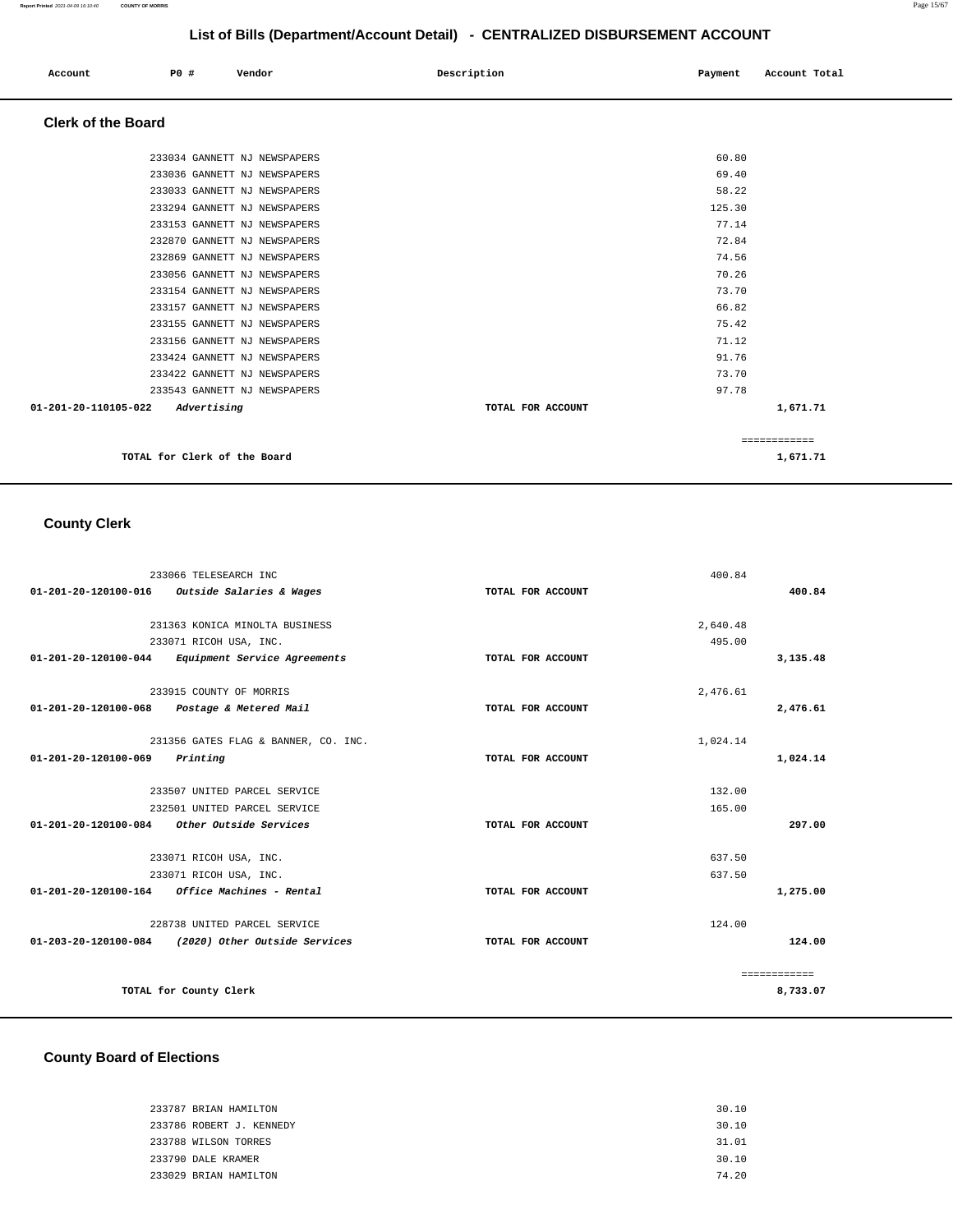| Account<br>. | <b>PO #</b> | Vendor | Description | Payment | Account Total |
|--------------|-------------|--------|-------------|---------|---------------|
|              |             |        |             |         |               |

### **Clerk of the Board**

| TOTAL for Clerk of the Board        |                   | 1,671.71     |  |
|-------------------------------------|-------------------|--------------|--|
|                                     |                   | ============ |  |
| 01-201-20-110105-022<br>Advertising | TOTAL FOR ACCOUNT | 1,671.71     |  |
| 233543 GANNETT NJ NEWSPAPERS        |                   | 97.78        |  |
| 233422 GANNETT NJ NEWSPAPERS        |                   | 73.70        |  |
| 233424 GANNETT NJ NEWSPAPERS        |                   | 91.76        |  |
| 233156 GANNETT NJ NEWSPAPERS        |                   | 71.12        |  |
| 233155 GANNETT NJ NEWSPAPERS        |                   | 75.42        |  |
| 233157 GANNETT NJ NEWSPAPERS        |                   | 66.82        |  |
| 233154 GANNETT NJ NEWSPAPERS        |                   | 73.70        |  |
| 233056 GANNETT NJ NEWSPAPERS        |                   | 70.26        |  |
| 232869 GANNETT NJ NEWSPAPERS        |                   | 74.56        |  |
| 232870 GANNETT NJ NEWSPAPERS        |                   | 72.84        |  |
| 233153 GANNETT NJ NEWSPAPERS        |                   | 77.14        |  |
| 233294 GANNETT NJ NEWSPAPERS        |                   | 125.30       |  |
| 233033 GANNETT NJ NEWSPAPERS        |                   | 58.22        |  |
| 233036 GANNETT NJ NEWSPAPERS        |                   | 69.40        |  |
| 233034 GANNETT NJ NEWSPAPERS        |                   | 60.80        |  |
|                                     |                   |              |  |

### **County Clerk**

|                      | 233066 TELESEARCH INC                              |                   | 400.84   |              |
|----------------------|----------------------------------------------------|-------------------|----------|--------------|
| 01-201-20-120100-016 | Outside Salaries & Wages                           | TOTAL FOR ACCOUNT |          | 400.84       |
|                      |                                                    |                   |          |              |
|                      | 231363 KONICA MINOLTA BUSINESS                     |                   | 2,640.48 |              |
|                      | 233071 RICOH USA, INC.                             |                   | 495.00   |              |
|                      | 01-201-20-120100-044 Equipment Service Agreements  | TOTAL FOR ACCOUNT |          | 3,135.48     |
|                      | 233915 COUNTY OF MORRIS                            |                   | 2.476.61 |              |
|                      | 01-201-20-120100-068 Postage & Metered Mail        | TOTAL FOR ACCOUNT |          | 2,476.61     |
|                      | 231356 GATES FLAG & BANNER, CO. INC.               |                   | 1,024.14 |              |
| 01-201-20-120100-069 | Printing                                           | TOTAL FOR ACCOUNT |          | 1,024.14     |
|                      | 233507 UNITED PARCEL SERVICE                       |                   | 132.00   |              |
|                      | 232501 UNITED PARCEL SERVICE                       |                   | 165.00   |              |
|                      | 01-201-20-120100-084 Other Outside Services        | TOTAL FOR ACCOUNT |          | 297.00       |
|                      | 233071 RICOH USA, INC.                             |                   | 637.50   |              |
|                      | 233071 RICOH USA, INC.                             |                   | 637.50   |              |
| 01-201-20-120100-164 | Office Machines - Rental                           | TOTAL FOR ACCOUNT |          | 1,275.00     |
|                      | 228738 UNITED PARCEL SERVICE                       |                   | 124.00   |              |
|                      | 01-203-20-120100-084 (2020) Other Outside Services | TOTAL FOR ACCOUNT |          | 124.00       |
|                      |                                                    |                   |          | ============ |
|                      | TOTAL for County Clerk                             |                   |          | 8,733.07     |

# **County Board of Elections**

| 233787 BRIAN HAMILTON    | 30.10 |
|--------------------------|-------|
| 233786 ROBERT J. KENNEDY | 30.10 |
| 233788 WILSON TORRES     | 31.01 |
| 233790 DALE KRAMER       | 30.10 |
| 233029 BRIAN HAMILTON    | 74.20 |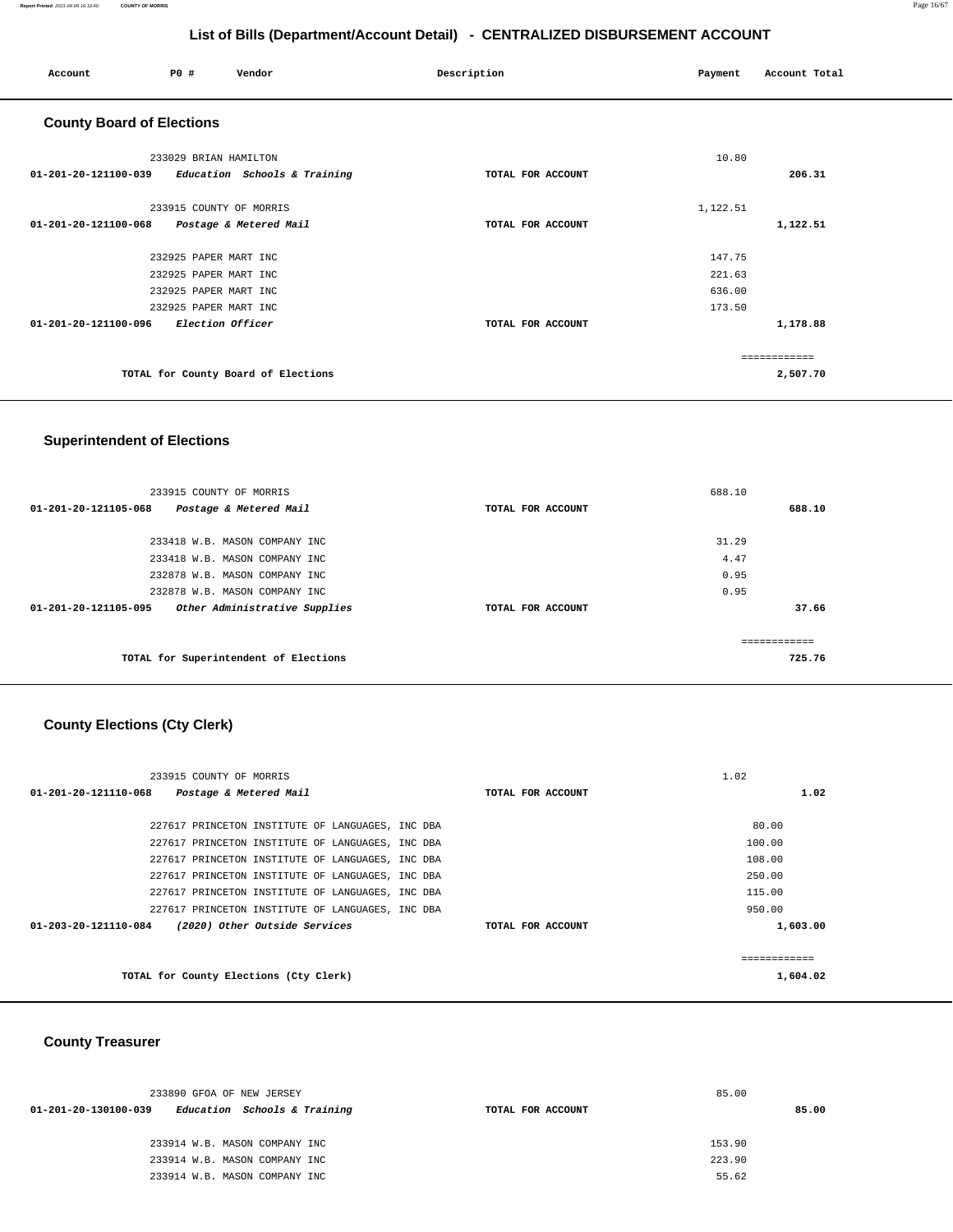### **Report Printed** 2021-04-09 16:10:40 **COUNTY OF MORRIS** Page 16/67

# **List of Bills (Department/Account Detail) - CENTRALIZED DISBURSEMENT ACCOUNT**

| Account                          | PO#                     | Vendor                              | Description       | Payment  | Account Total |
|----------------------------------|-------------------------|-------------------------------------|-------------------|----------|---------------|
| <b>County Board of Elections</b> |                         |                                     |                   |          |               |
|                                  | 233029 BRIAN HAMILTON   |                                     |                   | 10.80    |               |
| 01-201-20-121100-039             |                         | Education Schools & Training        | TOTAL FOR ACCOUNT |          | 206.31        |
|                                  | 233915 COUNTY OF MORRIS |                                     |                   | 1,122.51 |               |
| 01-201-20-121100-068             |                         | Postage & Metered Mail              | TOTAL FOR ACCOUNT |          | 1,122.51      |
|                                  | 232925 PAPER MART INC   |                                     |                   | 147.75   |               |
|                                  | 232925 PAPER MART INC   |                                     |                   | 221.63   |               |
|                                  | 232925 PAPER MART INC   |                                     |                   | 636.00   |               |
|                                  | 232925 PAPER MART INC   |                                     |                   | 173.50   |               |
| 01-201-20-121100-096             | Election Officer        |                                     | TOTAL FOR ACCOUNT |          | 1,178.88      |
|                                  |                         |                                     |                   |          | ============  |
|                                  |                         | TOTAL for County Board of Elections |                   |          | 2,507.70      |

### **Superintendent of Elections**

| 233915 COUNTY OF MORRIS                                         |                   | 688.10 |
|-----------------------------------------------------------------|-------------------|--------|
| Postage & Metered Mail<br>$01 - 201 - 20 - 121105 - 068$        | TOTAL FOR ACCOUNT | 688.10 |
|                                                                 |                   |        |
| 233418 W.B. MASON COMPANY INC                                   |                   | 31.29  |
| 233418 W.B. MASON COMPANY INC                                   |                   | 4.47   |
| 232878 W.B. MASON COMPANY INC                                   |                   | 0.95   |
| 232878 W.B. MASON COMPANY INC                                   |                   | 0.95   |
| $01 - 201 - 20 - 121105 - 095$<br>Other Administrative Supplies | TOTAL FOR ACCOUNT | 37.66  |
|                                                                 |                   |        |
|                                                                 |                   |        |
| TOTAL for Superintendent of Elections                           |                   | 725.76 |
|                                                                 |                   |        |

# **County Elections (Cty Clerk)**

| 233915 COUNTY OF MORRIS                               |                   | 1.02     |
|-------------------------------------------------------|-------------------|----------|
| 01-201-20-121110-068<br>Postage & Metered Mail        | TOTAL FOR ACCOUNT | 1.02     |
|                                                       |                   |          |
| 227617 PRINCETON INSTITUTE OF LANGUAGES, INC DBA      |                   | 80.00    |
| 227617 PRINCETON INSTITUTE OF LANGUAGES, INC DBA      |                   | 100.00   |
| 227617 PRINCETON INSTITUTE OF LANGUAGES, INC DBA      |                   | 108.00   |
| 227617 PRINCETON INSTITUTE OF LANGUAGES, INC DBA      |                   | 250.00   |
| 227617 PRINCETON INSTITUTE OF LANGUAGES, INC DBA      |                   | 115.00   |
| 227617 PRINCETON INSTITUTE OF LANGUAGES, INC DBA      |                   | 950.00   |
| (2020) Other Outside Services<br>01-203-20-121110-084 | TOTAL FOR ACCOUNT | 1,603.00 |
|                                                       |                   |          |
|                                                       |                   |          |
| TOTAL for County Elections (Cty Clerk)                |                   | 1,604.02 |
|                                                       |                   |          |

### **County Treasurer**

| 233890 GFOA OF NEW JERSEY                            |                   | 85.00  |
|------------------------------------------------------|-------------------|--------|
| Education Schools & Training<br>01-201-20-130100-039 | TOTAL FOR ACCOUNT | 85.00  |
| 233914 W.B. MASON COMPANY INC                        |                   | 153.90 |
| 233914 W.B. MASON COMPANY INC                        |                   | 223.90 |
| 233914 W.B. MASON COMPANY INC                        |                   | 55.62  |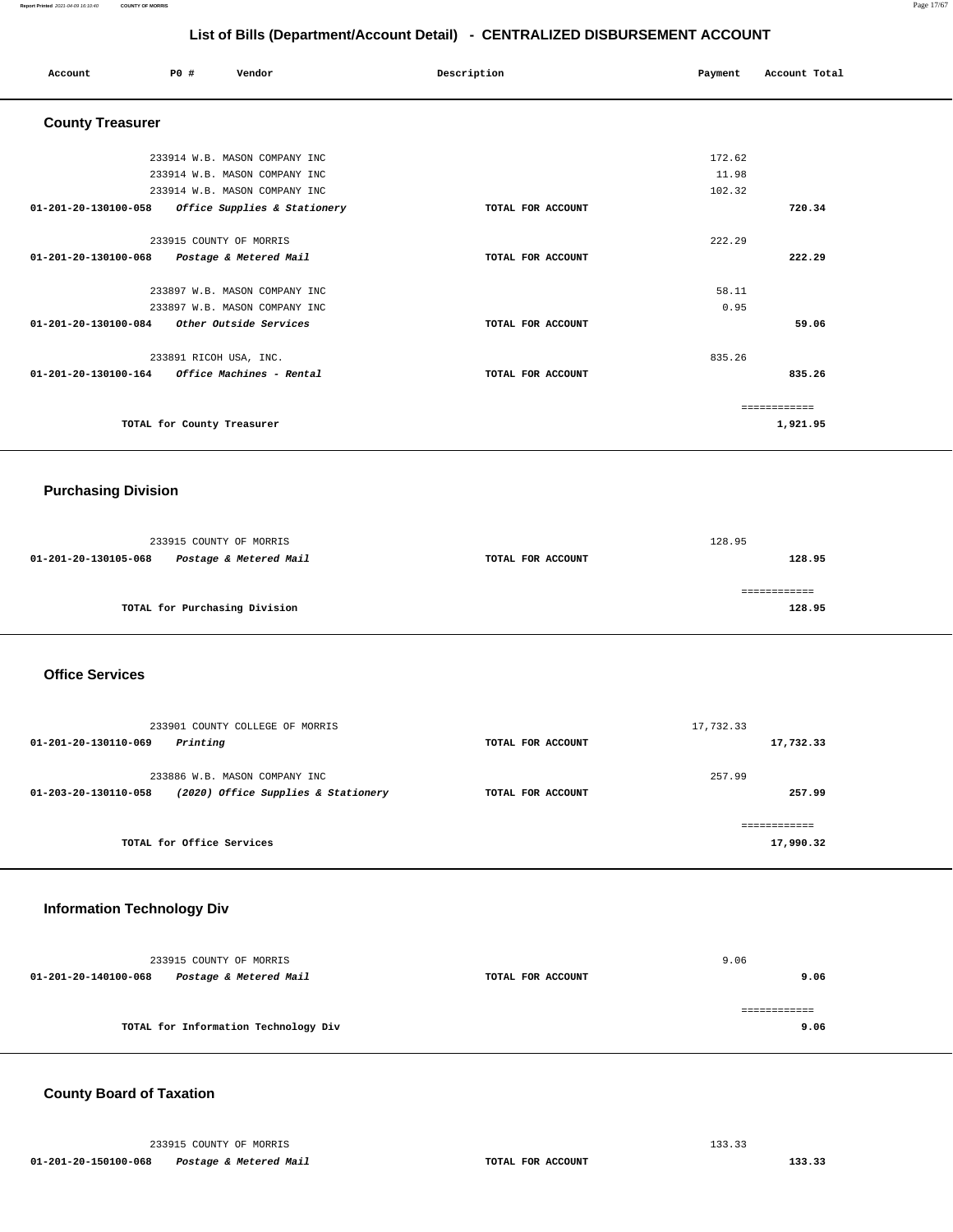| Account                                     | P0 # | Vendor                        | Description       | Payment | Account Total |
|---------------------------------------------|------|-------------------------------|-------------------|---------|---------------|
| <b>County Treasurer</b>                     |      |                               |                   |         |               |
|                                             |      | 233914 W.B. MASON COMPANY INC |                   | 172.62  |               |
|                                             |      | 233914 W.B. MASON COMPANY INC |                   | 11.98   |               |
|                                             |      | 233914 W.B. MASON COMPANY INC |                   | 102.32  |               |
| 01-201-20-130100-058                        |      | Office Supplies & Stationery  | TOTAL FOR ACCOUNT |         | 720.34        |
|                                             |      | 233915 COUNTY OF MORRIS       |                   | 222.29  |               |
| 01-201-20-130100-068 Postage & Metered Mail |      |                               | TOTAL FOR ACCOUNT |         | 222.29        |
|                                             |      | 233897 W.B. MASON COMPANY INC |                   | 58.11   |               |
|                                             |      | 233897 W.B. MASON COMPANY INC |                   | 0.95    |               |
| 01-201-20-130100-084 Other Outside Services |      |                               | TOTAL FOR ACCOUNT |         | 59.06         |
|                                             |      | 233891 RICOH USA, INC.        |                   | 835.26  |               |
|                                             |      |                               | TOTAL FOR ACCOUNT |         | 835.26        |
|                                             |      |                               |                   |         | ============  |
|                                             |      | TOTAL for County Treasurer    |                   |         | 1,921.95      |
|                                             |      |                               |                   |         |               |

### **Purchasing Division**

|                      | 233915 COUNTY OF MORRIS       |                   | 128.95 |
|----------------------|-------------------------------|-------------------|--------|
| 01-201-20-130105-068 | Postage & Metered Mail        | TOTAL FOR ACCOUNT | 128.95 |
|                      |                               |                   |        |
|                      |                               |                   |        |
|                      | TOTAL for Purchasing Division |                   | 128.95 |
|                      |                               |                   |        |

### **Office Services**

| 233901 COUNTY COLLEGE OF MORRIS<br>Printing<br>01-201-20-130110-069                                    | TOTAL FOR ACCOUNT | 17,732.33<br>17,732.33     |
|--------------------------------------------------------------------------------------------------------|-------------------|----------------------------|
| 233886 W.B. MASON COMPANY INC<br>(2020) Office Supplies & Stationery<br>$01 - 203 - 20 - 130110 - 058$ | TOTAL FOR ACCOUNT | 257.99<br>257.99           |
| TOTAL for Office Services                                                                              |                   | -------------<br>17,990.32 |

### **Information Technology Div**

|                      | 233915 COUNTY OF MORRIS              |                   | 9.06 |      |
|----------------------|--------------------------------------|-------------------|------|------|
| 01-201-20-140100-068 | Postage & Metered Mail               | TOTAL FOR ACCOUNT |      | 9.06 |
|                      | TOTAL for Information Technology Div |                   |      | 9.06 |

### **County Board of Taxation**

233915 COUNTY OF MORRIS 133.33  **01-201-20-150100-068 Postage & Metered Mail TOTAL FOR ACCOUNT 133.33**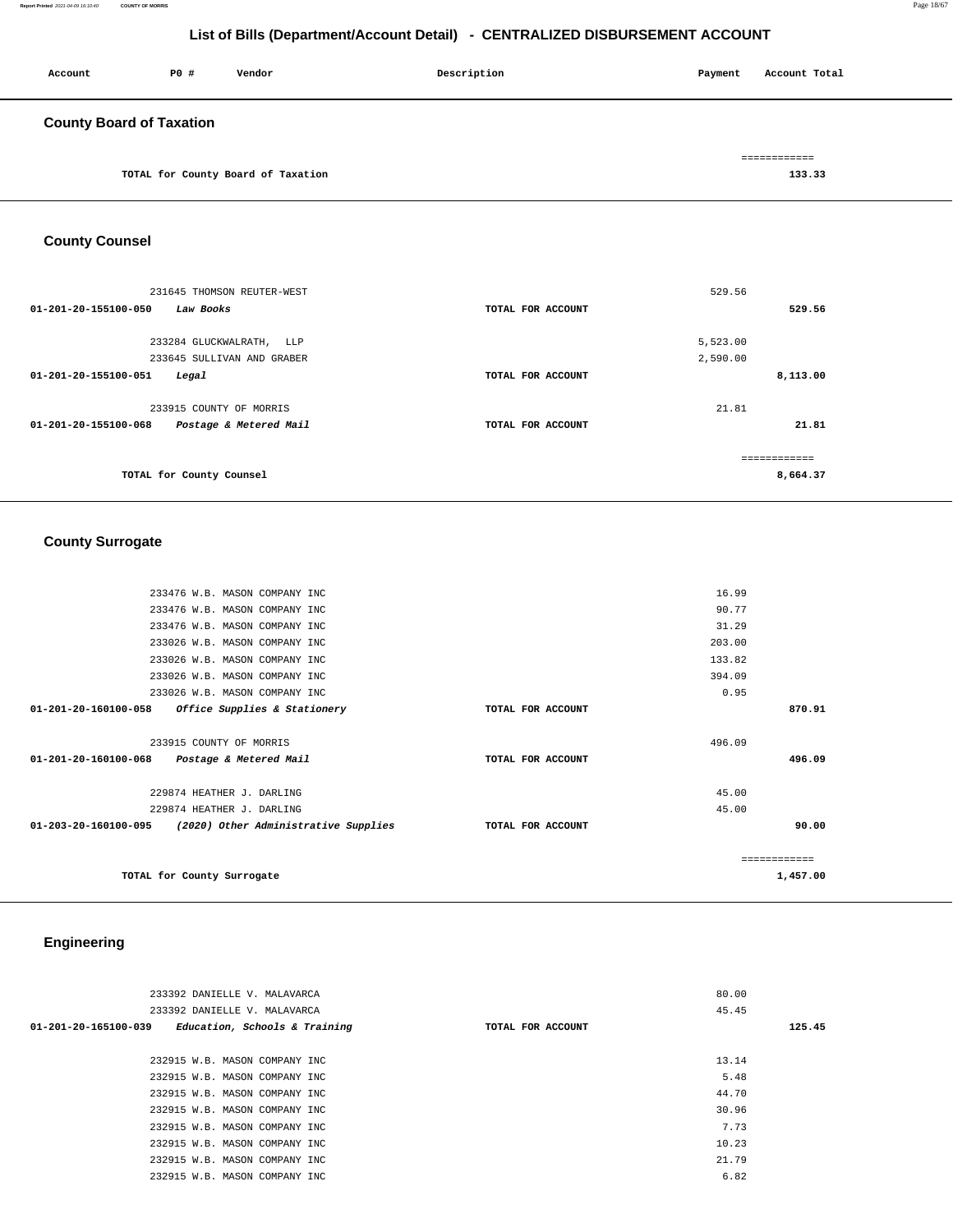**Report Printed** 2021-04-09 16:10:40 **COUNTY OF MORRIS** Page 18/67

### **List of Bills (Department/Account Detail) - CENTRALIZED DISBURSEMENT ACCOUNT**

| Account                         | <b>PO #</b> | Vendor | Description | Payment | Account Total |
|---------------------------------|-------------|--------|-------------|---------|---------------|
| <b>County Board of Taxation</b> |             |        |             |         | ============  |

**TOTAL for County Board of Taxation 133.33** 

**County Counsel** 

| 231645 THOMSON REUTER-WEST<br>01-201-20-155100-050<br>Law Books | TOTAL FOR ACCOUNT | 529.56<br>529.56         |
|-----------------------------------------------------------------|-------------------|--------------------------|
| 233284 GLUCKWALRATH,<br>LLP                                     |                   | 5,523.00                 |
| 233645 SULLIVAN AND GRABER                                      |                   | 2,590.00                 |
| 01-201-20-155100-051<br>Legal                                   | TOTAL FOR ACCOUNT | 8,113.00                 |
| 233915 COUNTY OF MORRIS                                         |                   | 21.81                    |
| 01-201-20-155100-068<br>Postage & Metered Mail                  | TOTAL FOR ACCOUNT | 21.81                    |
| TOTAL for County Counsel                                        |                   | ============<br>8,664.37 |

# **County Surrogate**

| 233476 W.B. MASON COMPANY INC                               |                   | 16.99    |
|-------------------------------------------------------------|-------------------|----------|
| 233476 W.B. MASON COMPANY INC                               |                   | 90.77    |
| 233476 W.B. MASON COMPANY INC                               |                   | 31.29    |
| 233026 W.B. MASON COMPANY INC                               |                   | 203.00   |
| 233026 W.B. MASON COMPANY INC                               |                   | 133.82   |
| 233026 W.B. MASON COMPANY INC                               |                   | 394.09   |
| 233026 W.B. MASON COMPANY INC                               |                   | 0.95     |
| 01-201-20-160100-058<br>Office Supplies & Stationery        | TOTAL FOR ACCOUNT | 870.91   |
|                                                             |                   |          |
| 233915 COUNTY OF MORRIS                                     |                   | 496.09   |
| 01-201-20-160100-068 Postage & Metered Mail                 | TOTAL FOR ACCOUNT | 496.09   |
|                                                             |                   |          |
| 229874 HEATHER J. DARLING                                   |                   | 45.00    |
| 229874 HEATHER J. DARLING                                   |                   | 45.00    |
| $01-203-20-160100-095$ (2020) Other Administrative Supplies | TOTAL FOR ACCOUNT | 90.00    |
|                                                             |                   |          |
|                                                             |                   |          |
| TOTAL for County Surrogate                                  |                   | 1,457.00 |
|                                                             |                   |          |

### **Engineering**

| 233392 DANIELLE V. MALAVARCA<br>233392 DANIELLE V. MALAVARCA    |                   | 80.00<br>45.45 |        |
|-----------------------------------------------------------------|-------------------|----------------|--------|
| Education, Schools & Training<br>$01 - 201 - 20 - 165100 - 039$ | TOTAL FOR ACCOUNT |                | 125.45 |
|                                                                 |                   |                |        |
| 232915 W.B. MASON COMPANY INC                                   |                   | 13.14          |        |
| 232915 W.B. MASON COMPANY INC                                   |                   | 5.48           |        |
| 232915 W.B. MASON COMPANY INC                                   |                   | 44.70          |        |
| 232915 W.B. MASON COMPANY INC                                   |                   | 30.96          |        |
| 232915 W.B. MASON COMPANY INC                                   |                   | 7.73           |        |
| 232915 W.B. MASON COMPANY INC                                   |                   | 10.23          |        |
| 232915 W.B. MASON COMPANY INC                                   |                   | 21.79          |        |
| 232915 W.B. MASON COMPANY INC                                   |                   | 6.82           |        |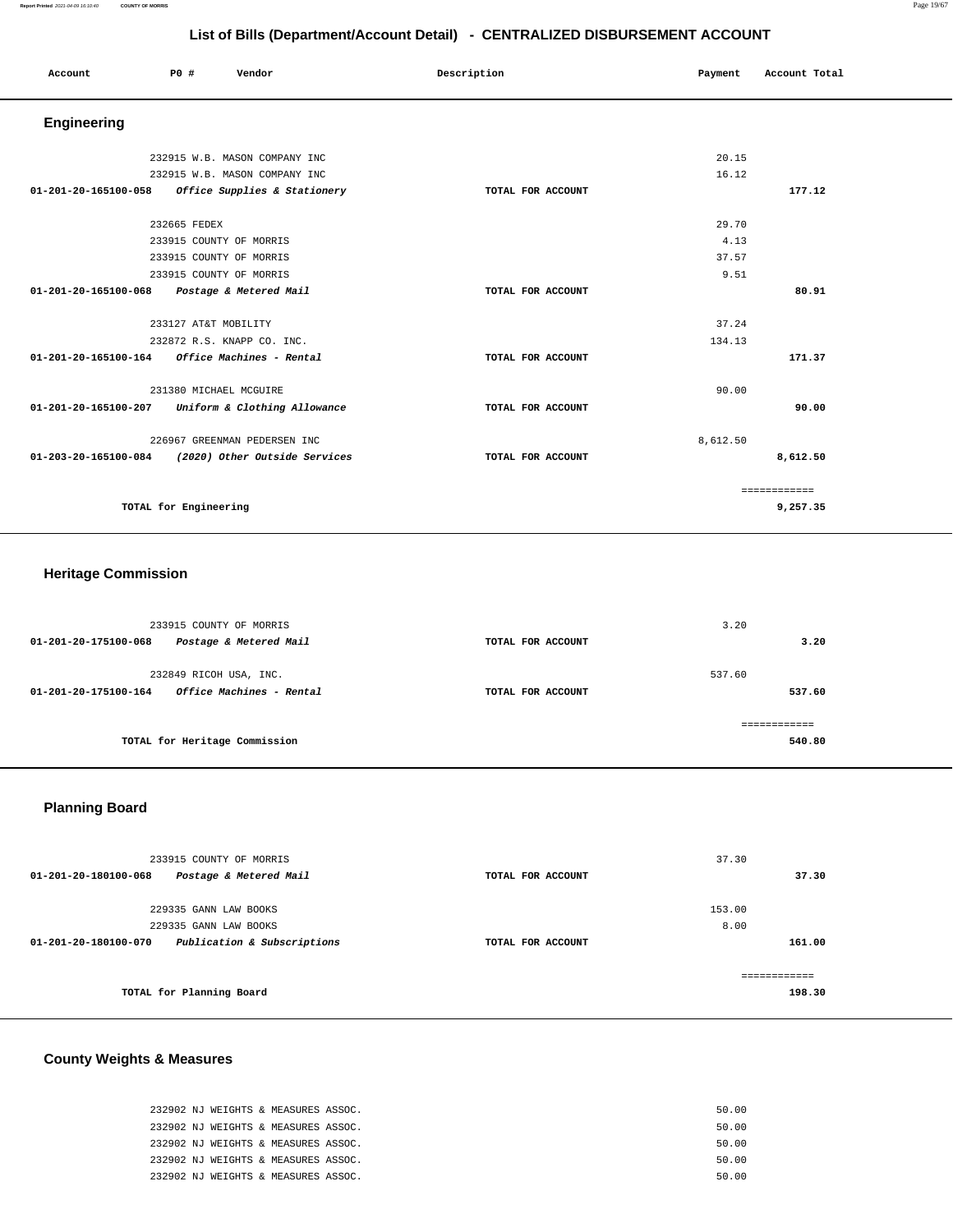### **Report Printed** 2021-04-09 16:10:40 **COUNTY OF MORRIS** Page 19/67

### **List of Bills (Department/Account Detail) - CENTRALIZED DISBURSEMENT ACCOUNT**

|                                                         |                         |                               |             | List of Dills (Department/Account Detail) CLITTIALILLD DIODOROLINERT ACCOUNT |          |               |  |
|---------------------------------------------------------|-------------------------|-------------------------------|-------------|------------------------------------------------------------------------------|----------|---------------|--|
| Account                                                 | P0 #                    | Vendor                        | Description |                                                                              | Payment  | Account Total |  |
| Engineering                                             |                         |                               |             |                                                                              |          |               |  |
|                                                         |                         | 232915 W.B. MASON COMPANY INC |             |                                                                              | 20.15    |               |  |
|                                                         |                         | 232915 W.B. MASON COMPANY INC |             |                                                                              | 16.12    |               |  |
| 01-201-20-165100-058                                    |                         | Office Supplies & Stationery  |             | TOTAL FOR ACCOUNT                                                            |          | 177.12        |  |
|                                                         | 232665 FEDEX            |                               |             |                                                                              | 29.70    |               |  |
|                                                         | 233915 COUNTY OF MORRIS |                               |             |                                                                              | 4.13     |               |  |
|                                                         | 233915 COUNTY OF MORRIS |                               |             |                                                                              | 37.57    |               |  |
|                                                         | 233915 COUNTY OF MORRIS |                               |             |                                                                              | 9.51     |               |  |
| 01-201-20-165100-068 Postage & Metered Mail             |                         |                               |             | TOTAL FOR ACCOUNT                                                            |          | 80.91         |  |
|                                                         | 233127 AT&T MOBILITY    |                               |             |                                                                              | 37.24    |               |  |
|                                                         |                         | 232872 R.S. KNAPP CO. INC.    |             |                                                                              | 134.13   |               |  |
| $01 - 201 - 20 - 165100 - 164$ Office Machines - Rental |                         |                               |             | TOTAL FOR ACCOUNT                                                            |          | 171.37        |  |
|                                                         | 231380 MICHAEL MCGUIRE  |                               |             |                                                                              | 90.00    |               |  |
| 01-201-20-165100-207                                    |                         | Uniform & Clothing Allowance  |             | TOTAL FOR ACCOUNT                                                            |          | 90.00         |  |
|                                                         |                         | 226967 GREENMAN PEDERSEN INC  |             |                                                                              | 8,612.50 |               |  |
| 01-203-20-165100-084                                    |                         | (2020) Other Outside Services |             | TOTAL FOR ACCOUNT                                                            |          | 8,612.50      |  |
|                                                         |                         |                               |             |                                                                              |          | ============  |  |
|                                                         | TOTAL for Engineering   |                               |             |                                                                              |          | 9,257.35      |  |

### **Heritage Commission**

| 01-201-20-175100-068 | 233915 COUNTY OF MORRIS<br>Postage & Metered Mail  | TOTAL FOR ACCOUNT | 3.20   | 3.20   |
|----------------------|----------------------------------------------------|-------------------|--------|--------|
| 01-201-20-175100-164 | 232849 RICOH USA, INC.<br>Office Machines - Rental | TOTAL FOR ACCOUNT | 537.60 | 537.60 |
|                      | TOTAL for Heritage Commission                      |                   |        | 540.80 |

# **Planning Board**

| 233915 COUNTY OF MORRIS                                       |                   | 37.30  |
|---------------------------------------------------------------|-------------------|--------|
| 01-201-20-180100-068<br>Postage & Metered Mail                | TOTAL FOR ACCOUNT | 37.30  |
|                                                               |                   |        |
| 229335 GANN LAW BOOKS                                         |                   | 153.00 |
| 229335 GANN LAW BOOKS                                         |                   | 8.00   |
| Publication & Subscriptions<br>$01 - 201 - 20 - 180100 - 070$ | TOTAL FOR ACCOUNT | 161.00 |
|                                                               |                   |        |
| TOTAL for Planning Board                                      |                   | 198.30 |

# **County Weights & Measures**

| 232902 NJ WEIGHTS & MEASURES ASSOC. | 50.00 |
|-------------------------------------|-------|
| 232902 NJ WEIGHTS & MEASURES ASSOC. | 50.00 |
| 232902 NJ WEIGHTS & MEASURES ASSOC. | 50.00 |
| 232902 NJ WEIGHTS & MEASURES ASSOC. | 50.00 |
| 232902 NJ WEIGHTS & MEASURES ASSOC. | 50.00 |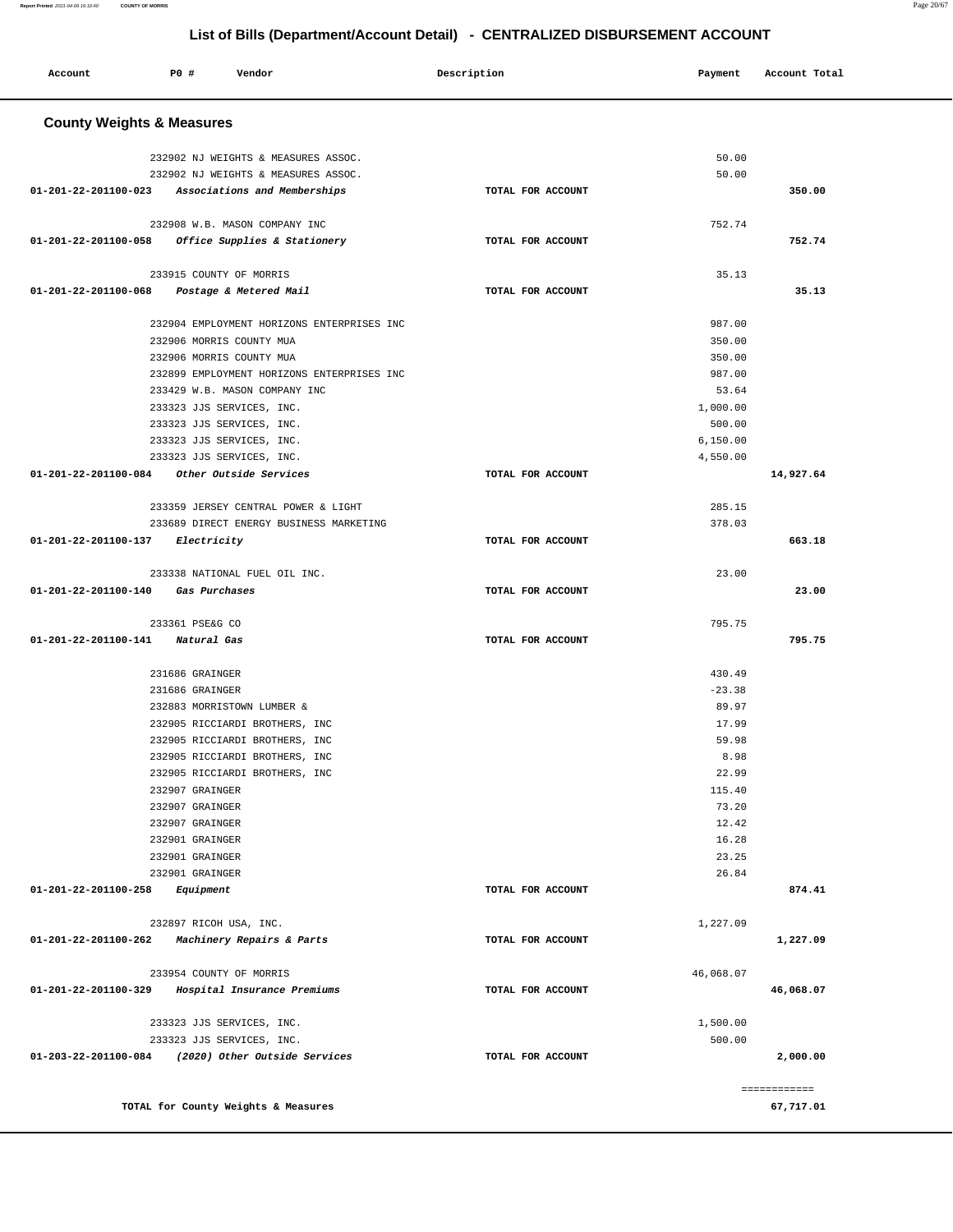| Account                                           | P0 #                         | Vendor                                     | Description       | Payment   | Account Total             |
|---------------------------------------------------|------------------------------|--------------------------------------------|-------------------|-----------|---------------------------|
| <b>County Weights &amp; Measures</b>              |                              |                                            |                   |           |                           |
|                                                   |                              |                                            |                   |           |                           |
|                                                   |                              | 232902 NJ WEIGHTS & MEASURES ASSOC.        |                   | 50.00     |                           |
| 01-201-22-201100-023 Associations and Memberships |                              | 232902 NJ WEIGHTS & MEASURES ASSOC.        | TOTAL FOR ACCOUNT | 50.00     | 350.00                    |
|                                                   |                              |                                            |                   |           |                           |
|                                                   |                              | 232908 W.B. MASON COMPANY INC              |                   | 752.74    |                           |
| 01-201-22-201100-058 Office Supplies & Stationery |                              |                                            | TOTAL FOR ACCOUNT |           | 752.74                    |
|                                                   |                              |                                            |                   |           |                           |
|                                                   |                              | 233915 COUNTY OF MORRIS                    |                   | 35.13     |                           |
| 01-201-22-201100-068                              |                              | Postage & Metered Mail                     | TOTAL FOR ACCOUNT |           | 35.13                     |
|                                                   |                              | 232904 EMPLOYMENT HORIZONS ENTERPRISES INC |                   | 987.00    |                           |
|                                                   |                              | 232906 MORRIS COUNTY MUA                   |                   | 350.00    |                           |
|                                                   |                              | 232906 MORRIS COUNTY MUA                   |                   | 350.00    |                           |
|                                                   |                              | 232899 EMPLOYMENT HORIZONS ENTERPRISES INC |                   | 987.00    |                           |
|                                                   |                              | 233429 W.B. MASON COMPANY INC              |                   | 53.64     |                           |
|                                                   |                              | 233323 JJS SERVICES, INC.                  |                   | 1,000.00  |                           |
|                                                   |                              | 233323 JJS SERVICES, INC.                  |                   | 500.00    |                           |
|                                                   |                              | 233323 JJS SERVICES, INC.                  |                   | 6,150.00  |                           |
|                                                   |                              | 233323 JJS SERVICES, INC.                  |                   | 4,550.00  |                           |
| $01 - 201 - 22 - 201100 - 084$                    |                              | Other Outside Services                     | TOTAL FOR ACCOUNT |           | 14,927.64                 |
|                                                   |                              |                                            |                   |           |                           |
|                                                   |                              | 233359 JERSEY CENTRAL POWER & LIGHT        |                   | 285.15    |                           |
|                                                   |                              | 233689 DIRECT ENERGY BUSINESS MARKETING    |                   | 378.03    |                           |
| 01-201-22-201100-137                              | Electricity                  |                                            | TOTAL FOR ACCOUNT |           | 663.18                    |
|                                                   |                              |                                            |                   |           |                           |
| 01-201-22-201100-140                              |                              | 233338 NATIONAL FUEL OIL INC.              |                   | 23.00     | 23.00                     |
|                                                   |                              | Gas Purchases                              | TOTAL FOR ACCOUNT |           |                           |
|                                                   | 233361 PSE&G CO              |                                            |                   | 795.75    |                           |
| 01-201-22-201100-141                              | Natural Gas                  |                                            | TOTAL FOR ACCOUNT |           | 795.75                    |
|                                                   |                              |                                            |                   |           |                           |
|                                                   | 231686 GRAINGER              |                                            |                   | 430.49    |                           |
|                                                   | 231686 GRAINGER              |                                            |                   | $-23.38$  |                           |
|                                                   |                              | 232883 MORRISTOWN LUMBER &                 |                   | 89.97     |                           |
|                                                   |                              | 232905 RICCIARDI BROTHERS, INC             |                   | 17.99     |                           |
|                                                   |                              | 232905 RICCIARDI BROTHERS, INC             |                   | 59.98     |                           |
|                                                   |                              | 232905 RICCIARDI BROTHERS, INC             |                   | 8.98      |                           |
|                                                   |                              | 232905 RICCIARDI BROTHERS, INC             |                   | 22.99     |                           |
|                                                   | 232907 GRAINGER              |                                            |                   | 115.40    |                           |
|                                                   | 232907 GRAINGER              |                                            |                   | 73.20     |                           |
|                                                   | 232907 GRAINGER              |                                            |                   | 12.42     |                           |
|                                                   | 232901 GRAINGER              |                                            |                   | 16.28     |                           |
|                                                   | 232901 GRAINGER              |                                            |                   | 23.25     |                           |
| 01-201-22-201100-258                              | 232901 GRAINGER<br>Equipment |                                            | TOTAL FOR ACCOUNT | 26.84     | 874.41                    |
|                                                   |                              |                                            |                   |           |                           |
|                                                   |                              | 232897 RICOH USA, INC.                     |                   | 1,227.09  |                           |
| 01-201-22-201100-262                              |                              | Machinery Repairs & Parts                  | TOTAL FOR ACCOUNT |           | 1,227.09                  |
|                                                   |                              |                                            |                   |           |                           |
|                                                   |                              | 233954 COUNTY OF MORRIS                    |                   | 46,068.07 |                           |
| 01-201-22-201100-329                              |                              | Hospital Insurance Premiums                | TOTAL FOR ACCOUNT |           | 46,068.07                 |
|                                                   |                              | 233323 JJS SERVICES, INC.                  |                   | 1,500.00  |                           |
|                                                   |                              | 233323 JJS SERVICES, INC.                  |                   | 500.00    |                           |
| 01-203-22-201100-084                              |                              | (2020) Other Outside Services              | TOTAL FOR ACCOUNT |           | 2,000.00                  |
|                                                   |                              |                                            |                   |           |                           |
|                                                   |                              | TOTAL for County Weights & Measures        |                   |           | ============<br>67,717.01 |
|                                                   |                              |                                            |                   |           |                           |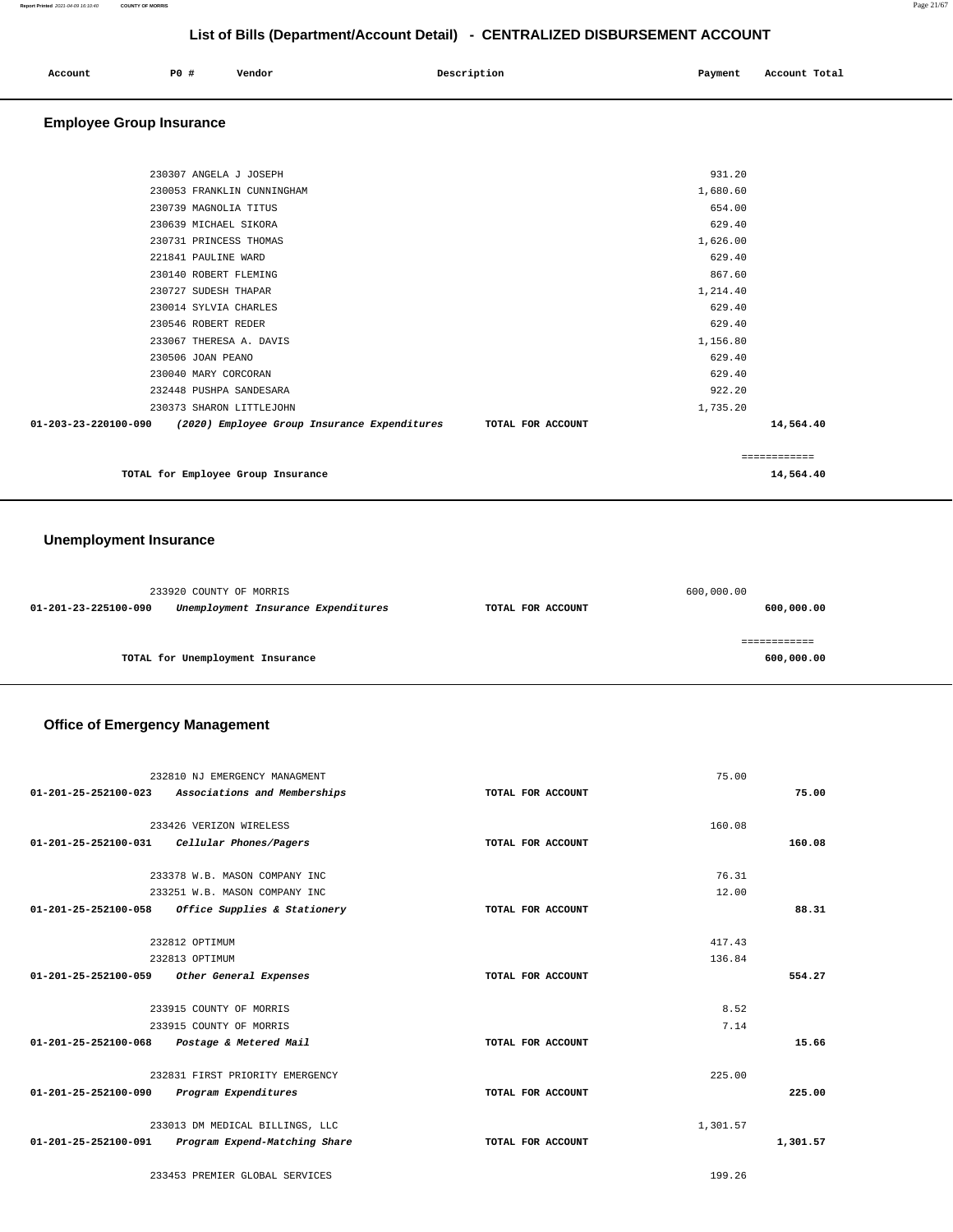| Account | P0 # | Vendor | Description | Payment | Account Total |
|---------|------|--------|-------------|---------|---------------|
|         |      |        |             |         |               |

### **Employee Group Insurance**

| 230307 ANGELA J JOSEPH                                                                 | 931.20       |           |
|----------------------------------------------------------------------------------------|--------------|-----------|
| 230053 FRANKLIN CUNNINGHAM                                                             | 1,680.60     |           |
| 230739 MAGNOLIA TITUS                                                                  | 654.00       |           |
| 230639 MICHAEL SIKORA                                                                  | 629.40       |           |
| 230731 PRINCESS THOMAS                                                                 | 1,626.00     |           |
| 221841 PAULINE WARD                                                                    | 629.40       |           |
| 230140 ROBERT FLEMING                                                                  | 867.60       |           |
| 230727 SUDESH THAPAR                                                                   | 1,214.40     |           |
| 230014 SYLVIA CHARLES                                                                  | 629.40       |           |
| 230546 ROBERT REDER                                                                    | 629.40       |           |
| 233067 THERESA A. DAVIS                                                                | 1,156.80     |           |
| 230506 JOAN PEANO                                                                      | 629.40       |           |
| 230040 MARY CORCORAN                                                                   | 629.40       |           |
| 232448 PUSHPA SANDESARA                                                                | 922.20       |           |
| 230373 SHARON LITTLEJOHN                                                               | 1,735.20     |           |
| 01-203-23-220100-090<br>(2020) Employee Group Insurance Expenditures TOTAL FOR ACCOUNT |              | 14,564.40 |
|                                                                                        | ============ |           |

**TOTAL for Employee Group Insurance 14,564.40**

### **Unemployment Insurance**

|                      | 233920 COUNTY OF MORRIS             |                   | 600,000.00 |
|----------------------|-------------------------------------|-------------------|------------|
| 01-201-23-225100-090 | Unemployment Insurance Expenditures | TOTAL FOR ACCOUNT | 600,000.00 |
|                      |                                     |                   |            |
|                      | TOTAL for Unemployment Insurance    |                   | 600,000.00 |

### **Office of Emergency Management**

|                      | 232810 NJ EMERGENCY MANAGMENT                     |                   | 75.00    |          |
|----------------------|---------------------------------------------------|-------------------|----------|----------|
|                      | 01-201-25-252100-023 Associations and Memberships | TOTAL FOR ACCOUNT |          | 75.00    |
|                      | 233426 VERIZON WIRELESS                           |                   | 160.08   |          |
| 01-201-25-252100-031 | Cellular Phones/Pagers                            | TOTAL FOR ACCOUNT |          | 160.08   |
|                      |                                                   |                   |          |          |
|                      | 233378 W.B. MASON COMPANY INC                     |                   | 76.31    |          |
|                      | 233251 W.B. MASON COMPANY INC                     |                   | 12.00    |          |
| 01-201-25-252100-058 | Office Supplies & Stationery                      | TOTAL FOR ACCOUNT |          | 88.31    |
|                      |                                                   |                   |          |          |
|                      | 232812 OPTIMUM                                    |                   | 417.43   |          |
|                      | 232813 OPTIMUM                                    |                   | 136.84   |          |
|                      | 01-201-25-252100-059 Other General Expenses       | TOTAL FOR ACCOUNT |          | 554.27   |
|                      |                                                   |                   |          |          |
|                      | 233915 COUNTY OF MORRIS                           |                   | 8.52     |          |
|                      | 233915 COUNTY OF MORRIS                           |                   | 7.14     |          |
| 01-201-25-252100-068 | Postage & Metered Mail                            | TOTAL FOR ACCOUNT |          | 15.66    |
|                      | 232831 FIRST PRIORITY EMERGENCY                   |                   | 225.00   |          |
| 01-201-25-252100-090 | Program Expenditures                              | TOTAL FOR ACCOUNT |          | 225.00   |
|                      |                                                   |                   |          |          |
|                      |                                                   |                   |          |          |
|                      | 233013 DM MEDICAL BILLINGS, LLC                   |                   | 1,301.57 |          |
| 01-201-25-252100-091 | Program Expend-Matching Share                     | TOTAL FOR ACCOUNT |          | 1,301.57 |

233453 PREMIER GLOBAL SERVICES 199.26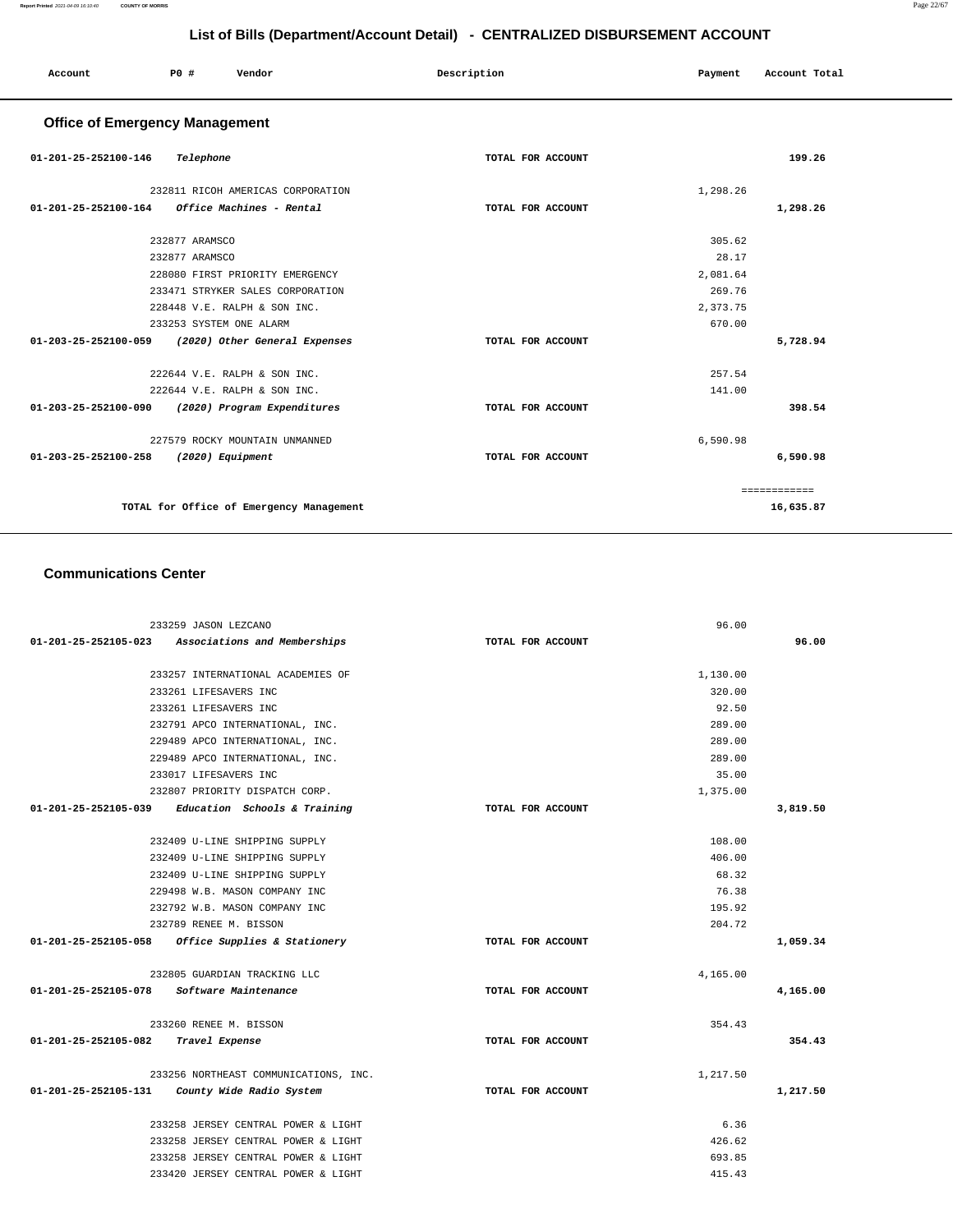**16,635.87**

| List of Bills (Department/Account Detail) - CENTRALIZED DISBURSEMENT ACCOUNT |                         |                                   |                   |          |               |
|------------------------------------------------------------------------------|-------------------------|-----------------------------------|-------------------|----------|---------------|
| Account                                                                      | <b>PO #</b>             | Vendor                            | Description       | Payment  | Account Total |
| <b>Office of Emergency Management</b>                                        |                         |                                   |                   |          |               |
| 01-201-25-252100-146                                                         | Telephone               |                                   | TOTAL FOR ACCOUNT |          | 199.26        |
|                                                                              |                         | 232811 RICOH AMERICAS CORPORATION |                   | 1,298.26 |               |
| 01-201-25-252100-164                                                         |                         | Office Machines - Rental          | TOTAL FOR ACCOUNT |          | 1,298.26      |
|                                                                              | 232877 ARAMSCO          |                                   |                   | 305.62   |               |
|                                                                              | 232877 ARAMSCO          |                                   |                   | 28.17    |               |
|                                                                              |                         | 228080 FIRST PRIORITY EMERGENCY   |                   | 2,081.64 |               |
|                                                                              |                         | 233471 STRYKER SALES CORPORATION  |                   | 269.76   |               |
|                                                                              |                         | 228448 V.E. RALPH & SON INC.      |                   | 2,373.75 |               |
|                                                                              | 233253 SYSTEM ONE ALARM |                                   |                   | 670.00   |               |
| 01-203-25-252100-059                                                         |                         | (2020) Other General Expenses     | TOTAL FOR ACCOUNT |          | 5,728.94      |
|                                                                              |                         | 222644 V.E. RALPH & SON INC.      |                   | 257.54   |               |
|                                                                              |                         | 222644 V.E. RALPH & SON INC.      |                   | 141.00   |               |
| 01-203-25-252100-090                                                         |                         | (2020) Program Expenditures       | TOTAL FOR ACCOUNT |          | 398.54        |
|                                                                              |                         | 227579 ROCKY MOUNTAIN UNMANNED    |                   | 6,590.98 |               |
| 01-203-25-252100-258                                                         | $(2020)$ Equipment      |                                   | TOTAL FOR ACCOUNT |          | 6,590.98      |
|                                                                              |                         |                                   |                   |          | ============  |

**TOTAL for Office of Emergency Management** 

### **Communications Center**

| 233259 JASON LEZCANO                                |                   | 96.00    |          |
|-----------------------------------------------------|-------------------|----------|----------|
| 01-201-25-252105-023 Associations and Memberships   | TOTAL FOR ACCOUNT |          | 96.00    |
|                                                     |                   |          |          |
| 233257 INTERNATIONAL ACADEMIES OF                   |                   | 1,130.00 |          |
| 233261 LIFESAVERS INC                               |                   | 320.00   |          |
| 233261 LIFESAVERS INC                               |                   | 92.50    |          |
| 232791 APCO INTERNATIONAL, INC.                     |                   | 289.00   |          |
| 229489 APCO INTERNATIONAL, INC.                     |                   | 289.00   |          |
| 229489 APCO INTERNATIONAL, INC.                     |                   | 289.00   |          |
| 233017 LIFESAVERS INC                               |                   | 35.00    |          |
| 232807 PRIORITY DISPATCH CORP.                      |                   | 1,375.00 |          |
| 01-201-25-252105-039 Education Schools & Training   | TOTAL FOR ACCOUNT |          | 3,819.50 |
|                                                     |                   |          |          |
| 232409 U-LINE SHIPPING SUPPLY                       |                   | 108.00   |          |
| 232409 U-LINE SHIPPING SUPPLY                       |                   | 406.00   |          |
| 232409 U-LINE SHIPPING SUPPLY                       |                   | 68.32    |          |
| 229498 W.B. MASON COMPANY INC                       |                   | 76.38    |          |
| 232792 W.B. MASON COMPANY INC                       |                   | 195.92   |          |
| 232789 RENEE M. BISSON                              |                   | 204.72   |          |
| $01-201-25-252105-058$ Office Supplies & Stationery | TOTAL FOR ACCOUNT |          | 1,059.34 |
| 232805 GUARDIAN TRACKING LLC                        |                   | 4,165.00 |          |
| 01-201-25-252105-078 Software Maintenance           | TOTAL FOR ACCOUNT |          | 4,165.00 |
| 233260 RENEE M. BISSON                              |                   | 354.43   |          |
| 01-201-25-252105-082<br>Travel Expense              | TOTAL FOR ACCOUNT |          | 354.43   |
| 233256 NORTHEAST COMMUNICATIONS, INC.               |                   | 1,217.50 |          |
| $01-201-25-252105-131$ County Wide Radio System     | TOTAL FOR ACCOUNT |          | 1,217.50 |
|                                                     |                   |          |          |
| 233258 JERSEY CENTRAL POWER & LIGHT                 |                   | 6.36     |          |
| 233258 JERSEY CENTRAL POWER & LIGHT                 |                   | 426.62   |          |
| 233258 JERSEY CENTRAL POWER & LIGHT                 |                   | 693.85   |          |
| 233420 JERSEY CENTRAL POWER & LIGHT                 |                   | 415.43   |          |
|                                                     |                   |          |          |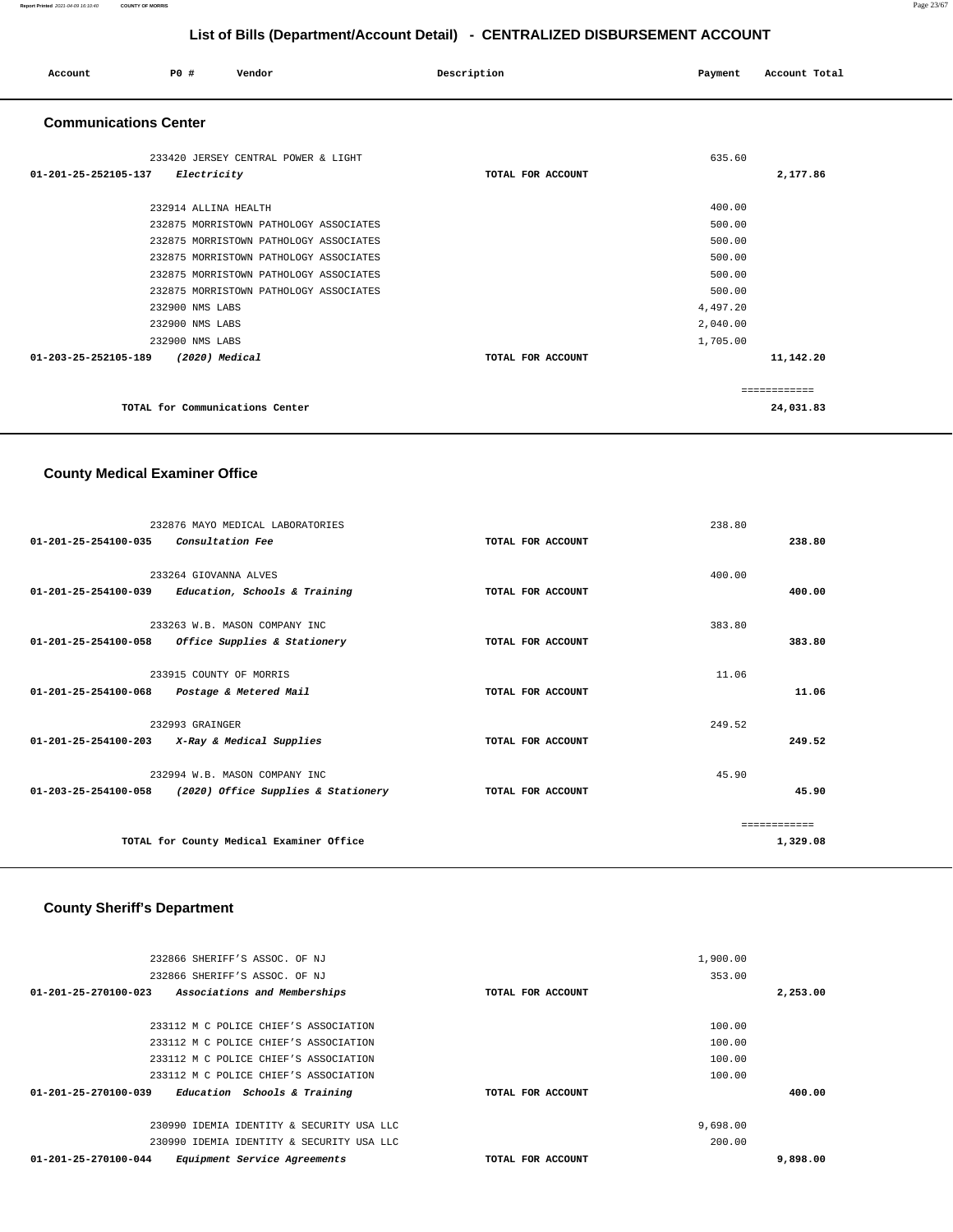### **Report Printed** 2021-04-09 16:10:40 **COUNTY OF MORRIS** Page 23/67

### **List of Bills (Department/Account Detail) - CENTRALIZED DISBURSEMENT ACCOUNT**

| Account                      | PO# | Vendor | Description | Payment | Account Total |
|------------------------------|-----|--------|-------------|---------|---------------|
| <b>Communications Center</b> |     |        |             |         |               |

| 233420 JERSEY CENTRAL POWER & LIGHT    |                   | 635.60       |
|----------------------------------------|-------------------|--------------|
| Electricity<br>01-201-25-252105-137    | TOTAL FOR ACCOUNT | 2,177.86     |
|                                        |                   |              |
| 232914 ALLINA HEALTH                   |                   | 400.00       |
| 232875 MORRISTOWN PATHOLOGY ASSOCIATES |                   | 500.00       |
| 232875 MORRISTOWN PATHOLOGY ASSOCIATES |                   | 500.00       |
| 232875 MORRISTOWN PATHOLOGY ASSOCIATES |                   | 500.00       |
| 232875 MORRISTOWN PATHOLOGY ASSOCIATES |                   | 500.00       |
| 232875 MORRISTOWN PATHOLOGY ASSOCIATES |                   | 500.00       |
| 232900 NMS LABS                        |                   | 4,497.20     |
| 232900 NMS LABS                        |                   | 2,040.00     |
| 232900 NMS LABS                        |                   | 1,705.00     |
| 01-203-25-252105-189<br>(2020) Medical | TOTAL FOR ACCOUNT | 11,142.20    |
|                                        |                   |              |
|                                        |                   | ------------ |
| TOTAL for Communications Center        |                   | 24,031.83    |
|                                        |                   |              |

# **County Medical Examiner Office**

|                                | 232876 MAYO MEDICAL LABORATORIES                |                   | 238.80 |               |
|--------------------------------|-------------------------------------------------|-------------------|--------|---------------|
| 01-201-25-254100-035           | <i>Consultation Fee</i>                         | TOTAL FOR ACCOUNT |        | 238.80        |
|                                |                                                 |                   |        |               |
|                                | 233264 GIOVANNA ALVES                           |                   | 400.00 |               |
| $01 - 201 - 25 - 254100 - 039$ | Education, Schools & Training                   | TOTAL FOR ACCOUNT |        | 400.00        |
|                                | 233263 W.B. MASON COMPANY INC                   |                   | 383.80 |               |
| 01-201-25-254100-058           | Office Supplies & Stationery                    | TOTAL FOR ACCOUNT |        | 383.80        |
|                                |                                                 |                   |        |               |
|                                | 233915 COUNTY OF MORRIS                         |                   | 11.06  |               |
| 01-201-25-254100-068           | Postage & Metered Mail                          | TOTAL FOR ACCOUNT |        | 11.06         |
|                                | 232993 GRAINGER                                 |                   | 249.52 |               |
|                                | $01-201-25-254100-203$ X-Ray & Medical Supplies | TOTAL FOR ACCOUNT |        | 249.52        |
|                                |                                                 |                   |        |               |
|                                | 232994 W.B. MASON COMPANY INC                   |                   | 45.90  |               |
| $01 - 203 - 25 - 254100 - 058$ | (2020) Office Supplies & Stationery             | TOTAL FOR ACCOUNT |        | 45.90         |
|                                |                                                 |                   |        | ------------- |
|                                | TOTAL for County Medical Examiner Office        |                   |        | 1,329.08      |
|                                |                                                 |                   |        |               |

### **County Sheriff's Department**

| 232866 SHERIFF'S ASSOC. OF NJ                                  |                   | 1,900.00 |          |
|----------------------------------------------------------------|-------------------|----------|----------|
| 232866 SHERIFF'S ASSOC. OF NJ                                  |                   | 353.00   |          |
| $01 - 201 - 25 - 270100 - 023$<br>Associations and Memberships | TOTAL FOR ACCOUNT |          | 2,253.00 |
|                                                                |                   |          |          |
| 233112 M C POLICE CHIEF'S ASSOCIATION                          |                   | 100.00   |          |
| 233112 M C POLICE CHIEF'S ASSOCIATION                          |                   | 100.00   |          |
| 233112 M C POLICE CHIEF'S ASSOCIATION                          |                   | 100.00   |          |
| 233112 M C POLICE CHIEF'S ASSOCIATION                          |                   | 100.00   |          |
| 01-201-25-270100-039<br>Education Schools & Training           | TOTAL FOR ACCOUNT |          | 400.00   |
|                                                                |                   |          |          |
| 230990 IDEMIA IDENTITY & SECURITY USA LLC                      |                   | 9,698.00 |          |
| 230990 IDEMIA IDENTITY & SECURITY USA LLC                      |                   | 200.00   |          |
| 01-201-25-270100-044<br>Equipment Service Agreements           | TOTAL FOR ACCOUNT |          | 9,898.00 |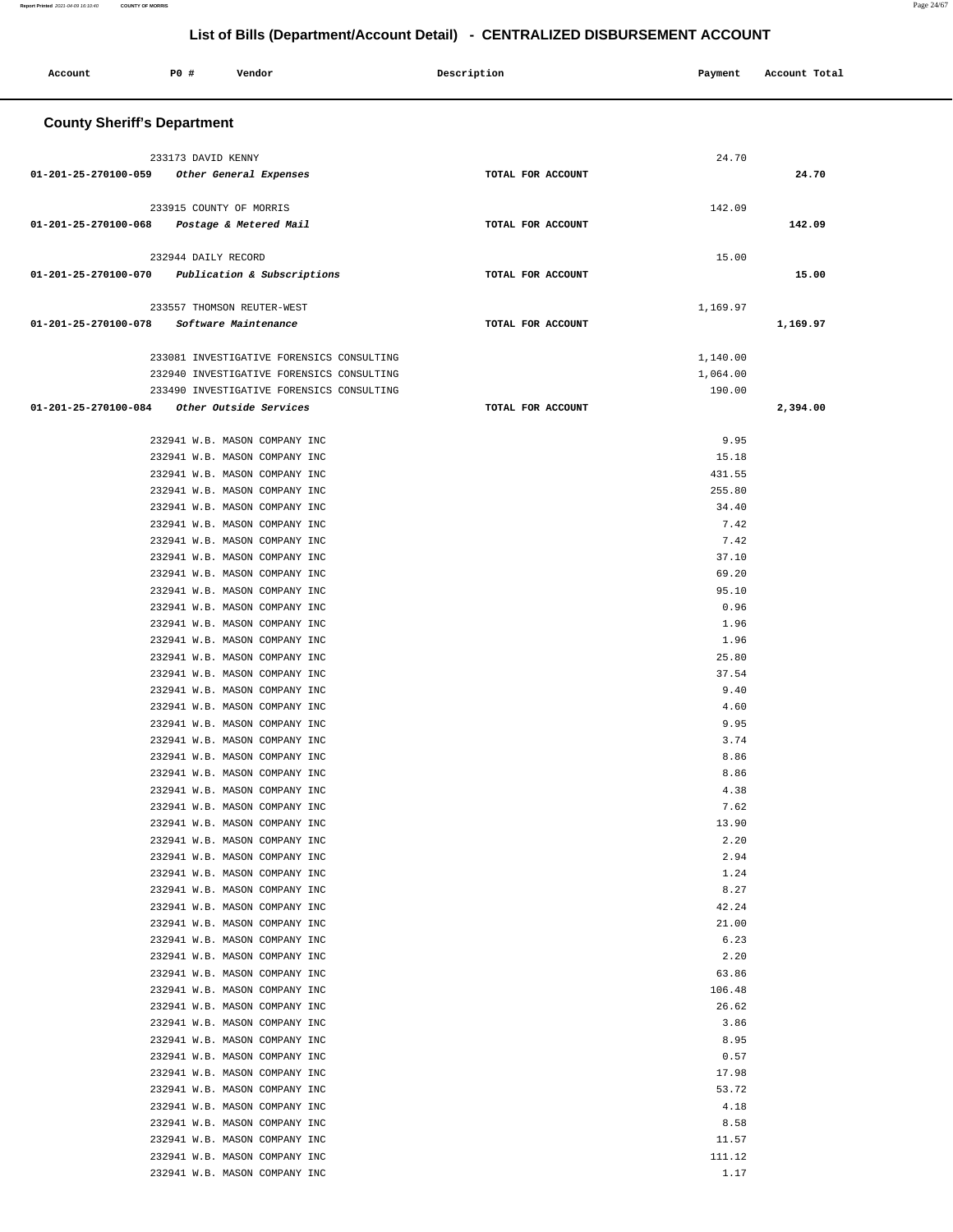| Account                                     | P0 #                               | Vendor                                                         |                                           | Description       | Payment  | Account Total  |  |
|---------------------------------------------|------------------------------------|----------------------------------------------------------------|-------------------------------------------|-------------------|----------|----------------|--|
|                                             | <b>County Sheriff's Department</b> |                                                                |                                           |                   |          |                |  |
|                                             |                                    |                                                                |                                           |                   |          |                |  |
|                                             | 233173 DAVID KENNY                 |                                                                |                                           |                   |          | 24.70          |  |
| 01-201-25-270100-059 Other General Expenses |                                    |                                                                |                                           | TOTAL FOR ACCOUNT |          | 24.70          |  |
|                                             | 233915 COUNTY OF MORRIS            |                                                                |                                           |                   |          | 142.09         |  |
| 01-201-25-270100-068                        |                                    | Postage & Metered Mail                                         |                                           | TOTAL FOR ACCOUNT |          | 142.09         |  |
|                                             |                                    |                                                                |                                           |                   |          |                |  |
|                                             | 232944 DAILY RECORD                |                                                                |                                           |                   |          | 15.00          |  |
| 01-201-25-270100-070                        |                                    | Publication & Subscriptions                                    |                                           | TOTAL FOR ACCOUNT |          | 15.00          |  |
|                                             |                                    |                                                                |                                           |                   |          |                |  |
|                                             |                                    | 233557 THOMSON REUTER-WEST                                     |                                           |                   | 1,169.97 |                |  |
| 01-201-25-270100-078                        |                                    | Software Maintenance                                           |                                           | TOTAL FOR ACCOUNT |          | 1,169.97       |  |
|                                             |                                    |                                                                |                                           |                   |          |                |  |
|                                             |                                    |                                                                | 233081 INVESTIGATIVE FORENSICS CONSULTING |                   | 1,140.00 |                |  |
|                                             |                                    |                                                                | 232940 INVESTIGATIVE FORENSICS CONSULTING |                   | 1,064.00 |                |  |
|                                             |                                    |                                                                | 233490 INVESTIGATIVE FORENSICS CONSULTING |                   |          | 190.00         |  |
| $01 - 201 - 25 - 270100 - 084$              |                                    | Other Outside Services                                         |                                           | TOTAL FOR ACCOUNT |          | 2,394.00       |  |
|                                             |                                    |                                                                |                                           |                   |          |                |  |
|                                             |                                    | 232941 W.B. MASON COMPANY INC                                  |                                           |                   |          | 9.95           |  |
|                                             |                                    | 232941 W.B. MASON COMPANY INC                                  |                                           |                   |          | 15.18          |  |
|                                             |                                    | 232941 W.B. MASON COMPANY INC                                  |                                           |                   |          | 431.55         |  |
|                                             |                                    | 232941 W.B. MASON COMPANY INC                                  |                                           |                   |          | 255.80         |  |
|                                             |                                    | 232941 W.B. MASON COMPANY INC                                  |                                           |                   |          | 34.40          |  |
|                                             |                                    | 232941 W.B. MASON COMPANY INC                                  |                                           |                   |          | 7.42           |  |
|                                             |                                    | 232941 W.B. MASON COMPANY INC                                  |                                           |                   |          | 7.42           |  |
|                                             |                                    | 232941 W.B. MASON COMPANY INC                                  |                                           |                   |          | 37.10          |  |
|                                             |                                    | 232941 W.B. MASON COMPANY INC                                  |                                           |                   |          | 69.20          |  |
|                                             |                                    | 232941 W.B. MASON COMPANY INC                                  |                                           |                   |          | 95.10          |  |
|                                             |                                    | 232941 W.B. MASON COMPANY INC                                  |                                           |                   |          | 0.96           |  |
|                                             |                                    | 232941 W.B. MASON COMPANY INC                                  |                                           |                   |          | 1.96           |  |
|                                             |                                    | 232941 W.B. MASON COMPANY INC                                  |                                           |                   |          | 1.96           |  |
|                                             |                                    | 232941 W.B. MASON COMPANY INC                                  |                                           |                   |          | 25.80<br>37.54 |  |
|                                             |                                    | 232941 W.B. MASON COMPANY INC<br>232941 W.B. MASON COMPANY INC |                                           |                   |          | 9.40           |  |
|                                             |                                    | 232941 W.B. MASON COMPANY INC                                  |                                           |                   |          | 4.60           |  |
|                                             |                                    | 232941 W.B. MASON COMPANY INC                                  |                                           |                   |          | 9.95           |  |
|                                             |                                    | 232941 W.B. MASON COMPANY INC                                  |                                           |                   |          | 3.74           |  |
|                                             |                                    | 232941 W.B. MASON COMPANY INC                                  |                                           |                   |          | 8.86           |  |
|                                             |                                    | 232941 W.B. MASON COMPANY INC                                  |                                           |                   |          | 8.86           |  |
|                                             |                                    | 232941 W.B. MASON COMPANY INC                                  |                                           |                   |          | 4.38           |  |
|                                             |                                    | 232941 W.B. MASON COMPANY INC                                  |                                           |                   |          | 7.62           |  |
|                                             |                                    | 232941 W.B. MASON COMPANY INC                                  |                                           |                   |          | 13.90          |  |
|                                             |                                    | 232941 W.B. MASON COMPANY INC                                  |                                           |                   |          | 2.20           |  |
|                                             |                                    | 232941 W.B. MASON COMPANY INC                                  |                                           |                   |          | 2.94           |  |
|                                             |                                    | 232941 W.B. MASON COMPANY INC                                  |                                           |                   |          | 1.24           |  |
|                                             |                                    | 232941 W.B. MASON COMPANY INC                                  |                                           |                   |          | 8.27           |  |
|                                             |                                    | 232941 W.B. MASON COMPANY INC                                  |                                           |                   |          | 42.24          |  |
|                                             |                                    | 232941 W.B. MASON COMPANY INC                                  |                                           |                   |          | 21.00          |  |
|                                             |                                    | 232941 W.B. MASON COMPANY INC                                  |                                           |                   |          | 6.23           |  |
|                                             |                                    | 232941 W.B. MASON COMPANY INC                                  |                                           |                   |          | 2.20           |  |
|                                             |                                    | 232941 W.B. MASON COMPANY INC                                  |                                           |                   |          | 63.86          |  |
|                                             |                                    | 232941 W.B. MASON COMPANY INC                                  |                                           |                   |          | 106.48         |  |
|                                             |                                    | 232941 W.B. MASON COMPANY INC                                  |                                           |                   |          | 26.62          |  |
|                                             |                                    | 232941 W.B. MASON COMPANY INC<br>232941 W.B. MASON COMPANY INC |                                           |                   |          | 3.86<br>8.95   |  |
|                                             |                                    | 232941 W.B. MASON COMPANY INC                                  |                                           |                   |          | 0.57           |  |
|                                             |                                    | 232941 W.B. MASON COMPANY INC                                  |                                           |                   |          | 17.98          |  |
|                                             |                                    | 232941 W.B. MASON COMPANY INC                                  |                                           |                   |          | 53.72          |  |
|                                             |                                    | 232941 W.B. MASON COMPANY INC                                  |                                           |                   |          | 4.18           |  |
|                                             |                                    | 232941 W.B. MASON COMPANY INC                                  |                                           |                   |          | 8.58           |  |
|                                             |                                    | 232941 W.B. MASON COMPANY INC                                  |                                           |                   |          | 11.57          |  |
|                                             |                                    | 232941 W.B. MASON COMPANY INC                                  |                                           |                   |          | 111.12         |  |
|                                             |                                    | 232941 W.B. MASON COMPANY INC                                  |                                           |                   |          | 1.17           |  |
|                                             |                                    |                                                                |                                           |                   |          |                |  |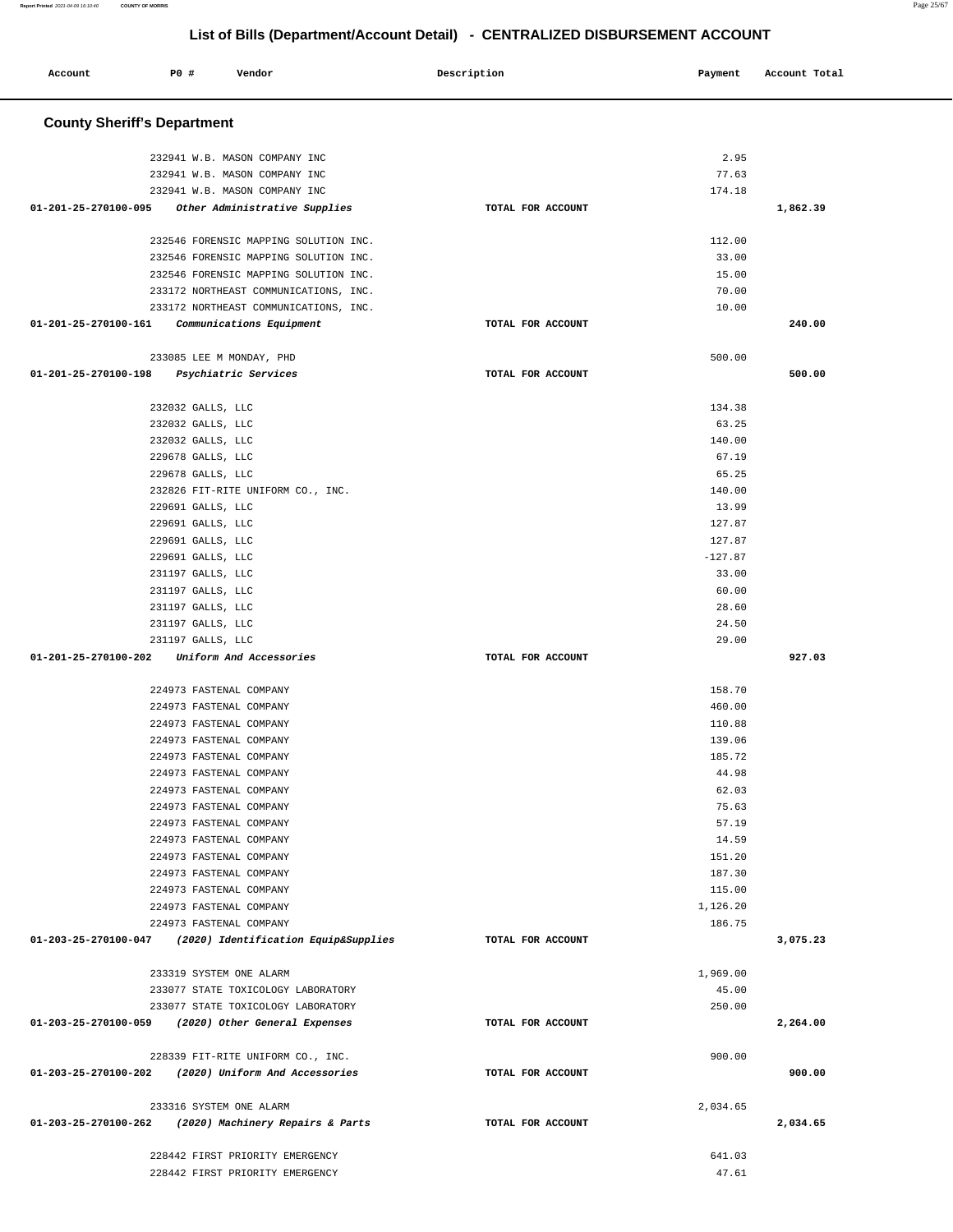÷.

| Account                            | P0 #                                   | Vendor                                                                         | Description       | Payment         | Account Total |  |
|------------------------------------|----------------------------------------|--------------------------------------------------------------------------------|-------------------|-----------------|---------------|--|
| <b>County Sheriff's Department</b> |                                        |                                                                                |                   |                 |               |  |
|                                    |                                        | 232941 W.B. MASON COMPANY INC                                                  |                   | 2.95            |               |  |
|                                    |                                        | 232941 W.B. MASON COMPANY INC                                                  |                   | 77.63           |               |  |
|                                    |                                        | 232941 W.B. MASON COMPANY INC                                                  |                   | 174.18          |               |  |
| 01-201-25-270100-095               |                                        | Other Administrative Supplies                                                  | TOTAL FOR ACCOUNT |                 | 1,862.39      |  |
|                                    |                                        |                                                                                |                   |                 |               |  |
|                                    |                                        | 232546 FORENSIC MAPPING SOLUTION INC.                                          |                   | 112.00          |               |  |
|                                    |                                        | 232546 FORENSIC MAPPING SOLUTION INC.<br>232546 FORENSIC MAPPING SOLUTION INC. |                   | 33.00<br>15.00  |               |  |
|                                    |                                        | 233172 NORTHEAST COMMUNICATIONS, INC.                                          |                   | 70.00           |               |  |
|                                    |                                        | 233172 NORTHEAST COMMUNICATIONS, INC.                                          |                   | 10.00           |               |  |
| 01-201-25-270100-161               |                                        | Communications Equipment                                                       | TOTAL FOR ACCOUNT |                 | 240.00        |  |
|                                    |                                        |                                                                                |                   |                 |               |  |
| 01-201-25-270100-198               |                                        | 233085 LEE M MONDAY, PHD<br>Psychiatric Services                               | TOTAL FOR ACCOUNT | 500.00          | 500.00        |  |
|                                    |                                        |                                                                                |                   |                 |               |  |
|                                    | 232032 GALLS, LLC                      |                                                                                |                   | 134.38          |               |  |
|                                    | 232032 GALLS, LLC                      |                                                                                |                   | 63.25           |               |  |
|                                    | 232032 GALLS, LLC                      |                                                                                |                   | 140.00          |               |  |
|                                    | 229678 GALLS, LLC                      |                                                                                |                   | 67.19           |               |  |
|                                    | 229678 GALLS, LLC                      |                                                                                |                   | 65.25           |               |  |
|                                    |                                        | 232826 FIT-RITE UNIFORM CO., INC.                                              |                   | 140.00          |               |  |
|                                    | 229691 GALLS, LLC                      |                                                                                |                   | 13.99<br>127.87 |               |  |
|                                    | 229691 GALLS, LLC<br>229691 GALLS, LLC |                                                                                |                   | 127.87          |               |  |
|                                    | 229691 GALLS, LLC                      |                                                                                |                   | $-127.87$       |               |  |
|                                    | 231197 GALLS, LLC                      |                                                                                |                   | 33.00           |               |  |
|                                    | 231197 GALLS, LLC                      |                                                                                |                   | 60.00           |               |  |
|                                    | 231197 GALLS, LLC                      |                                                                                |                   | 28.60           |               |  |
|                                    | 231197 GALLS, LLC                      |                                                                                |                   | 24.50           |               |  |
|                                    | 231197 GALLS, LLC                      |                                                                                |                   | 29.00           |               |  |
| 01-201-25-270100-202               |                                        | Uniform And Accessories                                                        | TOTAL FOR ACCOUNT |                 | 927.03        |  |
|                                    |                                        | 224973 FASTENAL COMPANY                                                        |                   | 158.70          |               |  |
|                                    |                                        | 224973 FASTENAL COMPANY                                                        |                   | 460.00          |               |  |
|                                    |                                        | 224973 FASTENAL COMPANY                                                        |                   | 110.88          |               |  |
|                                    |                                        | 224973 FASTENAL COMPANY                                                        |                   | 139.06          |               |  |
|                                    |                                        | 224973 FASTENAL COMPANY                                                        |                   | 185.72          |               |  |
|                                    |                                        | 224973 FASTENAL COMPANY                                                        |                   | 44.98           |               |  |
|                                    |                                        | 224973 FASTENAL COMPANY                                                        |                   | 62.03           |               |  |
|                                    |                                        | 224973 FASTENAL COMPANY                                                        |                   | 75.63           |               |  |
|                                    |                                        | 224973 FASTENAL COMPANY                                                        |                   | 57.19           |               |  |
|                                    |                                        | 224973 FASTENAL COMPANY                                                        |                   | 14.59           |               |  |
|                                    |                                        | 224973 FASTENAL COMPANY                                                        |                   | 151.20          |               |  |
|                                    |                                        | 224973 FASTENAL COMPANY                                                        |                   | 187.30          |               |  |
|                                    |                                        | 224973 FASTENAL COMPANY                                                        |                   | 115.00          |               |  |
|                                    |                                        | 224973 FASTENAL COMPANY                                                        |                   | 1,126.20        |               |  |
|                                    |                                        | 224973 FASTENAL COMPANY                                                        |                   | 186.75          |               |  |
| 01-203-25-270100-047               |                                        | (2020) Identification Equip&Supplies                                           | TOTAL FOR ACCOUNT |                 | 3,075.23      |  |
|                                    |                                        | 233319 SYSTEM ONE ALARM                                                        |                   | 1,969.00        |               |  |
|                                    |                                        | 233077 STATE TOXICOLOGY LABORATORY                                             |                   | 45.00           |               |  |
|                                    |                                        | 233077 STATE TOXICOLOGY LABORATORY                                             |                   | 250.00          |               |  |
|                                    |                                        | 01-203-25-270100-059 (2020) Other General Expenses                             | TOTAL FOR ACCOUNT |                 | 2,264.00      |  |
|                                    |                                        | 228339 FIT-RITE UNIFORM CO., INC.                                              |                   | 900.00          |               |  |
|                                    |                                        | 01-203-25-270100-202 (2020) Uniform And Accessories                            | TOTAL FOR ACCOUNT |                 | 900.00        |  |
|                                    |                                        | 233316 SYSTEM ONE ALARM                                                        |                   | 2,034.65        |               |  |
| 01-203-25-270100-262               |                                        | (2020) Machinery Repairs & Parts                                               | TOTAL FOR ACCOUNT |                 | 2,034.65      |  |
|                                    |                                        |                                                                                |                   |                 |               |  |
|                                    |                                        | 228442 FIRST PRIORITY EMERGENCY                                                |                   | 641.03          |               |  |
|                                    |                                        | 228442 FIRST PRIORITY EMERGENCY                                                |                   | 47.61           |               |  |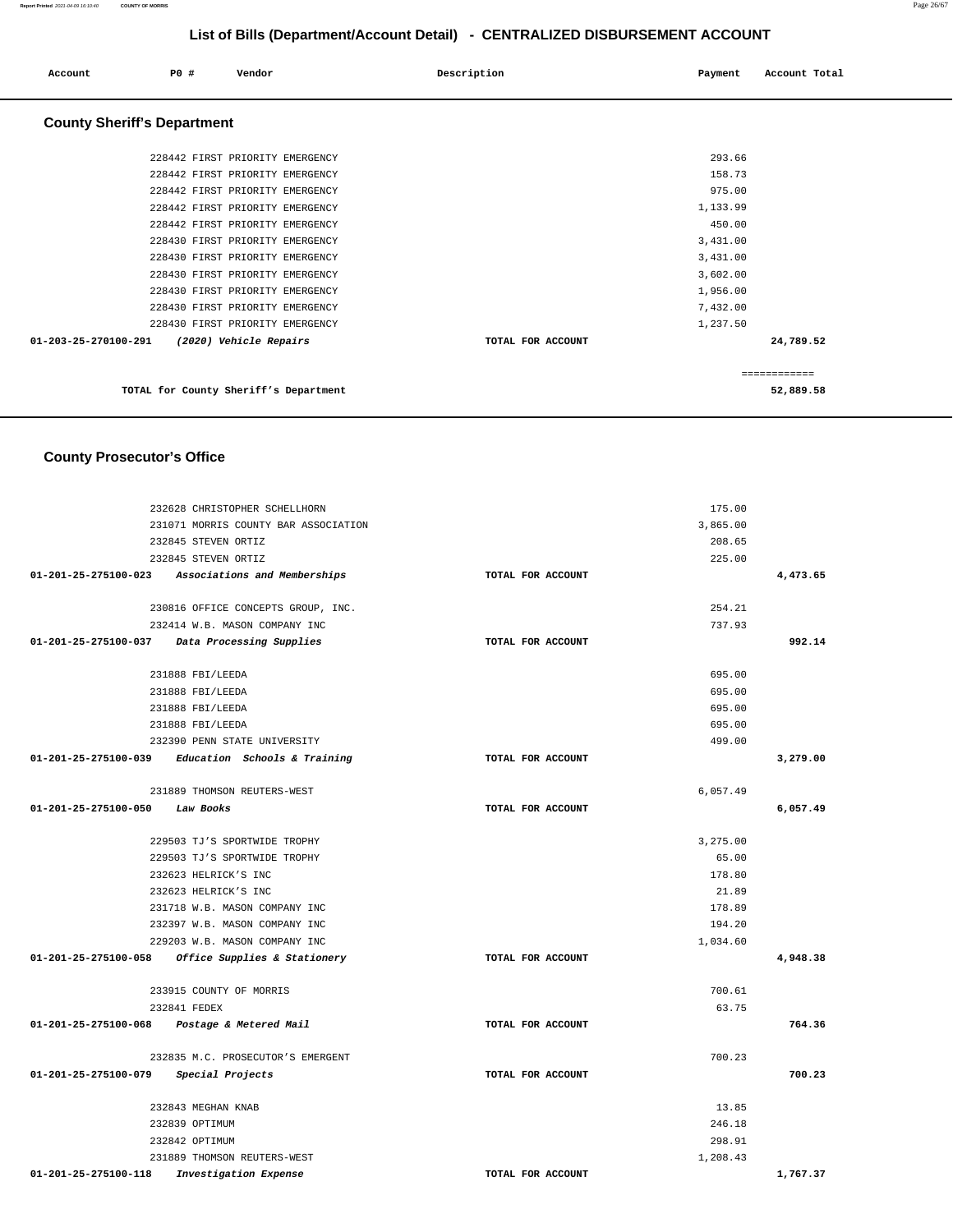| Account                            | PO# | Vendor                                | Description       | Payment  | Account Total |
|------------------------------------|-----|---------------------------------------|-------------------|----------|---------------|
| <b>County Sheriff's Department</b> |     |                                       |                   |          |               |
|                                    |     | 228442 FIRST PRIORITY EMERGENCY       |                   | 293.66   |               |
|                                    |     | 228442 FIRST PRIORITY EMERGENCY       |                   | 158.73   |               |
|                                    |     | 228442 FIRST PRIORITY EMERGENCY       |                   | 975.00   |               |
|                                    |     | 228442 FIRST PRIORITY EMERGENCY       |                   | 1,133.99 |               |
|                                    |     | 228442 FIRST PRIORITY EMERGENCY       |                   | 450.00   |               |
|                                    |     | 228430 FIRST PRIORITY EMERGENCY       |                   | 3,431.00 |               |
|                                    |     | 228430 FIRST PRIORITY EMERGENCY       |                   | 3,431.00 |               |
|                                    |     | 228430 FIRST PRIORITY EMERGENCY       |                   | 3,602.00 |               |
|                                    |     | 228430 FIRST PRIORITY EMERGENCY       |                   | 1,956.00 |               |
|                                    |     | 228430 FIRST PRIORITY EMERGENCY       |                   | 7,432.00 |               |
|                                    |     | 228430 FIRST PRIORITY EMERGENCY       |                   | 1,237.50 |               |
| 01-203-25-270100-291               |     | (2020) Vehicle Repairs                | TOTAL FOR ACCOUNT |          | 24,789.52     |
|                                    |     |                                       |                   |          | ============  |
|                                    |     | TOTAL for County Sheriff's Department |                   |          | 52,889.58     |

# **County Prosecutor's Office**

| 232628 CHRISTOPHER SCHELLHORN                     |                   | 175.00   |          |
|---------------------------------------------------|-------------------|----------|----------|
| 231071 MORRIS COUNTY BAR ASSOCIATION              |                   | 3,865.00 |          |
| 232845 STEVEN ORTIZ                               |                   | 208.65   |          |
| 232845 STEVEN ORTIZ                               |                   | 225.00   |          |
| 01-201-25-275100-023 Associations and Memberships | TOTAL FOR ACCOUNT |          | 4,473.65 |
| 230816 OFFICE CONCEPTS GROUP, INC.                |                   | 254.21   |          |
| 232414 W.B. MASON COMPANY INC                     |                   | 737.93   |          |
| 01-201-25-275100-037 Data Processing Supplies     | TOTAL FOR ACCOUNT |          | 992.14   |
| 231888 FBI/LEEDA                                  |                   | 695.00   |          |
| 231888 FBI/LEEDA                                  |                   | 695.00   |          |
| 231888 FBI/LEEDA                                  |                   | 695.00   |          |
| 231888 FBI/LEEDA                                  |                   | 695.00   |          |
| 232390 PENN STATE UNIVERSITY                      |                   | 499.00   |          |
| 01-201-25-275100-039 Education Schools & Training | TOTAL FOR ACCOUNT |          | 3,279.00 |
| 231889 THOMSON REUTERS-WEST                       |                   | 6,057.49 |          |
| 01-201-25-275100-050 Law Books                    | TOTAL FOR ACCOUNT |          | 6,057.49 |
| 229503 TJ'S SPORTWIDE TROPHY                      |                   | 3,275.00 |          |
| 229503 TJ'S SPORTWIDE TROPHY                      |                   | 65.00    |          |
| 232623 HELRICK'S INC                              |                   | 178.80   |          |
| 232623 HELRICK'S INC                              |                   | 21.89    |          |
| 231718 W.B. MASON COMPANY INC                     |                   | 178.89   |          |
| 232397 W.B. MASON COMPANY INC                     |                   | 194.20   |          |
| 229203 W.B. MASON COMPANY INC                     |                   | 1,034.60 |          |
| 01-201-25-275100-058 Office Supplies & Stationery | TOTAL FOR ACCOUNT |          | 4,948.38 |
| 233915 COUNTY OF MORRIS                           |                   | 700.61   |          |
| 232841 FEDEX                                      |                   | 63.75    |          |
| 01-201-25-275100-068 Postage & Metered Mail       | TOTAL FOR ACCOUNT |          | 764.36   |
| 232835 M.C. PROSECUTOR'S EMERGENT                 |                   | 700.23   |          |
| Special Projects<br>01-201-25-275100-079          | TOTAL FOR ACCOUNT |          | 700.23   |
| 232843 MEGHAN KNAB                                |                   | 13.85    |          |
| 232839 OPTIMUM                                    |                   | 246.18   |          |
| 232842 OPTIMUM                                    |                   | 298.91   |          |
| 231889 THOMSON REUTERS-WEST                       |                   | 1,208.43 |          |
| 01-201-25-275100-118<br>Investigation Expense     | TOTAL FOR ACCOUNT |          | 1,767.37 |

**Report Printed** 2021-04-09 16:10:40 **COUNTY OF MORRIS** Page 26/67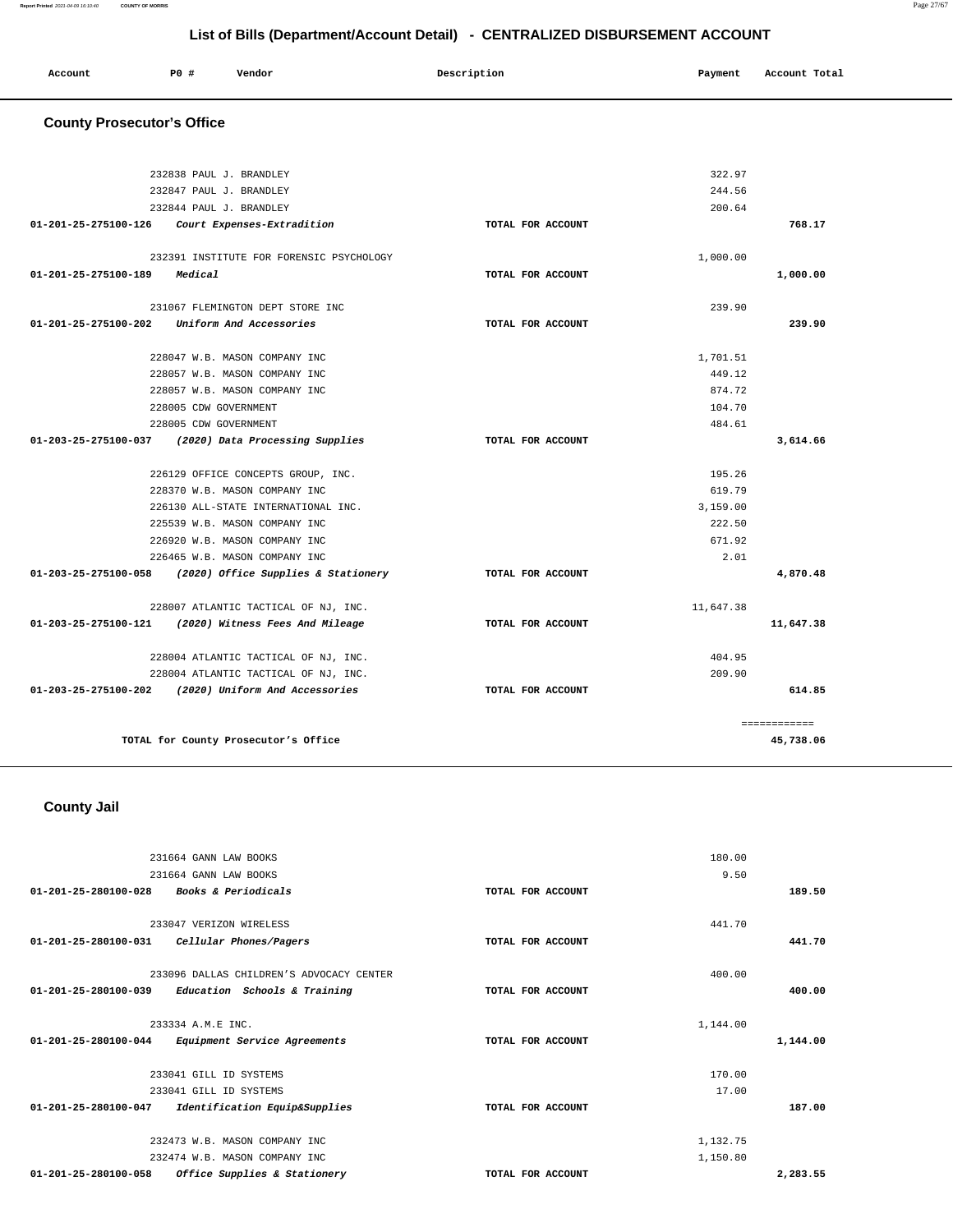| Account | P0 # | Vendor | Description | Payment | Account Total |
|---------|------|--------|-------------|---------|---------------|
|         |      |        |             |         |               |

# **County Prosecutor's Office**

| 232838 PAUL J. BRANDLEY                                  |                   | 322.97    |              |
|----------------------------------------------------------|-------------------|-----------|--------------|
| 232847 PAUL J. BRANDLEY                                  |                   | 244.56    |              |
| 232844 PAUL J. BRANDLEY                                  |                   | 200.64    |              |
| 01-201-25-275100-126 Court Expenses-Extradition          | TOTAL FOR ACCOUNT |           | 768.17       |
|                                                          |                   |           |              |
| 232391 INSTITUTE FOR FORENSIC PSYCHOLOGY                 |                   | 1,000.00  |              |
| 01-201-25-275100-189<br>Medical                          | TOTAL FOR ACCOUNT |           | 1,000.00     |
|                                                          |                   |           |              |
| 231067 FLEMINGTON DEPT STORE INC                         |                   | 239.90    |              |
| Uniform And Accessories<br>01-201-25-275100-202          | TOTAL FOR ACCOUNT |           | 239.90       |
|                                                          |                   |           |              |
| 228047 W.B. MASON COMPANY INC                            |                   | 1,701.51  |              |
| 228057 W.B. MASON COMPANY INC                            |                   | 449.12    |              |
| 228057 W.B. MASON COMPANY INC                            |                   | 874.72    |              |
| 228005 CDW GOVERNMENT                                    |                   | 104.70    |              |
| 228005 CDW GOVERNMENT                                    |                   | 484.61    |              |
| 01-203-25-275100-037 (2020) Data Processing Supplies     | TOTAL FOR ACCOUNT |           | 3,614.66     |
| 226129 OFFICE CONCEPTS GROUP, INC.                       |                   | 195.26    |              |
| 228370 W.B. MASON COMPANY INC                            |                   | 619.79    |              |
| 226130 ALL-STATE INTERNATIONAL INC.                      |                   | 3,159,00  |              |
| 225539 W.B. MASON COMPANY INC                            |                   | 222.50    |              |
| 226920 W.B. MASON COMPANY INC                            |                   | 671.92    |              |
| 226465 W.B. MASON COMPANY INC                            |                   | 2.01      |              |
| 01-203-25-275100-058 (2020) Office Supplies & Stationery | TOTAL FOR ACCOUNT |           | 4,870.48     |
|                                                          |                   |           |              |
| 228007 ATLANTIC TACTICAL OF NJ, INC.                     |                   | 11,647.38 |              |
| 01-203-25-275100-121 (2020) Witness Fees And Mileage     | TOTAL FOR ACCOUNT |           | 11,647.38    |
|                                                          |                   |           |              |
| 228004 ATLANTIC TACTICAL OF NJ, INC.                     |                   | 404.95    |              |
| 228004 ATLANTIC TACTICAL OF NJ, INC.                     |                   | 209.90    |              |
| 01-203-25-275100-202 (2020) Uniform And Accessories      | TOTAL FOR ACCOUNT |           | 614.85       |
|                                                          |                   |           |              |
|                                                          |                   |           | ============ |
| TOTAL for County Prosecutor's Office                     |                   |           | 45,738.06    |
|                                                          |                   |           |              |

# **County Jail**

|                                | 231664 GANN LAW BOOKS                    |                   | 180.00   |          |
|--------------------------------|------------------------------------------|-------------------|----------|----------|
|                                | 231664 GANN LAW BOOKS                    |                   | 9.50     |          |
| $01 - 201 - 25 - 280100 - 028$ | Books & Periodicals                      | TOTAL FOR ACCOUNT |          | 189.50   |
|                                | 233047 VERIZON WIRELESS                  |                   | 441.70   |          |
| 01-201-25-280100-031           | Cellular Phones/Pagers                   | TOTAL FOR ACCOUNT |          | 441.70   |
|                                | 233096 DALLAS CHILDREN'S ADVOCACY CENTER |                   | 400.00   |          |
| $01 - 201 - 25 - 280100 - 039$ | Education Schools & Training             | TOTAL FOR ACCOUNT |          | 400.00   |
|                                | 233334 A.M.E INC.                        |                   | 1,144.00 |          |
| 01-201-25-280100-044           | Equipment Service Agreements             | TOTAL FOR ACCOUNT |          | 1,144.00 |
|                                | 233041 GILL ID SYSTEMS                   |                   | 170.00   |          |
|                                | 233041 GILL ID SYSTEMS                   |                   | 17.00    |          |
| $01 - 201 - 25 - 280100 - 047$ | Identification Equip&Supplies            | TOTAL FOR ACCOUNT |          | 187.00   |
|                                | 232473 W.B. MASON COMPANY INC            |                   | 1,132.75 |          |
|                                | 232474 W.B. MASON COMPANY INC            |                   | 1,150.80 |          |
| 01-201-25-280100-058           | Office Supplies & Stationery             | TOTAL FOR ACCOUNT |          | 2,283.55 |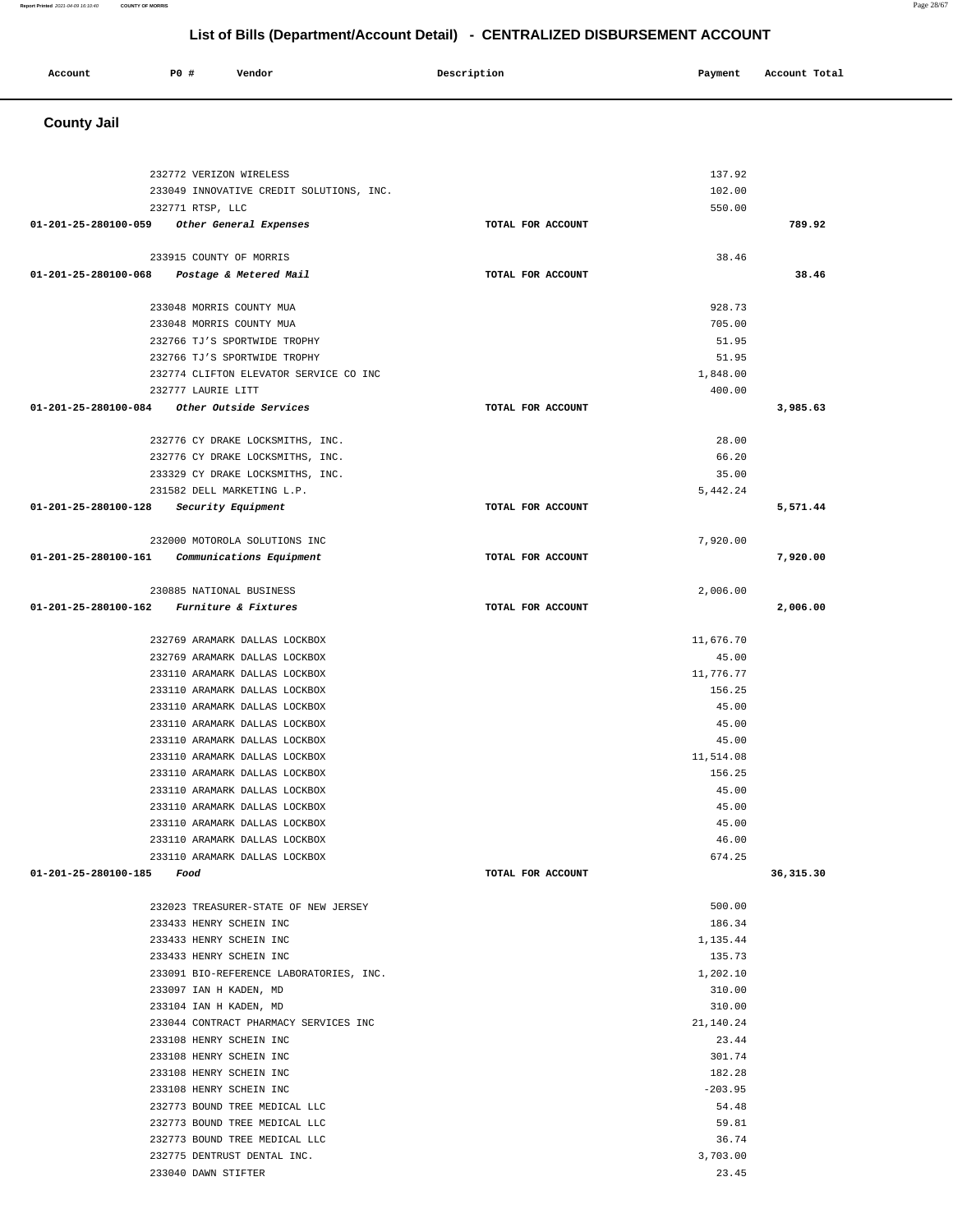### **Report Printed** 2021-04-09 16:10:40 **COUNTY OF MORRIS** Page 28/67

# **List of Bills (Department/Account Detail) - CENTRALIZED DISBURSEMENT ACCOUNT**

| P0<br>Vendor<br>Account<br>Account Total<br>Payment<br>Doggwintior<br>.<br>. |  |
|------------------------------------------------------------------------------|--|
|------------------------------------------------------------------------------|--|

# **County Jail**

| 232772 VERIZON WIRELESS                                               |                   | 137.92    |           |
|-----------------------------------------------------------------------|-------------------|-----------|-----------|
| 233049 INNOVATIVE CREDIT SOLUTIONS, INC.                              |                   | 102.00    |           |
| 232771 RTSP, LLC                                                      |                   | 550.00    |           |
| 01-201-25-280100-059 Other General Expenses                           | TOTAL FOR ACCOUNT |           | 789.92    |
| 233915 COUNTY OF MORRIS                                               |                   | 38.46     |           |
| 01-201-25-280100-068 Postage & Metered Mail                           | TOTAL FOR ACCOUNT |           | 38.46     |
|                                                                       |                   |           |           |
| 233048 MORRIS COUNTY MUA                                              |                   | 928.73    |           |
| 233048 MORRIS COUNTY MUA                                              |                   | 705.00    |           |
| 232766 TJ'S SPORTWIDE TROPHY                                          |                   | 51.95     |           |
| 232766 TJ'S SPORTWIDE TROPHY                                          |                   | 51.95     |           |
| 232774 CLIFTON ELEVATOR SERVICE CO INC                                |                   | 1,848.00  |           |
| 232777 LAURIE LITT                                                    |                   | 400.00    |           |
| $01-201-25-280100-084$ Other Outside Services                         | TOTAL FOR ACCOUNT |           | 3,985.63  |
| 232776 CY DRAKE LOCKSMITHS, INC.                                      |                   | 28.00     |           |
| 232776 CY DRAKE LOCKSMITHS, INC.                                      |                   | 66.20     |           |
| 233329 CY DRAKE LOCKSMITHS, INC.                                      |                   | 35.00     |           |
| 231582 DELL MARKETING L.P.                                            |                   | 5.442.24  |           |
| 01-201-25-280100-128<br><i>Security Equipment</i>                     | TOTAL FOR ACCOUNT |           | 5,571.44  |
|                                                                       |                   |           |           |
| 232000 MOTOROLA SOLUTIONS INC                                         |                   | 7.920.00  |           |
| 01-201-25-280100-161 Communications Equipment                         | TOTAL FOR ACCOUNT |           | 7,920.00  |
|                                                                       |                   |           |           |
| 230885 NATIONAL BUSINESS<br>01-201-25-280100-162 Furniture & Fixtures | TOTAL FOR ACCOUNT | 2,006.00  |           |
|                                                                       |                   |           | 2,006.00  |
| 232769 ARAMARK DALLAS LOCKBOX                                         |                   | 11,676.70 |           |
| 232769 ARAMARK DALLAS LOCKBOX                                         |                   | 45.00     |           |
| 233110 ARAMARK DALLAS LOCKBOX                                         |                   | 11,776.77 |           |
| 233110 ARAMARK DALLAS LOCKBOX                                         |                   | 156.25    |           |
| 233110 ARAMARK DALLAS LOCKBOX                                         |                   | 45.00     |           |
| 233110 ARAMARK DALLAS LOCKBOX                                         |                   | 45.00     |           |
| 233110 ARAMARK DALLAS LOCKBOX                                         |                   | 45.00     |           |
| 233110 ARAMARK DALLAS LOCKBOX                                         |                   | 11,514.08 |           |
| 233110 ARAMARK DALLAS LOCKBOX                                         |                   | 156.25    |           |
| 233110 ARAMARK DALLAS LOCKBOX                                         |                   | 45.00     |           |
| 233110 ARAMARK DALLAS LOCKBOX                                         |                   | 45.00     |           |
| 233110 ARAMARK DALLAS LOCKBOX                                         |                   | 45.00     |           |
| 233110 ARAMARK DALLAS LOCKBOX                                         |                   | 46.00     |           |
| 233110 ARAMARK DALLAS LOCKBOX                                         |                   | 674.25    |           |
| 01-201-25-280100-185<br>Food                                          | TOTAL FOR ACCOUNT |           | 36,315.30 |
| 232023 TREASURER-STATE OF NEW JERSEY                                  |                   | 500.00    |           |
| 233433 HENRY SCHEIN INC                                               |                   | 186.34    |           |
| 233433 HENRY SCHEIN INC                                               |                   | 1,135.44  |           |
| 233433 HENRY SCHEIN INC                                               |                   | 135.73    |           |
| 233091 BIO-REFERENCE LABORATORIES, INC.                               |                   | 1,202.10  |           |
| 233097 IAN H KADEN, MD                                                |                   | 310.00    |           |
| 233104 IAN H KADEN, MD                                                |                   | 310.00    |           |
| 233044 CONTRACT PHARMACY SERVICES INC                                 |                   | 21,140.24 |           |
| 233108 HENRY SCHEIN INC                                               |                   | 23.44     |           |
| 233108 HENRY SCHEIN INC                                               |                   | 301.74    |           |
| 233108 HENRY SCHEIN INC                                               |                   | 182.28    |           |
| 233108 HENRY SCHEIN INC                                               |                   | $-203.95$ |           |
| 232773 BOUND TREE MEDICAL LLC                                         |                   | 54.48     |           |
| 232773 BOUND TREE MEDICAL LLC                                         |                   | 59.81     |           |
| 232773 BOUND TREE MEDICAL LLC                                         |                   |           |           |
|                                                                       |                   | 36.74     |           |
| 232775 DENTRUST DENTAL INC.                                           |                   | 3,703.00  |           |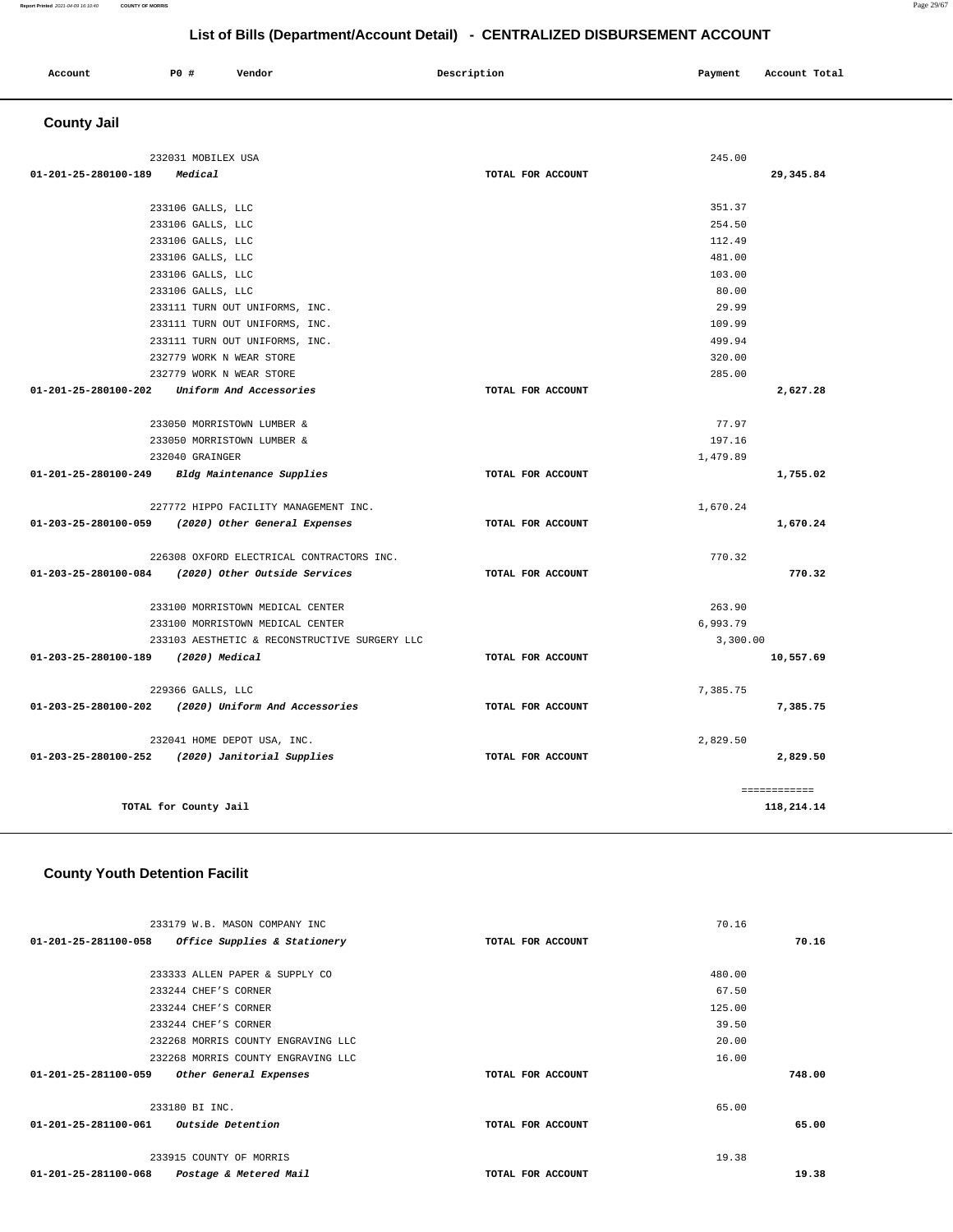### **Report Printed** 2021-04-09 16:10:40 **COUNTY OF MORRIS** Page 29/67

# **List of Bills (Department/Account Detail) - CENTRALIZED DISBURSEMENT ACCOUNT**

| Account            | <b>PO #</b> | Vendor | Description | Payment | Account Total |
|--------------------|-------------|--------|-------------|---------|---------------|
| <b>County Jail</b> |             |        |             |         |               |

| 232031 MOBILEX USA                                  |                   | 245.00       |
|-----------------------------------------------------|-------------------|--------------|
| 01-201-25-280100-189<br>Medical                     | TOTAL FOR ACCOUNT | 29,345.84    |
|                                                     |                   |              |
| 233106 GALLS, LLC                                   |                   | 351.37       |
| 233106 GALLS, LLC                                   |                   | 254.50       |
| 233106 GALLS, LLC                                   |                   | 112.49       |
| 233106 GALLS, LLC                                   |                   | 481.00       |
| 233106 GALLS, LLC                                   |                   | 103.00       |
| 233106 GALLS, LLC                                   |                   | 80.00        |
| 233111 TURN OUT UNIFORMS, INC.                      |                   | 29.99        |
| 233111 TURN OUT UNIFORMS, INC.                      |                   | 109.99       |
| 233111 TURN OUT UNIFORMS, INC.                      |                   | 499.94       |
| 232779 WORK N WEAR STORE                            |                   | 320.00       |
| 232779 WORK N WEAR STORE                            |                   | 285.00       |
| 01-201-25-280100-202 Uniform And Accessories        | TOTAL FOR ACCOUNT | 2,627.28     |
| 233050 MORRISTOWN LUMBER &                          |                   | 77.97        |
| 233050 MORRISTOWN LUMBER &                          |                   | 197.16       |
| 232040 GRAINGER                                     |                   | 1,479.89     |
| 01-201-25-280100-249 Bldg Maintenance Supplies      | TOTAL FOR ACCOUNT | 1,755.02     |
| 227772 HIPPO FACILITY MANAGEMENT INC.               |                   | 1,670.24     |
| 01-203-25-280100-059 (2020) Other General Expenses  | TOTAL FOR ACCOUNT | 1,670.24     |
| 226308 OXFORD ELECTRICAL CONTRACTORS INC.           |                   | 770.32       |
| 01-203-25-280100-084 (2020) Other Outside Services  | TOTAL FOR ACCOUNT | 770.32       |
| 233100 MORRISTOWN MEDICAL CENTER                    |                   | 263.90       |
| 233100 MORRISTOWN MEDICAL CENTER                    |                   | 6,993.79     |
| 233103 AESTHETIC & RECONSTRUCTIVE SURGERY LLC       |                   | 3.300.00     |
| 01-203-25-280100-189 (2020) Medical                 | TOTAL FOR ACCOUNT | 10,557.69    |
| 229366 GALLS, LLC                                   |                   | 7,385.75     |
| 01-203-25-280100-202 (2020) Uniform And Accessories | TOTAL FOR ACCOUNT | 7,385.75     |
| 232041 HOME DEPOT USA, INC.                         |                   | 2,829.50     |
| 01-203-25-280100-252 (2020) Janitorial Supplies     | TOTAL FOR ACCOUNT | 2,829.50     |
|                                                     |                   | ============ |
| TOTAL for County Jail                               |                   | 118,214.14   |

### **County Youth Detention Facilit**

|                                        | 233179 W.B. MASON COMPANY INC      |                   | 70.16  |        |
|----------------------------------------|------------------------------------|-------------------|--------|--------|
| 01-201-25-281100-058                   | Office Supplies & Stationery       | TOTAL FOR ACCOUNT |        | 70.16  |
|                                        |                                    |                   |        |        |
|                                        | 233333 ALLEN PAPER & SUPPLY CO     |                   | 480.00 |        |
|                                        | 233244 CHEF'S CORNER               |                   | 67.50  |        |
|                                        | 233244 CHEF'S CORNER               |                   | 125.00 |        |
|                                        | 233244 CHEF'S CORNER               |                   | 39.50  |        |
|                                        | 232268 MORRIS COUNTY ENGRAVING LLC |                   | 20.00  |        |
|                                        | 232268 MORRIS COUNTY ENGRAVING LLC |                   | 16.00  |        |
| 01-201-25-281100-059                   | Other General Expenses             | TOTAL FOR ACCOUNT |        | 748.00 |
|                                        |                                    |                   |        |        |
|                                        | 233180 BI INC.                     |                   | 65.00  |        |
| 01-201-25-281100-061 Outside Detention |                                    | TOTAL FOR ACCOUNT |        | 65.00  |
|                                        |                                    |                   |        |        |
|                                        | 233915 COUNTY OF MORRIS            |                   | 19.38  |        |
| 01-201-25-281100-068                   | Postage & Metered Mail             | TOTAL FOR ACCOUNT |        | 19.38  |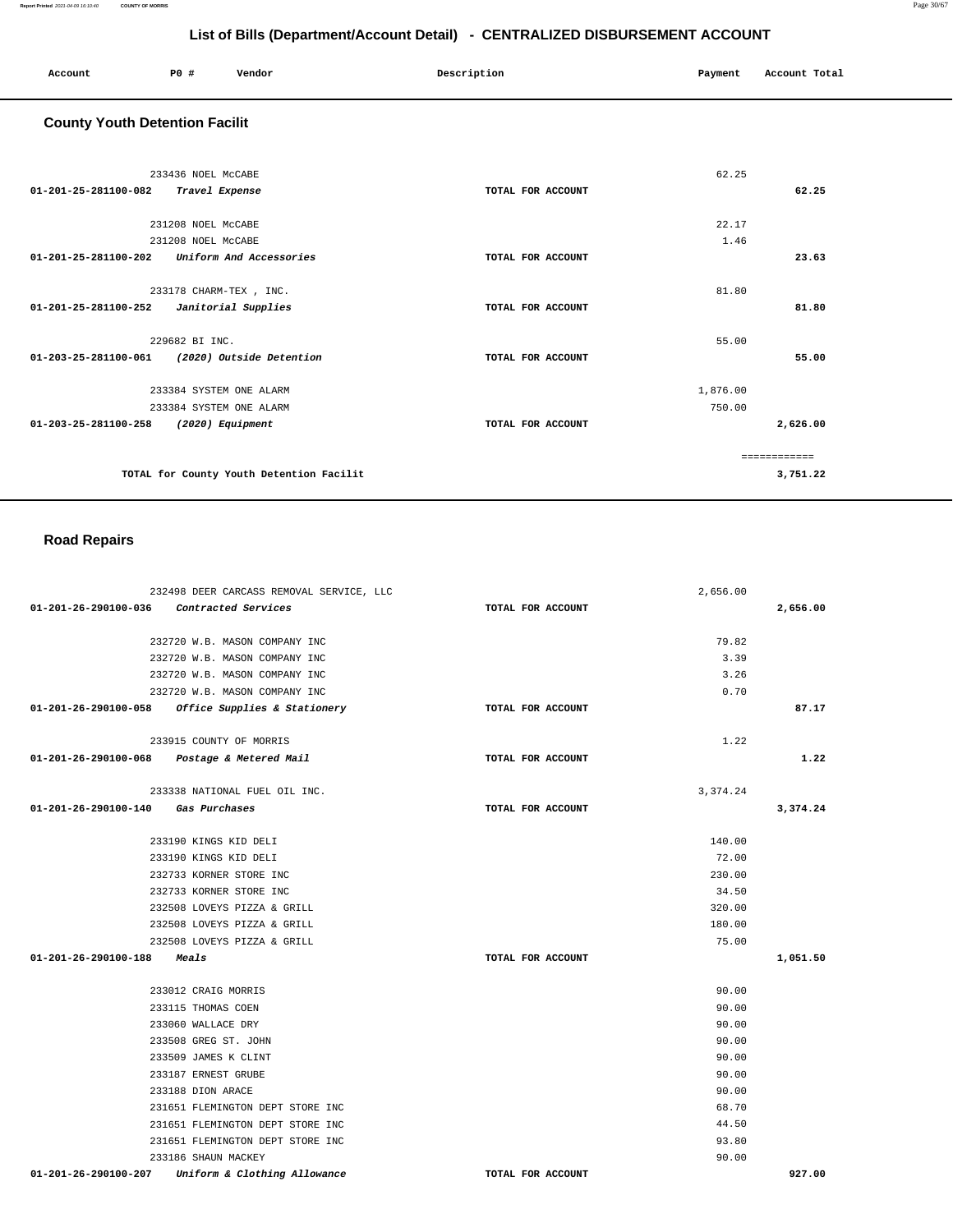| Account | P0 # | Vendor | Description | Payment Account Total |
|---------|------|--------|-------------|-----------------------|
|         |      |        |             |                       |

# **County Youth Detention Facilit**

| 233436 NOEL MCCABE                                        |                   | 62.25    |               |
|-----------------------------------------------------------|-------------------|----------|---------------|
| 01-201-25-281100-082<br>Travel Expense                    | TOTAL FOR ACCOUNT |          | 62.25         |
| 231208 NOEL MCCABE                                        |                   | 22.17    |               |
| 231208 NOEL McCABE                                        |                   | 1.46     |               |
| $01 - 201 - 25 - 281100 - 202$<br>Uniform And Accessories | TOTAL FOR ACCOUNT |          | 23.63         |
| 233178 CHARM-TEX, INC.                                    |                   | 81.80    |               |
| 01-201-25-281100-252<br>Janitorial Supplies               | TOTAL FOR ACCOUNT |          | 81.80         |
| 229682 BI INC.                                            |                   | 55.00    |               |
| 01-203-25-281100-061<br>(2020) Outside Detention          | TOTAL FOR ACCOUNT |          | 55.00         |
| 233384 SYSTEM ONE ALARM                                   |                   | 1,876.00 |               |
| 233384 SYSTEM ONE ALARM                                   |                   | 750.00   |               |
| 01-203-25-281100-258<br>(2020) Equipment                  | TOTAL FOR ACCOUNT |          | 2,626.00      |
|                                                           |                   |          | ------------- |
| TOTAL for County Youth Detention Facilit                  |                   |          | 3,751.22      |

### **Road Repairs**

| 232498 DEER CARCASS REMOVAL SERVICE, LLC                       |                   | 2,656.00 |          |
|----------------------------------------------------------------|-------------------|----------|----------|
| 01-201-26-290100-036 Contracted Services                       | TOTAL FOR ACCOUNT |          | 2,656.00 |
| 232720 W.B. MASON COMPANY INC                                  |                   | 79.82    |          |
| 232720 W.B. MASON COMPANY INC                                  |                   | 3.39     |          |
| 232720 W.B. MASON COMPANY INC                                  |                   | 3.26     |          |
| 232720 W.B. MASON COMPANY INC                                  |                   | 0.70     |          |
| 01-201-26-290100-058<br>Office Supplies & Stationery           | TOTAL FOR ACCOUNT |          | 87.17    |
| 233915 COUNTY OF MORRIS                                        |                   | 1.22     |          |
| 01-201-26-290100-068 Postage & Metered Mail                    | TOTAL FOR ACCOUNT |          | 1.22     |
| 233338 NATIONAL FUEL OIL INC.                                  |                   | 3,374.24 |          |
| 01-201-26-290100-140 Gas Purchases                             | TOTAL FOR ACCOUNT |          | 3,374.24 |
| 233190 KINGS KID DELI                                          |                   | 140.00   |          |
| 233190 KINGS KID DELI                                          |                   | 72.00    |          |
| 232733 KORNER STORE INC                                        |                   | 230.00   |          |
| 232733 KORNER STORE INC                                        |                   | 34.50    |          |
| 232508 LOVEYS PIZZA & GRILL                                    |                   | 320.00   |          |
| 232508 LOVEYS PIZZA & GRILL                                    |                   | 180.00   |          |
| 232508 LOVEYS PIZZA & GRILL                                    |                   | 75.00    |          |
| 01-201-26-290100-188<br>Meals                                  | TOTAL FOR ACCOUNT |          | 1,051.50 |
| 233012 CRAIG MORRIS                                            |                   | 90.00    |          |
| 233115 THOMAS COEN                                             |                   | 90.00    |          |
| 233060 WALLACE DRY                                             |                   | 90.00    |          |
| 233508 GREG ST. JOHN                                           |                   | 90.00    |          |
| 233509 JAMES K CLINT                                           |                   | 90.00    |          |
| 233187 ERNEST GRUBE                                            |                   | 90.00    |          |
| 233188 DION ARACE                                              |                   | 90.00    |          |
| 231651 FLEMINGTON DEPT STORE INC                               |                   | 68.70    |          |
| 231651 FLEMINGTON DEPT STORE INC                               |                   | 44.50    |          |
| 231651 FLEMINGTON DEPT STORE INC                               |                   | 93.80    |          |
| 233186 SHAUN MACKEY                                            |                   | 90.00    |          |
| Uniform & Clothing Allowance<br>$01 - 201 - 26 - 290100 - 207$ | TOTAL FOR ACCOUNT |          | 927.00   |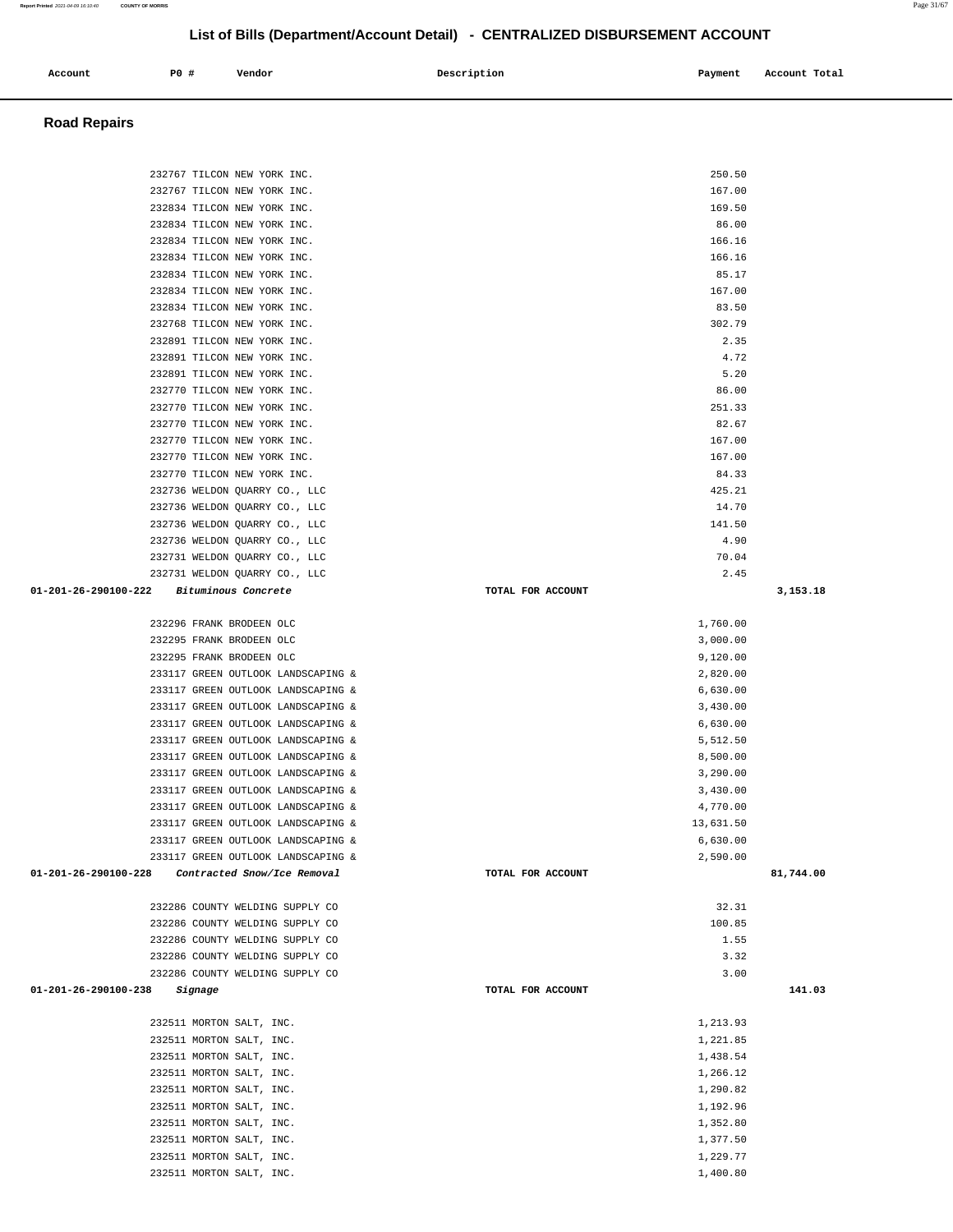| 232767 TILCON NEW YORK INC.                                        |                   | 167.00         |           |
|--------------------------------------------------------------------|-------------------|----------------|-----------|
| 232834 TILCON NEW YORK INC.                                        |                   | 169.50         |           |
| 232834 TILCON NEW YORK INC.                                        |                   | 86.00          |           |
| 232834 TILCON NEW YORK INC.                                        |                   | 166.16         |           |
| 232834 TILCON NEW YORK INC.                                        |                   | 166.16         |           |
|                                                                    |                   |                |           |
| 232834 TILCON NEW YORK INC.                                        |                   | 85.17          |           |
| 232834 TILCON NEW YORK INC.                                        |                   | 167.00         |           |
| 232834 TILCON NEW YORK INC.                                        |                   | 83.50          |           |
| 232768 TILCON NEW YORK INC.                                        |                   | 302.79         |           |
| 232891 TILCON NEW YORK INC.                                        |                   | 2.35           |           |
| 232891 TILCON NEW YORK INC.                                        |                   | 4.72           |           |
| 232891 TILCON NEW YORK INC.                                        |                   | 5.20           |           |
| 232770 TILCON NEW YORK INC.                                        |                   | 86.00          |           |
| 232770 TILCON NEW YORK INC.                                        |                   | 251.33         |           |
| 232770 TILCON NEW YORK INC.                                        |                   | 82.67          |           |
| 232770 TILCON NEW YORK INC.                                        |                   | 167.00         |           |
| 232770 TILCON NEW YORK INC.                                        |                   | 167.00         |           |
| 232770 TILCON NEW YORK INC.                                        |                   | 84.33          |           |
| 232736 WELDON QUARRY CO., LLC                                      |                   | 425.21         |           |
| 232736 WELDON QUARRY CO., LLC                                      |                   | 14.70          |           |
| 232736 WELDON QUARRY CO., LLC                                      |                   | 141.50         |           |
| 232736 WELDON QUARRY CO., LLC                                      |                   | 4.90           |           |
| 232731 WELDON QUARRY CO., LLC                                      |                   | 70.04          |           |
| 232731 WELDON OUARRY CO., LLC                                      |                   | 2.45           |           |
| 01-201-26-290100-222 Bituminous Concrete                           | TOTAL FOR ACCOUNT |                | 3,153.18  |
|                                                                    |                   |                |           |
| 232296 FRANK BRODEEN OLC                                           |                   | 1,760.00       |           |
| 232295 FRANK BRODEEN OLC                                           |                   | 3,000.00       |           |
| 232295 FRANK BRODEEN OLC                                           |                   | 9,120.00       |           |
| 233117 GREEN OUTLOOK LANDSCAPING &                                 |                   | 2,820.00       |           |
| 233117 GREEN OUTLOOK LANDSCAPING &                                 |                   | 6,630.00       |           |
| 233117 GREEN OUTLOOK LANDSCAPING &                                 |                   | 3,430.00       |           |
| 233117 GREEN OUTLOOK LANDSCAPING &                                 |                   | 6,630.00       |           |
| 233117 GREEN OUTLOOK LANDSCAPING &                                 |                   | 5,512.50       |           |
| 233117 GREEN OUTLOOK LANDSCAPING &                                 |                   | 8,500.00       |           |
| 233117 GREEN OUTLOOK LANDSCAPING &                                 |                   | 3,290.00       |           |
| 233117 GREEN OUTLOOK LANDSCAPING &                                 |                   | 3,430.00       |           |
| 233117 GREEN OUTLOOK LANDSCAPING &                                 |                   | 4,770.00       |           |
| 233117 GREEN OUTLOOK LANDSCAPING &                                 |                   | 13,631.50      |           |
| 233117 GREEN OUTLOOK LANDSCAPING &                                 |                   | 6,630.00       |           |
| 233117 GREEN OUTLOOK LANDSCAPING &                                 |                   | 2,590.00       |           |
| $01 - 201 - 26 - 290100 - 228$                                     | TOTAL FOR ACCOUNT |                | 81,744.00 |
| Contracted Snow/Ice Removal                                        |                   |                |           |
| 232286 COUNTY WELDING SUPPLY CO                                    |                   | 32.31          |           |
|                                                                    |                   |                |           |
| 232286 COUNTY WELDING SUPPLY CO<br>232286 COUNTY WELDING SUPPLY CO |                   | 100.85<br>1.55 |           |
|                                                                    |                   |                |           |
| 232286 COUNTY WELDING SUPPLY CO                                    |                   | 3.32           |           |
| 232286 COUNTY WELDING SUPPLY CO                                    |                   | 3.00           |           |
| 01-201-26-290100-238<br>Signage                                    | TOTAL FOR ACCOUNT |                | 141.03    |
|                                                                    |                   |                |           |
| 232511 MORTON SALT, INC.                                           |                   | 1,213.93       |           |
| 232511 MORTON SALT, INC.                                           |                   | 1,221.85       |           |
| 232511 MORTON SALT, INC.                                           |                   | 1,438.54       |           |
| 232511 MORTON SALT, INC.                                           |                   | 1,266.12       |           |
| 232511 MORTON SALT, INC.                                           |                   | 1,290.82       |           |
| 232511 MORTON SALT, INC.                                           |                   | 1,192.96       |           |
| 232511 MORTON SALT, INC.                                           |                   | 1,352.80       |           |
| 232511 MORTON SALT, INC.                                           |                   | 1,377.50       |           |
| 232511 MORTON SALT, INC.                                           |                   | 1,229.77       |           |
| 232511 MORTON SALT, INC.                                           |                   | 1,400.80       |           |
|                                                                    |                   |                |           |

### **Road Repairs**

# **Account** P0 # Vendor Payment Account Total

232767 TILCON NEW YORK INC. 250.50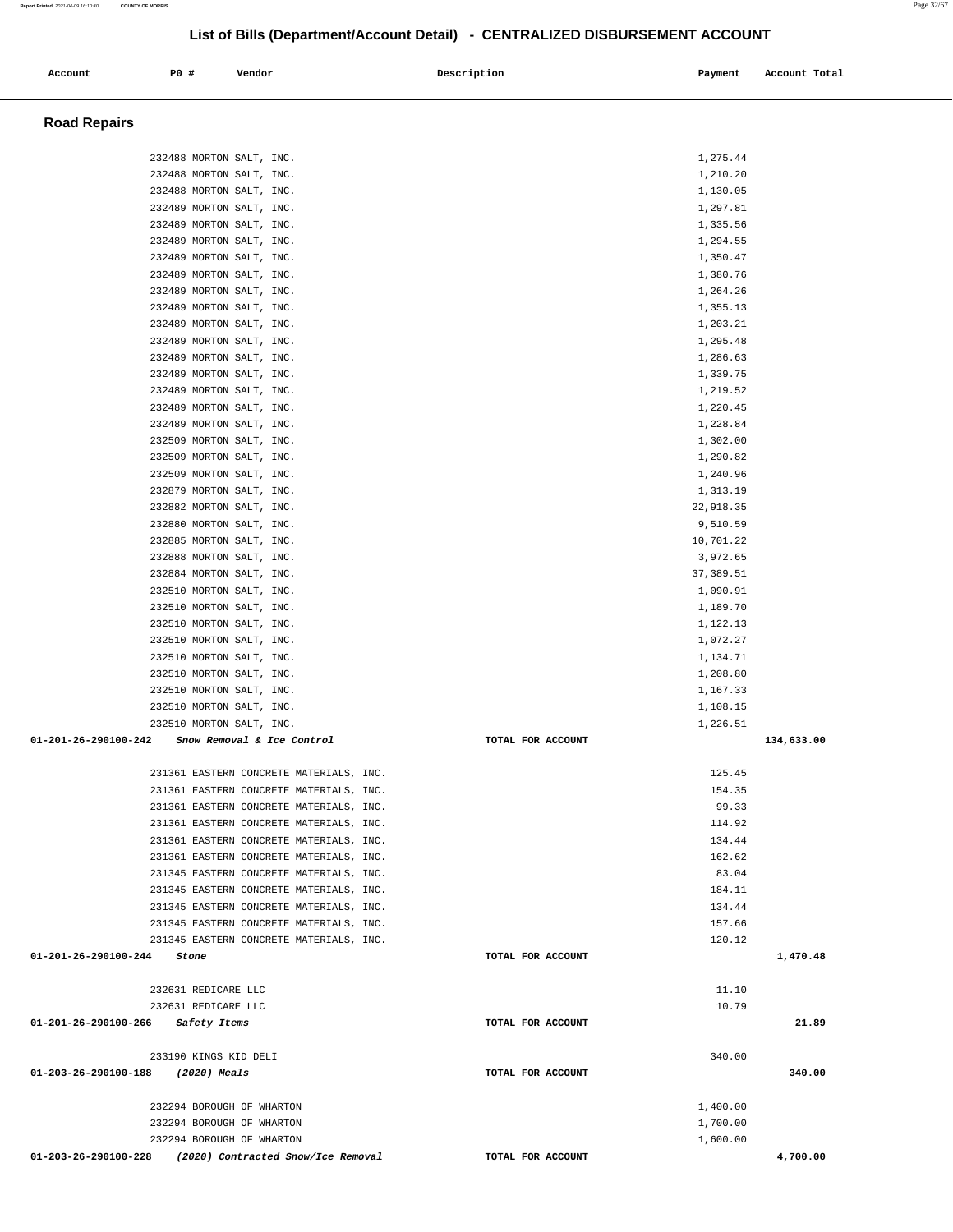| Account                           | P0 #                                                 | Vendor                                  | Description       | Payment               | Account Total |
|-----------------------------------|------------------------------------------------------|-----------------------------------------|-------------------|-----------------------|---------------|
| <b>Road Repairs</b>               |                                                      |                                         |                   |                       |               |
|                                   |                                                      |                                         |                   |                       |               |
|                                   | 232488 MORTON SALT, INC.<br>232488 MORTON SALT, INC. |                                         |                   | 1,275.44<br>1,210.20  |               |
|                                   | 232488 MORTON SALT, INC.                             |                                         |                   | 1,130.05              |               |
|                                   | 232489 MORTON SALT, INC.                             |                                         |                   | 1,297.81              |               |
|                                   | 232489 MORTON SALT, INC.                             |                                         |                   | 1,335.56              |               |
|                                   | 232489 MORTON SALT, INC.                             |                                         |                   | 1,294.55              |               |
|                                   | 232489 MORTON SALT, INC.                             |                                         |                   | 1,350.47              |               |
|                                   | 232489 MORTON SALT, INC.                             |                                         |                   | 1,380.76              |               |
|                                   | 232489 MORTON SALT, INC.                             |                                         |                   | 1,264.26              |               |
|                                   | 232489 MORTON SALT, INC.                             |                                         |                   | 1,355.13              |               |
|                                   | 232489 MORTON SALT, INC.                             |                                         |                   | 1,203.21              |               |
|                                   | 232489 MORTON SALT, INC.                             |                                         |                   | 1,295.48              |               |
|                                   | 232489 MORTON SALT, INC.                             |                                         |                   | 1,286.63              |               |
|                                   | 232489 MORTON SALT, INC.                             |                                         |                   | 1,339.75              |               |
|                                   | 232489 MORTON SALT, INC.                             |                                         |                   | 1,219.52              |               |
|                                   | 232489 MORTON SALT, INC.                             |                                         |                   | 1,220.45              |               |
|                                   | 232489 MORTON SALT, INC.                             |                                         |                   | 1,228.84              |               |
|                                   | 232509 MORTON SALT, INC.                             |                                         |                   | 1,302.00              |               |
|                                   | 232509 MORTON SALT, INC.                             |                                         |                   | 1,290.82              |               |
|                                   | 232509 MORTON SALT, INC.                             |                                         |                   | 1,240.96              |               |
|                                   | 232879 MORTON SALT, INC.                             |                                         |                   | 1,313.19              |               |
|                                   | 232882 MORTON SALT, INC.                             |                                         |                   | 22,918.35             |               |
|                                   | 232880 MORTON SALT, INC.                             |                                         |                   | 9,510.59              |               |
|                                   | 232885 MORTON SALT, INC.                             |                                         |                   | 10,701.22<br>3,972.65 |               |
|                                   | 232888 MORTON SALT, INC.<br>232884 MORTON SALT, INC. |                                         |                   | 37, 389.51            |               |
|                                   | 232510 MORTON SALT, INC.                             |                                         |                   | 1,090.91              |               |
|                                   | 232510 MORTON SALT, INC.                             |                                         |                   | 1,189.70              |               |
|                                   | 232510 MORTON SALT, INC.                             |                                         |                   | 1,122.13              |               |
|                                   | 232510 MORTON SALT, INC.                             |                                         |                   | 1,072.27              |               |
|                                   | 232510 MORTON SALT, INC.                             |                                         |                   | 1,134.71              |               |
|                                   | 232510 MORTON SALT, INC.                             |                                         |                   | 1,208.80              |               |
|                                   | 232510 MORTON SALT, INC.                             |                                         |                   | 1,167.33              |               |
|                                   | 232510 MORTON SALT, INC.                             |                                         |                   | 1,108.15              |               |
|                                   | 232510 MORTON SALT, INC.                             |                                         |                   | 1,226.51              |               |
| 01-201-26-290100-242              |                                                      | Snow Removal & Ice Control              | TOTAL FOR ACCOUNT |                       | 134,633.00    |
|                                   |                                                      | 231361 EASTERN CONCRETE MATERIALS, INC. |                   | 125.45                |               |
|                                   |                                                      | 231361 EASTERN CONCRETE MATERIALS, INC. |                   | 154.35                |               |
|                                   |                                                      | 231361 EASTERN CONCRETE MATERIALS, INC. |                   | 99.33                 |               |
|                                   |                                                      | 231361 EASTERN CONCRETE MATERIALS, INC. |                   | 114.92                |               |
|                                   |                                                      | 231361 EASTERN CONCRETE MATERIALS, INC. |                   | 134.44                |               |
|                                   |                                                      | 231361 EASTERN CONCRETE MATERIALS, INC. |                   | 162.62                |               |
|                                   |                                                      | 231345 EASTERN CONCRETE MATERIALS, INC. |                   | 83.04                 |               |
|                                   |                                                      | 231345 EASTERN CONCRETE MATERIALS, INC. |                   | 184.11                |               |
|                                   |                                                      | 231345 EASTERN CONCRETE MATERIALS, INC. |                   | 134.44                |               |
|                                   |                                                      | 231345 EASTERN CONCRETE MATERIALS, INC. |                   | 157.66                |               |
|                                   |                                                      | 231345 EASTERN CONCRETE MATERIALS, INC. |                   | 120.12                |               |
| $01 - 201 - 26 - 290100 - 244$    | Stone                                                |                                         | TOTAL FOR ACCOUNT |                       | 1,470.48      |
|                                   | 232631 REDICARE LLC                                  |                                         |                   | 11.10                 |               |
|                                   | 232631 REDICARE LLC                                  |                                         |                   | 10.79                 |               |
| 01-201-26-290100-266 Safety Items |                                                      |                                         | TOTAL FOR ACCOUNT |                       | 21.89         |
|                                   | 233190 KINGS KID DELI                                |                                         |                   | 340.00                |               |
| 01-203-26-290100-188              | (2020) Meals                                         |                                         | TOTAL FOR ACCOUNT |                       | 340.00        |
|                                   |                                                      | 232294 BOROUGH OF WHARTON               |                   | 1,400.00              |               |
|                                   |                                                      | 232294 BOROUGH OF WHARTON               |                   | 1,700.00              |               |
|                                   |                                                      | 232294 BOROUGH OF WHARTON               |                   | 1,600.00              |               |
| 01-203-26-290100-228              |                                                      | (2020) Contracted Snow/Ice Removal      | TOTAL FOR ACCOUNT |                       | 4,700.00      |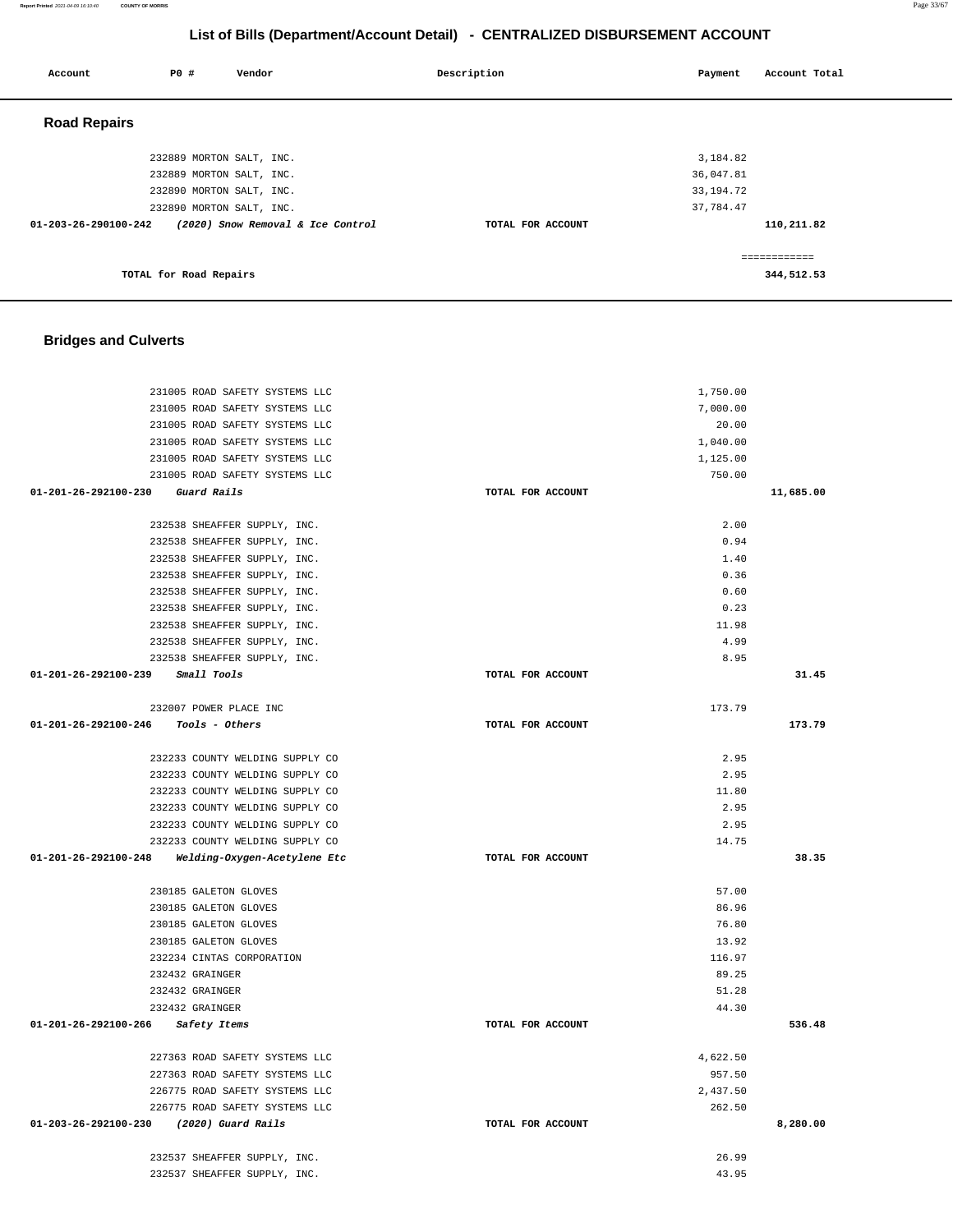| 232889 MORTON SALT, INC.                                  | 3,184.82          |              |
|-----------------------------------------------------------|-------------------|--------------|
| 232889 MORTON SALT, INC.                                  | 36,047.81         |              |
| 232890 MORTON SALT, INC.                                  | 33, 194. 72       |              |
| 232890 MORTON SALT, INC.                                  | 37,784.47         |              |
| 01-203-26-290100-242<br>(2020) Snow Removal & Ice Control | TOTAL FOR ACCOUNT | 110,211.82   |
|                                                           |                   | ============ |
| TOTAL for Road Repairs                                    |                   | 344,512.53   |
|                                                           |                   |              |
| <b>Bridges and Culverts</b>                               |                   |              |
|                                                           |                   |              |
| 231005 ROAD SAFETY SYSTEMS LLC                            | 1,750.00          |              |
| 231005 ROAD SAFETY SYSTEMS LLC                            | 7,000.00          |              |
| 231005 ROAD SAFETY SYSTEMS LLC                            | 20.00             |              |
| 231005 ROAD SAFETY SYSTEMS LLC                            | 1,040.00          |              |
| 231005 ROAD SAFETY SYSTEMS LLC                            | 1,125.00          |              |
| 231005 ROAD SAFETY SYSTEMS LLC                            | 750.00            |              |
| 01-201-26-292100-230<br>Guard Rails                       | TOTAL FOR ACCOUNT | 11,685.00    |
| 232538 SHEAFFER SUPPLY, INC.                              | 2.00              |              |
| 232538 SHEAFFER SUPPLY, INC.                              | 0.94              |              |
| 232538 SHEAFFER SUPPLY, INC.                              | 1.40              |              |
| 232538 SHEAFFER SUPPLY, INC.                              | 0.36              |              |
| 232538 SHEAFFER SUPPLY, INC.                              | 0.60              |              |
| 232538 SHEAFFER SUPPLY, INC.                              | 0.23              |              |
| 232538 SHEAFFER SUPPLY, INC.                              | 11.98             |              |
| 232538 SHEAFFER SUPPLY, INC.                              | 4.99              |              |
| 232538 SHEAFFER SUPPLY, INC.                              | 8.95              |              |
| 01-201-26-292100-239<br>Small Tools                       | TOTAL FOR ACCOUNT | 31.45        |
| 232007 POWER PLACE INC                                    | 173.79            |              |
| 01-201-26-292100-246<br>Tools - Others                    | TOTAL FOR ACCOUNT | 173.79       |
|                                                           |                   |              |
| 232233 COUNTY WELDING SUPPLY CO                           | 2.95              |              |
| 232233 COUNTY WELDING SUPPLY CO                           | 2.95              |              |
| 232233 COUNTY WELDING SUPPLY CO                           | 11.80             |              |
| 232233 COUNTY WELDING SUPPLY CO                           | 2.95              |              |
| 232233 COUNTY WELDING SUPPLY CO                           | 2.95              |              |
| 232233 COUNTY WELDING SUPPLY CO                           | 14.75             |              |
| 01-201-26-292100-248<br>Welding-Oxygen-Acetylene Etc      | TOTAL FOR ACCOUNT | 38.35        |
| 230185 GALETON GLOVES                                     | 57.00             |              |
| 230185 GALETON GLOVES                                     | 86.96             |              |
| 230185 GALETON GLOVES                                     | 76.80             |              |
| 230185 GALETON GLOVES                                     | 13.92             |              |
| 232234 CINTAS CORPORATION                                 | 116.97            |              |
| 232432 GRAINGER                                           | 89.25             |              |
| 232432 GRAINGER                                           | 51.28             |              |
| 232432 GRAINGER                                           | 44.30             |              |
| 01-201-26-292100-266<br>Safety Items                      | TOTAL FOR ACCOUNT | 536.48       |
| 227363 ROAD SAFETY SYSTEMS LLC                            | 4,622.50          |              |
| 227363 ROAD SAFETY SYSTEMS LLC                            | 957.50            |              |
| 226775 ROAD SAFETY SYSTEMS LLC                            | 2,437.50          |              |

 232537 SHEAFFER SUPPLY, INC. 26.99 232537 SHEAFFER SUPPLY, INC. 43.95

262.50

**8,280.00**

226775 ROAD SAFETY SYSTEMS LLC

**01-203-26-292100-230 (2020) Guard Rails TOTAL FOR ACCOUNT** 

# **List of Bills (Department/Account Detail) - CENTRALIZED DISBURSEMENT ACCOUNT**

 **Account** 20 **P P**  $\uparrow$  **Payment** Payment Account Total

 **Road Repairs** 

**Report Printed** 2021-04-09 16:10:40 **COUNTY OF MORRIS** Page 33/67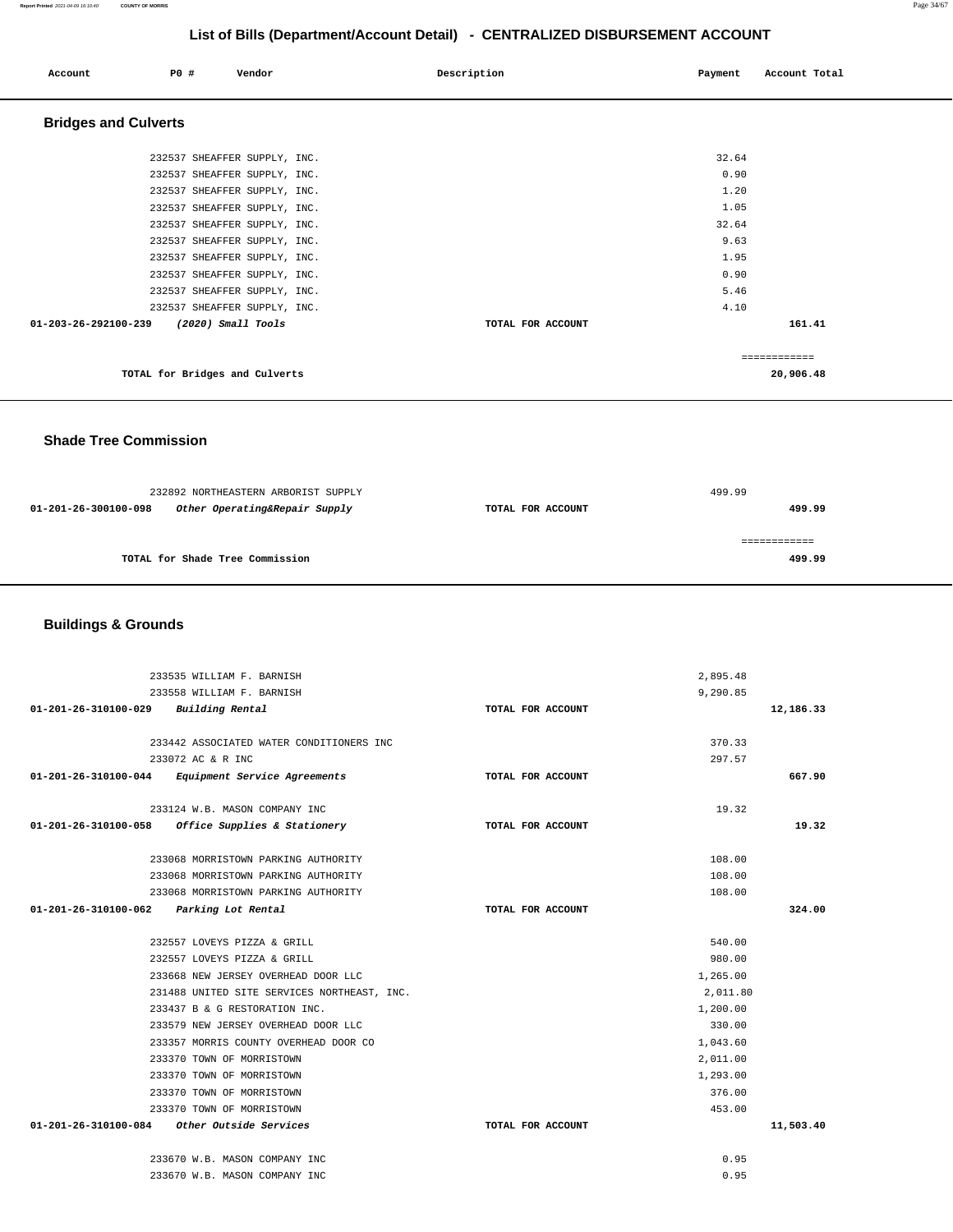### **Report Printed** 2021-04-09 16:10:40 **COUNTY OF MORRIS** Page 34/67

### **List of Bills (Department/Account Detail) - CENTRALIZED DISBURSEMENT ACCOUNT**

| Account                     | <b>PO #</b> | Vendor                         | Description       | Payment | Account Total |
|-----------------------------|-------------|--------------------------------|-------------------|---------|---------------|
| <b>Bridges and Culverts</b> |             |                                |                   |         |               |
|                             |             | 232537 SHEAFFER SUPPLY, INC.   |                   | 32.64   |               |
|                             |             | 232537 SHEAFFER SUPPLY, INC.   |                   | 0.90    |               |
|                             |             | 232537 SHEAFFER SUPPLY, INC.   |                   | 1.20    |               |
|                             |             | 232537 SHEAFFER SUPPLY, INC.   |                   | 1.05    |               |
|                             |             | 232537 SHEAFFER SUPPLY, INC.   |                   | 32.64   |               |
|                             |             | 232537 SHEAFFER SUPPLY, INC.   |                   | 9.63    |               |
|                             |             | 232537 SHEAFFER SUPPLY, INC.   |                   | 1.95    |               |
|                             |             | 232537 SHEAFFER SUPPLY, INC.   |                   | 0.90    |               |
|                             |             | 232537 SHEAFFER SUPPLY, INC.   |                   | 5.46    |               |
|                             |             | 232537 SHEAFFER SUPPLY, INC.   |                   | 4.10    |               |
| 01-203-26-292100-239        |             | $(2020)$ Small Tools           | TOTAL FOR ACCOUNT |         | 161.41        |
|                             |             |                                |                   |         | ============  |
|                             |             | TOTAL for Bridges and Culverts |                   |         | 20,906.48     |

 **Shade Tree Commission** 

|                      | 232892 NORTHEASTERN ARBORIST SUPPLY | 499.99            |        |  |
|----------------------|-------------------------------------|-------------------|--------|--|
| 01-201-26-300100-098 | Other Operating&Repair Supply       | TOTAL FOR ACCOUNT | 499.99 |  |
|                      |                                     |                   |        |  |
|                      |                                     |                   |        |  |
|                      | TOTAL for Shade Tree Commission     |                   | 499.99 |  |
|                      |                                     |                   |        |  |

### **Buildings & Grounds**

| 233535 WILLIAM F. BARNISH                                      |                   | 2,895.48     |
|----------------------------------------------------------------|-------------------|--------------|
| 233558 WILLIAM F. BARNISH                                      |                   | 9,290.85     |
| $01 - 201 - 26 - 310100 - 029$ Building Rental                 | TOTAL FOR ACCOUNT | 12,186.33    |
|                                                                |                   |              |
| 233442 ASSOCIATED WATER CONDITIONERS INC                       |                   | 370.33       |
| 233072 AC & R INC                                              |                   | 297.57       |
| 01-201-26-310100-044 Equipment Service Agreements              | TOTAL FOR ACCOUNT | 667.90       |
| 233124 W.B. MASON COMPANY INC                                  |                   | 19.32        |
|                                                                |                   |              |
| 01-201-26-310100-058 Office Supplies & Stationery              | TOTAL FOR ACCOUNT | 19.32        |
| 233068 MORRISTOWN PARKING AUTHORITY                            |                   | 108.00       |
| 233068 MORRISTOWN PARKING AUTHORITY                            |                   | 108.00       |
| 233068 MORRISTOWN PARKING AUTHORITY                            |                   | 108.00       |
| 01-201-26-310100-062 Parking Lot Rental                        | TOTAL FOR ACCOUNT | 324.00       |
|                                                                |                   |              |
| 232557 LOVEYS PIZZA & GRILL                                    |                   | 540.00       |
| 232557 LOVEYS PIZZA & GRILL                                    |                   | 980.00       |
| 233668 NEW JERSEY OVERHEAD DOOR LLC                            |                   | 1,265.00     |
| 231488 UNITED SITE SERVICES NORTHEAST, INC.                    |                   | 2,011.80     |
| 233437 B & G RESTORATION INC.                                  |                   | 1,200.00     |
| 233579 NEW JERSEY OVERHEAD DOOR LLC                            |                   | 330.00       |
| 233357 MORRIS COUNTY OVERHEAD DOOR CO                          |                   | 1,043.60     |
| 233370 TOWN OF MORRISTOWN                                      |                   | 2,011.00     |
| 233370 TOWN OF MORRISTOWN                                      |                   | 1,293.00     |
| 233370 TOWN OF MORRISTOWN                                      |                   | 376.00       |
| 233370 TOWN OF MORRISTOWN                                      |                   | 453.00       |
| 01-201-26-310100-084 Other Outside Services                    | TOTAL FOR ACCOUNT | 11,503.40    |
|                                                                |                   |              |
|                                                                |                   |              |
| 233670 W.B. MASON COMPANY INC<br>233670 W.B. MASON COMPANY INC |                   | 0.95<br>0.95 |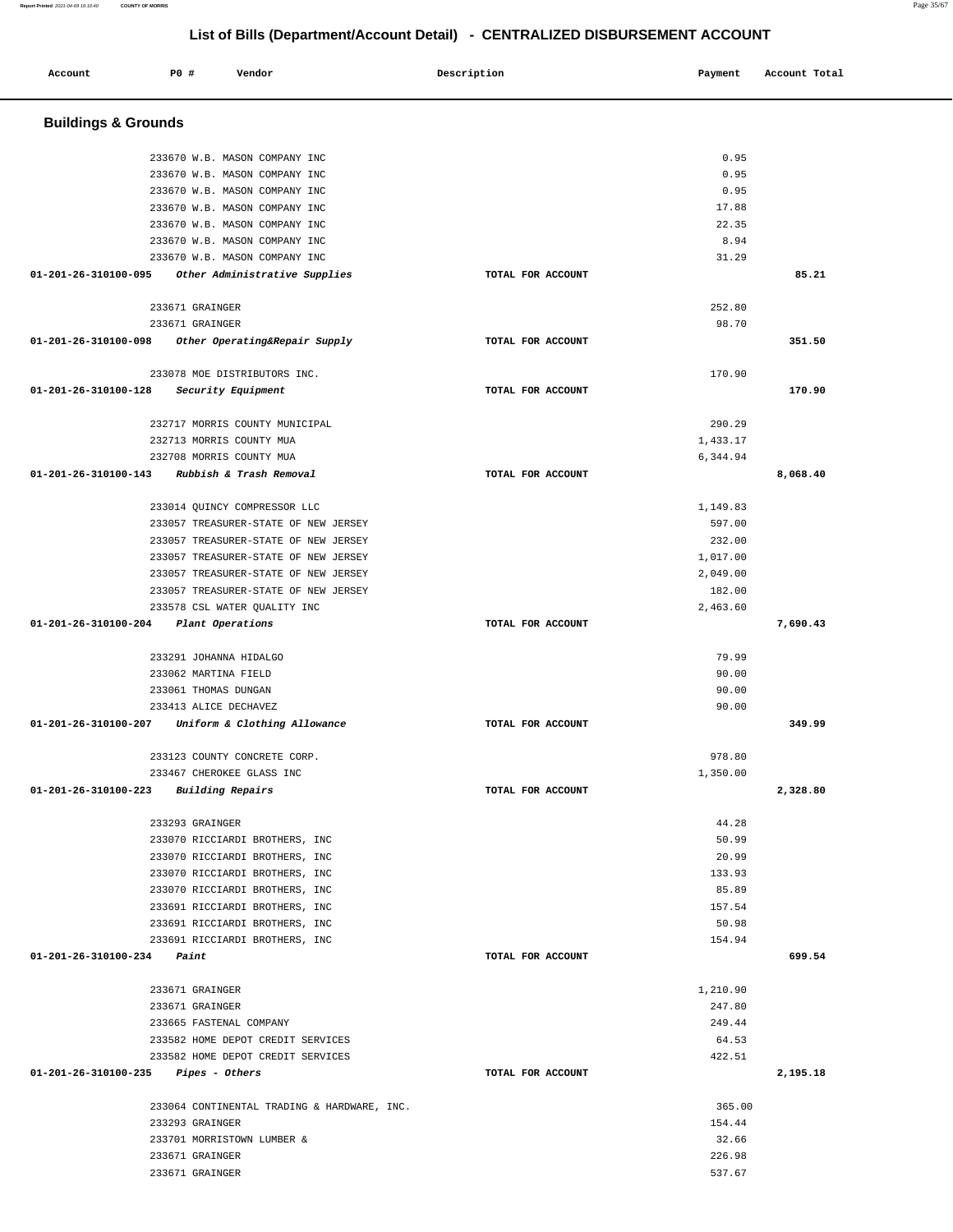| Account                               | P0 #            | Vendor                                      | Description       | Payment  | Account Total |
|---------------------------------------|-----------------|---------------------------------------------|-------------------|----------|---------------|
|                                       |                 |                                             |                   |          |               |
| <b>Buildings &amp; Grounds</b>        |                 |                                             |                   |          |               |
|                                       |                 | 233670 W.B. MASON COMPANY INC               |                   | 0.95     |               |
|                                       |                 | 233670 W.B. MASON COMPANY INC               |                   | 0.95     |               |
|                                       |                 | 233670 W.B. MASON COMPANY INC               |                   | 0.95     |               |
|                                       |                 | 233670 W.B. MASON COMPANY INC               |                   | 17.88    |               |
|                                       |                 | 233670 W.B. MASON COMPANY INC               |                   | 22.35    |               |
|                                       |                 | 233670 W.B. MASON COMPANY INC               |                   | 8.94     |               |
|                                       |                 | 233670 W.B. MASON COMPANY INC               |                   | 31.29    |               |
| 01-201-26-310100-095                  |                 | Other Administrative Supplies               | TOTAL FOR ACCOUNT |          | 85.21         |
|                                       | 233671 GRAINGER |                                             |                   | 252.80   |               |
|                                       | 233671 GRAINGER |                                             |                   | 98.70    |               |
| 01-201-26-310100-098                  |                 | Other Operating&Repair Supply               | TOTAL FOR ACCOUNT |          | 351.50        |
|                                       |                 | 233078 MOE DISTRIBUTORS INC.                |                   | 170.90   |               |
| 01-201-26-310100-128                  |                 | Security Equipment                          | TOTAL FOR ACCOUNT |          | 170.90        |
|                                       |                 | 232717 MORRIS COUNTY MUNICIPAL              |                   | 290.29   |               |
|                                       |                 | 232713 MORRIS COUNTY MUA                    |                   | 1,433.17 |               |
|                                       |                 | 232708 MORRIS COUNTY MUA                    |                   | 6,344.94 |               |
| 01-201-26-310100-143                  |                 | Rubbish & Trash Removal                     | TOTAL FOR ACCOUNT |          | 8,068.40      |
|                                       |                 | 233014 QUINCY COMPRESSOR LLC                |                   | 1,149.83 |               |
|                                       |                 | 233057 TREASURER-STATE OF NEW JERSEY        |                   | 597.00   |               |
|                                       |                 | 233057 TREASURER-STATE OF NEW JERSEY        |                   | 232.00   |               |
|                                       |                 | 233057 TREASURER-STATE OF NEW JERSEY        |                   | 1,017.00 |               |
|                                       |                 | 233057 TREASURER-STATE OF NEW JERSEY        |                   | 2,049.00 |               |
|                                       |                 | 233057 TREASURER-STATE OF NEW JERSEY        |                   | 182.00   |               |
|                                       |                 | 233578 CSL WATER QUALITY INC                |                   | 2,463.60 |               |
| 01-201-26-310100-204                  |                 | Plant Operations                            | TOTAL FOR ACCOUNT |          | 7,690.43      |
|                                       |                 | 233291 JOHANNA HIDALGO                      |                   | 79.99    |               |
|                                       |                 | 233062 MARTINA FIELD                        |                   | 90.00    |               |
|                                       |                 | 233061 THOMAS DUNGAN                        |                   | 90.00    |               |
|                                       |                 | 233413 ALICE DECHAVEZ                       |                   | 90.00    |               |
| $01 - 201 - 26 - 310100 - 207$        |                 | Uniform & Clothing Allowance                | TOTAL FOR ACCOUNT |          | 349.99        |
|                                       |                 | 233123 COUNTY CONCRETE CORP.                |                   | 978.80   |               |
|                                       |                 | 233467 CHEROKEE GLASS INC                   |                   | 1,350.00 |               |
| 01-201-26-310100-223                  |                 | <b>Building Repairs</b>                     | TOTAL FOR ACCOUNT |          | 2,328.80      |
|                                       | 233293 GRAINGER |                                             |                   | 44.28    |               |
|                                       |                 | 233070 RICCIARDI BROTHERS, INC              |                   | 50.99    |               |
|                                       |                 | 233070 RICCIARDI BROTHERS, INC              |                   | 20.99    |               |
|                                       |                 | 233070 RICCIARDI BROTHERS, INC              |                   | 133.93   |               |
|                                       |                 | 233070 RICCIARDI BROTHERS, INC              |                   | 85.89    |               |
|                                       |                 | 233691 RICCIARDI BROTHERS, INC              |                   | 157.54   |               |
|                                       |                 | 233691 RICCIARDI BROTHERS, INC              |                   | 50.98    |               |
|                                       |                 | 233691 RICCIARDI BROTHERS, INC              |                   | 154.94   |               |
| 01-201-26-310100-234                  | Paint           |                                             | TOTAL FOR ACCOUNT |          | 699.54        |
|                                       | 233671 GRAINGER |                                             |                   | 1,210.90 |               |
|                                       | 233671 GRAINGER |                                             |                   | 247.80   |               |
|                                       |                 | 233665 FASTENAL COMPANY                     |                   | 249.44   |               |
|                                       |                 | 233582 HOME DEPOT CREDIT SERVICES           |                   | 64.53    |               |
|                                       |                 | 233582 HOME DEPOT CREDIT SERVICES           |                   | 422.51   |               |
| $01-201-26-310100-235$ Pipes - Others |                 |                                             | TOTAL FOR ACCOUNT |          | 2,195.18      |
|                                       |                 | 233064 CONTINENTAL TRADING & HARDWARE, INC. |                   | 365.00   |               |
|                                       | 233293 GRAINGER |                                             |                   | 154.44   |               |
|                                       |                 | 233701 MORRISTOWN LUMBER &                  |                   | 32.66    |               |
|                                       | 233671 GRAINGER |                                             |                   | 226.98   |               |
|                                       | 233671 GRAINGER |                                             |                   | 537.67   |               |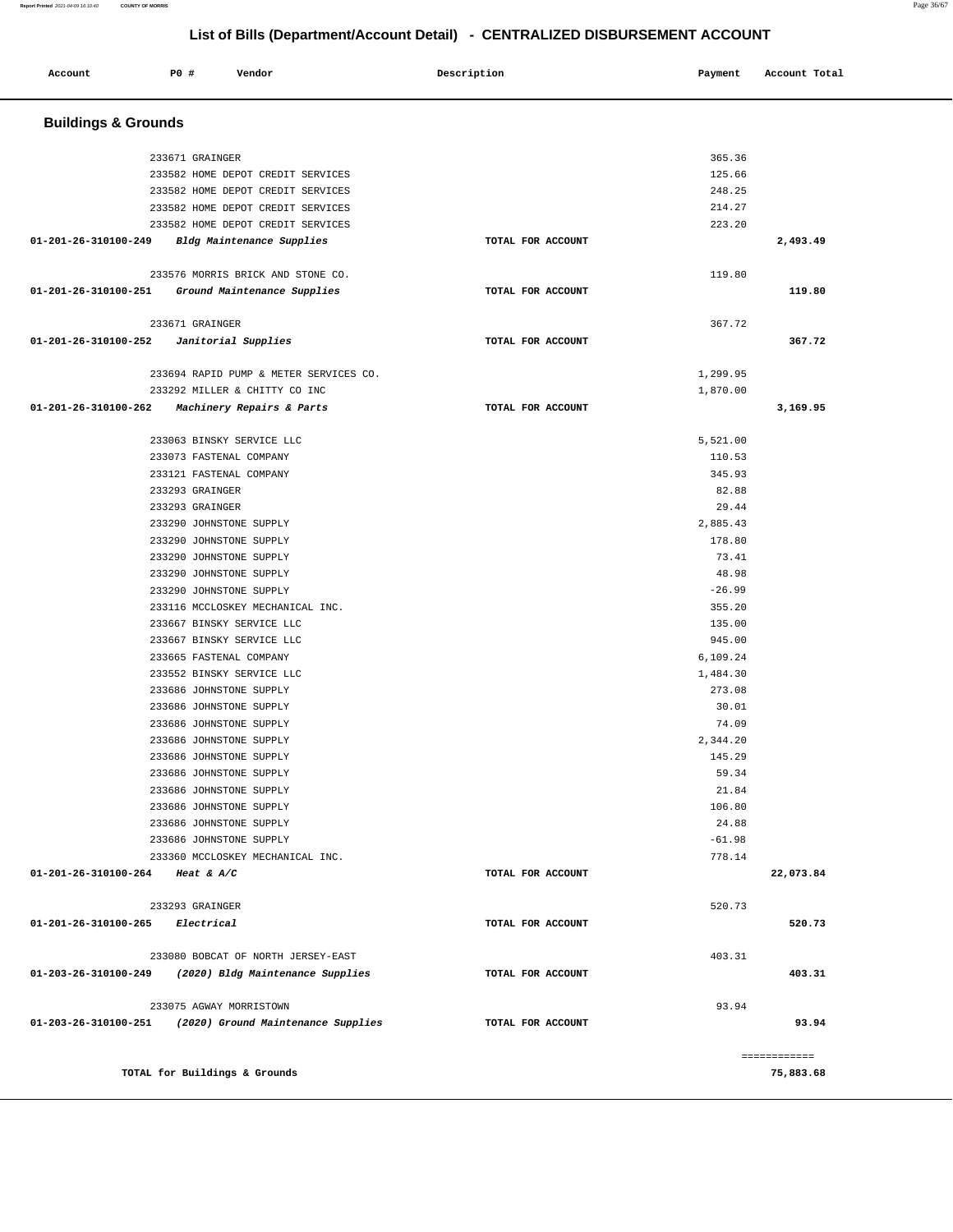| Account              | <b>PO #</b>                    | Vendor                                               | Description       | Payment            | Account Total             |  |  |  |
|----------------------|--------------------------------|------------------------------------------------------|-------------------|--------------------|---------------------------|--|--|--|
|                      | <b>Buildings &amp; Grounds</b> |                                                      |                   |                    |                           |  |  |  |
|                      | 233671 GRAINGER                |                                                      |                   | 365.36             |                           |  |  |  |
|                      |                                | 233582 HOME DEPOT CREDIT SERVICES                    |                   | 125.66             |                           |  |  |  |
|                      |                                | 233582 HOME DEPOT CREDIT SERVICES                    |                   | 248.25             |                           |  |  |  |
|                      |                                | 233582 HOME DEPOT CREDIT SERVICES                    |                   | 214.27             |                           |  |  |  |
|                      |                                | 233582 HOME DEPOT CREDIT SERVICES                    |                   | 223.20             |                           |  |  |  |
| 01-201-26-310100-249 |                                | Bldg Maintenance Supplies                            | TOTAL FOR ACCOUNT |                    | 2,493.49                  |  |  |  |
|                      |                                | 233576 MORRIS BRICK AND STONE CO.                    |                   | 119.80             |                           |  |  |  |
| 01-201-26-310100-251 |                                | Ground Maintenance Supplies                          | TOTAL FOR ACCOUNT |                    | 119.80                    |  |  |  |
|                      | 233671 GRAINGER                |                                                      |                   | 367.72             |                           |  |  |  |
| 01-201-26-310100-252 |                                | Janitorial Supplies                                  | TOTAL FOR ACCOUNT |                    | 367.72                    |  |  |  |
|                      |                                | 233694 RAPID PUMP & METER SERVICES CO.               |                   | 1,299.95           |                           |  |  |  |
|                      |                                | 233292 MILLER & CHITTY CO INC                        |                   | 1,870.00           |                           |  |  |  |
| 01-201-26-310100-262 |                                | Machinery Repairs & Parts                            | TOTAL FOR ACCOUNT |                    | 3,169.95                  |  |  |  |
|                      |                                | 233063 BINSKY SERVICE LLC                            |                   | 5,521.00           |                           |  |  |  |
|                      |                                | 233073 FASTENAL COMPANY                              |                   | 110.53             |                           |  |  |  |
|                      |                                | 233121 FASTENAL COMPANY                              |                   | 345.93             |                           |  |  |  |
|                      | 233293 GRAINGER                |                                                      |                   | 82.88              |                           |  |  |  |
|                      | 233293 GRAINGER                |                                                      |                   | 29.44              |                           |  |  |  |
|                      |                                | 233290 JOHNSTONE SUPPLY                              |                   | 2,885.43           |                           |  |  |  |
|                      |                                | 233290 JOHNSTONE SUPPLY                              |                   | 178.80             |                           |  |  |  |
|                      |                                | 233290 JOHNSTONE SUPPLY                              |                   | 73.41              |                           |  |  |  |
|                      |                                | 233290 JOHNSTONE SUPPLY                              |                   | 48.98              |                           |  |  |  |
|                      |                                | 233290 JOHNSTONE SUPPLY                              |                   | $-26.99$           |                           |  |  |  |
|                      |                                | 233116 MCCLOSKEY MECHANICAL INC.                     |                   | 355.20             |                           |  |  |  |
|                      |                                | 233667 BINSKY SERVICE LLC                            |                   | 135.00             |                           |  |  |  |
|                      |                                | 233667 BINSKY SERVICE LLC<br>233665 FASTENAL COMPANY |                   | 945.00<br>6,109.24 |                           |  |  |  |
|                      |                                | 233552 BINSKY SERVICE LLC                            |                   | 1,484.30           |                           |  |  |  |
|                      |                                | 233686 JOHNSTONE SUPPLY                              |                   | 273.08             |                           |  |  |  |
|                      |                                | 233686 JOHNSTONE SUPPLY                              |                   | 30.01              |                           |  |  |  |
|                      |                                | 233686 JOHNSTONE SUPPLY                              |                   | 74.09              |                           |  |  |  |
|                      |                                | 233686 JOHNSTONE SUPPLY                              |                   | 2,344.20           |                           |  |  |  |
|                      |                                | 233686 JOHNSTONE SUPPLY                              |                   | 145.29             |                           |  |  |  |
|                      |                                | 233686 JOHNSTONE SUPPLY                              |                   | 59.34              |                           |  |  |  |
|                      |                                | 233686 JOHNSTONE SUPPLY                              |                   | 21.84              |                           |  |  |  |
|                      |                                | 233686 JOHNSTONE SUPPLY                              |                   | 106.80             |                           |  |  |  |
|                      |                                | 233686 JOHNSTONE SUPPLY                              |                   | 24.88              |                           |  |  |  |
|                      |                                | 233686 JOHNSTONE SUPPLY                              |                   | $-61.98$           |                           |  |  |  |
|                      |                                | 233360 MCCLOSKEY MECHANICAL INC.                     |                   | 778.14             |                           |  |  |  |
| 01-201-26-310100-264 | Heat & $A/C$                   |                                                      | TOTAL FOR ACCOUNT |                    | 22,073.84                 |  |  |  |
|                      | 233293 GRAINGER                |                                                      |                   | 520.73             |                           |  |  |  |
| 01-201-26-310100-265 | Electrical                     |                                                      | TOTAL FOR ACCOUNT |                    | 520.73                    |  |  |  |
|                      |                                | 233080 BOBCAT OF NORTH JERSEY-EAST                   |                   | 403.31             |                           |  |  |  |
| 01-203-26-310100-249 |                                | (2020) Bldg Maintenance Supplies                     | TOTAL FOR ACCOUNT |                    | 403.31                    |  |  |  |
|                      |                                | 233075 AGWAY MORRISTOWN                              |                   | 93.94              |                           |  |  |  |
| 01-203-26-310100-251 |                                | (2020) Ground Maintenance Supplies                   | TOTAL FOR ACCOUNT |                    | 93.94                     |  |  |  |
|                      |                                | TOTAL for Buildings & Grounds                        |                   |                    | ============<br>75,883.68 |  |  |  |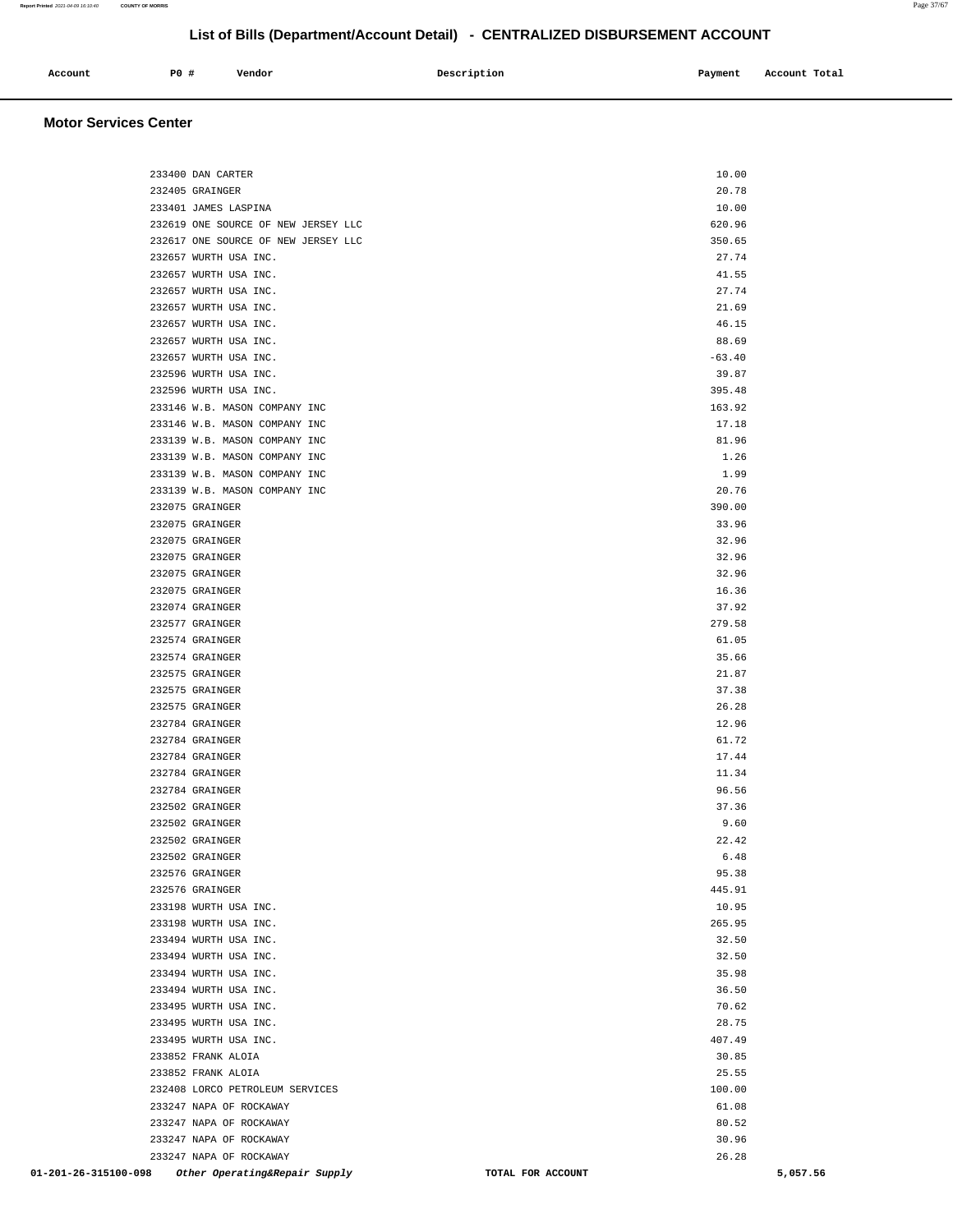| Account | PO# | Vendor | Description | Payment | Account Total |
|---------|-----|--------|-------------|---------|---------------|
|         |     |        |             |         |               |

### **Motor Services Center**

| 233400 DAN CARTER                                                                | 10.00                                  |
|----------------------------------------------------------------------------------|----------------------------------------|
| 232405 GRAINGER                                                                  | 20.78                                  |
| 233401 JAMES LASPINA                                                             | 10.00                                  |
| 232619 ONE SOURCE OF NEW JERSEY LLC                                              | 620.96                                 |
| 232617 ONE SOURCE OF NEW JERSEY LLC                                              | 350.65                                 |
| 232657 WURTH USA INC.                                                            | 27.74                                  |
| 232657 WURTH USA INC.                                                            | 41.55                                  |
| 232657 WURTH USA INC.                                                            | 27.74                                  |
| 232657 WURTH USA INC.                                                            | 21.69                                  |
| 232657 WURTH USA INC.                                                            | 46.15                                  |
| 232657 WURTH USA INC.                                                            | 88.69                                  |
| 232657 WURTH USA INC.                                                            | $-63.40$                               |
| 232596 WURTH USA INC.                                                            | 39.87                                  |
| 232596 WURTH USA INC.                                                            | 395.48                                 |
| 233146 W.B. MASON COMPANY INC                                                    | 163.92                                 |
| 233146 W.B. MASON COMPANY INC                                                    | 17.18                                  |
| 233139 W.B. MASON COMPANY INC                                                    | 81.96                                  |
| 233139 W.B. MASON COMPANY INC                                                    | 1.26                                   |
| 233139 W.B. MASON COMPANY INC                                                    | 1.99                                   |
| 233139 W.B. MASON COMPANY INC                                                    | 20.76                                  |
| 232075 GRAINGER                                                                  | 390.00                                 |
| 232075 GRAINGER                                                                  | 33.96                                  |
| 232075 GRAINGER                                                                  | 32.96                                  |
| 232075 GRAINGER                                                                  | 32.96                                  |
| 232075 GRAINGER                                                                  | 32.96<br>16.36                         |
| 232075 GRAINGER<br>232074 GRAINGER                                               | 37.92                                  |
| 232577 GRAINGER                                                                  | 279.58                                 |
| 232574 GRAINGER                                                                  | 61.05                                  |
| 232574 GRAINGER                                                                  | 35.66                                  |
| 232575 GRAINGER                                                                  | 21.87                                  |
| 232575 GRAINGER                                                                  | 37.38                                  |
| 232575 GRAINGER                                                                  | 26.28                                  |
| 232784 GRAINGER                                                                  | 12.96                                  |
| 232784 GRAINGER                                                                  | 61.72                                  |
| 232784 GRAINGER                                                                  | 17.44                                  |
| 232784 GRAINGER                                                                  | 11.34                                  |
| 232784 GRAINGER                                                                  | 96.56                                  |
| 232502 GRAINGER                                                                  | 37.36                                  |
| 232502 GRAINGER                                                                  | 9.60                                   |
| 232502 GRAINGER                                                                  | 22.42                                  |
| 232502 GRAINGER                                                                  | 6.48                                   |
| 232576 GRAINGER                                                                  | 95.38                                  |
| 232576 GRAINGER                                                                  | 445.91                                 |
| 233198 WURTH USA INC.                                                            | 10.95                                  |
| 233198 WURTH USA INC.                                                            | 265.95                                 |
| 233494 WURTH USA INC.                                                            | 32.50                                  |
| 233494 WURTH USA INC.                                                            | 32.50                                  |
| 233494 WURTH USA INC.                                                            | 35.98                                  |
| 233494 WURTH USA INC.                                                            | 36.50                                  |
| 233495 WURTH USA INC.                                                            | 70.62                                  |
| 233495 WURTH USA INC.                                                            | 28.75                                  |
| 233495 WURTH USA INC.                                                            | 407.49                                 |
| 233852 FRANK ALOIA                                                               | 30.85                                  |
| 233852 FRANK ALOIA                                                               | 25.55                                  |
| 232408 LORCO PETROLEUM SERVICES                                                  | 100.00                                 |
| 233247 NAPA OF ROCKAWAY                                                          | 61.08                                  |
| 233247 NAPA OF ROCKAWAY                                                          | 80.52                                  |
| 233247 NAPA OF ROCKAWAY                                                          | 30.96                                  |
| 233247 NAPA OF ROCKAWAY<br>01-201-26-315100-098<br>Other Operating&Repair Supply | 26.28<br>5,057.56<br>TOTAL FOR ACCOUNT |
|                                                                                  |                                        |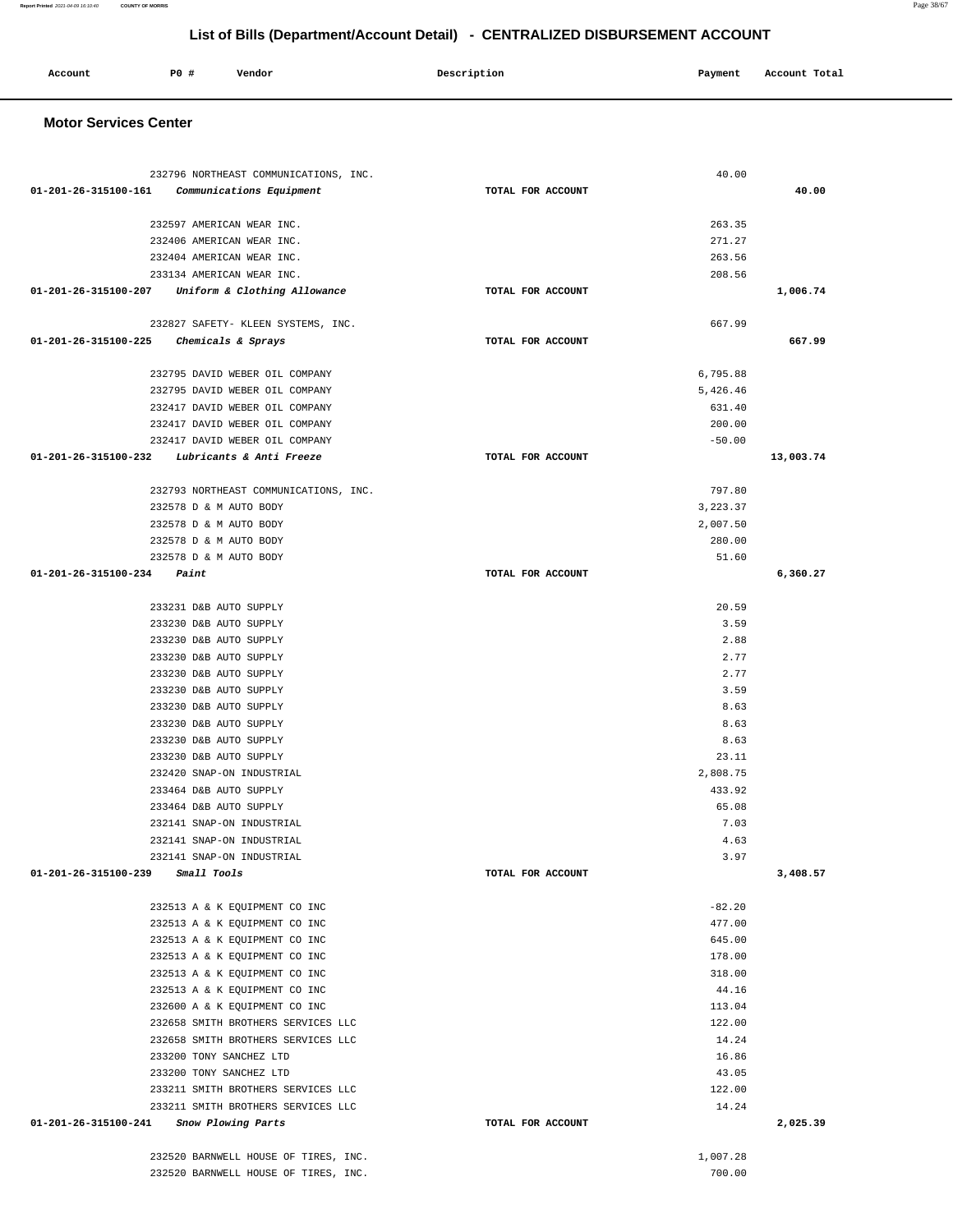| Account                      | P0 #<br>Vendor                                                           | Description       | Payment            | Account Total |
|------------------------------|--------------------------------------------------------------------------|-------------------|--------------------|---------------|
|                              |                                                                          |                   |                    |               |
| <b>Motor Services Center</b> |                                                                          |                   |                    |               |
|                              |                                                                          |                   |                    |               |
|                              |                                                                          |                   |                    |               |
| 01-201-26-315100-161         | 232796 NORTHEAST COMMUNICATIONS, INC.<br>Communications Equipment        | TOTAL FOR ACCOUNT | 40.00              | 40.00         |
|                              |                                                                          |                   |                    |               |
|                              | 232597 AMERICAN WEAR INC.                                                |                   | 263.35             |               |
|                              | 232406 AMERICAN WEAR INC.                                                |                   | 271.27             |               |
|                              | 232404 AMERICAN WEAR INC.                                                |                   | 263.56             |               |
|                              | 233134 AMERICAN WEAR INC.                                                |                   | 208.56             |               |
| 01-201-26-315100-207         | Uniform & Clothing Allowance                                             | TOTAL FOR ACCOUNT |                    | 1,006.74      |
|                              | 232827 SAFETY- KLEEN SYSTEMS, INC.                                       |                   | 667.99             |               |
| 01-201-26-315100-225         | Chemicals & Sprays                                                       | TOTAL FOR ACCOUNT |                    | 667.99        |
|                              |                                                                          |                   |                    |               |
|                              | 232795 DAVID WEBER OIL COMPANY                                           |                   | 6,795.88           |               |
|                              | 232795 DAVID WEBER OIL COMPANY                                           |                   | 5,426.46           |               |
|                              | 232417 DAVID WEBER OIL COMPANY                                           |                   | 631.40             |               |
|                              | 232417 DAVID WEBER OIL COMPANY<br>232417 DAVID WEBER OIL COMPANY         |                   | 200.00<br>$-50.00$ |               |
| 01-201-26-315100-232         | Lubricants & Anti Freeze                                                 | TOTAL FOR ACCOUNT |                    | 13,003.74     |
|                              |                                                                          |                   |                    |               |
|                              | 232793 NORTHEAST COMMUNICATIONS, INC.                                    |                   | 797.80             |               |
|                              | 232578 D & M AUTO BODY                                                   |                   | 3,223.37           |               |
|                              | 232578 D & M AUTO BODY                                                   |                   | 2,007.50           |               |
|                              | 232578 D & M AUTO BODY                                                   |                   | 280.00             |               |
| 01-201-26-315100-234         | 232578 D & M AUTO BODY<br>Paint                                          | TOTAL FOR ACCOUNT | 51.60              | 6,360.27      |
|                              |                                                                          |                   |                    |               |
|                              | 233231 D&B AUTO SUPPLY                                                   |                   | 20.59              |               |
|                              | 233230 D&B AUTO SUPPLY                                                   |                   | 3.59               |               |
|                              | 233230 D&B AUTO SUPPLY                                                   |                   | 2.88               |               |
|                              | 233230 D&B AUTO SUPPLY                                                   |                   | 2.77               |               |
|                              | 233230 D&B AUTO SUPPLY                                                   |                   | 2.77<br>3.59       |               |
|                              | 233230 D&B AUTO SUPPLY<br>233230 D&B AUTO SUPPLY                         |                   | 8.63               |               |
|                              | 233230 D&B AUTO SUPPLY                                                   |                   | 8.63               |               |
|                              | 233230 D&B AUTO SUPPLY                                                   |                   | 8.63               |               |
|                              | 233230 D&B AUTO SUPPLY                                                   |                   | 23.11              |               |
|                              | 232420 SNAP-ON INDUSTRIAL                                                |                   | 2,808.75           |               |
|                              | 233464 D&B AUTO SUPPLY                                                   |                   | 433.92             |               |
|                              | 233464 D&B AUTO SUPPLY                                                   |                   | 65.08              |               |
|                              | 232141 SNAP-ON INDUSTRIAL<br>232141 SNAP-ON INDUSTRIAL                   |                   | 7.03<br>4.63       |               |
|                              | 232141 SNAP-ON INDUSTRIAL                                                |                   | 3.97               |               |
| 01-201-26-315100-239         | Small Tools                                                              | TOTAL FOR ACCOUNT |                    | 3,408.57      |
|                              |                                                                          |                   |                    |               |
|                              | 232513 A & K EQUIPMENT CO INC                                            |                   | $-82.20$           |               |
|                              | 232513 A & K EQUIPMENT CO INC                                            |                   | 477.00             |               |
|                              | 232513 A & K EQUIPMENT CO INC                                            |                   | 645.00             |               |
|                              | 232513 A & K EQUIPMENT CO INC<br>232513 A & K EQUIPMENT CO INC           |                   | 178.00<br>318.00   |               |
|                              | 232513 A & K EQUIPMENT CO INC                                            |                   | 44.16              |               |
|                              | 232600 A & K EQUIPMENT CO INC                                            |                   | 113.04             |               |
|                              | 232658 SMITH BROTHERS SERVICES LLC                                       |                   | 122.00             |               |
|                              | 232658 SMITH BROTHERS SERVICES LLC                                       |                   | 14.24              |               |
|                              | 233200 TONY SANCHEZ LTD                                                  |                   | 16.86              |               |
|                              | 233200 TONY SANCHEZ LTD                                                  |                   | 43.05              |               |
|                              | 233211 SMITH BROTHERS SERVICES LLC<br>233211 SMITH BROTHERS SERVICES LLC |                   | 122.00<br>14.24    |               |
| 01-201-26-315100-241         | Snow Plowing Parts                                                       | TOTAL FOR ACCOUNT |                    | 2,025.39      |
|                              |                                                                          |                   |                    |               |
|                              | 232520 BARNWELL HOUSE OF TIRES, INC.                                     |                   | 1,007.28           |               |

232520 BARNWELL HOUSE OF TIRES, INC. 700.00

# **List of Bills (Department/Account Detail) - CENTRALIZED DISBURSEMENT ACCOUNT**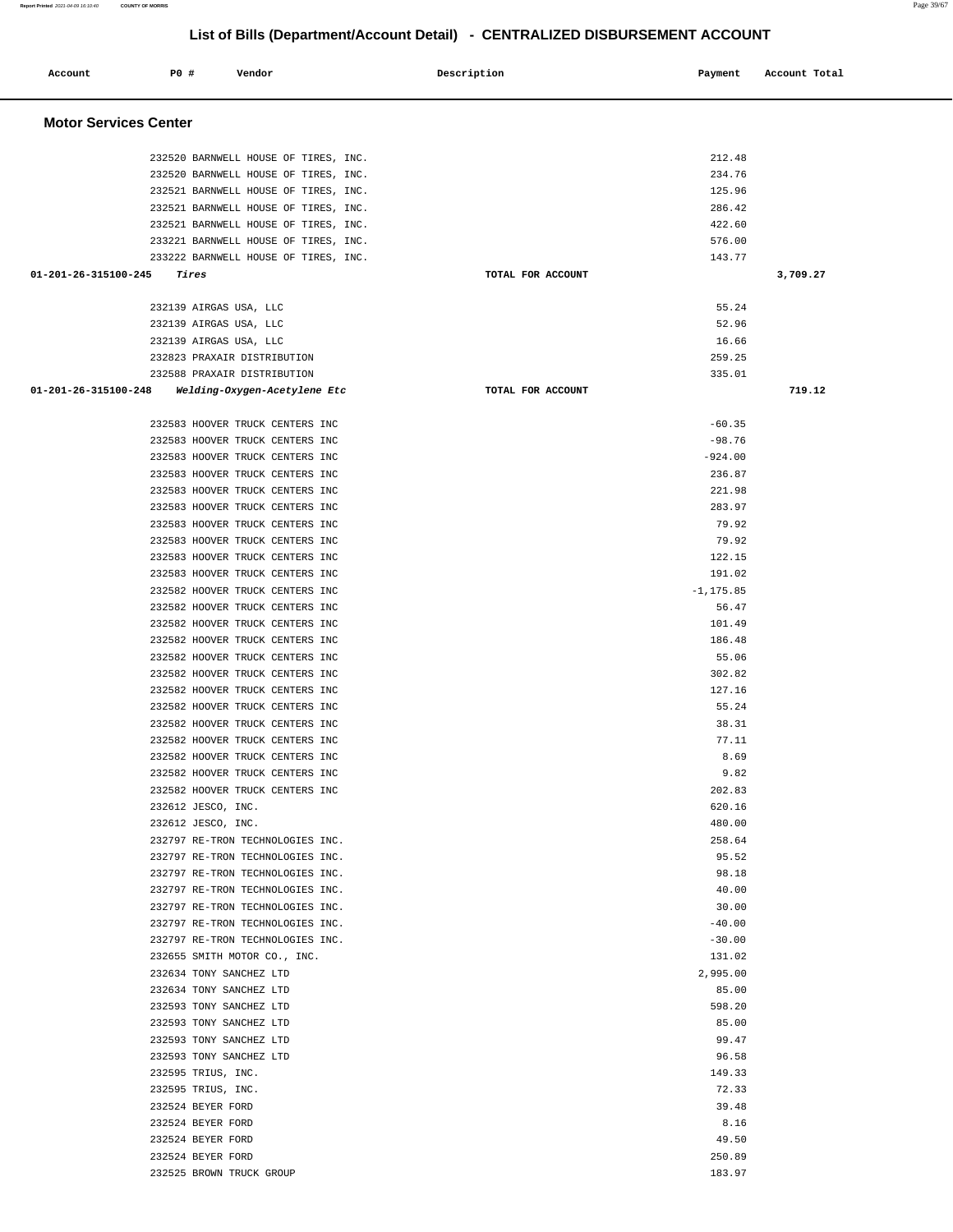### **Report Printed** 2021-04-09 16:10:40 **COUNTY OF MORRIS** Page 39/67

# **List of Bills (Department/Account Detail) - CENTRALIZED DISBURSEMENT ACCOUNT**

| Account                        | P0 # | Vendor                                                               | Description       | Payment          | Account Total |
|--------------------------------|------|----------------------------------------------------------------------|-------------------|------------------|---------------|
| <b>Motor Services Center</b>   |      |                                                                      |                   |                  |               |
|                                |      | 232520 BARNWELL HOUSE OF TIRES, INC.                                 |                   | 212.48           |               |
|                                |      | 232520 BARNWELL HOUSE OF TIRES, INC.                                 |                   | 234.76           |               |
|                                |      | 232521 BARNWELL HOUSE OF TIRES, INC.                                 |                   | 125.96           |               |
|                                |      | 232521 BARNWELL HOUSE OF TIRES, INC.                                 |                   | 286.42           |               |
|                                |      | 232521 BARNWELL HOUSE OF TIRES, INC.                                 |                   | 422.60           |               |
|                                |      | 233221 BARNWELL HOUSE OF TIRES, INC.                                 |                   | 576.00           |               |
|                                |      | 233222 BARNWELL HOUSE OF TIRES, INC.                                 |                   | 143.77           |               |
| 01-201-26-315100-245           |      | Tires                                                                | TOTAL FOR ACCOUNT |                  | 3,709.27      |
|                                |      | 232139 AIRGAS USA, LLC                                               |                   | 55.24            |               |
|                                |      | 232139 AIRGAS USA, LLC                                               |                   | 52.96            |               |
|                                |      | 232139 AIRGAS USA, LLC                                               |                   | 16.66            |               |
|                                |      | 232823 PRAXAIR DISTRIBUTION<br>232588 PRAXAIR DISTRIBUTION           |                   | 259.25<br>335.01 |               |
| $01 - 201 - 26 - 315100 - 248$ |      | Welding-Oxygen-Acetylene Etc                                         | TOTAL FOR ACCOUNT |                  | 719.12        |
|                                |      |                                                                      |                   |                  |               |
|                                |      | 232583 HOOVER TRUCK CENTERS INC                                      |                   | $-60.35$         |               |
|                                |      | 232583 HOOVER TRUCK CENTERS INC                                      |                   | $-98.76$         |               |
|                                |      | 232583 HOOVER TRUCK CENTERS INC                                      |                   | $-924.00$        |               |
|                                |      | 232583 HOOVER TRUCK CENTERS INC                                      |                   | 236.87           |               |
|                                |      | 232583 HOOVER TRUCK CENTERS INC                                      |                   | 221.98           |               |
|                                |      | 232583 HOOVER TRUCK CENTERS INC                                      |                   | 283.97           |               |
|                                |      | 232583 HOOVER TRUCK CENTERS INC<br>232583 HOOVER TRUCK CENTERS INC   |                   | 79.92<br>79.92   |               |
|                                |      | 232583 HOOVER TRUCK CENTERS INC                                      |                   | 122.15           |               |
|                                |      | 232583 HOOVER TRUCK CENTERS INC                                      |                   | 191.02           |               |
|                                |      | 232582 HOOVER TRUCK CENTERS INC                                      |                   | $-1, 175.85$     |               |
|                                |      | 232582 HOOVER TRUCK CENTERS INC                                      |                   | 56.47            |               |
|                                |      | 232582 HOOVER TRUCK CENTERS INC                                      |                   | 101.49           |               |
|                                |      | 232582 HOOVER TRUCK CENTERS INC                                      |                   | 186.48           |               |
|                                |      | 232582 HOOVER TRUCK CENTERS INC                                      |                   | 55.06            |               |
|                                |      | 232582 HOOVER TRUCK CENTERS INC                                      |                   | 302.82           |               |
|                                |      | 232582 HOOVER TRUCK CENTERS INC                                      |                   | 127.16           |               |
|                                |      | 232582 HOOVER TRUCK CENTERS INC<br>232582 HOOVER TRUCK CENTERS INC   |                   | 55.24<br>38.31   |               |
|                                |      | 232582 HOOVER TRUCK CENTERS INC                                      |                   | 77.11            |               |
|                                |      | 232582 HOOVER TRUCK CENTERS INC                                      |                   | 8.69             |               |
|                                |      | 232582 HOOVER TRUCK CENTERS INC                                      |                   | 9.82             |               |
|                                |      | 232582 HOOVER TRUCK CENTERS INC                                      |                   | 202.83           |               |
|                                |      | 232612 JESCO, INC.                                                   |                   | 620.16           |               |
|                                |      | 232612 JESCO, INC.                                                   |                   | 480.00           |               |
|                                |      | 232797 RE-TRON TECHNOLOGIES INC.                                     |                   | 258.64           |               |
|                                |      | 232797 RE-TRON TECHNOLOGIES INC.<br>232797 RE-TRON TECHNOLOGIES INC. |                   | 95.52<br>98.18   |               |
|                                |      | 232797 RE-TRON TECHNOLOGIES INC.                                     |                   | 40.00            |               |
|                                |      | 232797 RE-TRON TECHNOLOGIES INC.                                     |                   | 30.00            |               |
|                                |      | 232797 RE-TRON TECHNOLOGIES INC.                                     |                   | $-40.00$         |               |
|                                |      | 232797 RE-TRON TECHNOLOGIES INC.                                     |                   | $-30.00$         |               |
|                                |      | 232655 SMITH MOTOR CO., INC.                                         |                   | 131.02           |               |
|                                |      | 232634 TONY SANCHEZ LTD                                              |                   | 2,995.00         |               |
|                                |      | 232634 TONY SANCHEZ LTD                                              |                   | 85.00            |               |
|                                |      | 232593 TONY SANCHEZ LTD                                              |                   | 598.20           |               |
|                                |      | 232593 TONY SANCHEZ LTD<br>232593 TONY SANCHEZ LTD                   |                   | 85.00<br>99.47   |               |
|                                |      | 232593 TONY SANCHEZ LTD                                              |                   | 96.58            |               |
|                                |      | 232595 TRIUS, INC.                                                   |                   | 149.33           |               |
|                                |      | 232595 TRIUS, INC.                                                   |                   | 72.33            |               |
|                                |      | 232524 BEYER FORD                                                    |                   | 39.48            |               |
|                                |      | 232524 BEYER FORD                                                    |                   | 8.16             |               |
|                                |      | 232524 BEYER FORD                                                    |                   | 49.50            |               |
|                                |      | 232524 BEYER FORD                                                    |                   | 250.89           |               |
|                                |      | 232525 BROWN TRUCK GROUP                                             |                   | 183.97           |               |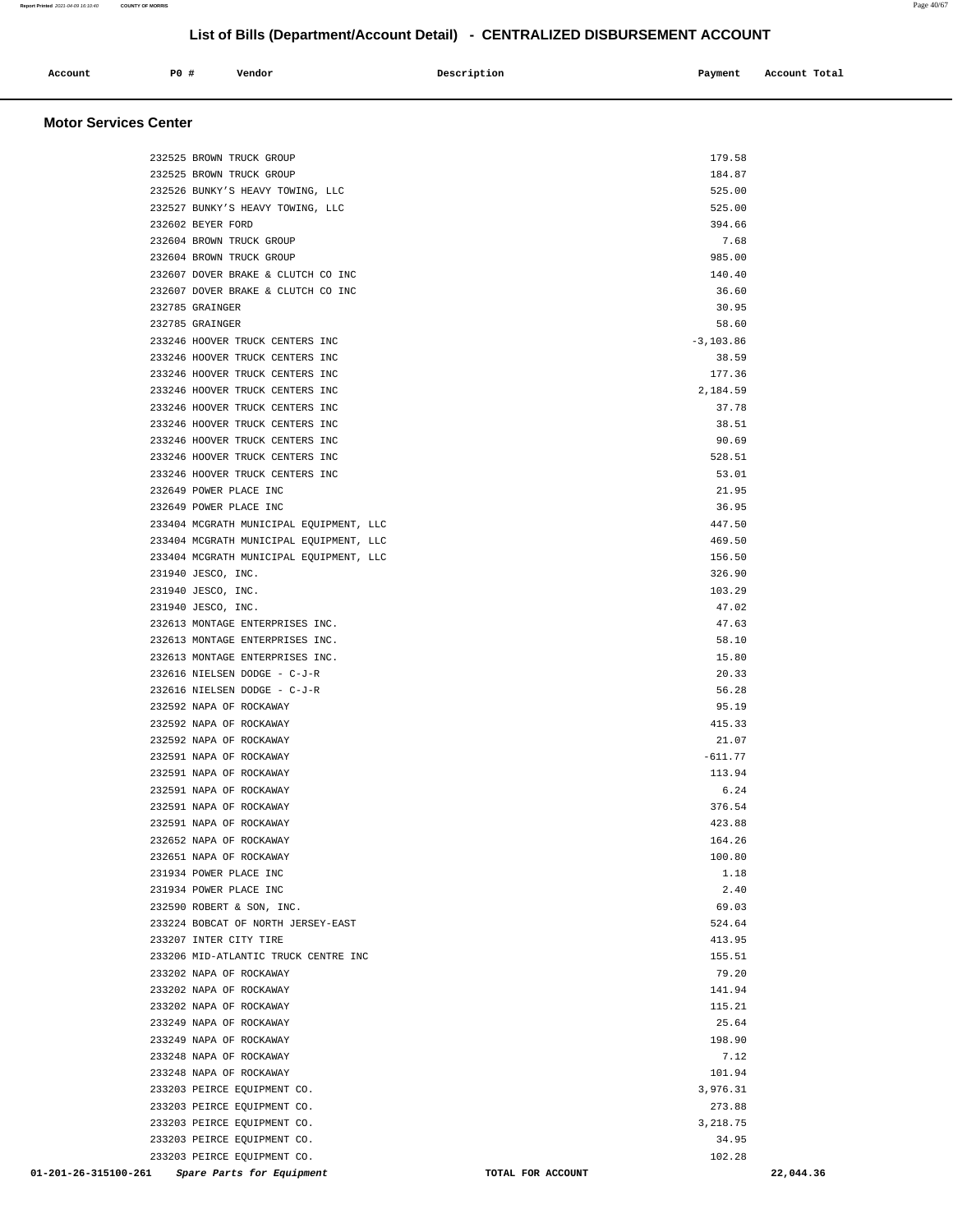| Account<br>. | PO# | Vendor | Description | Payment | Account Total |
|--------------|-----|--------|-------------|---------|---------------|
|              |     |        |             |         |               |

### **Motor Services Center**

| 232525 BROWN TRUCK GROUP                           | 179.58            |           |
|----------------------------------------------------|-------------------|-----------|
| 232525 BROWN TRUCK GROUP                           | 184.87            |           |
| 232526 BUNKY'S HEAVY TOWING, LLC                   | 525.00            |           |
| 232527 BUNKY'S HEAVY TOWING, LLC                   | 525.00            |           |
| 232602 BEYER FORD                                  | 394.66            |           |
| 232604 BROWN TRUCK GROUP                           | 7.68              |           |
| 232604 BROWN TRUCK GROUP                           | 985.00            |           |
| 232607 DOVER BRAKE & CLUTCH CO INC                 | 140.40            |           |
| 232607 DOVER BRAKE & CLUTCH CO INC                 | 36.60             |           |
| 232785 GRAINGER                                    | 30.95             |           |
| 232785 GRAINGER                                    | 58.60             |           |
| 233246 HOOVER TRUCK CENTERS INC                    | $-3, 103.86$      |           |
| 233246 HOOVER TRUCK CENTERS INC                    | 38.59             |           |
| 233246 HOOVER TRUCK CENTERS INC                    | 177.36            |           |
| 233246 HOOVER TRUCK CENTERS INC                    | 2,184.59          |           |
| 233246 HOOVER TRUCK CENTERS INC                    | 37.78             |           |
| 233246 HOOVER TRUCK CENTERS INC                    | 38.51             |           |
| 233246 HOOVER TRUCK CENTERS INC                    | 90.69             |           |
| 233246 HOOVER TRUCK CENTERS INC                    | 528.51            |           |
| 233246 HOOVER TRUCK CENTERS INC                    | 53.01             |           |
| 232649 POWER PLACE INC                             | 21.95             |           |
| 232649 POWER PLACE INC                             | 36.95             |           |
| 233404 MCGRATH MUNICIPAL EQUIPMENT, LLC            | 447.50            |           |
| 233404 MCGRATH MUNICIPAL EQUIPMENT, LLC            | 469.50            |           |
| 233404 MCGRATH MUNICIPAL EQUIPMENT, LLC            | 156.50            |           |
| 231940 JESCO, INC.                                 | 326.90            |           |
| 231940 JESCO, INC.                                 | 103.29            |           |
| 231940 JESCO, INC.                                 | 47.02             |           |
| 232613 MONTAGE ENTERPRISES INC.                    | 47.63             |           |
| 232613 MONTAGE ENTERPRISES INC.                    | 58.10             |           |
| 232613 MONTAGE ENTERPRISES INC.                    | 15.80             |           |
| 232616 NIELSEN DODGE - C-J-R                       | 20.33             |           |
| 232616 NIELSEN DODGE - C-J-R                       | 56.28             |           |
| 232592 NAPA OF ROCKAWAY                            | 95.19             |           |
| 232592 NAPA OF ROCKAWAY                            | 415.33            |           |
| 232592 NAPA OF ROCKAWAY                            | 21.07             |           |
| 232591 NAPA OF ROCKAWAY                            | $-611.77$         |           |
| 232591 NAPA OF ROCKAWAY                            | 113.94            |           |
| 232591 NAPA OF ROCKAWAY                            | 6.24              |           |
| 232591 NAPA OF ROCKAWAY                            | 376.54            |           |
| 232591 NAPA OF ROCKAWAY                            | 423.88            |           |
| 232652 NAPA OF ROCKAWAY                            | 164.26            |           |
| 232651 NAPA OF ROCKAWAY                            | 100.80            |           |
| 231934 POWER PLACE INC                             | 1.18              |           |
| 231934 POWER PLACE INC                             | 2.40              |           |
| 232590 ROBERT & SON, INC.                          | 69.03             |           |
| 233224 BOBCAT OF NORTH JERSEY-EAST                 | 524.64            |           |
| 233207 INTER CITY TIRE                             | 413.95            |           |
| 233206 MID-ATLANTIC TRUCK CENTRE INC               | 155.51            |           |
| 233202 NAPA OF ROCKAWAY                            | 79.20             |           |
|                                                    |                   |           |
| 233202 NAPA OF ROCKAWAY<br>233202 NAPA OF ROCKAWAY | 141.94<br>115.21  |           |
| 233249 NAPA OF ROCKAWAY                            | 25.64             |           |
| 233249 NAPA OF ROCKAWAY                            | 198.90            |           |
|                                                    | 7.12              |           |
| 233248 NAPA OF ROCKAWAY                            |                   |           |
| 233248 NAPA OF ROCKAWAY                            | 101.94            |           |
| 233203 PEIRCE EQUIPMENT CO.                        | 3,976.31          |           |
| 233203 PEIRCE EQUIPMENT CO.                        | 273.88            |           |
| 233203 PEIRCE EQUIPMENT CO.                        | 3,218.75          |           |
| 233203 PEIRCE EQUIPMENT CO.                        | 34.95             |           |
| 233203 PEIRCE EQUIPMENT CO.                        | 102.28            |           |
| 01-201-26-315100-261<br>Spare Parts for Equipment  | TOTAL FOR ACCOUNT | 22,044.36 |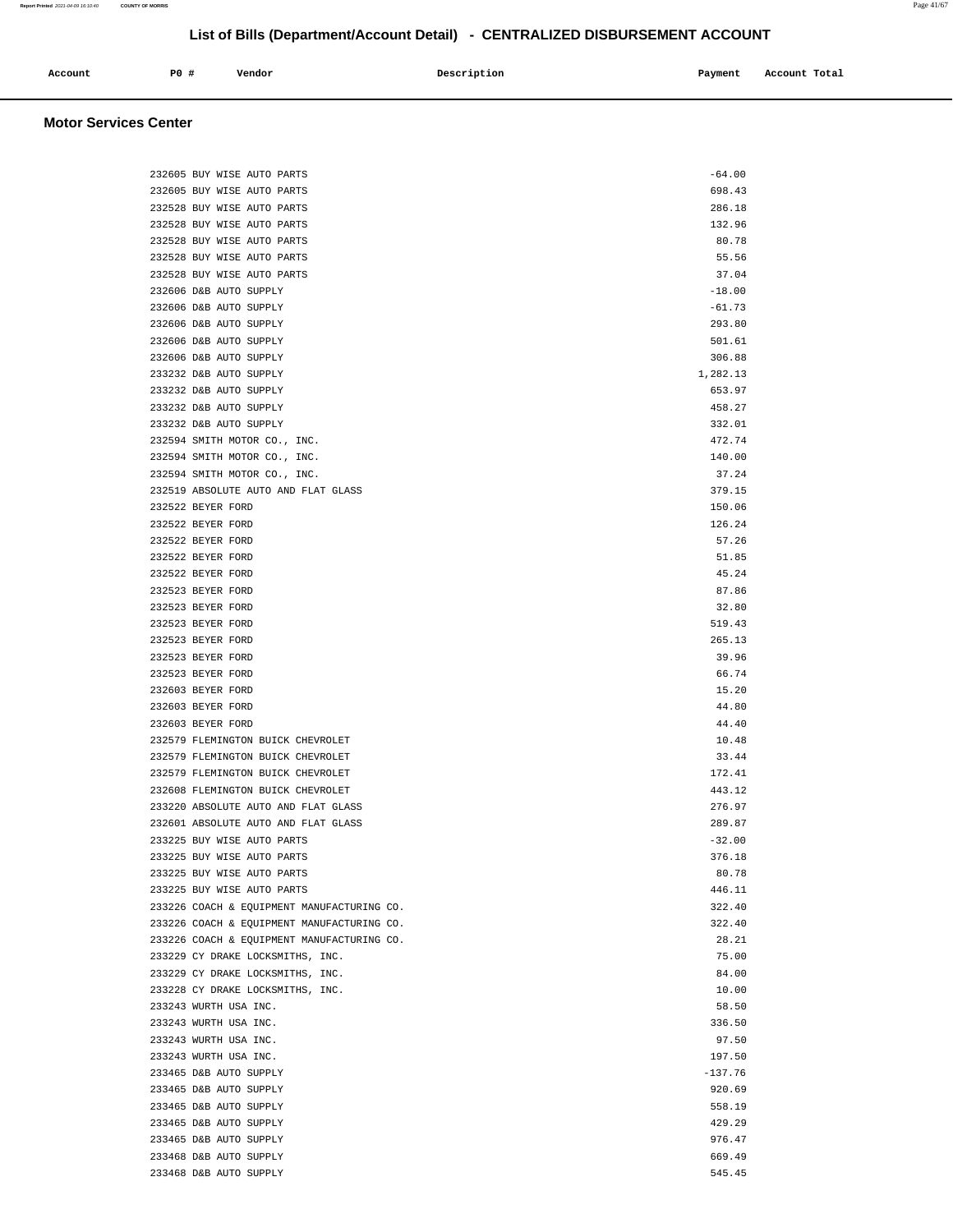| Account | P <sub>0</sub> | Vendor | Description | Payment | Account Total |
|---------|----------------|--------|-------------|---------|---------------|
|         |                |        |             |         |               |

### **Motor Services Center**

|  | 232605 BUY WISE AUTO PARTS                               | $-64.00$        |
|--|----------------------------------------------------------|-----------------|
|  | 232605 BUY WISE AUTO PARTS                               | 698.43          |
|  | 232528 BUY WISE AUTO PARTS                               | 286.18          |
|  | 232528 BUY WISE AUTO PARTS                               | 132.96          |
|  | 232528 BUY WISE AUTO PARTS                               | 80.78           |
|  | 232528 BUY WISE AUTO PARTS                               | 55.56           |
|  | 232528 BUY WISE AUTO PARTS                               | 37.04           |
|  | 232606 D&B AUTO SUPPLY                                   | $-18.00$        |
|  | 232606 D&B AUTO SUPPLY                                   | $-61.73$        |
|  | 232606 D&B AUTO SUPPLY                                   | 293.80          |
|  | 232606 D&B AUTO SUPPLY                                   | 501.61          |
|  | 232606 D&B AUTO SUPPLY                                   | 306.88          |
|  | 233232 D&B AUTO SUPPLY                                   | 1,282.13        |
|  | 233232 D&B AUTO SUPPLY                                   | 653.97          |
|  | 233232 D&B AUTO SUPPLY                                   | 458.27          |
|  | 233232 D&B AUTO SUPPLY                                   | 332.01          |
|  | 232594 SMITH MOTOR CO., INC.                             | 472.74          |
|  | 232594 SMITH MOTOR CO., INC.                             | 140.00          |
|  | 232594 SMITH MOTOR CO., INC.                             | 37.24           |
|  | 232519 ABSOLUTE AUTO AND FLAT GLASS                      | 379.15          |
|  | 232522 BEYER FORD                                        | 150.06          |
|  | 232522 BEYER FORD                                        | 126.24          |
|  | 232522 BEYER FORD                                        | 57.26           |
|  | 232522 BEYER FORD                                        | 51.85           |
|  | 232522 BEYER FORD                                        | 45.24           |
|  | 232523 BEYER FORD                                        | 87.86           |
|  | 232523 BEYER FORD                                        | 32.80           |
|  | 232523 BEYER FORD                                        | 519.43          |
|  | 232523 BEYER FORD                                        | 265.13          |
|  | 232523 BEYER FORD                                        | 39.96           |
|  | 232523 BEYER FORD                                        | 66.74           |
|  | 232603 BEYER FORD                                        | 15.20           |
|  | 232603 BEYER FORD                                        | 44.80           |
|  | 232603 BEYER FORD                                        | 44.40           |
|  | 232579 FLEMINGTON BUICK CHEVROLET                        | 10.48           |
|  | 232579 FLEMINGTON BUICK CHEVROLET                        | 33.44           |
|  | 232579 FLEMINGTON BUICK CHEVROLET                        | 172.41          |
|  | 232608 FLEMINGTON BUICK CHEVROLET                        | 443.12          |
|  | 233220 ABSOLUTE AUTO AND FLAT GLASS                      | 276.97          |
|  | 232601 ABSOLUTE AUTO AND FLAT GLASS                      | 289.87          |
|  | 233225 BUY WISE AUTO PARTS                               | $-32.00$        |
|  | 233225 BUY WISE AUTO PARTS<br>233225 BUY WISE AUTO PARTS | 376.18<br>80.78 |
|  | 233225 BUY WISE AUTO PARTS                               | 446.11          |
|  | 233226 COACH & EQUIPMENT MANUFACTURING CO.               | 322.40          |
|  | 233226 COACH & EQUIPMENT MANUFACTURING CO.               | 322.40          |
|  | 233226 COACH & EQUIPMENT MANUFACTURING CO.               | 28.21           |
|  | 233229 CY DRAKE LOCKSMITHS, INC.                         | 75.00           |
|  | 233229 CY DRAKE LOCKSMITHS, INC.                         | 84.00           |
|  | 233228 CY DRAKE LOCKSMITHS, INC.                         | 10.00           |
|  | 233243 WURTH USA INC.                                    | 58.50           |
|  | 233243 WURTH USA INC.                                    | 336.50          |
|  | 233243 WURTH USA INC.                                    | 97.50           |
|  | 233243 WURTH USA INC.                                    | 197.50          |
|  | 233465 D&B AUTO SUPPLY                                   | $-137.76$       |
|  | 233465 D&B AUTO SUPPLY                                   | 920.69          |
|  | 233465 D&B AUTO SUPPLY                                   | 558.19          |
|  | 233465 D&B AUTO SUPPLY                                   | 429.29          |
|  | 233465 D&B AUTO SUPPLY                                   | 976.47          |
|  | 233468 D&B AUTO SUPPLY                                   | 669.49          |
|  | 233468 D&B AUTO SUPPLY                                   | 545.45          |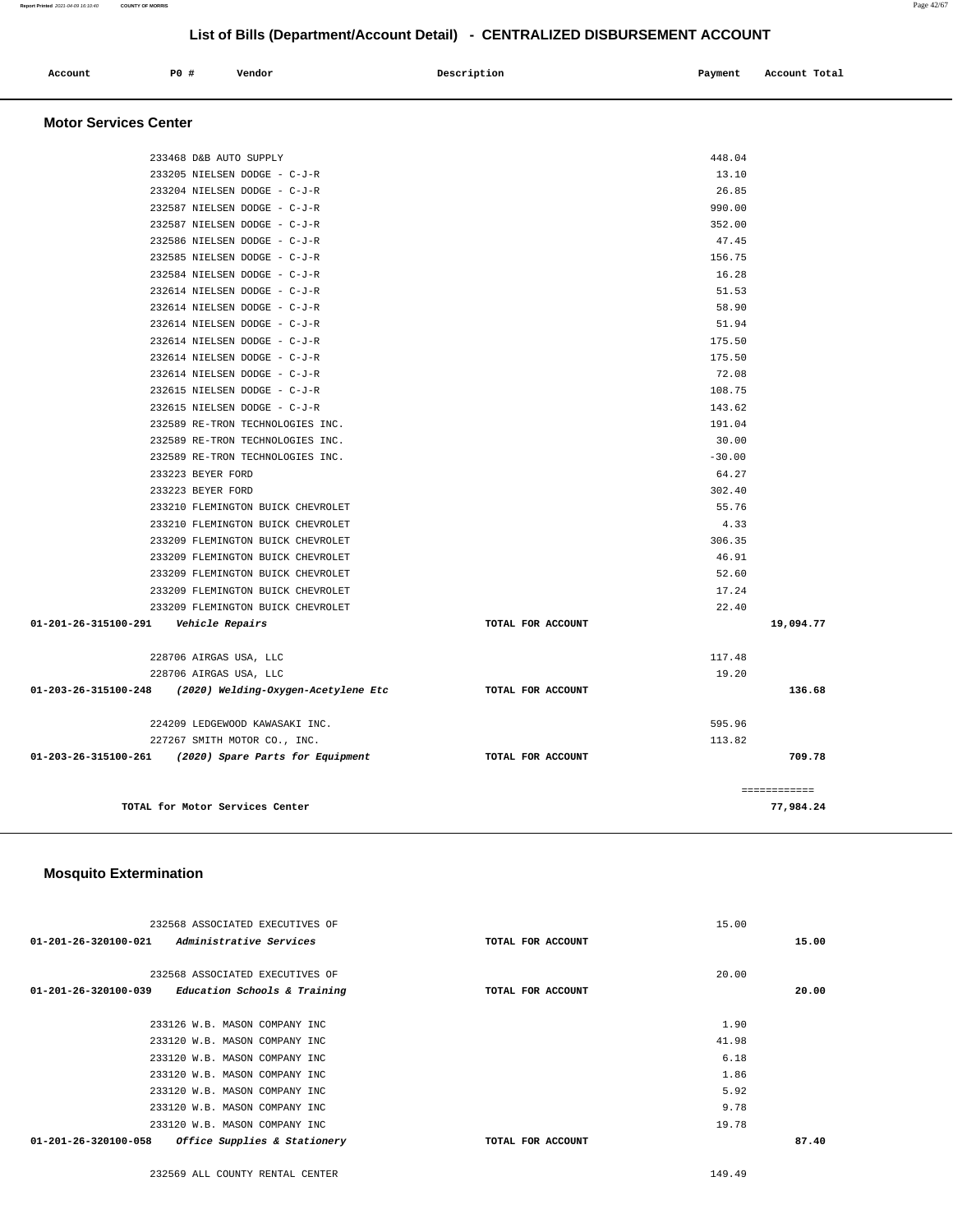| Account<br>. | P0 # | Vendor | Description | Payment<br>$\sim$ $\sim$ | Account Total |
|--------------|------|--------|-------------|--------------------------|---------------|
|              |      |        |             |                          |               |

### **Motor Services Center**

| 233468 D&B AUTO SUPPLY                                   |                   | 448.04   |              |
|----------------------------------------------------------|-------------------|----------|--------------|
| 233205 NIELSEN DODGE - C-J-R                             |                   | 13.10    |              |
| 233204 NIELSEN DODGE - C-J-R                             |                   | 26.85    |              |
| 232587 NIELSEN DODGE - C-J-R                             |                   | 990.00   |              |
| 232587 NIELSEN DODGE - C-J-R                             |                   | 352.00   |              |
| 232586 NIELSEN DODGE - C-J-R                             |                   | 47.45    |              |
| 232585 NIELSEN DODGE - C-J-R                             |                   | 156.75   |              |
| 232584 NIELSEN DODGE - C-J-R                             |                   | 16.28    |              |
| 232614 NIELSEN DODGE - C-J-R                             |                   | 51.53    |              |
| 232614 NIELSEN DODGE - C-J-R                             |                   | 58.90    |              |
| 232614 NIELSEN DODGE - C-J-R                             |                   | 51.94    |              |
| 232614 NIELSEN DODGE - C-J-R                             |                   | 175.50   |              |
| 232614 NIELSEN DODGE - C-J-R                             |                   | 175.50   |              |
| 232614 NIELSEN DODGE - C-J-R                             |                   | 72.08    |              |
| 232615 NIELSEN DODGE - C-J-R                             |                   | 108.75   |              |
| 232615 NIELSEN DODGE - C-J-R                             |                   | 143.62   |              |
| 232589 RE-TRON TECHNOLOGIES INC.                         |                   | 191.04   |              |
| 232589 RE-TRON TECHNOLOGIES INC.                         |                   | 30.00    |              |
| 232589 RE-TRON TECHNOLOGIES INC.                         |                   | $-30.00$ |              |
| 233223 BEYER FORD                                        |                   | 64.27    |              |
| 233223 BEYER FORD                                        |                   | 302.40   |              |
| 233210 FLEMINGTON BUICK CHEVROLET                        |                   | 55.76    |              |
| 233210 FLEMINGTON BUICK CHEVROLET                        |                   | 4.33     |              |
| 233209 FLEMINGTON BUICK CHEVROLET                        |                   | 306.35   |              |
| 233209 FLEMINGTON BUICK CHEVROLET                        |                   | 46.91    |              |
| 233209 FLEMINGTON BUICK CHEVROLET                        |                   | 52.60    |              |
| 233209 FLEMINGTON BUICK CHEVROLET                        |                   | 17.24    |              |
| 233209 FLEMINGTON BUICK CHEVROLET                        |                   | 22.40    |              |
| 01-201-26-315100-291    Vehicle Repairs                  | TOTAL FOR ACCOUNT |          | 19,094.77    |
| 228706 AIRGAS USA, LLC                                   |                   | 117.48   |              |
| 228706 AIRGAS USA, LLC                                   |                   | 19.20    |              |
| 01-203-26-315100-248 (2020) Welding-Oxygen-Acetylene Etc | TOTAL FOR ACCOUNT |          | 136.68       |
| 224209 LEDGEWOOD KAWASAKI INC.                           |                   | 595.96   |              |
| 227267 SMITH MOTOR CO., INC.                             |                   | 113.82   |              |
| 01-203-26-315100-261 (2020) Spare Parts for Equipment    | TOTAL FOR ACCOUNT |          | 709.78       |
|                                                          |                   |          | ------------ |
| TOTAL for Motor Services Center                          |                   |          | 77,984.24    |

### **Mosquito Extermination**

| 232568 ASSOCIATED EXECUTIVES OF                                |                   | 15.00 |       |
|----------------------------------------------------------------|-------------------|-------|-------|
| Administrative Services<br>$01 - 201 - 26 - 320100 - 021$      | TOTAL FOR ACCOUNT |       | 15.00 |
| 232568 ASSOCIATED EXECUTIVES OF                                |                   | 20.00 |       |
| Education Schools & Training<br>01-201-26-320100-039           | TOTAL FOR ACCOUNT |       | 20.00 |
|                                                                |                   |       |       |
| 233126 W.B. MASON COMPANY INC                                  |                   | 1.90  |       |
| 233120 W.B. MASON COMPANY INC                                  |                   | 41.98 |       |
| 233120 W.B. MASON COMPANY INC                                  |                   | 6.18  |       |
| 233120 W.B. MASON COMPANY INC                                  |                   | 1.86  |       |
| 233120 W.B. MASON COMPANY INC                                  |                   | 5.92  |       |
| 233120 W.B. MASON COMPANY INC                                  |                   | 9.78  |       |
| 233120 W.B. MASON COMPANY INC                                  |                   | 19.78 |       |
| Office Supplies & Stationery<br>$01 - 201 - 26 - 320100 - 058$ | TOTAL FOR ACCOUNT |       | 87.40 |
|                                                                |                   |       |       |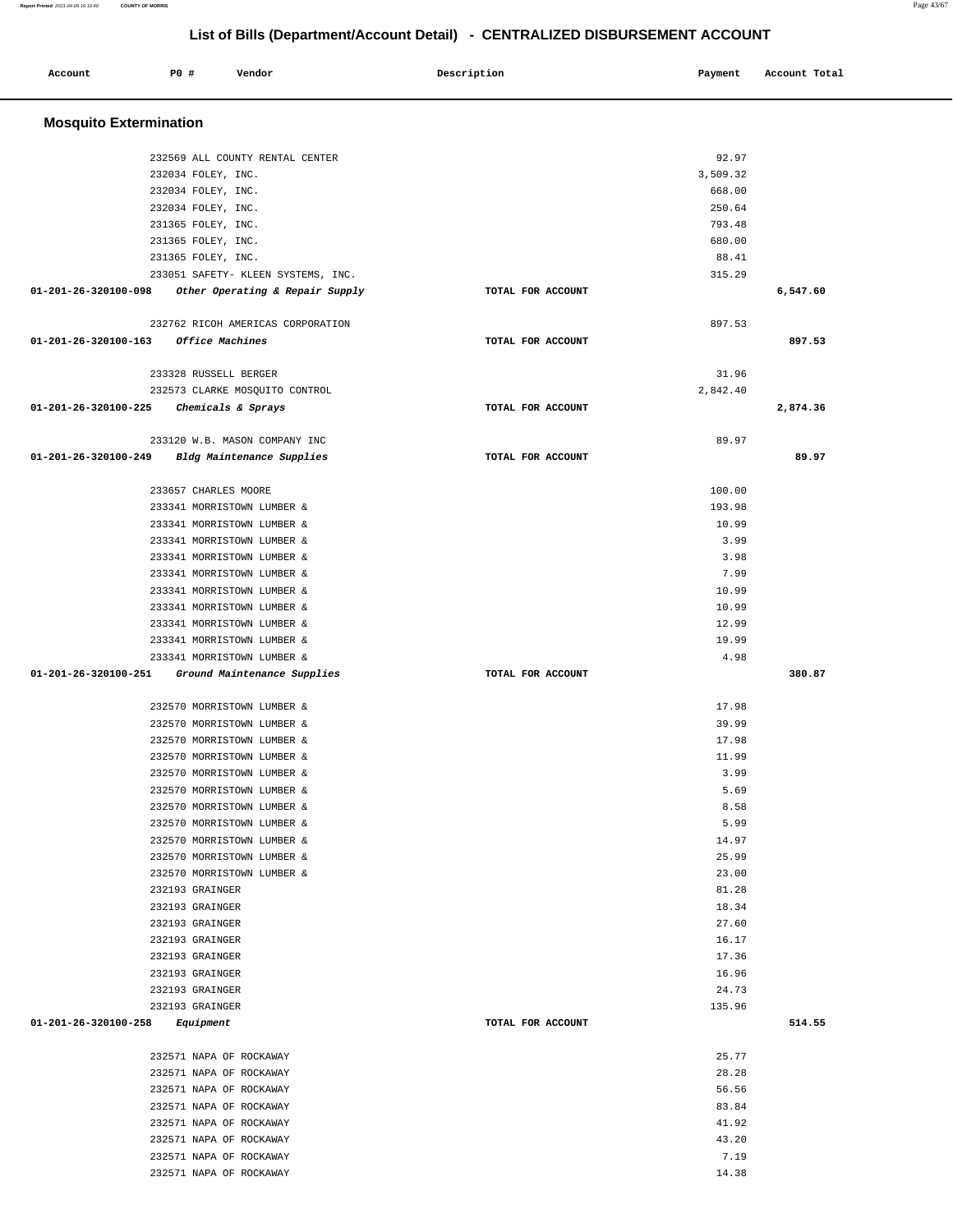| Account                       | P0 #                                               | Vendor                                                    | Description       | Payment         | Account Total |
|-------------------------------|----------------------------------------------------|-----------------------------------------------------------|-------------------|-----------------|---------------|
| <b>Mosquito Extermination</b> |                                                    |                                                           |                   |                 |               |
|                               |                                                    | 232569 ALL COUNTY RENTAL CENTER                           |                   | 92.97           |               |
|                               | 232034 FOLEY, INC.                                 |                                                           |                   | 3,509.32        |               |
|                               | 232034 FOLEY, INC.                                 |                                                           |                   | 668.00          |               |
|                               | 232034 FOLEY, INC.                                 |                                                           |                   | 250.64          |               |
|                               | 231365 FOLEY, INC.                                 |                                                           |                   | 793.48          |               |
|                               | 231365 FOLEY, INC.                                 |                                                           |                   | 680.00          |               |
|                               | 231365 FOLEY, INC.                                 |                                                           |                   | 88.41           |               |
|                               |                                                    | 233051 SAFETY- KLEEN SYSTEMS, INC.                        |                   | 315.29          |               |
| 01-201-26-320100-098          |                                                    | Other Operating & Repair Supply                           | TOTAL FOR ACCOUNT |                 | 6,547.60      |
|                               |                                                    | 232762 RICOH AMERICAS CORPORATION                         |                   | 897.53          |               |
| 01-201-26-320100-163          |                                                    | Office Machines                                           | TOTAL FOR ACCOUNT |                 | 897.53        |
|                               | 233328 RUSSELL BERGER                              |                                                           |                   | 31.96           |               |
|                               |                                                    | 232573 CLARKE MOSQUITO CONTROL                            |                   | 2,842.40        |               |
| 01-201-26-320100-225          |                                                    | Chemicals & Sprays                                        | TOTAL FOR ACCOUNT |                 | 2,874.36      |
|                               |                                                    | 233120 W.B. MASON COMPANY INC                             |                   | 89.97           |               |
| 01-201-26-320100-249          |                                                    | Bldg Maintenance Supplies                                 | TOTAL FOR ACCOUNT |                 | 89.97         |
|                               | 233657 CHARLES MOORE                               |                                                           |                   | 100.00          |               |
|                               |                                                    | 233341 MORRISTOWN LUMBER &                                |                   | 193.98          |               |
|                               |                                                    | 233341 MORRISTOWN LUMBER &                                |                   | 10.99           |               |
|                               |                                                    | 233341 MORRISTOWN LUMBER &                                |                   | 3.99            |               |
|                               |                                                    | 233341 MORRISTOWN LUMBER &                                |                   | 3.98            |               |
|                               |                                                    | 233341 MORRISTOWN LUMBER &                                |                   | 7.99            |               |
|                               |                                                    | 233341 MORRISTOWN LUMBER &                                |                   | 10.99           |               |
|                               |                                                    | 233341 MORRISTOWN LUMBER &                                |                   | 10.99           |               |
|                               |                                                    | 233341 MORRISTOWN LUMBER &                                |                   | 12.99           |               |
|                               |                                                    | 233341 MORRISTOWN LUMBER &                                |                   | 19.99           |               |
| 01-201-26-320100-251          |                                                    | 233341 MORRISTOWN LUMBER &<br>Ground Maintenance Supplies | TOTAL FOR ACCOUNT | 4.98            | 380.87        |
|                               |                                                    |                                                           |                   |                 |               |
|                               |                                                    | 232570 MORRISTOWN LUMBER &                                |                   | 17.98           |               |
|                               |                                                    | 232570 MORRISTOWN LUMBER &                                |                   | 39.99           |               |
|                               |                                                    | 232570 MORRISTOWN LUMBER &                                |                   | 17.98           |               |
|                               |                                                    | 232570 MORRISTOWN LUMBER &                                |                   | 11.99           |               |
|                               |                                                    | 232570 MORRISTOWN LUMBER &<br>232570 MORRISTOWN LUMBER &  |                   | 3.99<br>5.69    |               |
|                               |                                                    | 232570 MORRISTOWN LUMBER &                                |                   | 8.58            |               |
|                               |                                                    | 232570 MORRISTOWN LUMBER &                                |                   | 5.99            |               |
|                               |                                                    | 232570 MORRISTOWN LUMBER &                                |                   | 14.97           |               |
|                               |                                                    | 232570 MORRISTOWN LUMBER &                                |                   | 25.99           |               |
|                               |                                                    | 232570 MORRISTOWN LUMBER &                                |                   | 23.00           |               |
|                               | 232193 GRAINGER                                    |                                                           |                   | 81.28           |               |
|                               | 232193 GRAINGER                                    |                                                           |                   | 18.34           |               |
|                               | 232193 GRAINGER                                    |                                                           |                   | 27.60           |               |
|                               | 232193 GRAINGER                                    |                                                           |                   | 16.17           |               |
|                               | 232193 GRAINGER                                    |                                                           |                   | 17.36           |               |
|                               | 232193 GRAINGER                                    |                                                           |                   | 16.96           |               |
|                               | 232193 GRAINGER<br>232193 GRAINGER                 |                                                           |                   | 24.73<br>135.96 |               |
| 01-201-26-320100-258          | Equipment                                          |                                                           | TOTAL FOR ACCOUNT |                 | 514.55        |
|                               |                                                    |                                                           |                   |                 |               |
|                               |                                                    | 232571 NAPA OF ROCKAWAY                                   |                   | 25.77           |               |
|                               |                                                    | 232571 NAPA OF ROCKAWAY                                   |                   | 28.28           |               |
|                               | 232571 NAPA OF ROCKAWAY                            |                                                           |                   | 56.56           |               |
|                               | 232571 NAPA OF ROCKAWAY<br>232571 NAPA OF ROCKAWAY |                                                           |                   | 83.84<br>41.92  |               |
|                               |                                                    | 232571 NAPA OF ROCKAWAY                                   |                   | 43.20           |               |
|                               | 232571 NAPA OF ROCKAWAY                            |                                                           |                   | 7.19            |               |
|                               |                                                    | 232571 NAPA OF ROCKAWAY                                   |                   | 14.38           |               |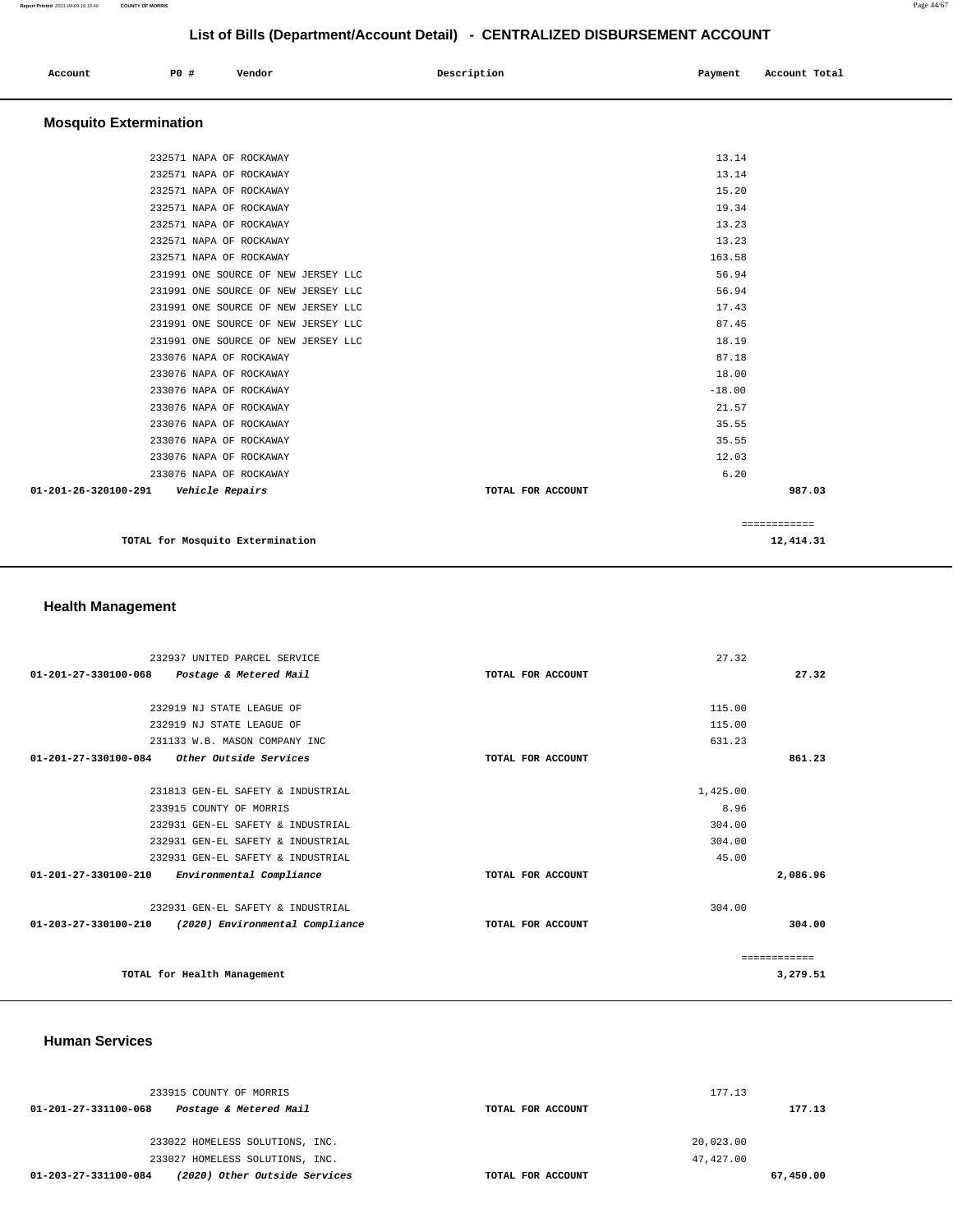| Account | P0 # | Vendor | Description | Payment | Account Total |
|---------|------|--------|-------------|---------|---------------|
|         |      |        |             |         |               |
|         |      |        |             |         |               |

# **Mosquito Extermination**

| TOTAL for Mosquito Extermination                      |                   |              | 12,414.31 |
|-------------------------------------------------------|-------------------|--------------|-----------|
|                                                       |                   | ============ |           |
| 01-201-26-320100-291<br><i><b>Vehicle Repairs</b></i> | TOTAL FOR ACCOUNT |              | 987.03    |
| 233076 NAPA OF ROCKAWAY                               |                   | 6.20         |           |
| 233076 NAPA OF ROCKAWAY                               |                   | 12.03        |           |
| 233076 NAPA OF ROCKAWAY                               |                   | 35.55        |           |
| 233076 NAPA OF ROCKAWAY                               |                   | 35.55        |           |
| 233076 NAPA OF ROCKAWAY                               |                   | 21.57        |           |
| 233076 NAPA OF ROCKAWAY                               |                   | $-18.00$     |           |
| 233076 NAPA OF ROCKAWAY                               |                   | 18.00        |           |
| 233076 NAPA OF ROCKAWAY                               |                   | 87.18        |           |
| 231991 ONE SOURCE OF NEW JERSEY LLC                   |                   | 18.19        |           |
| 231991 ONE SOURCE OF NEW JERSEY LLC                   |                   | 87.45        |           |
| 231991 ONE SOURCE OF NEW JERSEY LLC                   |                   | 17.43        |           |
| 231991 ONE SOURCE OF NEW JERSEY LLC                   |                   | 56.94        |           |
| 231991 ONE SOURCE OF NEW JERSEY LLC                   |                   | 56.94        |           |
| 232571 NAPA OF ROCKAWAY                               |                   | 163.58       |           |
| 232571 NAPA OF ROCKAWAY                               |                   | 13.23        |           |
| 232571 NAPA OF ROCKAWAY                               |                   | 13.23        |           |
| 232571 NAPA OF ROCKAWAY                               |                   | 19.34        |           |
| 232571 NAPA OF ROCKAWAY                               |                   | 15.20        |           |
| 232571 NAPA OF ROCKAWAY                               |                   | 13.14        |           |
| 232571 NAPA OF ROCKAWAY                               |                   | 13.14        |           |
|                                                       |                   |              |           |

# **Health Management**

| 232937 UNITED PARCEL SERVICE                             |                   | 27.32    |              |
|----------------------------------------------------------|-------------------|----------|--------------|
| 01-201-27-330100-068<br>Postage & Metered Mail           | TOTAL FOR ACCOUNT |          | 27.32        |
|                                                          |                   |          |              |
| 232919 NJ STATE LEAGUE OF                                |                   | 115.00   |              |
| 232919 NJ STATE LEAGUE OF                                |                   | 115.00   |              |
| 231133 W.B. MASON COMPANY INC                            |                   | 631.23   |              |
| $01 - 201 - 27 - 330100 - 084$<br>Other Outside Services | TOTAL FOR ACCOUNT |          | 861.23       |
|                                                          |                   |          |              |
| 231813 GEN-EL SAFETY & INDUSTRIAL                        |                   | 1,425.00 |              |
| 233915 COUNTY OF MORRIS                                  |                   | 8.96     |              |
| 232931 GEN-EL SAFETY & INDUSTRIAL                        |                   | 304.00   |              |
| 232931 GEN-EL SAFETY & INDUSTRIAL                        |                   | 304.00   |              |
| 232931 GEN-EL SAFETY & INDUSTRIAL                        |                   | 45.00    |              |
| 01-201-27-330100-210<br>Environmental Compliance         | TOTAL FOR ACCOUNT |          | 2,086.96     |
| 232931 GEN-EL SAFETY & INDUSTRIAL                        |                   | 304.00   |              |
| 01-203-27-330100-210<br>(2020) Environmental Compliance  | TOTAL FOR ACCOUNT |          | 304.00       |
|                                                          |                   |          | ------------ |
| TOTAL for Health Management                              |                   |          | 3,279.51     |

 **Human Services** 

| 233915 COUNTY OF MORRIS                               |                   | 177.13    |
|-------------------------------------------------------|-------------------|-----------|
| 01-201-27-331100-068<br>Postage & Metered Mail        | TOTAL FOR ACCOUNT | 177.13    |
| 233022 HOMELESS SOLUTIONS, INC.                       |                   | 20,023.00 |
| 233027 HOMELESS SOLUTIONS, INC.                       |                   | 47.427.00 |
| (2020) Other Outside Services<br>01-203-27-331100-084 | TOTAL FOR ACCOUNT | 67,450.00 |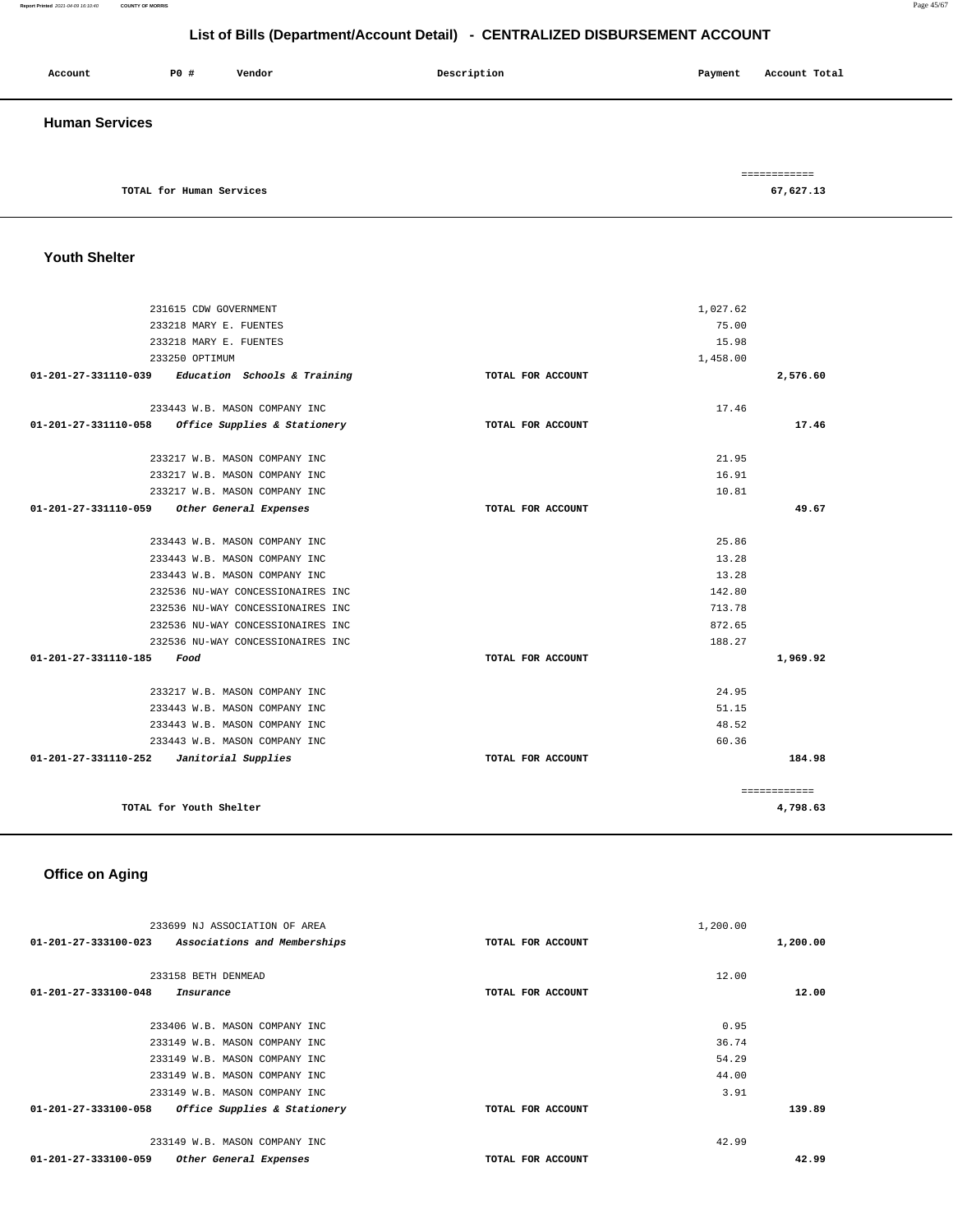### **Report Printed** 2021-04-09 16:10:40 **COUNTY OF MORRIS** Page 45/67

**List of Bills (Department/Account Detail) - CENTRALIZED DISBURSEMENT ACCOUNT**

| Account               | P0 #                     | Vendor | Description | Account Total<br>Payment  |
|-----------------------|--------------------------|--------|-------------|---------------------------|
| <b>Human Services</b> |                          |        |             |                           |
|                       | TOTAL for Human Services |        |             | ============<br>67,627.13 |

### **Youth Shelter**

| 231615 CDW GOVERNMENT                                                 |                              |                   |                   |              |
|-----------------------------------------------------------------------|------------------------------|-------------------|-------------------|--------------|
| 233218 MARY E. FUENTES                                                |                              |                   | 1,027.62<br>75.00 |              |
| 233218 MARY E. FUENTES                                                |                              |                   | 15.98             |              |
|                                                                       |                              |                   |                   |              |
| 233250 OPTIMUM<br>$01-201-27-331110-039$ Education Schools & Training |                              | TOTAL FOR ACCOUNT | 1,458.00          | 2,576.60     |
|                                                                       |                              |                   |                   |              |
| 233443 W.B. MASON COMPANY INC.                                        |                              |                   | 17.46             |              |
| 01-201-27-331110-058                                                  | Office Supplies & Stationery | TOTAL FOR ACCOUNT |                   | 17.46        |
| 233217 W.B. MASON COMPANY INC                                         |                              |                   | 21.95             |              |
| 233217 W.B. MASON COMPANY INC                                         |                              |                   | 16.91             |              |
| 233217 W.B. MASON COMPANY INC                                         |                              |                   | 10.81             |              |
| 01-201-27-331110-059 Other General Expenses                           |                              | TOTAL FOR ACCOUNT |                   | 49.67        |
| 233443 W.B. MASON COMPANY INC.                                        |                              |                   | 25.86             |              |
| 233443 W.B. MASON COMPANY INC                                         |                              |                   | 13.28             |              |
| 233443 W.B. MASON COMPANY INC                                         |                              |                   | 13.28             |              |
| 232536 NU-WAY CONCESSIONAIRES INC                                     |                              |                   | 142.80            |              |
| 232536 NU-WAY CONCESSIONAIRES INC                                     |                              |                   | 713.78            |              |
| 232536 NU-WAY CONCESSIONAIRES INC                                     |                              |                   | 872.65            |              |
| 232536 NU-WAY CONCESSIONAIRES INC                                     |                              |                   | 188.27            |              |
| 01-201-27-331110-185<br>Food                                          |                              | TOTAL FOR ACCOUNT |                   | 1,969.92     |
| 233217 W.B. MASON COMPANY INC                                         |                              |                   | 24.95             |              |
| 233443 W.B. MASON COMPANY INC                                         |                              |                   | 51.15             |              |
| 233443 W.B. MASON COMPANY INC                                         |                              |                   | 48.52             |              |
| 233443 W.B. MASON COMPANY INC                                         |                              |                   | 60.36             |              |
| 01-201-27-331110-252  Janitorial Supplies                             |                              | TOTAL FOR ACCOUNT |                   | 184.98       |
|                                                                       |                              |                   |                   | ============ |
| TOTAL for Youth Shelter                                               |                              |                   |                   | 4,798.63     |

# **Office on Aging**

| 233699 NJ ASSOCIATION OF AREA                        | 1,200.00          |          |
|------------------------------------------------------|-------------------|----------|
| 01-201-27-333100-023<br>Associations and Memberships | TOTAL FOR ACCOUNT | 1,200.00 |
|                                                      |                   |          |
| 233158 BETH DENMEAD                                  | 12.00             |          |
| 01-201-27-333100-048<br>Insurance                    | TOTAL FOR ACCOUNT | 12.00    |
|                                                      |                   |          |
| 233406 W.B. MASON COMPANY INC                        | 0.95              |          |
| 233149 W.B. MASON COMPANY INC                        | 36.74             |          |
| 233149 W.B. MASON COMPANY INC                        | 54.29             |          |
| 233149 W.B. MASON COMPANY INC                        | 44.00             |          |
| 233149 W.B. MASON COMPANY INC                        | 3.91              |          |
| 01-201-27-333100-058<br>Office Supplies & Stationery | TOTAL FOR ACCOUNT | 139.89   |
| 233149 W.B. MASON COMPANY INC                        | 42.99             |          |
| 01-201-27-333100-059<br>Other General Expenses       | TOTAL FOR ACCOUNT | 42.99    |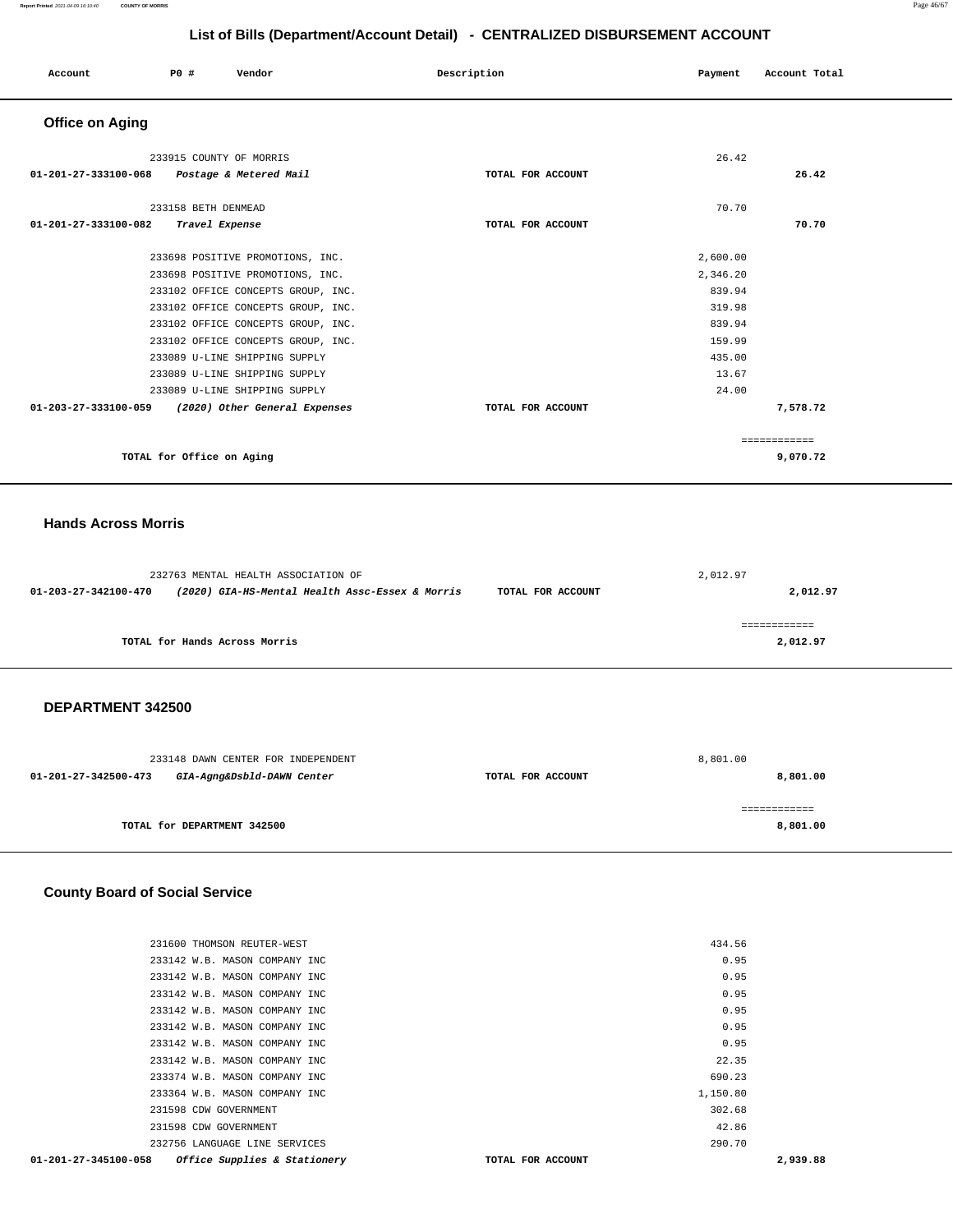| Account                                            | PO#                       | Vendor                             | Description       | Payment  | Account Total |
|----------------------------------------------------|---------------------------|------------------------------------|-------------------|----------|---------------|
| <b>Office on Aging</b>                             |                           |                                    |                   |          |               |
|                                                    | 233915 COUNTY OF MORRIS   |                                    |                   | 26.42    |               |
| 01-201-27-333100-068 Postage & Metered Mail        |                           |                                    | TOTAL FOR ACCOUNT |          | 26.42         |
|                                                    | 233158 BETH DENMEAD       |                                    |                   | 70.70    |               |
| 01-201-27-333100-082                               | Travel Expense            |                                    | TOTAL FOR ACCOUNT |          | 70.70         |
|                                                    |                           | 233698 POSITIVE PROMOTIONS, INC.   |                   | 2,600.00 |               |
|                                                    |                           | 233698 POSITIVE PROMOTIONS, INC.   |                   | 2,346.20 |               |
|                                                    |                           | 233102 OFFICE CONCEPTS GROUP, INC. |                   | 839.94   |               |
|                                                    |                           | 233102 OFFICE CONCEPTS GROUP, INC. |                   | 319.98   |               |
|                                                    |                           | 233102 OFFICE CONCEPTS GROUP, INC. |                   | 839.94   |               |
|                                                    |                           | 233102 OFFICE CONCEPTS GROUP, INC. |                   | 159.99   |               |
|                                                    |                           | 233089 U-LINE SHIPPING SUPPLY      |                   | 435.00   |               |
|                                                    |                           | 233089 U-LINE SHIPPING SUPPLY      |                   | 13.67    |               |
|                                                    |                           | 233089 U-LINE SHIPPING SUPPLY      |                   | 24.00    |               |
| 01-203-27-333100-059 (2020) Other General Expenses |                           |                                    | TOTAL FOR ACCOUNT |          | 7,578.72      |
|                                                    |                           |                                    |                   |          | ============  |
|                                                    | TOTAL for Office on Aging |                                    |                   |          | 9,070.72      |

### **Hands Across Morris**

|                      | 232763 MENTAL HEALTH ASSOCIATION OF             |                   | 2,012.97 |
|----------------------|-------------------------------------------------|-------------------|----------|
| 01-203-27-342100-470 | (2020) GIA-HS-Mental Health Assc-Essex & Morris | TOTAL FOR ACCOUNT | 2,012.97 |
|                      |                                                 |                   |          |
|                      | TOTAL for Hands Across Morris                   |                   | 2,012.97 |

### **DEPARTMENT 342500**

| 233148 DAWN CENTER FOR INDEPENDENT                 |                   | 8,801.00 |
|----------------------------------------------------|-------------------|----------|
| GIA-Agng&Dsbld-DAWN Center<br>01-201-27-342500-473 | TOTAL FOR ACCOUNT | 8,801.00 |
|                                                    |                   |          |
|                                                    |                   |          |
| TOTAL for DEPARTMENT 342500                        |                   | 8,801.00 |
|                                                    |                   |          |

### **County Board of Social Service**

| 231600 THOMSON REUTER-WEST                           | 434.56            |          |
|------------------------------------------------------|-------------------|----------|
| 233142 W.B. MASON COMPANY INC                        | 0.95              |          |
| 233142 W.B. MASON COMPANY INC                        | 0.95              |          |
| 233142 W.B. MASON COMPANY INC                        | 0.95              |          |
| 233142 W.B. MASON COMPANY INC                        | 0.95              |          |
| 233142 W.B. MASON COMPANY INC                        | 0.95              |          |
| 233142 W.B. MASON COMPANY INC                        | 0.95              |          |
| 233142 W.B. MASON COMPANY INC                        | 22.35             |          |
| 233374 W.B. MASON COMPANY INC                        | 690.23            |          |
| 233364 W.B. MASON COMPANY INC                        | 1,150.80          |          |
| 231598 CDW GOVERNMENT                                | 302.68            |          |
| 231598 CDW GOVERNMENT                                | 42.86             |          |
| 232756 LANGUAGE LINE SERVICES                        | 290.70            |          |
| 01-201-27-345100-058<br>Office Supplies & Stationery | TOTAL FOR ACCOUNT | 2,939.88 |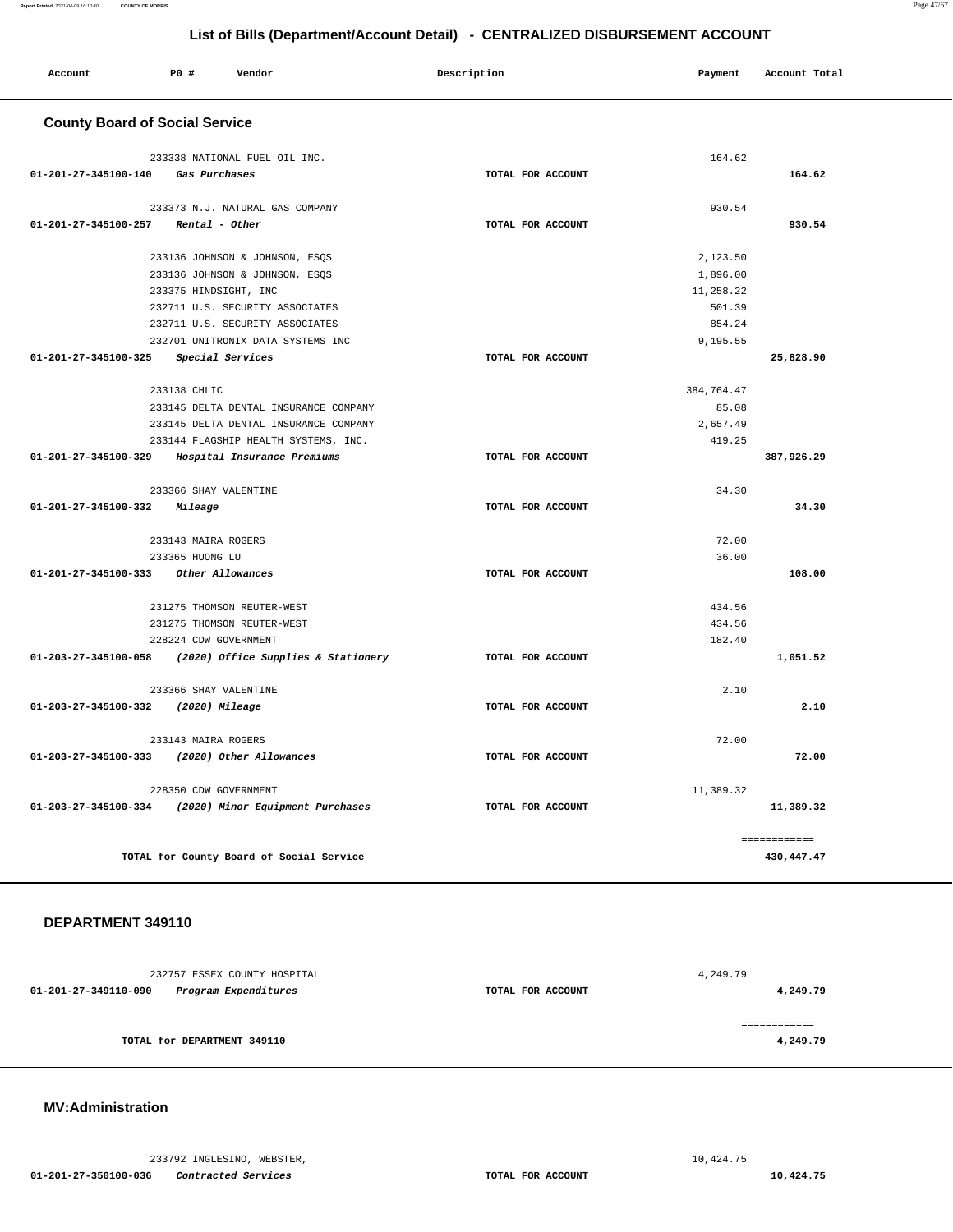|                                       |                     |                                          | List of Bills (Department/Account Detail) - CENTRALIZED DISBURSEMENT ACCOUNT |            |               |
|---------------------------------------|---------------------|------------------------------------------|------------------------------------------------------------------------------|------------|---------------|
| Account                               | <b>PO #</b>         | Vendor                                   | Description                                                                  | Payment    | Account Total |
| <b>County Board of Social Service</b> |                     |                                          |                                                                              |            |               |
|                                       |                     | 233338 NATIONAL FUEL OIL INC.            |                                                                              | 164.62     |               |
| 01-201-27-345100-140                  |                     | Gas Purchases                            | TOTAL FOR ACCOUNT                                                            |            | 164.62        |
|                                       |                     | 233373 N.J. NATURAL GAS COMPANY          |                                                                              | 930.54     |               |
| 01-201-27-345100-257                  |                     | Rental - Other                           | TOTAL FOR ACCOUNT                                                            |            | 930.54        |
|                                       |                     | 233136 JOHNSON & JOHNSON, ESQS           |                                                                              | 2,123.50   |               |
|                                       |                     | 233136 JOHNSON & JOHNSON, ESQS           |                                                                              | 1,896.00   |               |
|                                       |                     | 233375 HINDSIGHT, INC                    |                                                                              | 11,258.22  |               |
|                                       |                     | 232711 U.S. SECURITY ASSOCIATES          |                                                                              | 501.39     |               |
|                                       |                     | 232711 U.S. SECURITY ASSOCIATES          |                                                                              | 854.24     |               |
|                                       |                     | 232701 UNITRONIX DATA SYSTEMS INC        |                                                                              | 9,195.55   |               |
| $01 - 201 - 27 - 345100 - 325$        |                     | Special Services                         | TOTAL FOR ACCOUNT                                                            |            | 25,828.90     |
|                                       | 233138 CHLIC        |                                          |                                                                              | 384,764.47 |               |
|                                       |                     | 233145 DELTA DENTAL INSURANCE COMPANY    |                                                                              | 85.08      |               |
|                                       |                     | 233145 DELTA DENTAL INSURANCE COMPANY    |                                                                              | 2,657.49   |               |
|                                       |                     | 233144 FLAGSHIP HEALTH SYSTEMS, INC.     |                                                                              | 419.25     |               |
| 01-201-27-345100-329                  |                     | Hospital Insurance Premiums              | TOTAL FOR ACCOUNT                                                            |            | 387,926.29    |
|                                       |                     | 233366 SHAY VALENTINE                    |                                                                              | 34.30      |               |
| 01-201-27-345100-332                  | <i>Mileage</i>      |                                          | TOTAL FOR ACCOUNT                                                            |            | 34.30         |
|                                       | 233143 MAIRA ROGERS |                                          |                                                                              | 72.00      |               |
|                                       | 233365 HUONG LU     |                                          |                                                                              | 36.00      |               |
| 01-201-27-345100-333                  |                     | Other Allowances                         | TOTAL FOR ACCOUNT                                                            |            | 108.00        |
|                                       |                     | 231275 THOMSON REUTER-WEST               |                                                                              | 434.56     |               |
|                                       |                     | 231275 THOMSON REUTER-WEST               |                                                                              | 434.56     |               |
|                                       |                     | 228224 CDW GOVERNMENT                    |                                                                              | 182.40     |               |
| 01-203-27-345100-058                  |                     | (2020) Office Supplies & Stationery      | TOTAL FOR ACCOUNT                                                            |            | 1,051.52      |
|                                       |                     | 233366 SHAY VALENTINE                    |                                                                              | 2.10       |               |
| 01-203-27-345100-332                  |                     | (2020) Mileage                           | TOTAL FOR ACCOUNT                                                            |            | 2.10          |
|                                       | 233143 MAIRA ROGERS |                                          |                                                                              | 72.00      |               |
| 01-203-27-345100-333                  |                     | (2020) Other Allowances                  | TOTAL FOR ACCOUNT                                                            |            | 72.00         |
|                                       |                     | 228350 CDW GOVERNMENT                    |                                                                              | 11,389.32  |               |
| 01-203-27-345100-334                  |                     | (2020) Minor Equipment Purchases         | TOTAL FOR ACCOUNT                                                            |            | 11,389.32     |
|                                       |                     |                                          |                                                                              |            | ------------  |
|                                       |                     | TOTAL for County Board of Social Service |                                                                              |            | 430, 447. 47  |

### **DEPARTMENT 349110**

|                             | 232757 ESSEX COUNTY HOSPITAL |                   | 4,249.79 |
|-----------------------------|------------------------------|-------------------|----------|
| 01-201-27-349110-090        | Program Expenditures         | TOTAL FOR ACCOUNT | 4,249.79 |
|                             |                              |                   |          |
|                             |                              |                   |          |
| TOTAL for DEPARTMENT 349110 |                              |                   | 4,249.79 |
|                             |                              |                   |          |

### **MV:Administration**

233792 INGLESINO, WEBSTER, [10,424.75](https://10,424.75)

 **01-201-27-350100-036 Contracted Services TOTAL FOR ACCOUNT [10,424.75](https://10,424.75)**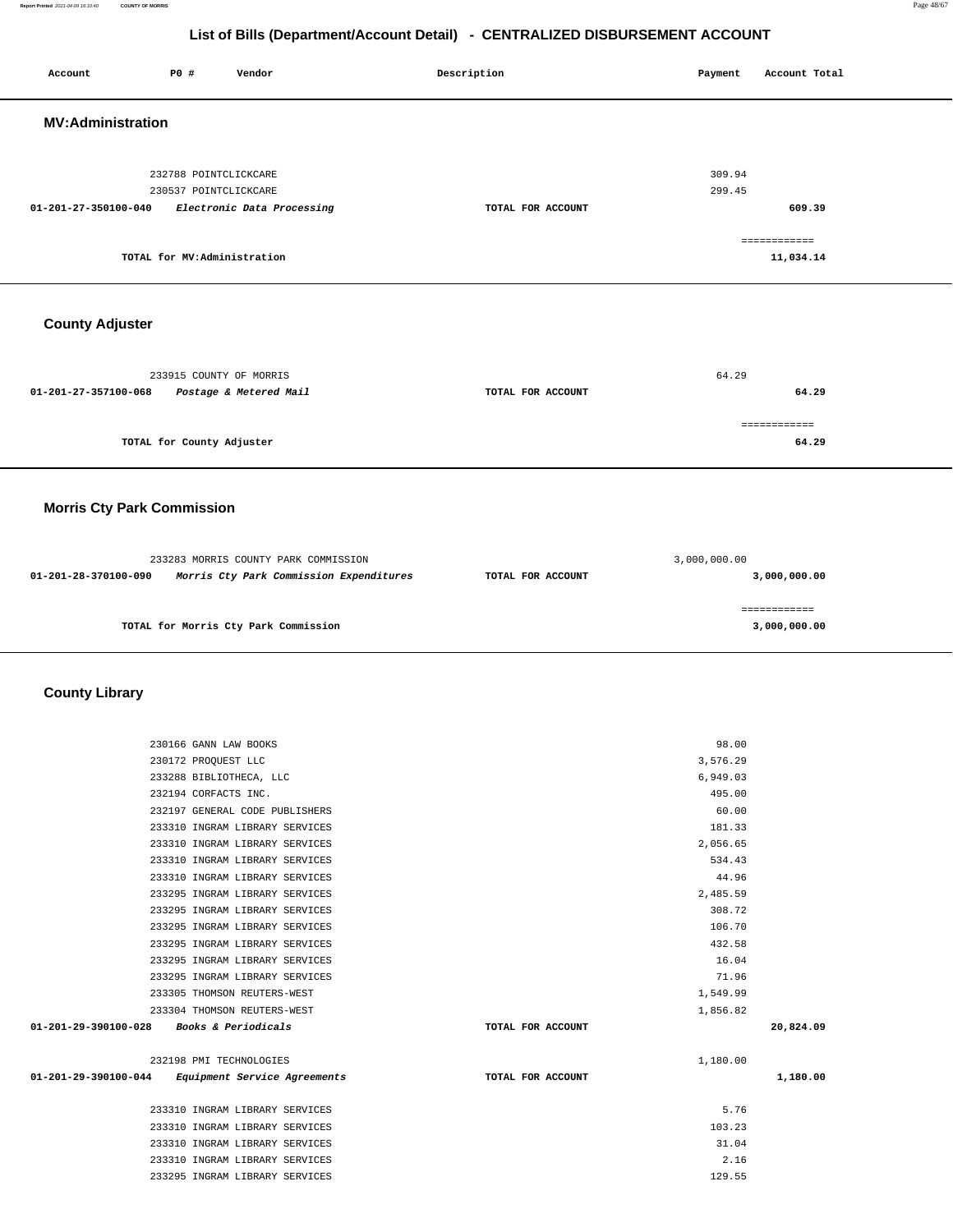**Report Printed** 2021-04-09 16:10:40 **COUNTY OF MORRIS** Page 48/67

### **List of Bills (Department/Account Detail) - CENTRALIZED DISBURSEMENT ACCOUNT**

 **Account P0 # Vendor Description Payment Account Total**

| <b>MV:Administration</b>                                                    |                   |                  |  |
|-----------------------------------------------------------------------------|-------------------|------------------|--|
|                                                                             |                   |                  |  |
|                                                                             |                   |                  |  |
| 232788 POINTCLICKCARE                                                       |                   | 309.94<br>299.45 |  |
| 230537 POINTCLICKCARE<br>01-201-27-350100-040<br>Electronic Data Processing | TOTAL FOR ACCOUNT | 609.39           |  |
|                                                                             |                   |                  |  |
|                                                                             |                   | ============     |  |
| TOTAL for MV:Administration                                                 |                   | 11,034.14        |  |
|                                                                             |                   |                  |  |
|                                                                             |                   |                  |  |
| <b>County Adjuster</b>                                                      |                   |                  |  |
|                                                                             |                   |                  |  |
| 233915 COUNTY OF MORRIS                                                     |                   | 64.29            |  |
| 01-201-27-357100-068<br>Postage & Metered Mail                              | TOTAL FOR ACCOUNT | 64.29            |  |
|                                                                             |                   |                  |  |
|                                                                             |                   | ============     |  |
| TOTAL for County Adjuster                                                   |                   | 64.29            |  |
|                                                                             |                   |                  |  |
|                                                                             |                   |                  |  |
| <b>Morris Cty Park Commission</b>                                           |                   |                  |  |
|                                                                             |                   |                  |  |
| 233283 MORRIS COUNTY PARK COMMISSION                                        |                   | 3,000,000.00     |  |
| 01-201-28-370100-090<br>Morris Cty Park Commission Expenditures             | TOTAL FOR ACCOUNT | 3,000,000.00     |  |
|                                                                             |                   |                  |  |
| TOTAL for Morris Cty Park Commission                                        |                   | ============     |  |
|                                                                             |                   | 3,000,000.00     |  |
|                                                                             |                   |                  |  |
|                                                                             |                   |                  |  |
| <b>County Library</b>                                                       |                   |                  |  |
|                                                                             |                   |                  |  |
| 230166 GANN LAW BOOKS                                                       |                   | 98.00            |  |
| 230172 PROQUEST LLC                                                         |                   | 3,576.29         |  |
| 233288 BIBLIOTHECA, LLC                                                     |                   | 6,949.03         |  |
| 232194 CORFACTS INC.                                                        |                   | 495.00           |  |
| 232197 GENERAL CODE PUBLISHERS<br>233310 INGRAM LIBRARY SERVICES            |                   | 60.00<br>181.33  |  |
| 233310 INGRAM LIBRARY SERVICES                                              |                   | 2,056.65         |  |
| 233310 INGRAM LIBRARY SERVICES                                              |                   | 534.43           |  |
| 233310 INGRAM LIBRARY SERVICES                                              |                   | 44.96            |  |
| 233295 INGRAM LIBRARY SERVICES                                              |                   | 2,485.59         |  |
| 233295 INGRAM LIBRARY SERVICES                                              |                   | 308.72           |  |
| 233295 INGRAM LIBRARY SERVICES                                              |                   | 106.70           |  |
| 233295 INGRAM LIBRARY SERVICES                                              |                   | 432.58           |  |
| 233295 INGRAM LIBRARY SERVICES                                              |                   | 16.04            |  |
| 233295 INGRAM LIBRARY SERVICES                                              |                   | 71.96            |  |
| 233305 THOMSON REUTERS-WEST                                                 |                   | 1,549.99         |  |
| 233304 THOMSON REUTERS-WEST                                                 |                   | 1,856.82         |  |
| 01-201-29-390100-028 Books & Periodicals                                    | TOTAL FOR ACCOUNT | 20,824.09        |  |
| 232198 PMI TECHNOLOGIES                                                     |                   | 1,180.00         |  |
| 01-201-29-390100-044<br>Equipment Service Agreements                        | TOTAL FOR ACCOUNT | 1,180.00         |  |
| 233310 INGRAM LIBRARY SERVICES                                              |                   | 5.76             |  |
| 233310 INGRAM LIBRARY SERVICES                                              |                   | 103.23           |  |
| 233310 INGRAM LIBRARY SERVICES                                              |                   | 31.04            |  |
| 233310 INGRAM LIBRARY SERVICES                                              |                   | 2.16             |  |
| 233295 INGRAM LIBRARY SERVICES                                              |                   | 129.55           |  |
|                                                                             |                   |                  |  |
|                                                                             |                   |                  |  |
|                                                                             |                   |                  |  |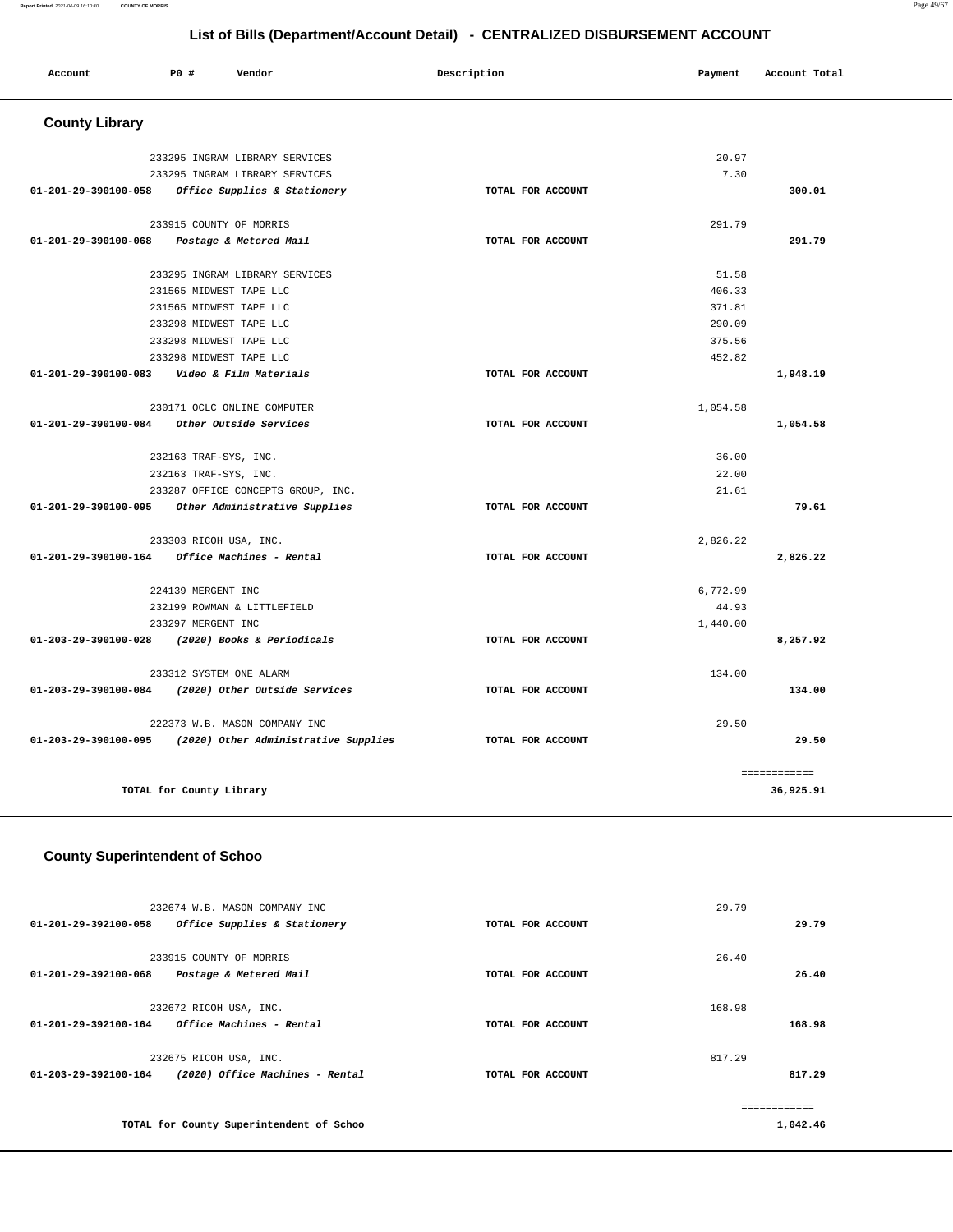| Account<br>. | PO# | Vendor | Description | Payment | Account Total |
|--------------|-----|--------|-------------|---------|---------------|
|              |     |        |             |         |               |

# **County Library**

| 233295 INGRAM LIBRARY SERVICES                            |                   | 20.97    |              |
|-----------------------------------------------------------|-------------------|----------|--------------|
| 233295 INGRAM LIBRARY SERVICES                            |                   | 7.30     |              |
| 01-201-29-390100-058 Office Supplies & Stationery         | TOTAL FOR ACCOUNT |          | 300.01       |
|                                                           |                   |          |              |
| 233915 COUNTY OF MORRIS                                   |                   | 291.79   |              |
| 01-201-29-390100-068 Postage & Metered Mail               | TOTAL FOR ACCOUNT |          | 291.79       |
| 233295 INGRAM LIBRARY SERVICES                            |                   | 51.58    |              |
| 231565 MIDWEST TAPE LLC                                   |                   | 406.33   |              |
| 231565 MIDWEST TAPE LLC                                   |                   | 371.81   |              |
| 233298 MIDWEST TAPE LLC                                   |                   | 290.09   |              |
| 233298 MIDWEST TAPE LLC                                   |                   | 375.56   |              |
| 233298 MIDWEST TAPE LLC                                   |                   | 452.82   |              |
| 01-201-29-390100-083    Video & Film Materials            | TOTAL FOR ACCOUNT |          | 1,948.19     |
|                                                           |                   |          |              |
| 230171 OCLC ONLINE COMPUTER                               |                   | 1,054.58 |              |
| $01-201-29-390100-084$ Other Outside Services             | TOTAL FOR ACCOUNT |          | 1,054.58     |
|                                                           |                   |          |              |
| 232163 TRAF-SYS, INC.                                     |                   | 36.00    |              |
| 232163 TRAF-SYS, INC.                                     |                   | 22.00    |              |
| 233287 OFFICE CONCEPTS GROUP, INC.                        |                   | 21.61    |              |
| 01-201-29-390100-095 Other Administrative Supplies        | TOTAL FOR ACCOUNT |          | 79.61        |
|                                                           |                   |          |              |
| 233303 RICOH USA, INC.                                    |                   | 2,826.22 |              |
| $01 - 201 - 29 - 390100 - 164$ Office Machines - Rental   | TOTAL FOR ACCOUNT |          | 2,826.22     |
| 224139 MERGENT INC                                        |                   | 6,772.99 |              |
| 232199 ROWMAN & LITTLEFIELD                               |                   | 44.93    |              |
| 233297 MERGENT INC                                        |                   | 1,440.00 |              |
| 01-203-29-390100-028 (2020) Books & Periodicals           | TOTAL FOR ACCOUNT |          | 8,257.92     |
| 233312 SYSTEM ONE ALARM                                   |                   | 134.00   |              |
| 01-203-29-390100-084 (2020) Other Outside Services        | TOTAL FOR ACCOUNT |          | 134.00       |
|                                                           |                   |          |              |
| 222373 W.B. MASON COMPANY INC                             |                   | 29.50    |              |
| 01-203-29-390100-095 (2020) Other Administrative Supplies | TOTAL FOR ACCOUNT |          | 29.50        |
|                                                           |                   |          | ============ |
| TOTAL for County Library                                  |                   |          | 36,925.91    |
|                                                           |                   |          |              |

### **County Superintendent of Schoo**

| 232674 W.B. MASON COMPANY INC<br>01-201-29-392100-058<br>Office Supplies & Stationery       | TOTAL FOR ACCOUNT | 29.79<br>29.79   |
|---------------------------------------------------------------------------------------------|-------------------|------------------|
| 233915 COUNTY OF MORRIS<br>01-201-29-392100-068<br>Postage & Metered Mail                   | TOTAL FOR ACCOUNT | 26.40<br>26.40   |
| 232672 RICOH USA, INC.<br><i>Office Machines - Rental</i><br>01-201-29-392100-164           | TOTAL FOR ACCOUNT | 168.98<br>168.98 |
| 232675 RICOH USA, INC.<br>(2020) Office Machines - Rental<br>$01 - 203 - 29 - 392100 - 164$ | TOTAL FOR ACCOUNT | 817.29<br>817.29 |
| TOTAL for County Superintendent of Schoo                                                    |                   | 1,042.46         |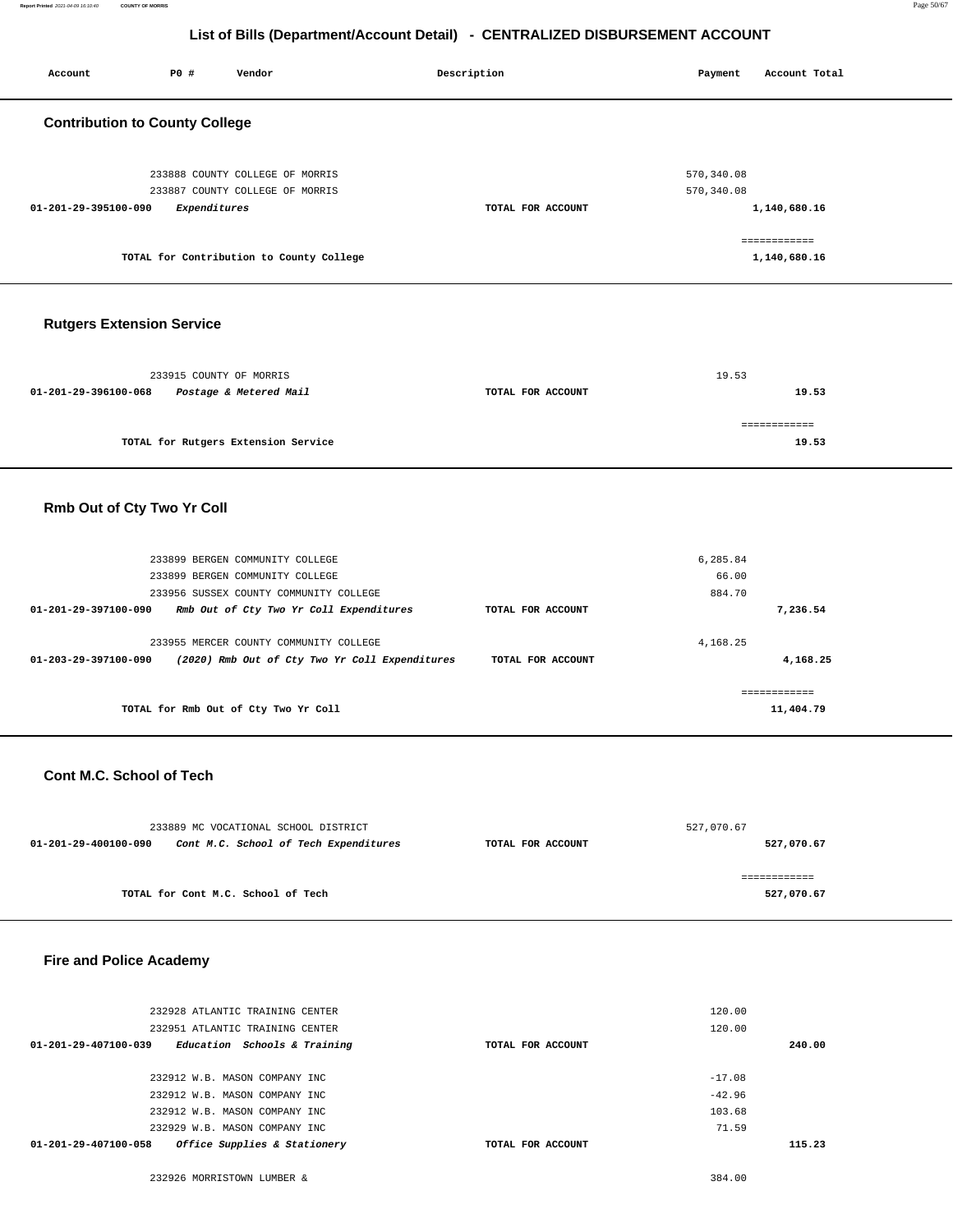| Account                               | P0 #                    | Vendor                                                             | Description       | Payment                    | Account Total                |  |
|---------------------------------------|-------------------------|--------------------------------------------------------------------|-------------------|----------------------------|------------------------------|--|
| <b>Contribution to County College</b> |                         |                                                                    |                   |                            |                              |  |
| 01-201-29-395100-090                  | Expenditures            | 233888 COUNTY COLLEGE OF MORRIS<br>233887 COUNTY COLLEGE OF MORRIS | TOTAL FOR ACCOUNT | 570, 340.08<br>570, 340.08 | 1,140,680.16                 |  |
|                                       |                         | TOTAL for Contribution to County College                           |                   |                            | ============<br>1,140,680.16 |  |
| <b>Rutgers Extension Service</b>      |                         |                                                                    |                   |                            |                              |  |
| 01-201-29-396100-068                  | 233915 COUNTY OF MORRIS | Postage & Metered Mail                                             | TOTAL FOR ACCOUNT | 19.53                      | 19.53                        |  |
|                                       |                         | TOTAL for Rutgers Extension Service                                |                   |                            | ============<br>19.53        |  |
| Rmb Out of Cty Two Yr Coll            |                         |                                                                    |                   |                            |                              |  |

| 233899 BERGEN COMMUNITY COLLEGE                                                                                  |                   | 6,285.84 |           |
|------------------------------------------------------------------------------------------------------------------|-------------------|----------|-----------|
| 233899 BERGEN COMMUNITY COLLEGE                                                                                  |                   | 66.00    |           |
| 233956 SUSSEX COUNTY COMMUNITY COLLEGE                                                                           |                   | 884.70   |           |
| Rmb Out of Cty Two Yr Coll Expenditures<br>01-201-29-397100-090                                                  | TOTAL FOR ACCOUNT |          | 7,236.54  |
| 233955 MERCER COUNTY COMMUNITY COLLEGE<br>01-203-29-397100-090<br>(2020) Rmb Out of Cty Two Yr Coll Expenditures | TOTAL FOR ACCOUNT | 4.168.25 | 4,168.25  |
|                                                                                                                  |                   |          |           |
| TOTAL for Rmb Out of Cty Two Yr Coll                                                                             |                   |          | 11,404.79 |

### **Cont M.C. School of Tech**

| 233889 MC VOCATIONAL SCHOOL DISTRICT                                               |  |  | 527,070.67 |
|------------------------------------------------------------------------------------|--|--|------------|
| Cont M.C. School of Tech Expenditures<br>01-201-29-400100-090<br>TOTAL FOR ACCOUNT |  |  | 527,070.67 |
|                                                                                    |  |  |            |
|                                                                                    |  |  |            |
| TOTAL for Cont M.C. School of Tech                                                 |  |  | 527,070.67 |

### **Fire and Police Academy**

| 232928 ATLANTIC TRAINING CENTER                                |                   | 120.00   |
|----------------------------------------------------------------|-------------------|----------|
| 232951 ATLANTIC TRAINING CENTER                                |                   | 120.00   |
| $01 - 201 - 29 - 407100 - 039$<br>Education Schools & Training | TOTAL FOR ACCOUNT | 240.00   |
|                                                                |                   |          |
| 232912 W.B. MASON COMPANY INC                                  |                   | $-17.08$ |
| 232912 W.B. MASON COMPANY INC.                                 |                   | $-42.96$ |
| 232912 W.B. MASON COMPANY INC                                  |                   | 103.68   |
| 232929 W.B. MASON COMPANY INC                                  |                   | 71.59    |
| Office Supplies & Stationery<br>$01 - 201 - 29 - 407100 - 058$ | TOTAL FOR ACCOUNT | 115.23   |
|                                                                |                   |          |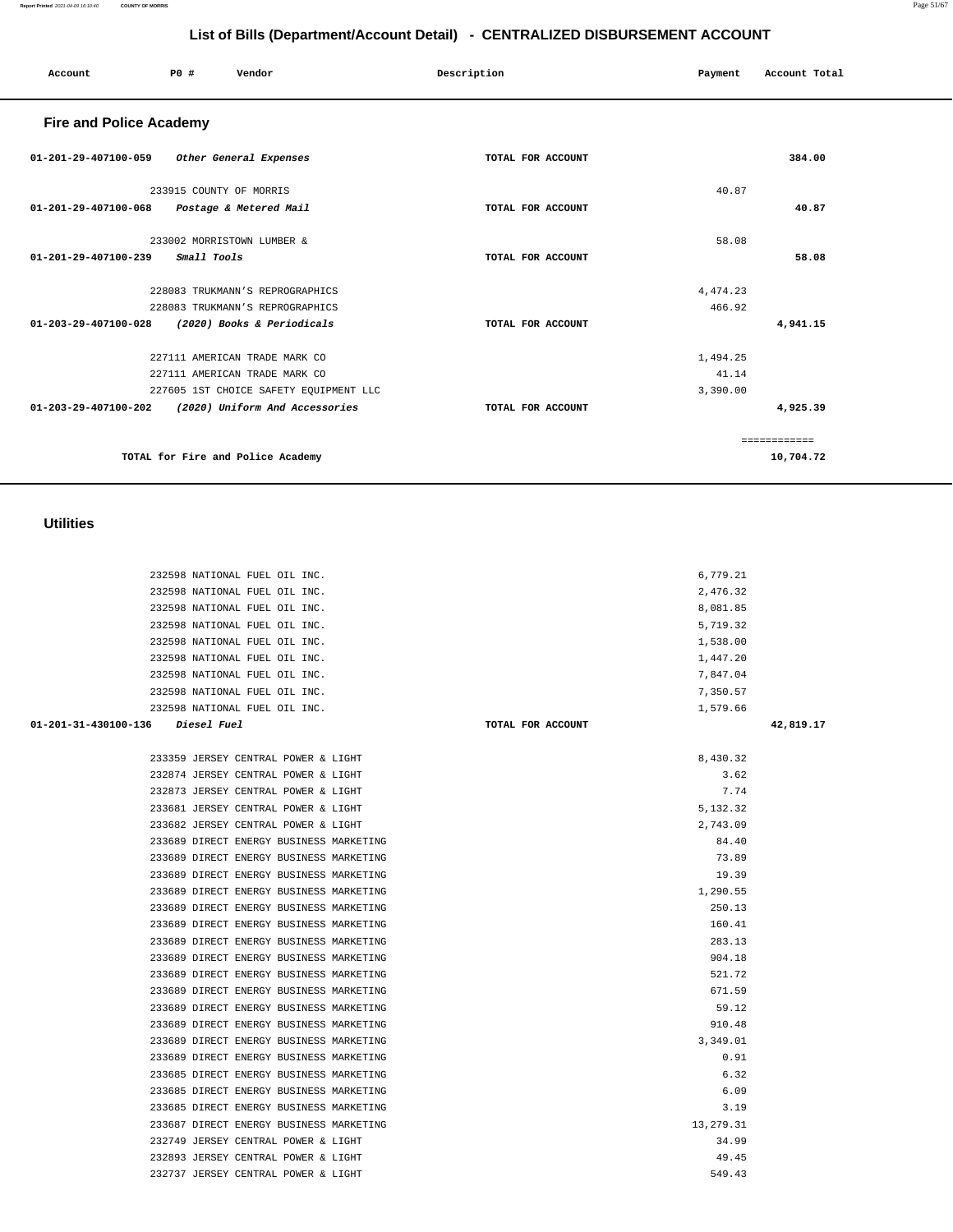| AGAGGO INAIIUNAL PUBL UIL INC.          |                   | ,,,,,,,,    |           |
|-----------------------------------------|-------------------|-------------|-----------|
| 232598 NATIONAL FUEL OIL INC.           |                   | 1,579.66    |           |
|                                         | TOTAL FOR ACCOUNT |             | 42,819.17 |
|                                         |                   |             |           |
| 233359 JERSEY CENTRAL POWER & LIGHT     |                   | 8,430.32    |           |
| 232874 JERSEY CENTRAL POWER & LIGHT     |                   | 3.62        |           |
| 232873 JERSEY CENTRAL POWER & LIGHT     |                   | 7.74        |           |
| 233681 JERSEY CENTRAL POWER & LIGHT     |                   | 5,132.32    |           |
| 233682 JERSEY CENTRAL POWER & LIGHT     |                   | 2,743.09    |           |
| 233689 DIRECT ENERGY BUSINESS MARKETING |                   | 84.40       |           |
| 233689 DIRECT ENERGY BUSINESS MARKETING |                   | 73.89       |           |
| 233689 DIRECT ENERGY BUSINESS MARKETING |                   | 19.39       |           |
| 233689 DIRECT ENERGY BUSINESS MARKETING |                   | 1,290.55    |           |
| 233689 DIRECT ENERGY BUSINESS MARKETING |                   | 250.13      |           |
| 233689 DIRECT ENERGY BUSINESS MARKETING |                   | 160.41      |           |
| 233689 DIRECT ENERGY BUSINESS MARKETING |                   | 283.13      |           |
| 233689 DIRECT ENERGY BUSINESS MARKETING |                   | 904.18      |           |
| 233689 DIRECT ENERGY BUSINESS MARKETING |                   | 521.72      |           |
| 233689 DIRECT ENERGY BUSINESS MARKETING |                   | 671.59      |           |
| 233689 DIRECT ENERGY BUSINESS MARKETING |                   | 59.12       |           |
| 233689 DIRECT ENERGY BUSINESS MARKETING |                   | 910.48      |           |
| 233689 DIRECT ENERGY BUSINESS MARKETING |                   | 3,349.01    |           |
| 233689 DIRECT ENERGY BUSINESS MARKETING |                   | 0.91        |           |
| 233685 DIRECT ENERGY BUSINESS MARKETING |                   | 6.32        |           |
| 233685 DIRECT ENERGY BUSINESS MARKETING |                   | 6.09        |           |
| 233685 DIRECT ENERGY BUSINESS MARKETING |                   | 3.19        |           |
| 233687 DIRECT ENERGY BUSINESS MARKETING |                   | 13, 279. 31 |           |
| 232749 JERSEY CENTRAL POWER & LIGHT     |                   | 34.99       |           |
| 232893 JERSEY CENTRAL POWER & LIGHT     |                   | 49.45       |           |
| 232737 JERSEY CENTRAL POWER & LIGHT     |                   | 549.43      |           |

| <i>Diesel Fuel</i><br>01-201-31-430100-136 | TOTAL FOR ACCOUNT | 42,819.17 |
|--------------------------------------------|-------------------|-----------|
| 232598 NATIONAL FUEL OIL INC.              |                   | 1,579.66  |
| 232598 NATIONAL FUEL OIL INC.              |                   | 7,350.57  |
| 232598 NATIONAL FUEL OIL INC.              |                   | 7,847.04  |
| 232598 NATIONAL FUEL OIL INC.              |                   | 1,447.20  |
| 232598 NATIONAL FUEL OIL INC.              |                   | 1,538.00  |
| 232598 NATIONAL FUEL OIL INC.              |                   | 5,719.32  |
| 232598 NATIONAL FUEL OIL INC.              |                   | 8,081.85  |
| 232598 NATIONAL FUEL OIL INC.              |                   | 2.476.32  |
| 232598 NATIONAL FUEL OIL INC.              |                   | 6,779.21  |
|                                            |                   |           |

### **Utilities**

| <b>Fire and Police Academy</b> |                                        |                   |           |              |  |  |
|--------------------------------|----------------------------------------|-------------------|-----------|--------------|--|--|
| $01 - 201 - 29 - 407100 - 059$ | Other General Expenses                 | TOTAL FOR ACCOUNT |           | 384.00       |  |  |
|                                | 233915 COUNTY OF MORRIS                |                   | 40.87     |              |  |  |
| $01 - 201 - 29 - 407100 - 068$ | Postage & Metered Mail                 | TOTAL FOR ACCOUNT |           | 40.87        |  |  |
|                                | 233002 MORRISTOWN LUMBER &             |                   | 58.08     |              |  |  |
| $01 - 201 - 29 - 407100 - 239$ | Small Tools                            | TOTAL FOR ACCOUNT |           | 58.08        |  |  |
|                                | 228083 TRUKMANN'S REPROGRAPHICS        |                   | 4, 474.23 |              |  |  |
|                                | 228083 TRUKMANN'S REPROGRAPHICS        |                   | 466.92    |              |  |  |
| $01 - 203 - 29 - 407100 - 028$ | (2020) Books & Periodicals             | TOTAL FOR ACCOUNT |           | 4,941.15     |  |  |
|                                | 227111 AMERICAN TRADE MARK CO          |                   | 1,494.25  |              |  |  |
|                                | 227111 AMERICAN TRADE MARK CO          |                   | 41.14     |              |  |  |
|                                | 227605 1ST CHOICE SAFETY EQUIPMENT LLC |                   | 3,390.00  |              |  |  |
| $01 - 203 - 29 - 407100 - 202$ | (2020) Uniform And Accessories         | TOTAL FOR ACCOUNT |           | 4,925.39     |  |  |
|                                |                                        |                   |           | ============ |  |  |
|                                | TOTAL for Fire and Police Academy      |                   |           | 10,704.72    |  |  |

# **List of Bills (Department/Account Detail) - CENTRALIZED DISBURSEMENT ACCOUNT**

Account **PO #** Vendor **Payment** Point Payment Account Total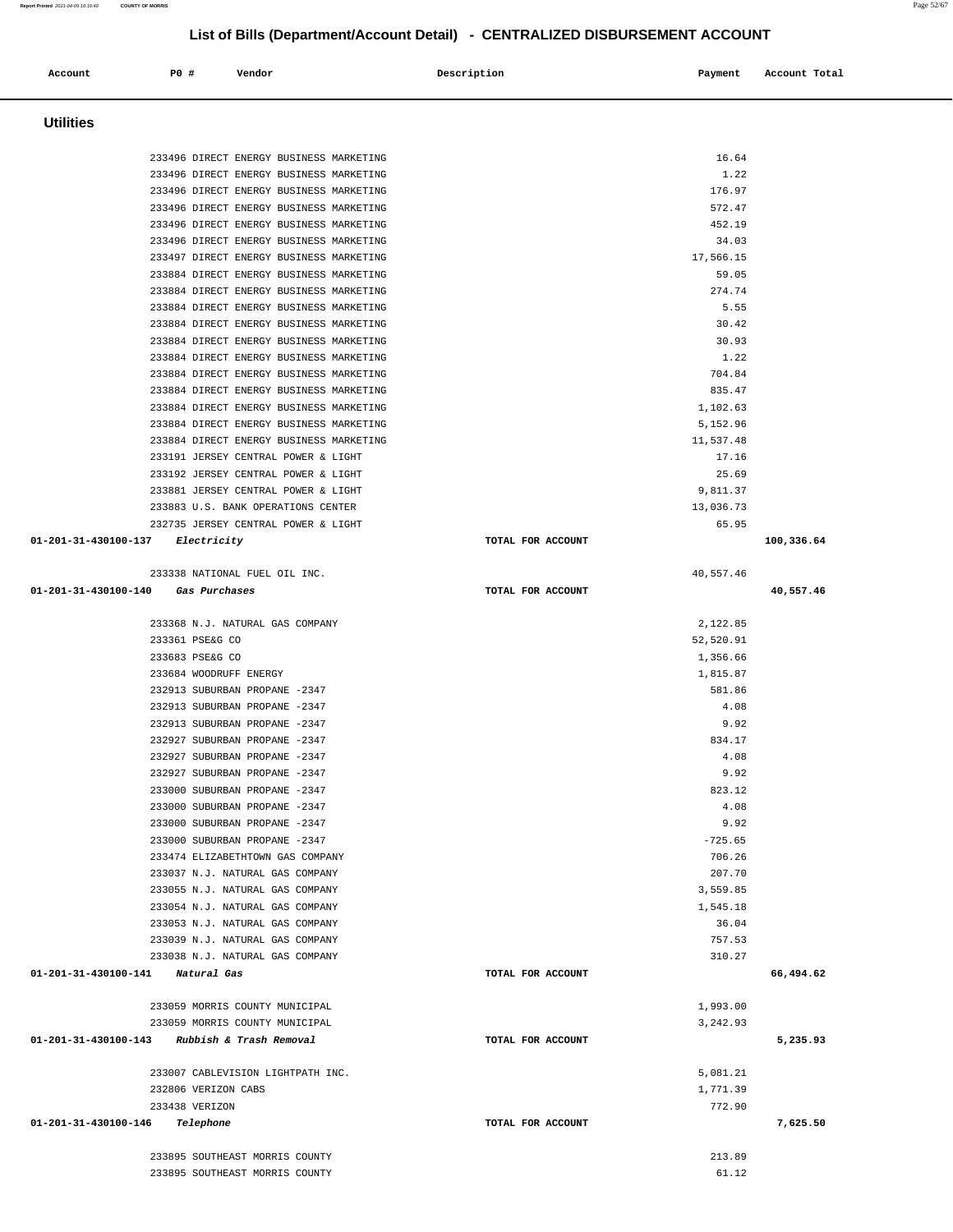| <b>Utilities</b>                                                                   |                   |                    |            |
|------------------------------------------------------------------------------------|-------------------|--------------------|------------|
|                                                                                    |                   |                    |            |
| 233496 DIRECT ENERGY BUSINESS MARKETING                                            |                   | 16.64              |            |
| 233496 DIRECT ENERGY BUSINESS MARKETING                                            |                   | 1.22               |            |
| 233496 DIRECT ENERGY BUSINESS MARKETING                                            |                   | 176.97             |            |
| 233496 DIRECT ENERGY BUSINESS MARKETING<br>233496 DIRECT ENERGY BUSINESS MARKETING |                   | 572.47<br>452.19   |            |
| 233496 DIRECT ENERGY BUSINESS MARKETING                                            |                   | 34.03              |            |
| 233497 DIRECT ENERGY BUSINESS MARKETING                                            |                   | 17,566.15          |            |
| 233884 DIRECT ENERGY BUSINESS MARKETING                                            |                   | 59.05              |            |
| 233884 DIRECT ENERGY BUSINESS MARKETING                                            |                   | 274.74             |            |
| 233884 DIRECT ENERGY BUSINESS MARKETING                                            |                   | 5.55               |            |
| 233884 DIRECT ENERGY BUSINESS MARKETING                                            |                   | 30.42              |            |
| 233884 DIRECT ENERGY BUSINESS MARKETING                                            |                   | 30.93              |            |
| 233884 DIRECT ENERGY BUSINESS MARKETING                                            |                   | 1.22               |            |
| 233884 DIRECT ENERGY BUSINESS MARKETING                                            |                   | 704.84             |            |
| 233884 DIRECT ENERGY BUSINESS MARKETING                                            |                   | 835.47             |            |
| 233884 DIRECT ENERGY BUSINESS MARKETING                                            |                   | 1,102.63           |            |
| 233884 DIRECT ENERGY BUSINESS MARKETING                                            |                   | 5,152.96           |            |
| 233884 DIRECT ENERGY BUSINESS MARKETING                                            |                   | 11,537.48          |            |
| 233191 JERSEY CENTRAL POWER & LIGHT                                                |                   | 17.16              |            |
| 233192 JERSEY CENTRAL POWER & LIGHT<br>233881 JERSEY CENTRAL POWER & LIGHT         |                   | 25.69<br>9,811.37  |            |
| 233883 U.S. BANK OPERATIONS CENTER                                                 |                   | 13,036.73          |            |
| 232735 JERSEY CENTRAL POWER & LIGHT                                                |                   | 65.95              |            |
| 01-201-31-430100-137 Electricity                                                   | TOTAL FOR ACCOUNT |                    | 100,336.64 |
|                                                                                    |                   |                    |            |
| 233338 NATIONAL FUEL OIL INC.                                                      |                   | 40,557.46          |            |
| 01-201-31-430100-140 Gas Purchases                                                 | TOTAL FOR ACCOUNT |                    | 40,557.46  |
|                                                                                    |                   |                    |            |
| 233368 N.J. NATURAL GAS COMPANY                                                    |                   | 2,122.85           |            |
| 233361 PSE&G CO                                                                    |                   | 52,520.91          |            |
| 233683 PSE&G CO                                                                    |                   | 1,356.66           |            |
| 233684 WOODRUFF ENERGY<br>232913 SUBURBAN PROPANE -2347                            |                   | 1,815.87<br>581.86 |            |
| 232913 SUBURBAN PROPANE -2347                                                      |                   | 4.08               |            |
| 232913 SUBURBAN PROPANE -2347                                                      |                   | 9.92               |            |
| 232927 SUBURBAN PROPANE -2347                                                      |                   | 834.17             |            |
| 232927 SUBURBAN PROPANE -2347                                                      |                   | 4.08               |            |
| 232927 SUBURBAN PROPANE -2347                                                      |                   | 9.92               |            |
| 233000 SUBURBAN PROPANE -2347                                                      |                   | 823.12             |            |
| 233000 SUBURBAN PROPANE -2347                                                      |                   | 4.08               |            |
| 233000 SUBURBAN PROPANE -2347                                                      |                   | 9.92               |            |
| 233000 SUBURBAN PROPANE -2347                                                      |                   | $-725.65$          |            |
| 233474 ELIZABETHTOWN GAS COMPANY                                                   |                   | 706.26             |            |
| 233037 N.J. NATURAL GAS COMPANY                                                    |                   | 207.70             |            |
| 233055 N.J. NATURAL GAS COMPANY                                                    |                   | 3,559.85           |            |
| 233054 N.J. NATURAL GAS COMPANY                                                    |                   | 1,545.18           |            |
| 233053 N.J. NATURAL GAS COMPANY                                                    |                   | 36.04              |            |
| 233039 N.J. NATURAL GAS COMPANY                                                    |                   | 757.53             |            |
| 233038 N.J. NATURAL GAS COMPANY<br>01-201-31-430100-141 Natural Gas                | TOTAL FOR ACCOUNT | 310.27             |            |
|                                                                                    |                   |                    | 66,494.62  |
| 233059 MORRIS COUNTY MUNICIPAL                                                     |                   | 1,993.00           |            |
| 233059 MORRIS COUNTY MUNICIPAL                                                     |                   | 3,242.93           |            |
| 01-201-31-430100-143<br>Rubbish & Trash Removal                                    | TOTAL FOR ACCOUNT |                    | 5,235.93   |
|                                                                                    |                   |                    |            |
| 233007 CABLEVISION LIGHTPATH INC.                                                  |                   | 5,081.21           |            |
| 232806 VERIZON CABS                                                                |                   | 1,771.39           |            |
| 233438 VERIZON                                                                     |                   | 772.90             |            |
| 01-201-31-430100-146<br>Telephone                                                  | TOTAL FOR ACCOUNT |                    | 7,625.50   |
| 233895 SOUTHEAST MORRIS COUNTY                                                     |                   | 213.89             |            |
| 233895 SOUTHEAST MORRIS COUNTY                                                     |                   | 61.12              |            |
|                                                                                    |                   |                    |            |

 **Account P0 # Vendor Description Payment Account Total**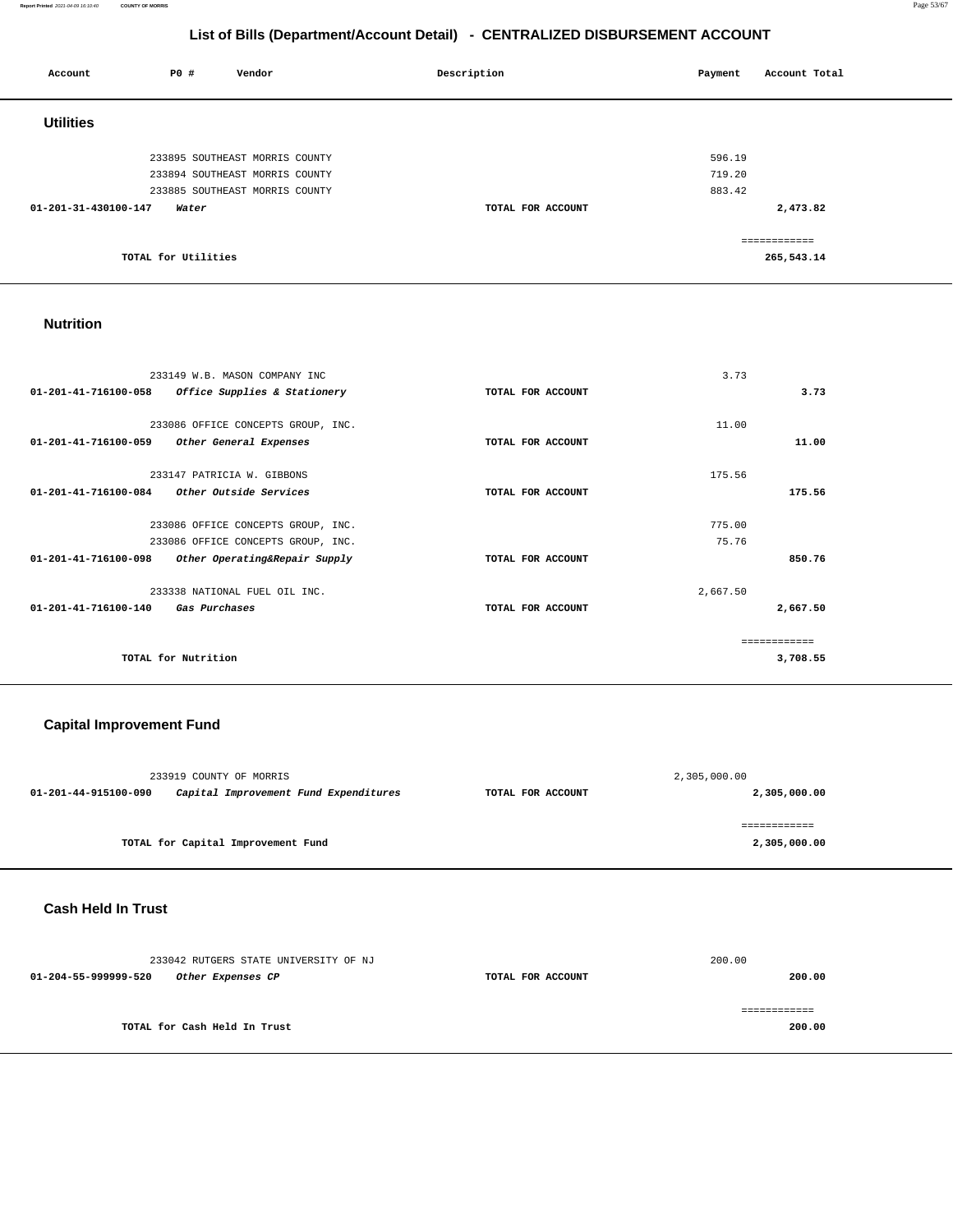**Report Printed** 2021-04-09 16:10:40 **COUNTY OF MORRIS** Page 53/67

### **List of Bills (Department/Account Detail) - CENTRALIZED DISBURSEMENT ACCOUNT**

| P0 #<br>Account               | Vendor                         | Description       | Payment | Account Total |
|-------------------------------|--------------------------------|-------------------|---------|---------------|
| <b>Utilities</b>              |                                |                   |         |               |
|                               | 233895 SOUTHEAST MORRIS COUNTY |                   | 596.19  |               |
|                               | 233894 SOUTHEAST MORRIS COUNTY |                   | 719.20  |               |
|                               | 233885 SOUTHEAST MORRIS COUNTY |                   | 883.42  |               |
| 01-201-31-430100-147<br>Water |                                | TOTAL FOR ACCOUNT |         | 2,473.82      |
|                               |                                |                   |         | ============  |
| TOTAL for Utilities           |                                |                   |         | 265,543.14    |

### **Nutrition**

|                                | 233149 W.B. MASON COMPANY INC      |                   | 3.73     |               |
|--------------------------------|------------------------------------|-------------------|----------|---------------|
| $01 - 201 - 41 - 716100 - 058$ | Office Supplies & Stationery       | TOTAL FOR ACCOUNT |          | 3.73          |
|                                |                                    |                   |          |               |
|                                | 233086 OFFICE CONCEPTS GROUP, INC. |                   | 11.00    |               |
| 01-201-41-716100-059           | Other General Expenses             | TOTAL FOR ACCOUNT |          | 11.00         |
|                                |                                    |                   |          |               |
|                                | 233147 PATRICIA W. GIBBONS         |                   | 175.56   |               |
| 01-201-41-716100-084           | Other Outside Services             | TOTAL FOR ACCOUNT |          | 175.56        |
|                                |                                    |                   |          |               |
|                                | 233086 OFFICE CONCEPTS GROUP, INC. |                   | 775.00   |               |
|                                | 233086 OFFICE CONCEPTS GROUP, INC. |                   | 75.76    |               |
| $01 - 201 - 41 - 716100 - 098$ | Other Operating&Repair Supply      | TOTAL FOR ACCOUNT |          | 850.76        |
|                                | 233338 NATIONAL FUEL OIL INC.      |                   | 2,667.50 |               |
| $01 - 201 - 41 - 716100 - 140$ | Gas Purchases                      | TOTAL FOR ACCOUNT |          | 2,667.50      |
|                                |                                    |                   |          |               |
|                                |                                    |                   |          | ------------- |
|                                | TOTAL for Nutrition                |                   |          | 3,708.55      |
|                                |                                    |                   |          |               |

# **Capital Improvement Fund**

|                      | 233919 COUNTY OF MORRIS               |                   | 2,305,000.00 |
|----------------------|---------------------------------------|-------------------|--------------|
| 01-201-44-915100-090 | Capital Improvement Fund Expenditures | TOTAL FOR ACCOUNT | 2,305,000.00 |
|                      |                                       |                   |              |
|                      |                                       |                   |              |
|                      | TOTAL for Capital Improvement Fund    |                   | 2,305,000.00 |

### **Cash Held In Trust**

|                      | 233042 RUTGERS STATE UNIVERSITY OF NJ |                   | 200.00 |
|----------------------|---------------------------------------|-------------------|--------|
| 01-204-55-999999-520 | Other Expenses CP                     | TOTAL FOR ACCOUNT | 200.00 |
|                      |                                       |                   |        |
|                      | TOTAL for Cash Held In Trust          |                   | 200.00 |
|                      |                                       |                   |        |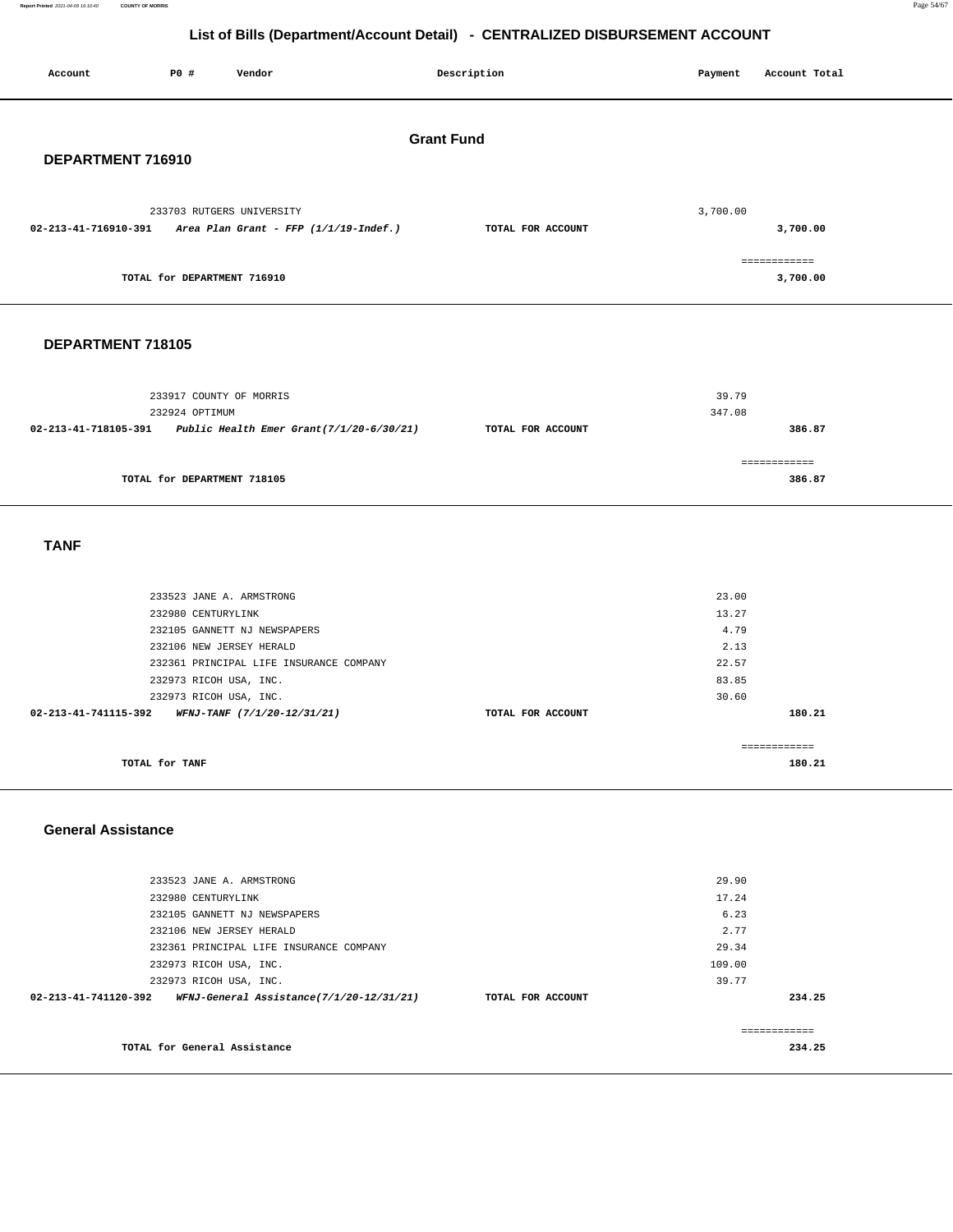**Report Printed** 2021-04-09 16:10:40 **COUNTY OF MORRIS** Page 54/67

# **List of Bills (Department/Account Detail) - CENTRALIZED DISBURSEMENT ACCOUNT**

| Account                   | P0 #                                      | Vendor                                                                |                                          | Description       | Payment         | Account Total            |
|---------------------------|-------------------------------------------|-----------------------------------------------------------------------|------------------------------------------|-------------------|-----------------|--------------------------|
|                           |                                           |                                                                       |                                          | <b>Grant Fund</b> |                 |                          |
| DEPARTMENT 716910         |                                           |                                                                       |                                          |                   |                 |                          |
| 02-213-41-716910-391      |                                           | 233703 RUTGERS UNIVERSITY<br>Area Plan Grant - FFP $(1/1/19$ -Indef.) |                                          | TOTAL FOR ACCOUNT | 3,700.00        | 3,700.00                 |
|                           | TOTAL for DEPARTMENT 716910               |                                                                       |                                          |                   |                 | ============<br>3,700.00 |
| DEPARTMENT 718105         |                                           |                                                                       |                                          |                   |                 |                          |
|                           | 233917 COUNTY OF MORRIS<br>232924 OPTIMUM |                                                                       |                                          |                   | 39.79<br>347.08 |                          |
| 02-213-41-718105-391      |                                           |                                                                       | Public Health Emer Grant(7/1/20-6/30/21) | TOTAL FOR ACCOUNT |                 | 386.87                   |
|                           | TOTAL for DEPARTMENT 718105               |                                                                       |                                          |                   |                 | ============<br>386.87   |
| <b>TANF</b>               |                                           |                                                                       |                                          |                   |                 |                          |
|                           |                                           | 233523 JANE A. ARMSTRONG                                              |                                          |                   | 23.00           |                          |
|                           | 232980 CENTURYLINK                        |                                                                       |                                          |                   | 13.27           |                          |
|                           |                                           | 232105 GANNETT NJ NEWSPAPERS                                          |                                          |                   | 4.79            |                          |
|                           |                                           | 232106 NEW JERSEY HERALD<br>232361 PRINCIPAL LIFE INSURANCE COMPANY   |                                          |                   | 2.13<br>22.57   |                          |
|                           | 232973 RICOH USA, INC.                    |                                                                       |                                          |                   | 83.85           |                          |
|                           | 232973 RICOH USA, INC.                    |                                                                       |                                          |                   | 30.60           |                          |
| 02-213-41-741115-392      |                                           | WFNJ-TANF (7/1/20-12/31/21)                                           |                                          | TOTAL FOR ACCOUNT |                 | 180.21                   |
|                           |                                           |                                                                       |                                          |                   |                 | ============             |
|                           | TOTAL for TANF                            |                                                                       |                                          |                   |                 | 180.21                   |
|                           |                                           |                                                                       |                                          |                   |                 |                          |
| <b>General Assistance</b> |                                           |                                                                       |                                          |                   |                 |                          |
|                           |                                           | 233523 JANE A. ARMSTRONG                                              |                                          |                   | 29.90           |                          |
|                           | 232980 CENTURYLINK                        |                                                                       |                                          |                   | 17.24           |                          |
|                           |                                           | 232105 GANNETT NJ NEWSPAPERS                                          |                                          |                   | 6.23            |                          |
|                           |                                           | 232106 NEW JERSEY HERALD                                              |                                          |                   | 2.77            |                          |
|                           | 232973 RICOH USA, INC.                    | 232361 PRINCIPAL LIFE INSURANCE COMPANY                               |                                          |                   | 29.34<br>109.00 |                          |
|                           | 232973 RICOH USA, INC.                    |                                                                       |                                          |                   | 39.77           |                          |
| 02-213-41-741120-392      |                                           |                                                                       | WFNJ-General Assistance(7/1/20-12/31/21) | TOTAL FOR ACCOUNT |                 | 234.25                   |
|                           |                                           |                                                                       |                                          |                   |                 |                          |
|                           | TOTAL for General Assistance              |                                                                       |                                          |                   |                 | ============<br>234.25   |
|                           |                                           |                                                                       |                                          |                   |                 |                          |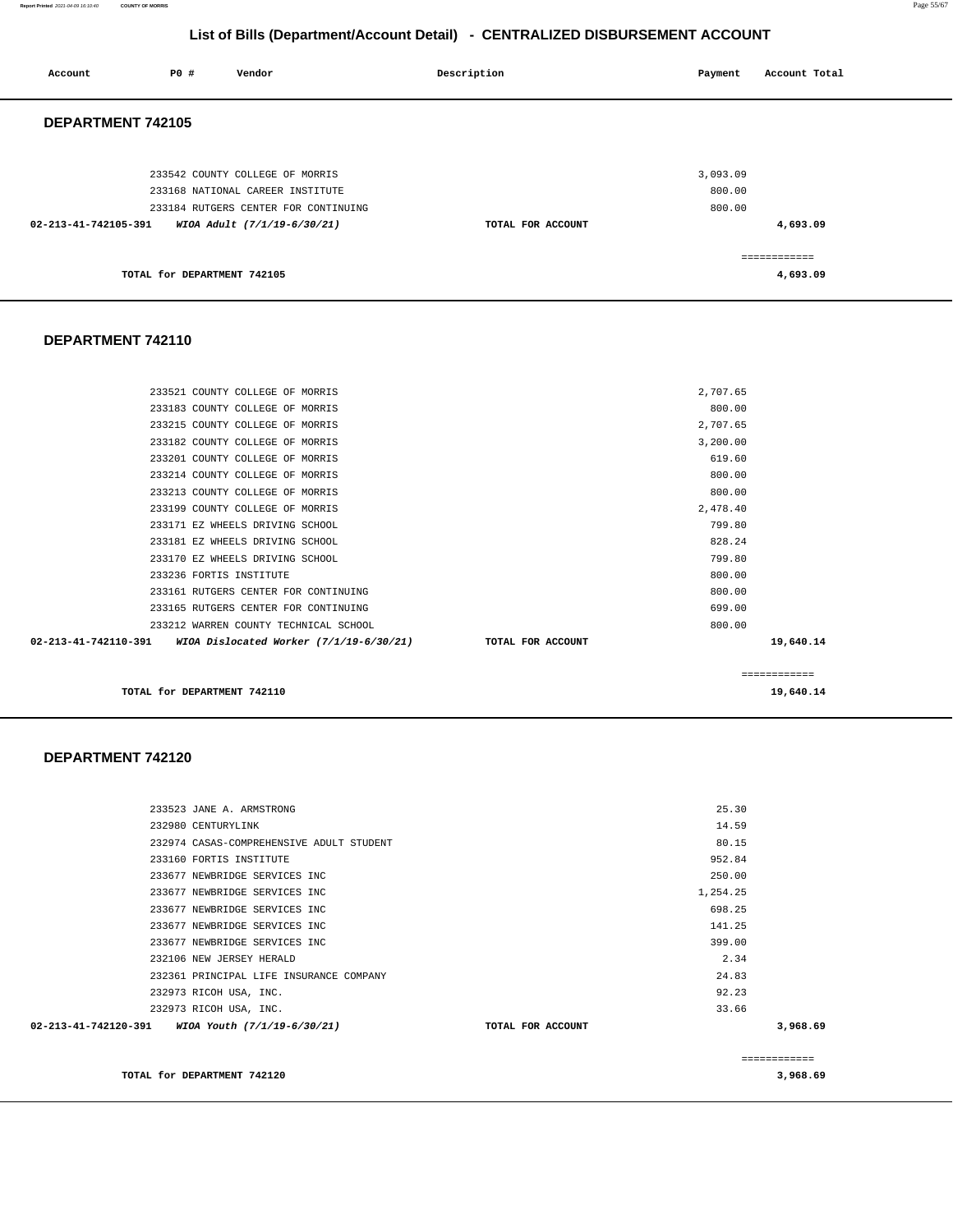**Report Printed** 2021-04-09 16:10:40 **COUNTY OF MORRIS** Page 55/67

### **List of Bills (Department/Account Detail) - CENTRALIZED DISBURSEMENT ACCOUNT**

| Account              | PO#                         | Vendor                                                                   | Description       | Payment          | Account Total             |
|----------------------|-----------------------------|--------------------------------------------------------------------------|-------------------|------------------|---------------------------|
| DEPARTMENT 742105    |                             |                                                                          |                   |                  |                           |
|                      |                             | 233542 COUNTY COLLEGE OF MORRIS                                          |                   | 3,093.09         |                           |
|                      |                             | 233168 NATIONAL CAREER INSTITUTE<br>233184 RUTGERS CENTER FOR CONTINUING |                   | 800.00<br>800.00 |                           |
| 02-213-41-742105-391 |                             | WIOA Adult (7/1/19-6/30/21)                                              | TOTAL FOR ACCOUNT |                  | 4,693.09                  |
|                      | TOTAL for DEPARTMENT 742105 |                                                                          |                   |                  | -------------<br>4,693.09 |

### **DEPARTMENT 742110**

|                                                                 |                   | ------------ |           |
|-----------------------------------------------------------------|-------------------|--------------|-----------|
| 02-213-41-742110-391<br>WIOA Dislocated Worker (7/1/19-6/30/21) | TOTAL FOR ACCOUNT |              | 19,640.14 |
| 233212 WARREN COUNTY TECHNICAL SCHOOL                           |                   | 800.00       |           |
| 233165 RUTGERS CENTER FOR CONTINUING                            |                   | 699.00       |           |
| 233161 RUTGERS CENTER FOR CONTINUING                            |                   | 800.00       |           |
| 233236 FORTIS INSTITUTE                                         |                   | 800.00       |           |
| 233170 EZ WHEELS DRIVING SCHOOL                                 |                   | 799.80       |           |
| 233181 EZ WHEELS DRIVING SCHOOL                                 |                   | 828.24       |           |
| 233171 EZ WHEELS DRIVING SCHOOL                                 |                   | 799.80       |           |
| 233199 COUNTY COLLEGE OF MORRIS                                 |                   | 2,478.40     |           |
| 233213 COUNTY COLLEGE OF MORRIS                                 |                   | 800.00       |           |
| 233214 COUNTY COLLEGE OF MORRIS                                 |                   | 800.00       |           |
| 233201 COUNTY COLLEGE OF MORRIS                                 |                   | 619.60       |           |
| 233182 COUNTY COLLEGE OF MORRIS                                 |                   | 3,200.00     |           |
| 233215 COUNTY COLLEGE OF MORRIS                                 |                   | 2,707.65     |           |
| 233183 COUNTY COLLEGE OF MORRIS                                 |                   | 800.00       |           |
| 233521 COUNTY COLLEGE OF MORRIS                                 |                   | 2,707.65     |           |
|                                                                 |                   |              |           |

**TOTAL for DEPARTMENT 742110** 19,640.14

### **DEPARTMENT 742120**

|                                                  | 233523 JANE A. ARMSTRONG                 |                   | 25.30    |              |
|--------------------------------------------------|------------------------------------------|-------------------|----------|--------------|
|                                                  |                                          |                   |          |              |
| 232980 CENTURYLINK                               |                                          |                   | 14.59    |              |
|                                                  | 232974 CASAS-COMPREHENSIVE ADULT STUDENT |                   | 80.15    |              |
|                                                  | 233160 FORTIS INSTITUTE                  |                   | 952.84   |              |
|                                                  | 233677 NEWBRIDGE SERVICES INC            |                   | 250.00   |              |
|                                                  | 233677 NEWBRIDGE SERVICES INC            |                   | 1,254.25 |              |
|                                                  | 233677 NEWBRIDGE SERVICES INC            |                   | 698.25   |              |
|                                                  | 233677 NEWBRIDGE SERVICES INC            |                   | 141.25   |              |
|                                                  | 233677 NEWBRIDGE SERVICES INC            |                   | 399.00   |              |
|                                                  | 232106 NEW JERSEY HERALD                 |                   | 2.34     |              |
|                                                  | 232361 PRINCIPAL LIFE INSURANCE COMPANY  |                   | 24.83    |              |
|                                                  | 232973 RICOH USA, INC.                   |                   | 92.23    |              |
|                                                  | 232973 RICOH USA, INC.                   |                   | 33.66    |              |
| 02-213-41-742120-391 WIOA Youth (7/1/19-6/30/21) |                                          | TOTAL FOR ACCOUNT |          | 3,968.69     |
|                                                  |                                          |                   |          | ------------ |
| TOTAL for DEPARTMENT 742120                      |                                          |                   |          | 3,968.69     |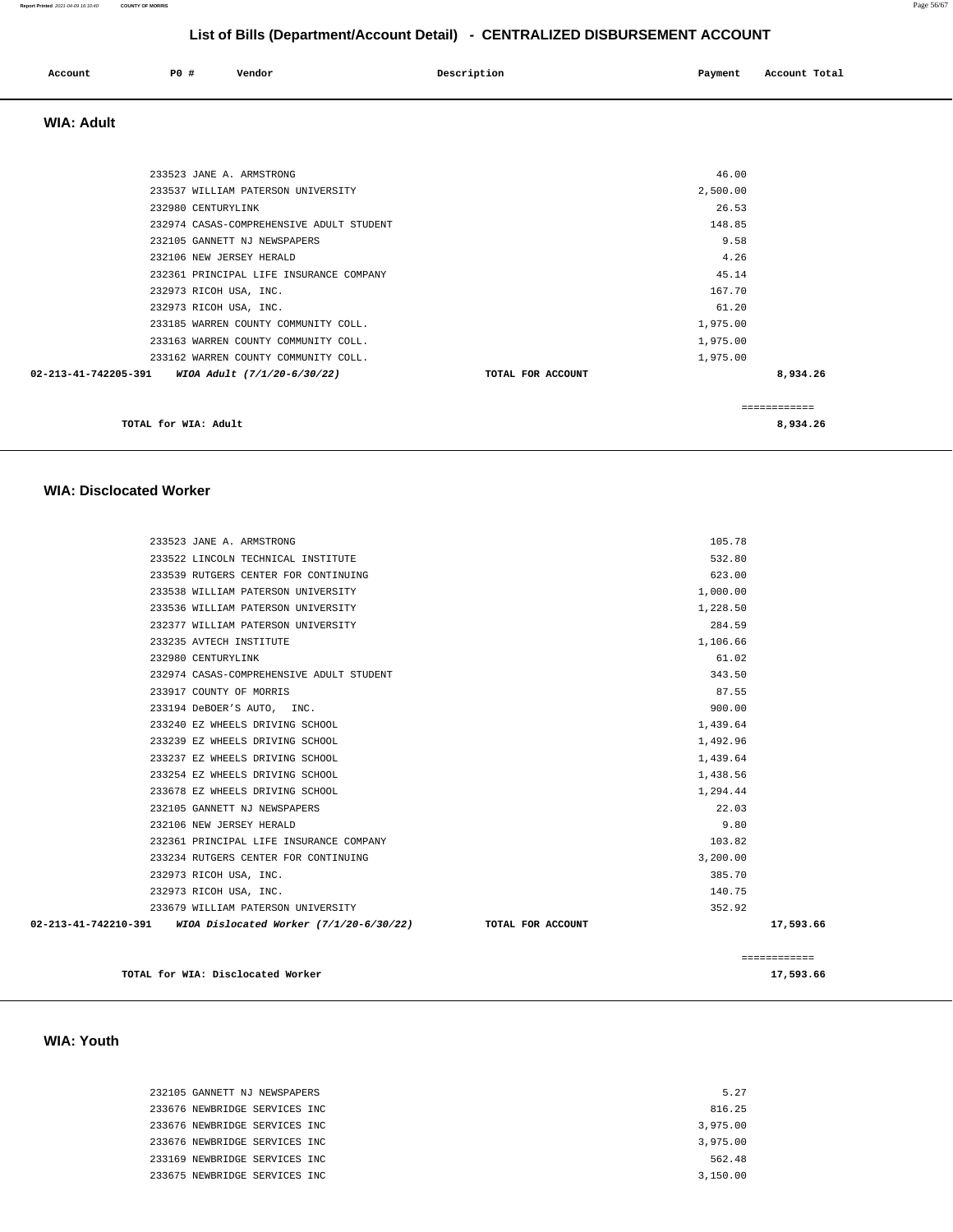|              | <b>PO #</b> |        | Description | Payment       | Account Total |
|--------------|-------------|--------|-------------|---------------|---------------|
| Account<br>. |             | Vendor |             | $\sim$ $\sim$ | .<br>.        |
|              |             |        |             |               |               |

 **WIA: Adult** 

| TOTAL for WIA: Adult                                           |                   |              | 8,934.26 |
|----------------------------------------------------------------|-------------------|--------------|----------|
|                                                                |                   | ------------ |          |
| $02 - 213 - 41 - 742205 - 391$ WIOA Adult $(7/1/20 - 6/30/22)$ | TOTAL FOR ACCOUNT |              | 8,934.26 |
| 233162 WARREN COUNTY COMMUNITY COLL.                           |                   | 1,975.00     |          |
| 233163 WARREN COUNTY COMMUNITY COLL.                           |                   | 1,975.00     |          |
| 233185 WARREN COUNTY COMMUNITY COLL.                           |                   | 1,975.00     |          |
| 232973 RICOH USA, INC.                                         |                   | 61.20        |          |
| 232973 RICOH USA, INC.                                         |                   | 167.70       |          |
| 232361 PRINCIPAL LIFE INSURANCE COMPANY                        |                   | 45.14        |          |
| 232106 NEW JERSEY HERALD                                       |                   | 4.26         |          |
| 232105 GANNETT NJ NEWSPAPERS                                   |                   | 9.58         |          |
| 232974 CASAS-COMPREHENSIVE ADULT STUDENT                       |                   | 148.85       |          |
| 232980 CENTURYLINK                                             |                   | 26.53        |          |
| 233537 WILLIAM PATERSON UNIVERSITY                             |                   | 2,500.00     |          |
| 233523 JANE A. ARMSTRONG                                       |                   | 46.00        |          |
|                                                                |                   |              |          |

### **WIA: Disclocated Worker**

| TOTAL for WIA: Disclocated Worker                                              |                   | 17,593.66    |
|--------------------------------------------------------------------------------|-------------------|--------------|
|                                                                                |                   | ============ |
| 02-213-41-742210-391 WIOA Dislocated Worker (7/1/20-6/30/22) TOTAL FOR ACCOUNT |                   | 17,593.66    |
| 233679 WILLIAM PATERSON UNIVERSITY                                             | 352.92            |              |
| 232973 RICOH USA, INC.                                                         | 140.75            |              |
| 232973 RICOH USA, INC.                                                         | 385.70            |              |
| 233234 RUTGERS CENTER FOR CONTINUING                                           | 3,200.00          |              |
| 232361 PRINCIPAL LIFE INSURANCE COMPANY                                        | 103.82            |              |
| 232106 NEW JERSEY HERALD                                                       | 9.80              |              |
| 232105 GANNETT NJ NEWSPAPERS                                                   | 22.03             |              |
| 233678 EZ WHEELS DRIVING SCHOOL                                                | 1,294.44          |              |
| 233254 EZ WHEELS DRIVING SCHOOL                                                | 1,438.56          |              |
| 233237 EZ WHEELS DRIVING SCHOOL                                                | 1,439.64          |              |
| 233239 EZ WHEELS DRIVING SCHOOL                                                | 1,492.96          |              |
| 233240 EZ WHEELS DRIVING SCHOOL                                                | 1,439.64          |              |
| 233194 DeBOER'S AUTO, INC.                                                     | 900.00            |              |
| 233917 COUNTY OF MORRIS                                                        | 87.55             |              |
| 232974 CASAS-COMPREHENSIVE ADULT STUDENT                                       | 343.50            |              |
| 233235 AVTECH INSTITUTE<br>232980 CENTURYLINK                                  | 1,106.66<br>61.02 |              |
| 232377 WILLIAM PATERSON UNIVERSITY                                             | 284.59            |              |
| 233536 WILLIAM PATERSON UNIVERSITY                                             | 1,228.50          |              |
| 233538 WILLIAM PATERSON UNIVERSITY                                             | 1,000.00          |              |
| 233539 RUTGERS CENTER FOR CONTINUING                                           | 623.00            |              |
| 233522 LINCOLN TECHNICAL INSTITUTE                                             | 532.80            |              |
| 233523 JANE A. ARMSTRONG                                                       | 105.78            |              |
|                                                                                |                   |              |

### **WIA: Youth**

| 232105 GANNETT NJ NEWSPAPERS  | 5.27     |
|-------------------------------|----------|
| 233676 NEWBRIDGE SERVICES INC | 816.25   |
| 233676 NEWBRIDGE SERVICES INC | 3,975,00 |
| 233676 NEWBRIDGE SERVICES INC | 3,975,00 |
| 233169 NEWBRIDGE SERVICES INC | 562.48   |
| 233675 NEWBRIDGE SERVICES INC | 3,150.00 |

**Report Printed** 2021-04-09 16:10:40 **COUNTY OF MORRIS** Page 56/67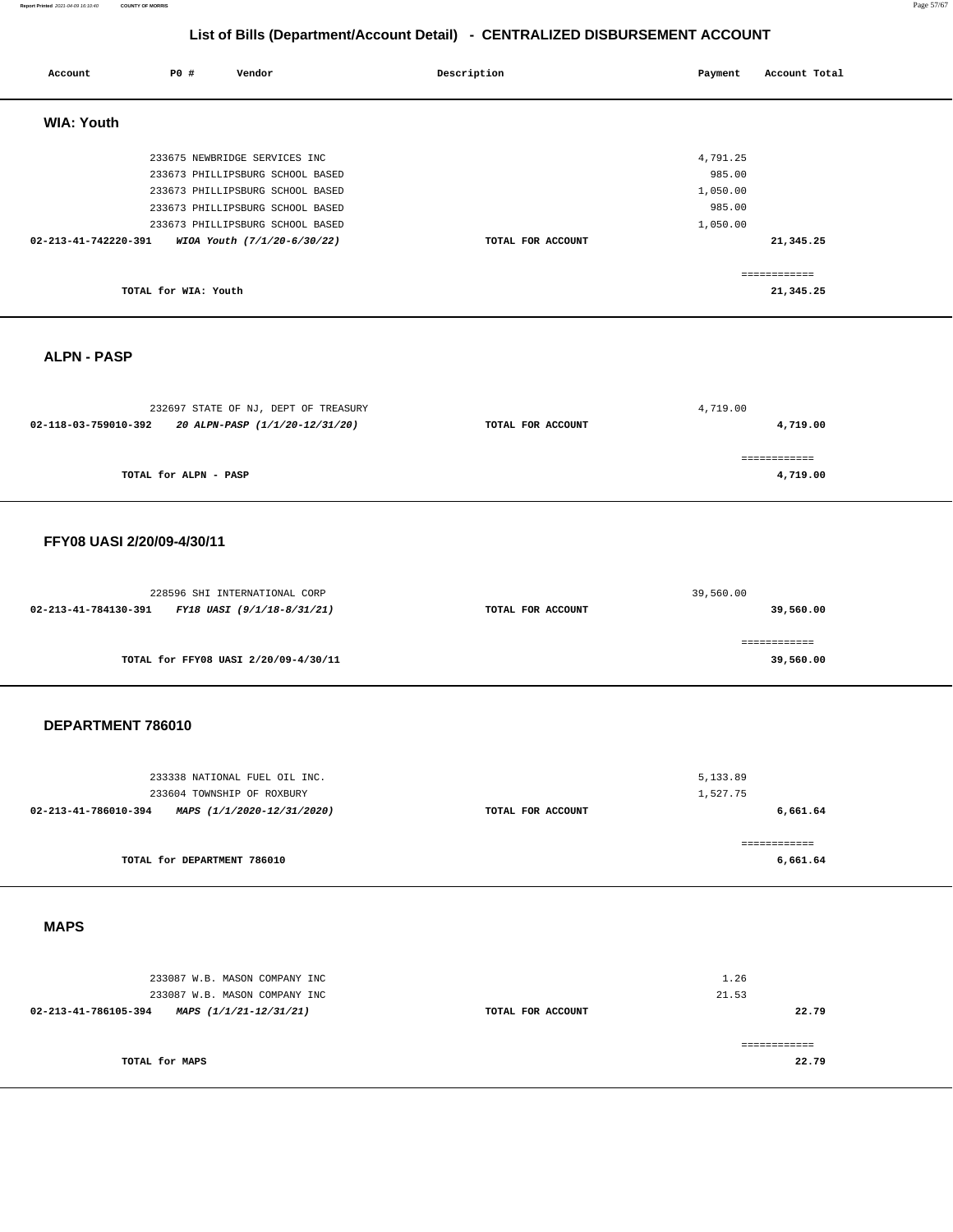### **Report Printed** 2021-04-09 16:10:40 **COUNTY OF MORRIS** Page 57/67

# **List of Bills (Department/Account Detail) - CENTRALIZED DISBURSEMENT ACCOUNT**

| Account                                         | P0 #                        | Vendor                                                                                                                                                                                                       | Description       | Payment                                              | Account Total             |
|-------------------------------------------------|-----------------------------|--------------------------------------------------------------------------------------------------------------------------------------------------------------------------------------------------------------|-------------------|------------------------------------------------------|---------------------------|
| <b>WIA: Youth</b>                               |                             |                                                                                                                                                                                                              |                   |                                                      |                           |
| 02-213-41-742220-391                            |                             | 233675 NEWBRIDGE SERVICES INC<br>233673 PHILLIPSBURG SCHOOL BASED<br>233673 PHILLIPSBURG SCHOOL BASED<br>233673 PHILLIPSBURG SCHOOL BASED<br>233673 PHILLIPSBURG SCHOOL BASED<br>WIOA Youth (7/1/20-6/30/22) | TOTAL FOR ACCOUNT | 4,791.25<br>985.00<br>1,050.00<br>985.00<br>1,050.00 | 21,345.25                 |
|                                                 | TOTAL for WIA: Youth        |                                                                                                                                                                                                              |                   |                                                      | ============<br>21,345.25 |
| <b>ALPN - PASP</b>                              |                             |                                                                                                                                                                                                              |                   |                                                      |                           |
| 02-118-03-759010-392                            |                             | 232697 STATE OF NJ, DEPT OF TREASURY<br>20 ALPN-PASP (1/1/20-12/31/20)                                                                                                                                       | TOTAL FOR ACCOUNT | 4,719.00                                             | 4,719.00<br>============  |
|                                                 | TOTAL for ALPN - PASP       |                                                                                                                                                                                                              |                   |                                                      | 4,719.00                  |
| FFY08 UASI 2/20/09-4/30/11                      |                             |                                                                                                                                                                                                              |                   |                                                      |                           |
| 02-213-41-784130-391                            |                             | 228596 SHI INTERNATIONAL CORP<br>FY18 UASI (9/1/18-8/31/21)                                                                                                                                                  | TOTAL FOR ACCOUNT | 39,560.00                                            | 39,560.00                 |
|                                                 |                             | TOTAL for FFY08 UASI 2/20/09-4/30/11                                                                                                                                                                         |                   |                                                      | ============<br>39,560.00 |
| DEPARTMENT 786010                               |                             |                                                                                                                                                                                                              |                   |                                                      |                           |
| 02-213-41-786010-394 MAPS (1/1/2020-12/31/2020) |                             | 233338 NATIONAL FUEL OIL INC.<br>233604 TOWNSHIP OF ROXBURY                                                                                                                                                  | TOTAL FOR ACCOUNT | 5,133.89<br>1,527.75                                 | 6,661.64                  |
|                                                 | TOTAL for DEPARTMENT 786010 |                                                                                                                                                                                                              |                   |                                                      | ------------<br>6,661.64  |
| <b>MAPS</b>                                     |                             |                                                                                                                                                                                                              |                   |                                                      |                           |
| 02-213-41-786105-394 MAPS (1/1/21-12/31/21)     |                             | 233087 W.B. MASON COMPANY INC<br>233087 W.B. MASON COMPANY INC                                                                                                                                               | TOTAL FOR ACCOUNT | 1.26<br>21.53                                        | 22.79                     |
|                                                 | TOTAL for MAPS              |                                                                                                                                                                                                              |                   |                                                      | ------------<br>22.79     |
|                                                 |                             |                                                                                                                                                                                                              |                   |                                                      |                           |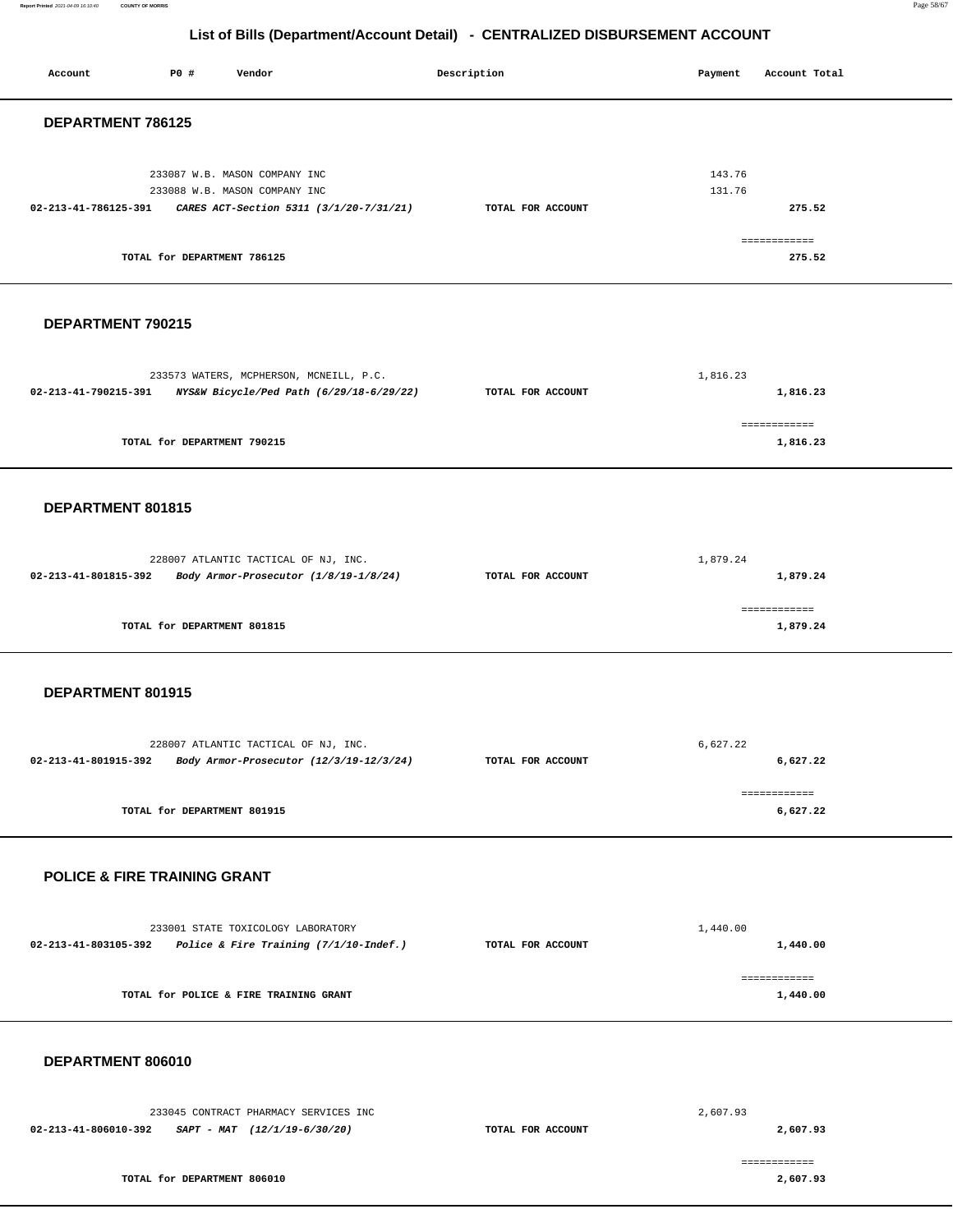**Report Printed** 2021-04-09 16:10:40 **COUNTY OF MORRIS** Page 58/67

# **List of Bills (Department/Account Detail) - CENTRALIZED DISBURSEMENT ACCOUNT**

| Account                                 | P0 #                        | Vendor                                                                                                                 | Description       | Payment          | Account Total                    |
|-----------------------------------------|-----------------------------|------------------------------------------------------------------------------------------------------------------------|-------------------|------------------|----------------------------------|
| DEPARTMENT 786125                       |                             |                                                                                                                        |                   |                  |                                  |
| 02-213-41-786125-391                    | TOTAL for DEPARTMENT 786125 | 233087 W.B. MASON COMPANY INC<br>233088 W.B. MASON COMPANY INC<br>CARES ACT-Section 5311 (3/1/20-7/31/21)              | TOTAL FOR ACCOUNT | 143.76<br>131.76 | 275.52<br>============<br>275.52 |
| DEPARTMENT 790215                       |                             |                                                                                                                        |                   |                  |                                  |
| 02-213-41-790215-391                    |                             | 233573 WATERS, MCPHERSON, MCNEILL, P.C.<br>NYS&W Bicycle/Ped Path (6/29/18-6/29/22)                                    | TOTAL FOR ACCOUNT | 1,816.23         | 1,816.23<br>------------         |
|                                         | TOTAL for DEPARTMENT 790215 |                                                                                                                        |                   |                  | 1,816.23                         |
| DEPARTMENT 801815                       |                             |                                                                                                                        |                   |                  |                                  |
| 02-213-41-801815-392                    |                             | 228007 ATLANTIC TACTICAL OF NJ, INC.<br>Body Armor-Prosecutor (1/8/19-1/8/24)                                          | TOTAL FOR ACCOUNT | 1,879.24         | 1,879.24                         |
|                                         | TOTAL for DEPARTMENT 801815 |                                                                                                                        |                   |                  | ============<br>1,879.24         |
| DEPARTMENT 801915                       |                             |                                                                                                                        |                   |                  |                                  |
| 02-213-41-801915-392                    |                             | 228007 ATLANTIC TACTICAL OF NJ, INC.<br>Body Armor-Prosecutor (12/3/19-12/3/24)                                        | TOTAL FOR ACCOUNT | 6,627.22         | 6,627.22                         |
|                                         | TOTAL for DEPARTMENT 801915 |                                                                                                                        |                   |                  | ============<br>6,627.22         |
| <b>POLICE &amp; FIRE TRAINING GRANT</b> |                             |                                                                                                                        |                   |                  |                                  |
|                                         |                             | 233001 STATE TOXICOLOGY LABORATORY<br>$02 - 213 - 41 - 803105 - 392$ Police & Fire Training $(7/1/10 - \text{Indef.})$ | TOTAL FOR ACCOUNT | 1,440.00         | 1,440.00                         |
|                                         |                             | TOTAL for POLICE & FIRE TRAINING GRANT                                                                                 |                   |                  | ============<br>1,440.00         |
| DEPARTMENT 806010                       |                             |                                                                                                                        |                   |                  |                                  |
|                                         |                             | 233045 CONTRACT PHARMACY SERVICES INC<br>02-213-41-806010-392 SAPT - MAT $(12/1/19-6/30/20)$                           | TOTAL FOR ACCOUNT | 2,607.93         | 2,607.93                         |
|                                         | TOTAL for DEPARTMENT 806010 |                                                                                                                        |                   |                  | ============<br>2,607.93         |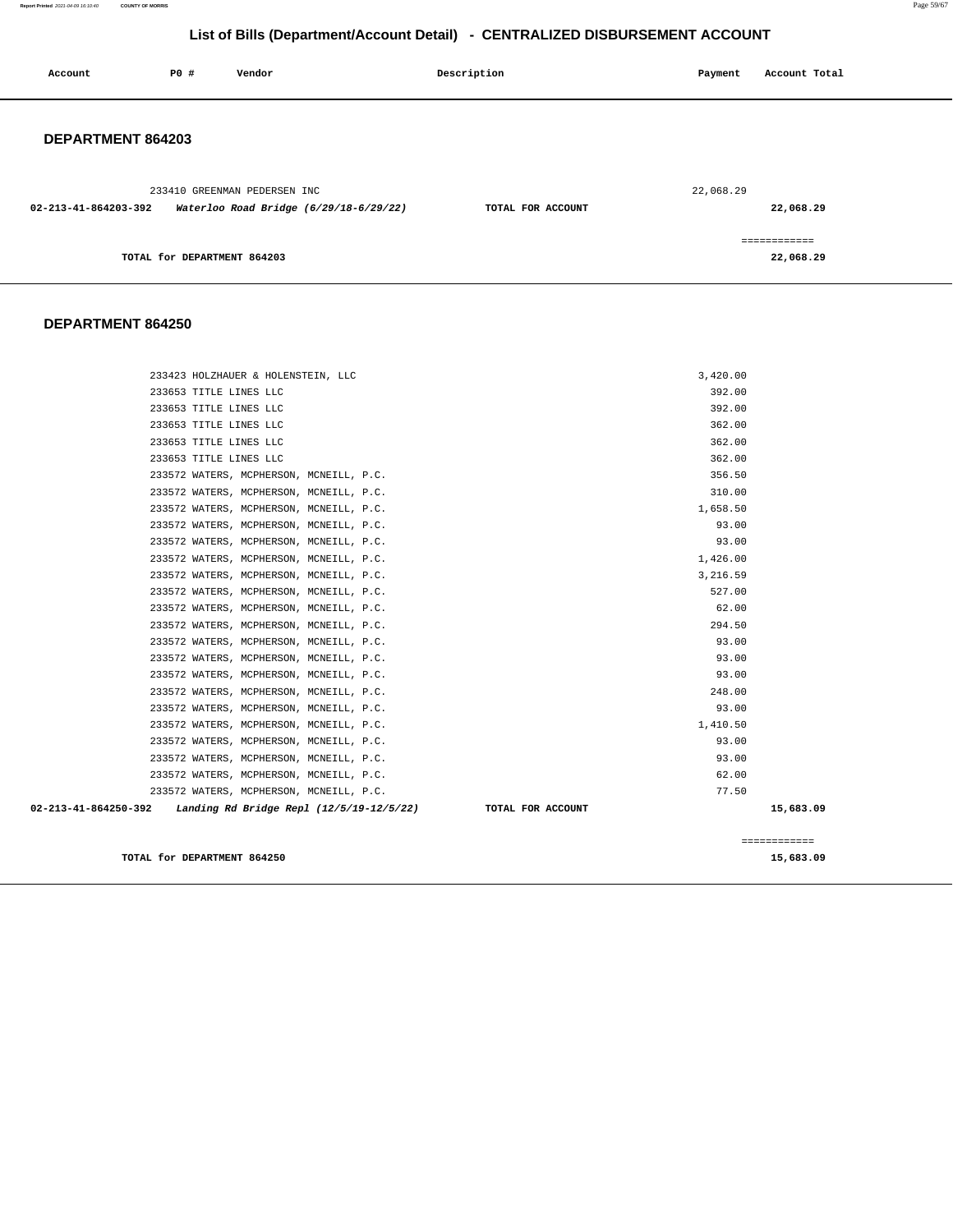**Report Printed** 2021-04-09 16:10:40 **COUNTY OF MORRIS** Page 59/67

### **List of Bills (Department/Account Detail) - CENTRALIZED DISBURSEMENT ACCOUNT**

| Account              | P0 #                        | Vendor                                                                 | Description       | Payment   | Account Total              |
|----------------------|-----------------------------|------------------------------------------------------------------------|-------------------|-----------|----------------------------|
| DEPARTMENT 864203    |                             |                                                                        |                   |           |                            |
| 02-213-41-864203-392 |                             | 233410 GREENMAN PEDERSEN INC<br>Waterloo Road Bridge (6/29/18-6/29/22) | TOTAL FOR ACCOUNT | 22,068.29 | 22,068.29                  |
|                      | TOTAL for DEPARTMENT 864203 |                                                                        |                   |           | -------------<br>22,068.29 |

### **DEPARTMENT 864250**

| TOTAL for DEPARTMENT 864250                                                                              |                   | 15,683.09    |
|----------------------------------------------------------------------------------------------------------|-------------------|--------------|
|                                                                                                          |                   | ============ |
|                                                                                                          |                   |              |
| 233572 WATERS, MCPHERSON, MCNEILL, P.C.<br>02-213-41-864250-392 Landing Rd Bridge Repl (12/5/19-12/5/22) | TOTAL FOR ACCOUNT | 15,683.09    |
| 233572 WATERS, MCPHERSON, MCNEILL, P.C.                                                                  | 62.00<br>77.50    |              |
| 233572 WATERS, MCPHERSON, MCNEILL, P.C.                                                                  | 93.00             |              |
| 233572 WATERS, MCPHERSON, MCNEILL, P.C.                                                                  | 93.00             |              |
| 233572 WATERS, MCPHERSON, MCNEILL, P.C.                                                                  | 1,410.50          |              |
| 233572 WATERS, MCPHERSON, MCNEILL, P.C.                                                                  | 93.00             |              |
| 233572 WATERS, MCPHERSON, MCNEILL, P.C.                                                                  | 248.00            |              |
| 233572 WATERS, MCPHERSON, MCNEILL, P.C.                                                                  | 93.00             |              |
| 233572 WATERS, MCPHERSON, MCNEILL, P.C.                                                                  | 93.00             |              |
| 233572 WATERS, MCPHERSON, MCNEILL, P.C.                                                                  | 93.00             |              |
| 233572 WATERS, MCPHERSON, MCNEILL, P.C.                                                                  | 294.50            |              |
| 233572 WATERS, MCPHERSON, MCNEILL, P.C.                                                                  | 62.00             |              |
| 233572 WATERS, MCPHERSON, MCNEILL, P.C.                                                                  | 527.00            |              |
| 233572 WATERS, MCPHERSON, MCNEILL, P.C.                                                                  | 3,216.59          |              |
| 233572 WATERS, MCPHERSON, MCNEILL, P.C.                                                                  | 1,426.00          |              |
| 233572 WATERS, MCPHERSON, MCNEILL, P.C.                                                                  | 93.00             |              |
| 233572 WATERS, MCPHERSON, MCNEILL, P.C.                                                                  | 93.00             |              |
| 233572 WATERS, MCPHERSON, MCNEILL, P.C.                                                                  | 1,658.50          |              |
| 233572 WATERS, MCPHERSON, MCNEILL, P.C.                                                                  | 310.00            |              |
| 233572 WATERS, MCPHERSON, MCNEILL, P.C.                                                                  | 356.50            |              |
| 233653 TITLE LINES LLC                                                                                   | 362.00            |              |
| 233653 TITLE LINES LLC                                                                                   | 362.00            |              |
| 233653 TITLE LINES LLC                                                                                   | 362.00            |              |
| 233653 TITLE LINES LLC                                                                                   | 392.00            |              |
| 233653 TITLE LINES LLC                                                                                   | 392.00            |              |
| 233423 HOLZHAUER & HOLENSTEIN, LLC                                                                       | 3,420.00          |              |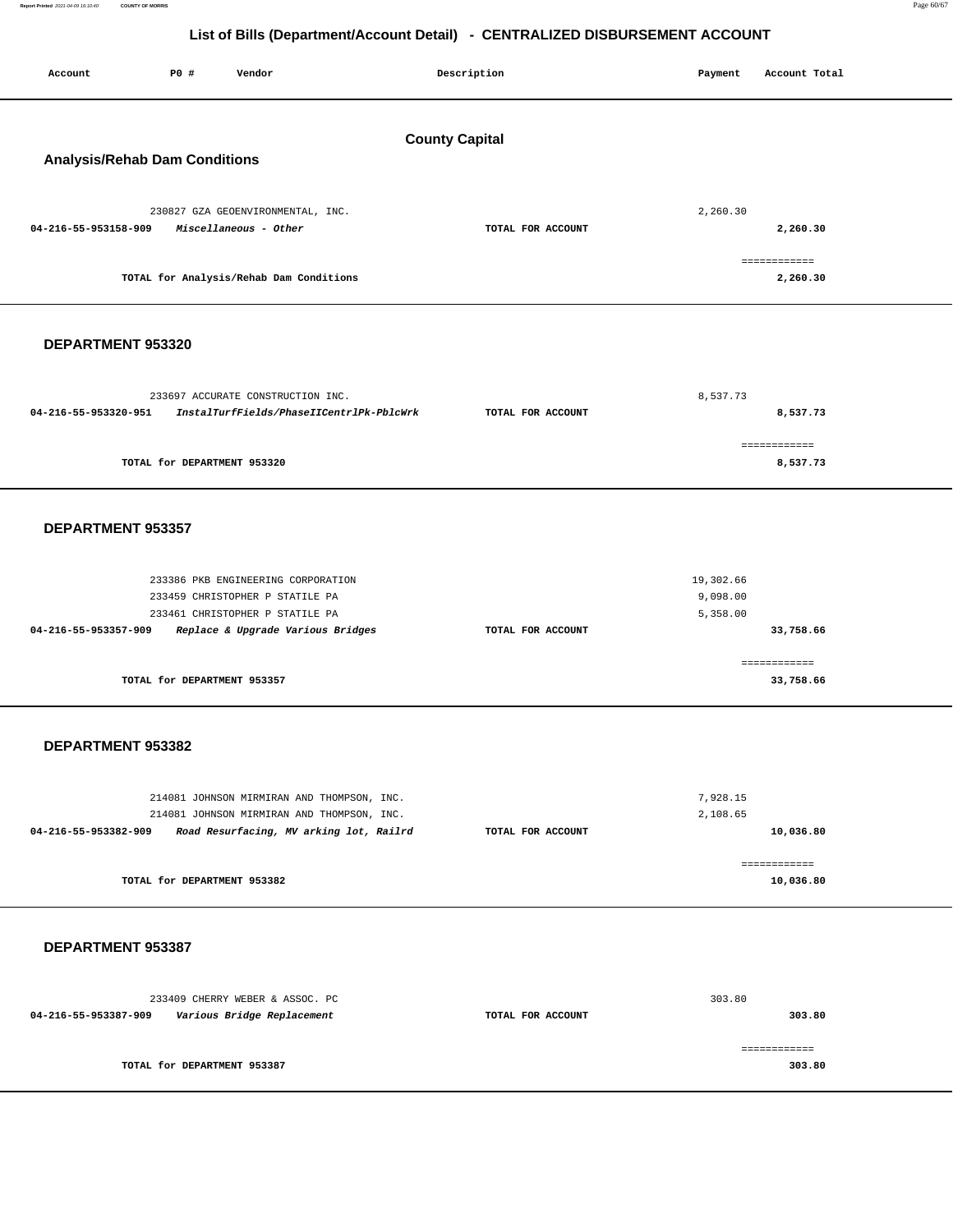**Report Printed** 2021-04-09 16:10:40 **COUNTY OF MORRIS** Page 60/67

# **List of Bills (Department/Account Detail) - CENTRALIZED DISBURSEMENT ACCOUNT**

| Account                              | P0 #                        | Vendor                                                                                | Description           | Payment              | Account Total             |
|--------------------------------------|-----------------------------|---------------------------------------------------------------------------------------|-----------------------|----------------------|---------------------------|
|                                      |                             |                                                                                       |                       |                      |                           |
|                                      |                             |                                                                                       | <b>County Capital</b> |                      |                           |
| <b>Analysis/Rehab Dam Conditions</b> |                             |                                                                                       |                       |                      |                           |
|                                      |                             | 230827 GZA GEOENVIRONMENTAL, INC.                                                     |                       | 2,260.30             |                           |
| 04-216-55-953158-909                 |                             | Miscellaneous - Other                                                                 | TOTAL FOR ACCOUNT     |                      | 2,260.30                  |
|                                      |                             | TOTAL for Analysis/Rehab Dam Conditions                                               |                       |                      | ------------<br>2,260.30  |
|                                      |                             |                                                                                       |                       |                      |                           |
| DEPARTMENT 953320                    |                             |                                                                                       |                       |                      |                           |
|                                      |                             |                                                                                       |                       |                      |                           |
| 04-216-55-953320-951                 |                             | 233697 ACCURATE CONSTRUCTION INC.<br>InstalTurfFields/PhaseIICentrlPk-PblcWrk         | TOTAL FOR ACCOUNT     | 8.537.73             | 8,537.73                  |
|                                      |                             |                                                                                       |                       |                      | ------------              |
|                                      | TOTAL for DEPARTMENT 953320 |                                                                                       |                       |                      | 8,537.73                  |
|                                      |                             |                                                                                       |                       |                      |                           |
| DEPARTMENT 953357                    |                             |                                                                                       |                       |                      |                           |
|                                      |                             | 233386 PKB ENGINEERING CORPORATION                                                    |                       | 19,302.66            |                           |
|                                      |                             | 233459 CHRISTOPHER P STATILE PA<br>233461 CHRISTOPHER P STATILE PA                    |                       | 9,098.00<br>5,358.00 |                           |
| 04-216-55-953357-909                 |                             | Replace & Upgrade Various Bridges                                                     | TOTAL FOR ACCOUNT     |                      | 33,758.66                 |
|                                      | TOTAL for DEPARTMENT 953357 |                                                                                       |                       |                      | ============<br>33,758.66 |
|                                      |                             |                                                                                       |                       |                      |                           |
| DEPARTMENT 953382                    |                             |                                                                                       |                       |                      |                           |
|                                      |                             |                                                                                       |                       |                      |                           |
|                                      |                             | 214081 JOHNSON MIRMIRAN AND THOMPSON, INC.                                            |                       | 7,928.15             |                           |
| 04-216-55-953382-909                 |                             | 214081 JOHNSON MIRMIRAN AND THOMPSON, INC.<br>Road Resurfacing, MV arking lot, Railrd | TOTAL FOR ACCOUNT     | 2,108.65             | 10,036.80                 |
|                                      |                             |                                                                                       |                       |                      | ============              |
|                                      | TOTAL for DEPARTMENT 953382 |                                                                                       |                       |                      | 10,036.80                 |
|                                      |                             |                                                                                       |                       |                      |                           |
| DEPARTMENT 953387                    |                             |                                                                                       |                       |                      |                           |
|                                      |                             | 233409 CHERRY WEBER & ASSOC. PC                                                       |                       | 303.80               |                           |
| 04-216-55-953387-909                 |                             | Various Bridge Replacement                                                            | TOTAL FOR ACCOUNT     |                      | 303.80                    |
|                                      | TOTAL for DEPARTMENT 953387 |                                                                                       |                       |                      | ============<br>303.80    |
|                                      |                             |                                                                                       |                       |                      |                           |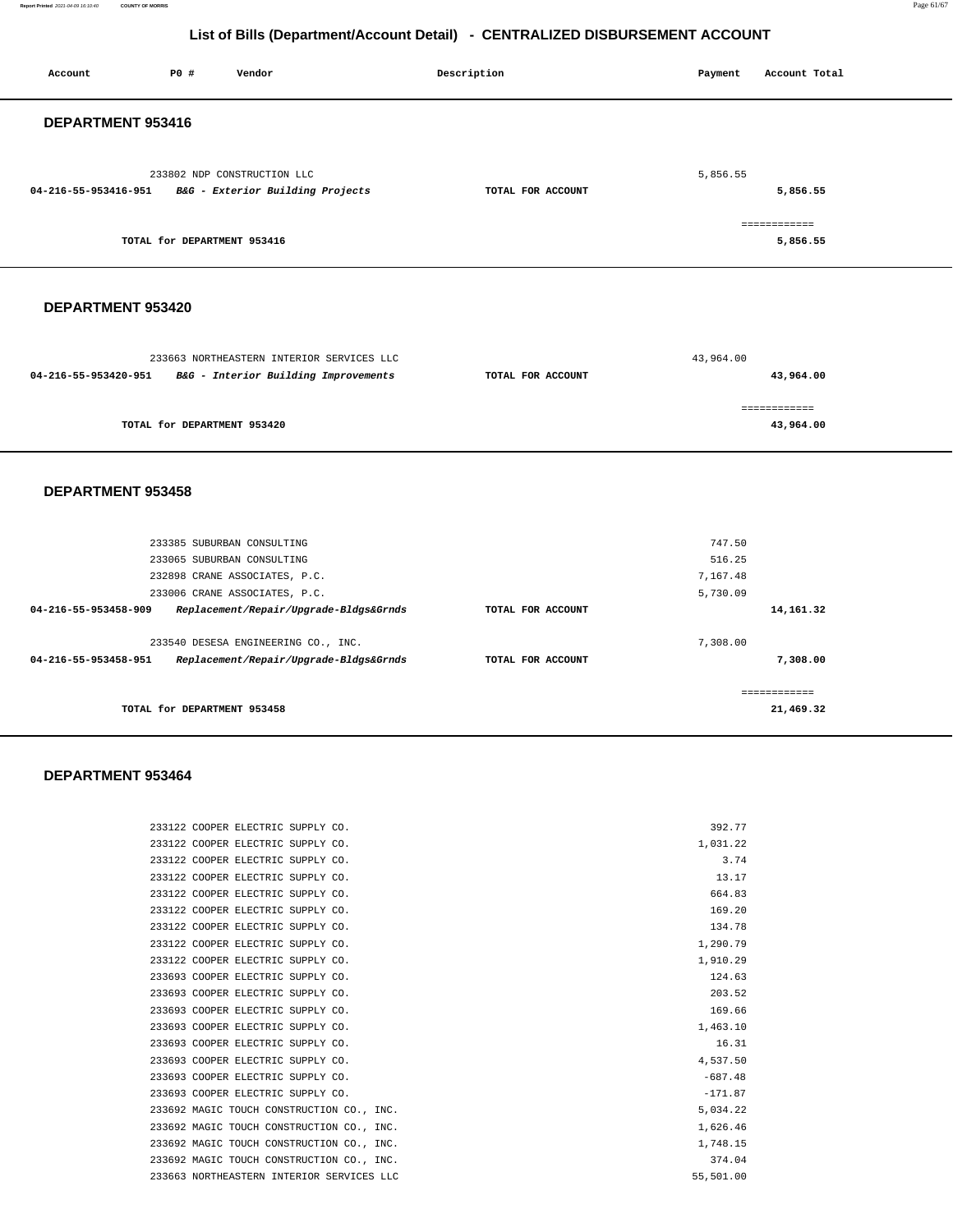**Report Printed** 2021-04-09 16:10:40 **COUNTY OF MORRIS** Page 61/67

# **List of Bills (Department/Account Detail) - CENTRALIZED DISBURSEMENT ACCOUNT**

| Account                     | P0 #                        | Vendor                                                                            | Description       | Payment<br>Account Total  |  |  |  |
|-----------------------------|-----------------------------|-----------------------------------------------------------------------------------|-------------------|---------------------------|--|--|--|
| DEPARTMENT 953416           |                             |                                                                                   |                   |                           |  |  |  |
| 04-216-55-953416-951        |                             | 233802 NDP CONSTRUCTION LLC<br>B&G - Exterior Building Projects                   | TOTAL FOR ACCOUNT | 5,856.55<br>5,856.55      |  |  |  |
|                             | TOTAL for DEPARTMENT 953416 |                                                                                   |                   | ============<br>5,856.55  |  |  |  |
|                             | DEPARTMENT 953420           |                                                                                   |                   |                           |  |  |  |
| 04-216-55-953420-951        |                             | 233663 NORTHEASTERN INTERIOR SERVICES LLC<br>B&G - Interior Building Improvements | TOTAL FOR ACCOUNT | 43,964.00<br>43,964.00    |  |  |  |
| TOTAL for DEPARTMENT 953420 |                             |                                                                                   |                   | ============<br>43,964.00 |  |  |  |
| DEPARTMENT 953458           |                             |                                                                                   |                   |                           |  |  |  |
|                             |                             | 233385 SUBURBAN CONSULTING                                                        |                   | 747.50                    |  |  |  |
|                             |                             | 233065 SUBURBAN CONSULTING<br>232898 CRANE ASSOCIATES, P.C.                       |                   | 516.25<br>7.167.48        |  |  |  |

|                      | TOTAL for DEPARTMENT 953458            |                   | 21,469.32 |
|----------------------|----------------------------------------|-------------------|-----------|
|                      |                                        |                   |           |
| 04-216-55-953458-951 | Replacement/Repair/Upgrade-Bldgs&Grnds | TOTAL FOR ACCOUNT | 7,308.00  |
|                      | 233540 DESESA ENGINEERING CO., INC.    |                   | 7.308.00  |
| 04-216-55-953458-909 | Replacement/Repair/Upgrade-Bldgs&Grnds | TOTAL FOR ACCOUNT | 14,161.32 |
|                      | 233006 CRANE ASSOCIATES, P.C.          |                   | 5,730.09  |
|                      | 232898 CRANE ASSOCIATES, P.C.          |                   | 7,167.48  |

### **DEPARTMENT 953464**

| 233122 COOPER ELECTRIC SUPPLY CO.         | 392.77    |
|-------------------------------------------|-----------|
| 233122 COOPER ELECTRIC SUPPLY CO.         | 1,031.22  |
| 233122 COOPER ELECTRIC SUPPLY CO.         | 3.74      |
| 233122 COOPER ELECTRIC SUPPLY CO.         | 13.17     |
| 233122 COOPER ELECTRIC SUPPLY CO.         | 664.83    |
| 233122 COOPER ELECTRIC SUPPLY CO.         | 169.20    |
| 233122 COOPER ELECTRIC SUPPLY CO.         | 134.78    |
| 233122 COOPER ELECTRIC SUPPLY CO.         | 1,290.79  |
| 233122 COOPER ELECTRIC SUPPLY CO.         | 1,910.29  |
| 233693 COOPER ELECTRIC SUPPLY CO.         | 124.63    |
| 233693 COOPER ELECTRIC SUPPLY CO.         | 203.52    |
| 233693 COOPER ELECTRIC SUPPLY CO.         | 169.66    |
| 233693 COOPER ELECTRIC SUPPLY CO.         | 1,463.10  |
| 233693 COOPER ELECTRIC SUPPLY CO.         | 16.31     |
| 233693 COOPER ELECTRIC SUPPLY CO.         | 4.537.50  |
| 233693 COOPER ELECTRIC SUPPLY CO.         | $-687.48$ |
| 233693 COOPER ELECTRIC SUPPLY CO.         | $-171.87$ |
| 233692 MAGIC TOUCH CONSTRUCTION CO., INC. | 5.034.22  |
| 233692 MAGIC TOUCH CONSTRUCTION CO., INC. | 1,626.46  |
| 233692 MAGIC TOUCH CONSTRUCTION CO., INC. | 1,748.15  |
| 233692 MAGIC TOUCH CONSTRUCTION CO., INC. | 374.04    |
| 233663 NORTHEASTERN INTERIOR SERVICES LLC | 55,501.00 |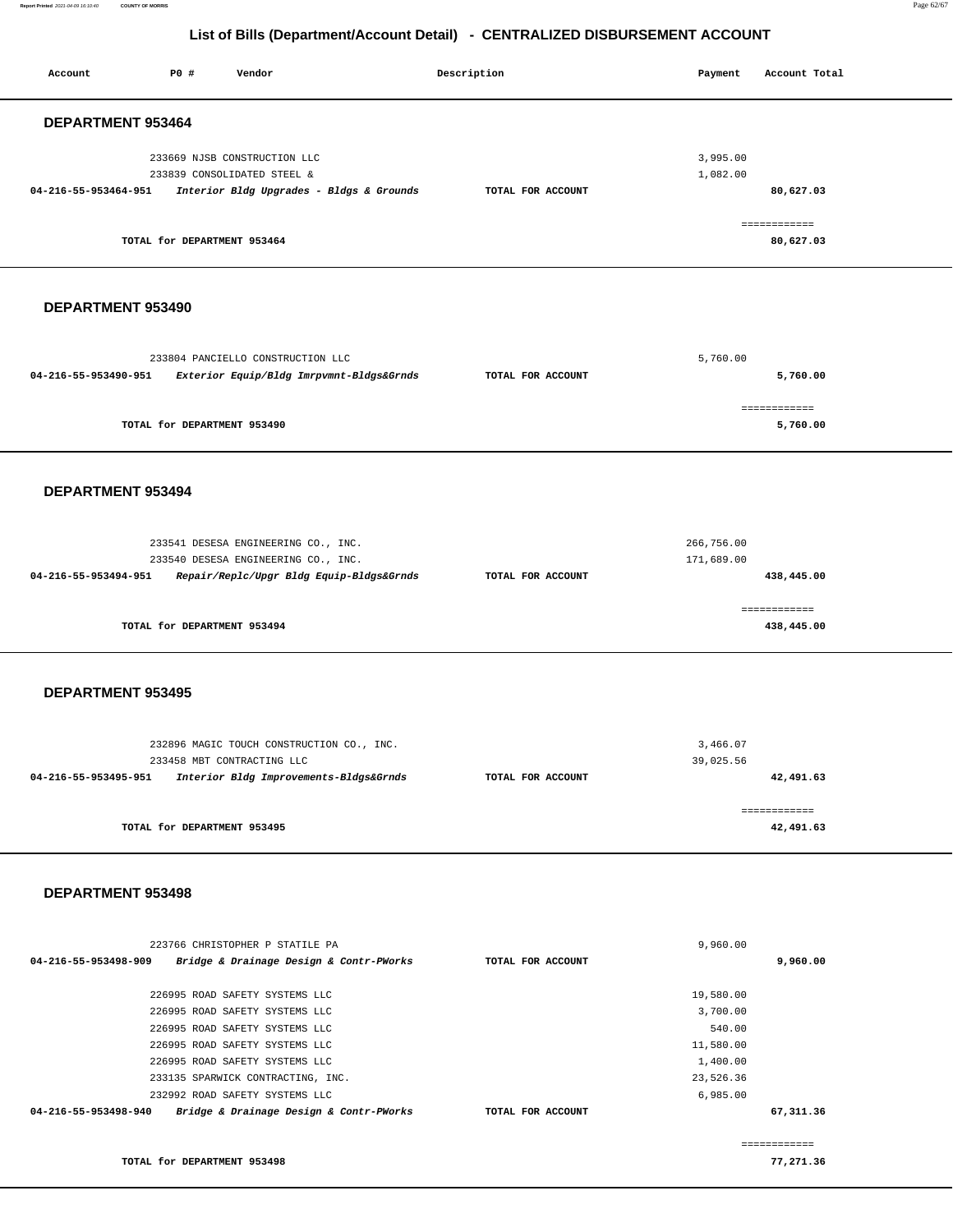**Report Printed** 2021-04-09 16:10:40 **COUNTY OF MORRIS** Page 62/67

### **List of Bills (Department/Account Detail) - CENTRALIZED DISBURSEMENT ACCOUNT**

| Account              | P0 #                        | Vendor                                                                                                                                  |  | Description       | Payment                                        | Account Total              |  |  |
|----------------------|-----------------------------|-----------------------------------------------------------------------------------------------------------------------------------------|--|-------------------|------------------------------------------------|----------------------------|--|--|
| DEPARTMENT 953464    |                             |                                                                                                                                         |  |                   |                                                |                            |  |  |
| 04-216-55-953464-951 |                             | 233669 NJSB CONSTRUCTION LLC<br>233839 CONSOLIDATED STEEL &<br>Interior Bldg Upgrades - Bldgs & Grounds                                 |  | TOTAL FOR ACCOUNT | 3,995.00<br>1,082.00                           | 80,627.03                  |  |  |
|                      | TOTAL for DEPARTMENT 953464 |                                                                                                                                         |  |                   |                                                | ============<br>80,627.03  |  |  |
| DEPARTMENT 953490    |                             |                                                                                                                                         |  |                   |                                                |                            |  |  |
| 04-216-55-953490-951 |                             | 233804 PANCIELLO CONSTRUCTION LLC<br>Exterior Equip/Bldg Imrpvmnt-Bldgs&Grnds                                                           |  | TOTAL FOR ACCOUNT | 5,760.00                                       | 5,760.00                   |  |  |
|                      | TOTAL for DEPARTMENT 953490 |                                                                                                                                         |  |                   |                                                | ============<br>5,760.00   |  |  |
| DEPARTMENT 953494    |                             |                                                                                                                                         |  |                   |                                                |                            |  |  |
| 04-216-55-953494-951 |                             | 233541 DESESA ENGINEERING CO., INC.<br>233540 DESESA ENGINEERING CO., INC.<br>Repair/Replc/Upgr Bldg Equip-Bldgs&Grnds                  |  | TOTAL FOR ACCOUNT | 266,756.00<br>171,689.00                       | 438,445.00                 |  |  |
|                      | TOTAL for DEPARTMENT 953494 |                                                                                                                                         |  |                   |                                                | ============<br>438,445.00 |  |  |
|                      | <b>DEPARTMENT 953495</b>    |                                                                                                                                         |  |                   |                                                |                            |  |  |
| 04-216-55-953495-951 |                             | 232896 MAGIC TOUCH CONSTRUCTION CO., INC.<br>233458 MBT CONTRACTING LLC<br>Interior Bldg Improvements-Bldgs&Grnds                       |  | TOTAL FOR ACCOUNT | 3,466.07<br>39,025.56                          | 42,491.63                  |  |  |
|                      | TOTAL for DEPARTMENT 953495 |                                                                                                                                         |  |                   |                                                | ============<br>42,491.63  |  |  |
| DEPARTMENT 953498    |                             |                                                                                                                                         |  |                   |                                                |                            |  |  |
| 04-216-55-953498-909 |                             | 223766 CHRISTOPHER P STATILE PA<br>Bridge & Drainage Design & Contr-PWorks                                                              |  | TOTAL FOR ACCOUNT | 9,960.00                                       | 9,960.00                   |  |  |
|                      |                             | 226995 ROAD SAFETY SYSTEMS LLC<br>226995 ROAD SAFETY SYSTEMS LLC<br>226995 ROAD SAFETY SYSTEMS LLC                                      |  |                   | 19,580.00<br>3,700.00<br>540.00                |                            |  |  |
|                      |                             | 226995 ROAD SAFETY SYSTEMS LLC<br>226995 ROAD SAFETY SYSTEMS LLC<br>233135 SPARWICK CONTRACTING, INC.<br>232992 ROAD SAFETY SYSTEMS LLC |  |                   | 11,580.00<br>1,400.00<br>23,526.36<br>6,985.00 |                            |  |  |
| 04-216-55-953498-940 |                             | Bridge & Drainage Design & Contr-PWorks                                                                                                 |  | TOTAL FOR ACCOUNT |                                                | 67,311.36<br>============  |  |  |

**TOTAL for DEPARTMENT 953498 77,271.36**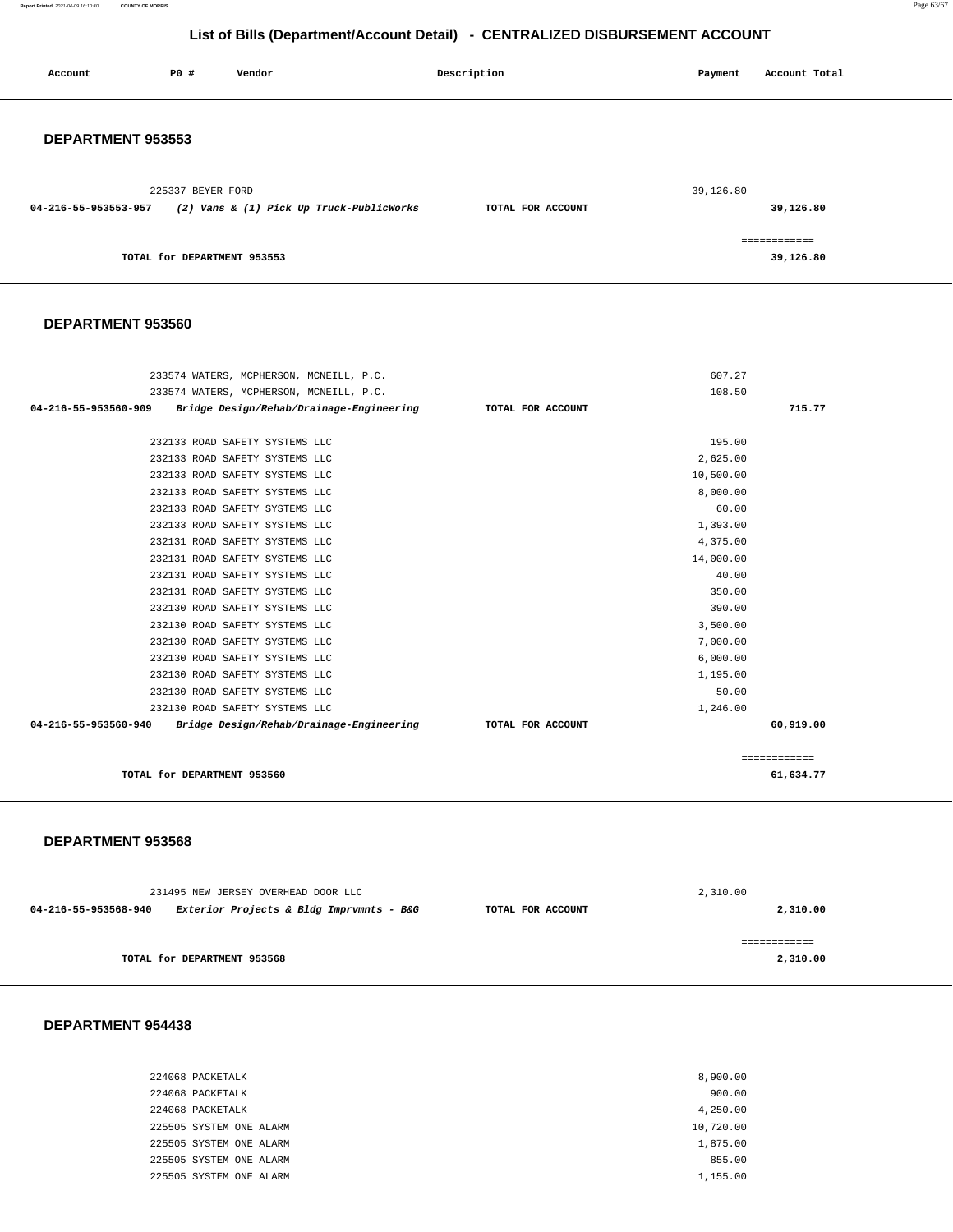**Report Printed** 2021-04-09 16:10:40 **COUNTY OF MORRIS** Page 63/67

### **List of Bills (Department/Account Detail) - CENTRALIZED DISBURSEMENT ACCOUNT**

| Account                  | P0 #                        | Vendor                                   | Description       | Payment   | Account Total             |
|--------------------------|-----------------------------|------------------------------------------|-------------------|-----------|---------------------------|
| <b>DEPARTMENT 953553</b> |                             |                                          |                   |           |                           |
| 04-216-55-953553-957     | 225337 BEYER FORD           | (2) Vans & (1) Pick Up Truck-PublicWorks | TOTAL FOR ACCOUNT | 39,126.80 | 39,126.80                 |
|                          | TOTAL for DEPARTMENT 953553 |                                          |                   |           | ============<br>39,126.80 |

### **DEPARTMENT 953560**

| 233574 WATERS, MCPHERSON, MCNEILL, P.C.                                            |                   | 607.27    |              |
|------------------------------------------------------------------------------------|-------------------|-----------|--------------|
| 233574 WATERS, MCPHERSON, MCNEILL, P.C.                                            |                   | 108.50    |              |
| 04-216-55-953560-909<br>Bridge Design/Rehab/Drainage-Engineering TOTAL FOR ACCOUNT |                   |           | 715.77       |
|                                                                                    |                   |           |              |
| 232133 ROAD SAFETY SYSTEMS LLC                                                     |                   | 195.00    |              |
| 232133 ROAD SAFETY SYSTEMS LLC                                                     |                   | 2,625.00  |              |
| 232133 ROAD SAFETY SYSTEMS LLC                                                     |                   | 10,500.00 |              |
| 232133 ROAD SAFETY SYSTEMS LLC                                                     |                   | 8,000.00  |              |
| 232133 ROAD SAFETY SYSTEMS LLC                                                     |                   | 60.00     |              |
| 232133 ROAD SAFETY SYSTEMS LLC                                                     |                   | 1,393.00  |              |
| 232131 ROAD SAFETY SYSTEMS LLC                                                     |                   | 4,375.00  |              |
| 232131 ROAD SAFETY SYSTEMS LLC                                                     |                   | 14,000.00 |              |
| 232131 ROAD SAFETY SYSTEMS LLC                                                     |                   | 40.00     |              |
| 232131 ROAD SAFETY SYSTEMS LLC                                                     |                   | 350.00    |              |
| 232130 ROAD SAFETY SYSTEMS LLC                                                     |                   | 390.00    |              |
| 232130 ROAD SAFETY SYSTEMS LLC                                                     |                   | 3,500.00  |              |
| 232130 ROAD SAFETY SYSTEMS LLC                                                     |                   | 7,000.00  |              |
| 232130 ROAD SAFETY SYSTEMS LLC                                                     |                   | 6,000.00  |              |
| 232130 ROAD SAFETY SYSTEMS LLC                                                     |                   | 1,195.00  |              |
| 232130 ROAD SAFETY SYSTEMS LLC                                                     |                   | 50.00     |              |
| 232130 ROAD SAFETY SYSTEMS LLC                                                     |                   | 1,246.00  |              |
| 04-216-55-953560-940 Bridge Design/Rehab/Drainage-Engineering                      | TOTAL FOR ACCOUNT |           | 60,919.00    |
|                                                                                    |                   |           |              |
|                                                                                    |                   |           | ============ |
| TOTAL for DEPARTMENT 953560                                                        |                   |           | 61,634.77    |

### **DEPARTMENT 953568**

| 231495 NEW JERSEY OVERHEAD DOOR LLC |                                          |                   | 2,310.00 |  |  |
|-------------------------------------|------------------------------------------|-------------------|----------|--|--|
| 04-216-55-953568-940                | Exterior Projects & Bldg Imprvmnts - B&G | TOTAL FOR ACCOUNT | 2,310.00 |  |  |
|                                     | TOTAL for DEPARTMENT 953568              |                   | 2,310.00 |  |  |

### **DEPARTMENT 954438**

| 224068 PACKETALK        | 8,900.00  |
|-------------------------|-----------|
| 224068 PACKETALK        | 900.00    |
| 224068 PACKETALK        | 4,250.00  |
| 225505 SYSTEM ONE ALARM | 10,720.00 |
| 225505 SYSTEM ONE ALARM | 1,875.00  |
| 225505 SYSTEM ONE ALARM | 855.00    |
| 225505 SYSTEM ONE ALARM | 1,155.00  |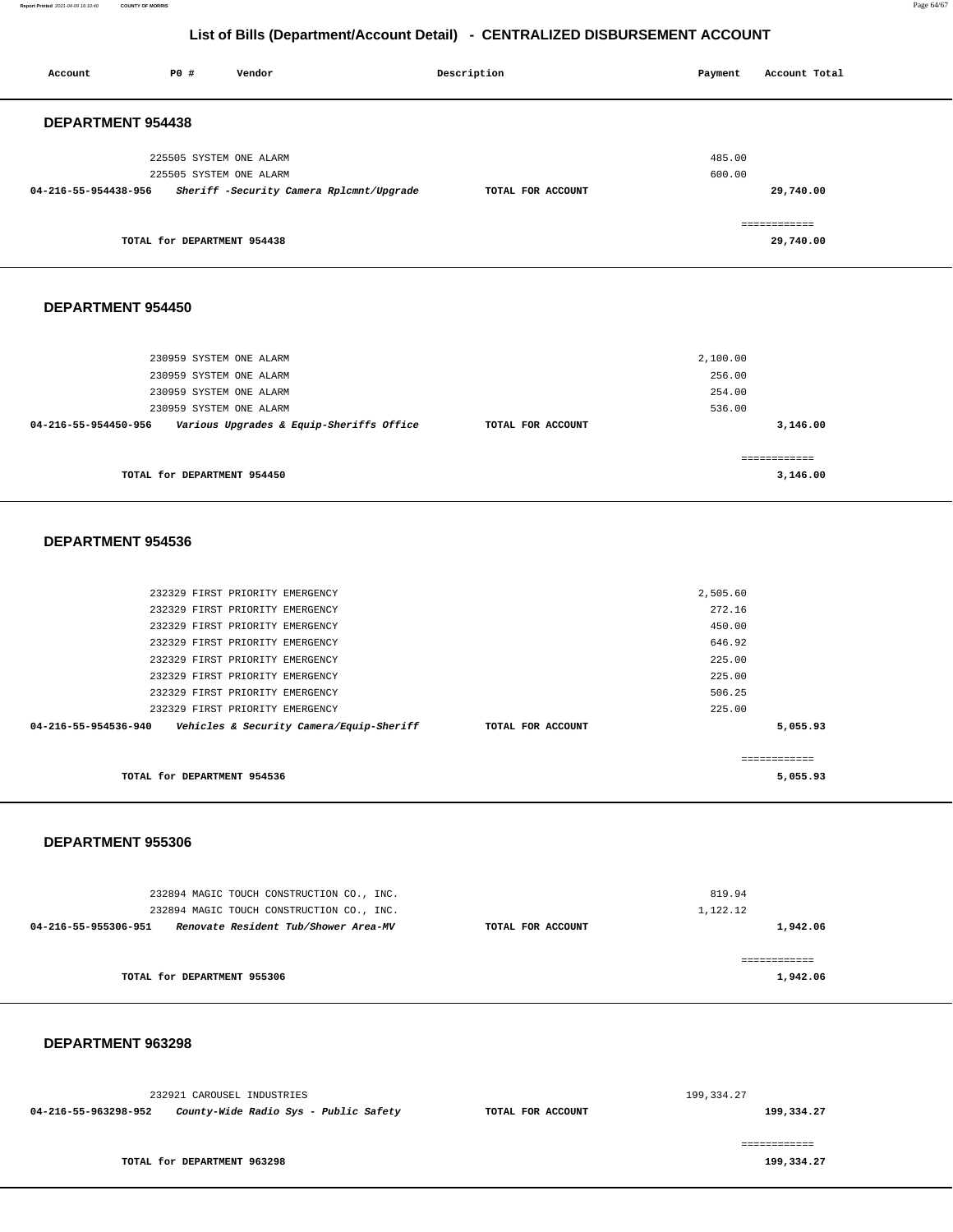**Report Printed** 2021-04-09 16:10:40 **COUNTY OF MORRIS** Page 64/67

### **List of Bills (Department/Account Detail) - CENTRALIZED DISBURSEMENT ACCOUNT**

|                      |                             | $\frac{1}{2}$ . $\frac{1}{2}$ . $\frac{1}{2}$ . $\frac{1}{2}$ . $\frac{1}{2}$ . $\frac{1}{2}$ . $\frac{1}{2}$ . $\frac{1}{2}$ . $\frac{1}{2}$ . $\frac{1}{2}$ . $\frac{1}{2}$ |                   | <u>, , , , , , , , , , , , , , , ,</u> |             |               |  |
|----------------------|-----------------------------|-------------------------------------------------------------------------------------------------------------------------------------------------------------------------------|-------------------|----------------------------------------|-------------|---------------|--|
| Account              | P0 #                        | Vendor                                                                                                                                                                        | Description       |                                        | Payment     | Account Total |  |
|                      |                             |                                                                                                                                                                               |                   |                                        |             |               |  |
| DEPARTMENT 954438    |                             |                                                                                                                                                                               |                   |                                        |             |               |  |
|                      | 225505 SYSTEM ONE ALARM     |                                                                                                                                                                               |                   |                                        | 485.00      |               |  |
|                      | 225505 SYSTEM ONE ALARM     |                                                                                                                                                                               |                   |                                        | 600.00      |               |  |
| 04-216-55-954438-956 |                             | Sheriff -Security Camera Rplcmnt/Upgrade                                                                                                                                      | TOTAL FOR ACCOUNT |                                        |             | 29,740.00     |  |
|                      |                             |                                                                                                                                                                               |                   |                                        |             | ============  |  |
|                      | TOTAL for DEPARTMENT 954438 |                                                                                                                                                                               |                   |                                        |             | 29,740.00     |  |
|                      |                             |                                                                                                                                                                               |                   |                                        |             |               |  |
|                      |                             |                                                                                                                                                                               |                   |                                        |             |               |  |
| DEPARTMENT 954450    |                             |                                                                                                                                                                               |                   |                                        |             |               |  |
|                      |                             |                                                                                                                                                                               |                   |                                        |             |               |  |
|                      | 230959 SYSTEM ONE ALARM     |                                                                                                                                                                               |                   |                                        | 2,100.00    |               |  |
|                      | 230959 SYSTEM ONE ALARM     |                                                                                                                                                                               |                   |                                        | 256.00      |               |  |
|                      | 230959 SYSTEM ONE ALARM     |                                                                                                                                                                               |                   |                                        | 254.00      |               |  |
|                      | 230959 SYSTEM ONE ALARM     |                                                                                                                                                                               |                   |                                        | 536.00      |               |  |
| 04-216-55-954450-956 |                             | Various Upgrades & Equip-Sheriffs Office                                                                                                                                      | TOTAL FOR ACCOUNT |                                        |             | 3,146.00      |  |
|                      |                             |                                                                                                                                                                               |                   |                                        |             | ============  |  |
|                      | TOTAL for DEPARTMENT 954450 |                                                                                                                                                                               |                   |                                        |             | 3,146.00      |  |
|                      |                             |                                                                                                                                                                               |                   |                                        |             |               |  |
| DEPARTMENT 954536    |                             |                                                                                                                                                                               |                   |                                        |             |               |  |
|                      |                             |                                                                                                                                                                               |                   |                                        |             |               |  |
|                      |                             | 232329 FIRST PRIORITY EMERGENCY                                                                                                                                               |                   |                                        | 2,505.60    |               |  |
|                      |                             | 232329 FIRST PRIORITY EMERGENCY                                                                                                                                               |                   |                                        | 272.16      |               |  |
|                      |                             | 232329 FIRST PRIORITY EMERGENCY                                                                                                                                               |                   |                                        | 450.00      |               |  |
|                      |                             | 232329 FIRST PRIORITY EMERGENCY                                                                                                                                               |                   |                                        | 646.92      |               |  |
|                      |                             | 232329 FIRST PRIORITY EMERGENCY                                                                                                                                               |                   |                                        | 225.00      |               |  |
|                      |                             | 232329 FIRST PRIORITY EMERGENCY                                                                                                                                               |                   |                                        | 225.00      |               |  |
|                      |                             | 232329 FIRST PRIORITY EMERGENCY                                                                                                                                               |                   |                                        | 506.25      |               |  |
|                      |                             | 232329 FIRST PRIORITY EMERGENCY                                                                                                                                               |                   |                                        | 225.00      |               |  |
| 04-216-55-954536-940 |                             | Vehicles & Security Camera/Equip-Sheriff                                                                                                                                      | TOTAL FOR ACCOUNT |                                        |             | 5,055.93      |  |
|                      |                             |                                                                                                                                                                               |                   |                                        |             | ============  |  |
|                      | TOTAL for DEPARTMENT 954536 |                                                                                                                                                                               |                   |                                        |             | 5,055.93      |  |
|                      |                             |                                                                                                                                                                               |                   |                                        |             |               |  |
| DEPARTMENT 955306    |                             |                                                                                                                                                                               |                   |                                        |             |               |  |
|                      |                             |                                                                                                                                                                               |                   |                                        |             |               |  |
|                      |                             | 232894 MAGIC TOUCH CONSTRUCTION CO., INC.                                                                                                                                     |                   |                                        | 819.94      |               |  |
|                      |                             | 232894 MAGIC TOUCH CONSTRUCTION CO., INC.                                                                                                                                     |                   |                                        | 1,122.12    |               |  |
| 04-216-55-955306-951 |                             | Renovate Resident Tub/Shower Area-MV                                                                                                                                          | TOTAL FOR ACCOUNT |                                        |             | 1,942.06      |  |
|                      |                             |                                                                                                                                                                               |                   |                                        |             | ============  |  |
|                      | TOTAL for DEPARTMENT 955306 |                                                                                                                                                                               |                   |                                        |             | 1,942.06      |  |
|                      |                             |                                                                                                                                                                               |                   |                                        |             |               |  |
|                      |                             |                                                                                                                                                                               |                   |                                        |             |               |  |
| DEPARTMENT 963298    |                             |                                                                                                                                                                               |                   |                                        |             |               |  |
|                      |                             |                                                                                                                                                                               |                   |                                        |             |               |  |
|                      |                             | 232921 CAROUSEL INDUSTRIES                                                                                                                                                    |                   |                                        | 199, 334.27 |               |  |

**04-216-55-963298-952 County-Wide Radio Sys - Public Safety TOTAL FOR ACCOUNT** 

**TOTAL for DEPARTMENT 963298** 

**199,334.27** ============

**199,334.27**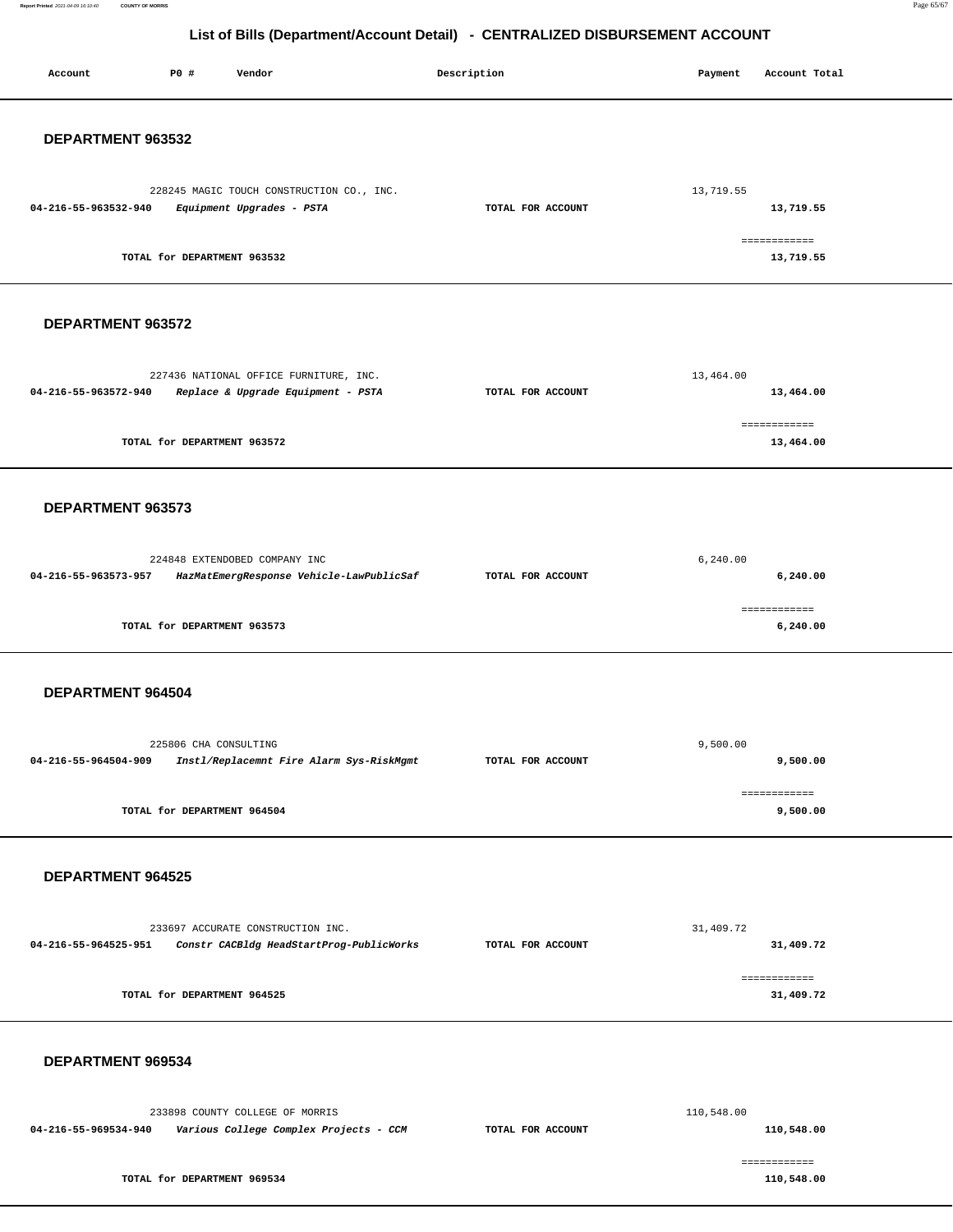**Report Printed** 2021-04-09 16:10:40 **COUNTY OF MORRIS** Page 65/67

# **List of Bills (Department/Account Detail) - CENTRALIZED DISBURSEMENT ACCOUNT**

| Account              | <b>PO #</b>                 | Vendor                                                                        | Description       | Payment    | Account Total              |  |
|----------------------|-----------------------------|-------------------------------------------------------------------------------|-------------------|------------|----------------------------|--|
| DEPARTMENT 963532    |                             |                                                                               |                   |            |                            |  |
| 04-216-55-963532-940 |                             | 228245 MAGIC TOUCH CONSTRUCTION CO., INC.<br>Equipment Upgrades - PSTA        | TOTAL FOR ACCOUNT | 13,719.55  | 13,719.55                  |  |
|                      | TOTAL for DEPARTMENT 963532 |                                                                               |                   |            | ============<br>13,719.55  |  |
| DEPARTMENT 963572    |                             |                                                                               |                   |            |                            |  |
| 04-216-55-963572-940 |                             | 227436 NATIONAL OFFICE FURNITURE, INC.<br>Replace & Upgrade Equipment - PSTA  | TOTAL FOR ACCOUNT | 13,464.00  | 13,464.00                  |  |
|                      | TOTAL for DEPARTMENT 963572 |                                                                               |                   |            | ============<br>13,464.00  |  |
| DEPARTMENT 963573    |                             |                                                                               |                   |            |                            |  |
| 04-216-55-963573-957 |                             | 224848 EXTENDOBED COMPANY INC<br>HazMatEmergResponse Vehicle-LawPublicSaf     | TOTAL FOR ACCOUNT | 6, 240.00  | 6, 240.00                  |  |
|                      | TOTAL for DEPARTMENT 963573 |                                                                               |                   |            | ============<br>6,240.00   |  |
| DEPARTMENT 964504    |                             |                                                                               |                   |            |                            |  |
| 04-216-55-964504-909 | 225806 CHA CONSULTING       | Instl/Replacemnt Fire Alarm Sys-RiskMgmt                                      | TOTAL FOR ACCOUNT | 9,500.00   | 9,500.00                   |  |
|                      | TOTAL for DEPARTMENT 964504 |                                                                               |                   |            | ============<br>9,500.00   |  |
| DEPARTMENT 964525    |                             |                                                                               |                   |            |                            |  |
| 04-216-55-964525-951 |                             | 233697 ACCURATE CONSTRUCTION INC.<br>Constr CACBldg HeadStartProg-PublicWorks | TOTAL FOR ACCOUNT | 31,409.72  | 31,409.72                  |  |
|                      | TOTAL for DEPARTMENT 964525 |                                                                               |                   |            | ============<br>31,409.72  |  |
| DEPARTMENT 969534    |                             |                                                                               |                   |            |                            |  |
| 04-216-55-969534-940 |                             | 233898 COUNTY COLLEGE OF MORRIS<br>Various College Complex Projects - CCM     | TOTAL FOR ACCOUNT | 110,548.00 | 110,548.00                 |  |
|                      | TOTAL for DEPARTMENT 969534 |                                                                               |                   |            | ============<br>110,548.00 |  |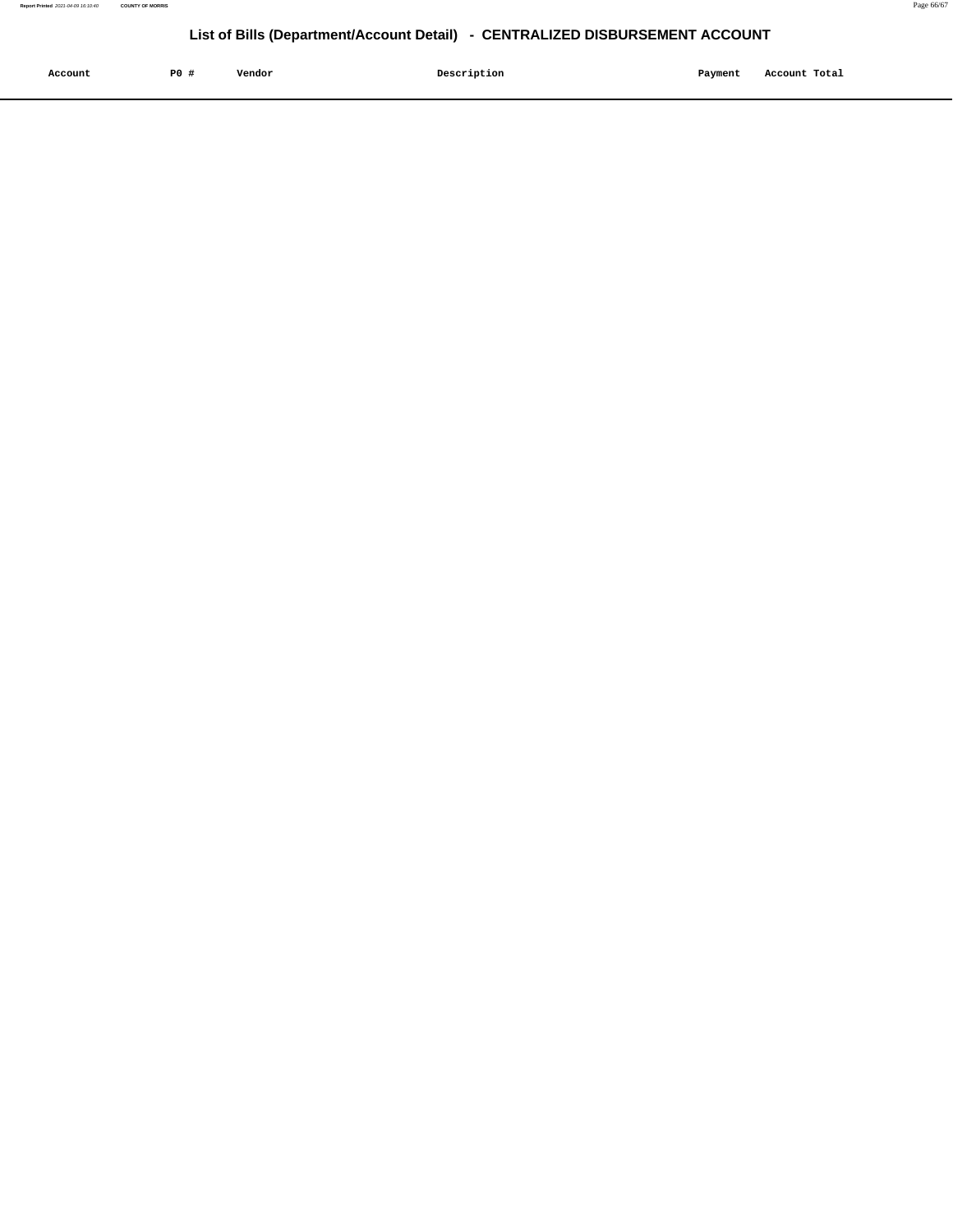| Account | P <sub>0</sub> | Vendor | Description | Payment | Account Total |
|---------|----------------|--------|-------------|---------|---------------|
|         |                |        |             |         |               |